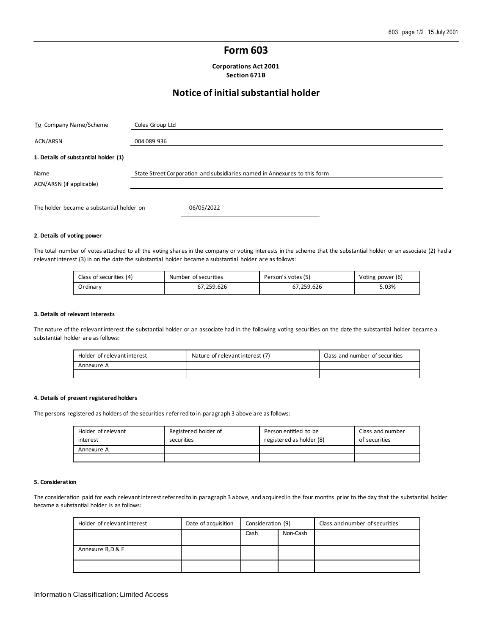# **Form 603**

**Corporations Act 2001 Section 671B**

# **Notice of initial substantial holder**

| To Company Name/Scheme                    | Coles Group Ltd                                                           |
|-------------------------------------------|---------------------------------------------------------------------------|
| ACN/ARSN                                  | 004 089 936                                                               |
| 1. Details of substantial holder (1)      |                                                                           |
| Name<br>ACN/ARSN (if applicable)          | State Street Corporation and subsidiaries named in Annexures to this form |
| The holder became a substantial holder on | 06/05/2022                                                                |

## **2. Details of voting power**

The total number of votes attached to all the voting shares in the company or voting interests in the scheme that the substantial holder or an associate (2) had a relevant interest (3) in on the date the substantial holder became a substantial holder are as follows:

| Class of securities (4) | Number of securities | Person's votes (5) | Voting power (6) |
|-------------------------|----------------------|--------------------|------------------|
| Ordinarv                | 67,259,626           | 67,259,626         | 5.03%            |

### **3. Details of relevant interests**

The nature of the relevant interest the substantial holder or an associate had in the following voting securities on the date the substantial holder became a substantial holder are as follows:

| Holder of relevant interest | Nature of relevant interest (7) | Class and number of securities |
|-----------------------------|---------------------------------|--------------------------------|
| Annexure A                  |                                 |                                |
|                             |                                 |                                |

## **4. Details of present registered holders**

The persons registered as holders of the securities referred to in paragraph 3 above are as follows:

| Holder of relevant<br>interest | Registered holder of<br>securities | Person entitled to be<br>registered as holder (8) | Class and number<br>of securities |
|--------------------------------|------------------------------------|---------------------------------------------------|-----------------------------------|
| Annexure A                     |                                    |                                                   |                                   |
|                                |                                    |                                                   |                                   |

### **5. Consideration**

The consideration paid for each relevant interest referred to in paragraph 3 above, and acquired in the four months prior to the day that the substantial holder became a substantial holder is as follows:

| Holder of relevant interest | Date of acquisition | Consideration (9) |          | Class and number of securities |
|-----------------------------|---------------------|-------------------|----------|--------------------------------|
|                             |                     | Cash              | Non-Cash |                                |
|                             |                     |                   |          |                                |
| Annexure B, D & E           |                     |                   |          |                                |
|                             |                     |                   |          |                                |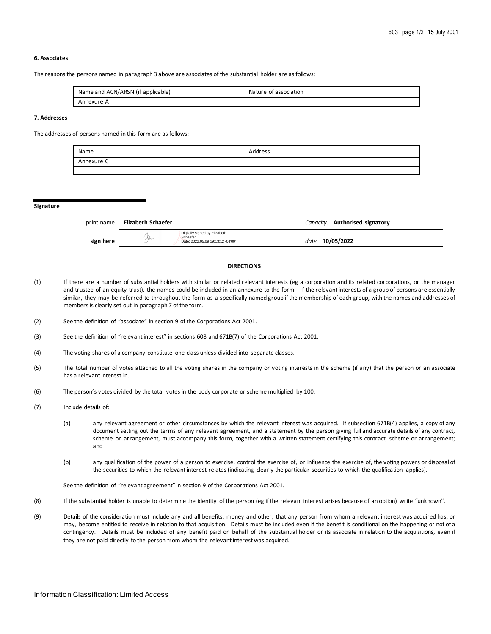# **6. Associates**

The reasons the persons named in paragraph 3 above are associates of the substantial holder are as follows:

| Name and ACN/ARSN (if applicable) | Nature of association |
|-----------------------------------|-----------------------|
| Annexure A                        |                       |

# **7. Addresses**

The addresses of persons named in this form are as follows:

| Name       | Address |
|------------|---------|
| Annexure C |         |
|            |         |

#### **Signature**

| print name | Elizabeth Schaefer |                                                                                |      | Capacity: Authorised signatory |
|------------|--------------------|--------------------------------------------------------------------------------|------|--------------------------------|
| sign here  | Ach-               | Digitally signed by Elizabeth<br>Schaefer<br>Date: 2022.05.09 19:13:12 -04'00' | date | 10/05/2022                     |

# **DIRECTIONS**

- (1) If there are a number of substantial holders with similar or related relevant interests (eg a corporation and its related corporations, or the manager and trustee of an equity trust), the names could be included in an annexure to the form. If the relevant interests of a group of persons are essentially similar, they may be referred to throughout the form as a specifically named group if the membership of each group, with the names and addresses of members is clearly set out in paragraph 7 of the form.
- (2) See the definition of "associate" in section 9 of the Corporations Act 2001.
- (3) See the definition of "relevant interest" in sections 608 and 671B(7) of the Corporations Act 2001.
- (4) The voting shares of a company constitute one class unless divided into separate classes.
- (5) The total number of votes attached to all the voting shares in the company or voting interests in the scheme (if any) that the person or an associate has a relevant interest in.
- (6) The person's votes divided by the total votes in the body corporate or scheme multiplied by 100.
- (7) Include details of:
	- (a) any relevant agreement or other circumstances by which the relevant interest was acquired. If subsection 671B(4) applies, a copy of any document setting out the terms of any relevant agreement, and a statement by the person giving full and accurate details of any contract, scheme or arrangement, must accompany this form, together with a written statement certifying this contract, scheme or arrangement; and
	- (b) any qualification of the power of a person to exercise, control the exercise of, or influence the exercise of, the voting powers or disposal of the securities to which the relevant interest relates (indicating clearly the particular securities to which the qualification applies).

See the definition of "relevant agreement" in section 9 of the Corporations Act 2001.

- (8) If the substantial holder is unable to determine the identity of the person (eg if the relevant interest arises because of an option) write "unknown".
- (9) Details of the consideration must include any and all benefits, money and other, that any person from whom a relevant interest was acquired has, or may, become entitled to receive in relation to that acquisition. Details must be included even if the benefit is conditional on the happening or not of a contingency. Details must be included of any benefit paid on behalf of the substantial holder or its associate in relation to the acquisitions, even if they are not paid directly to the person from whom the relevant interest was acquired.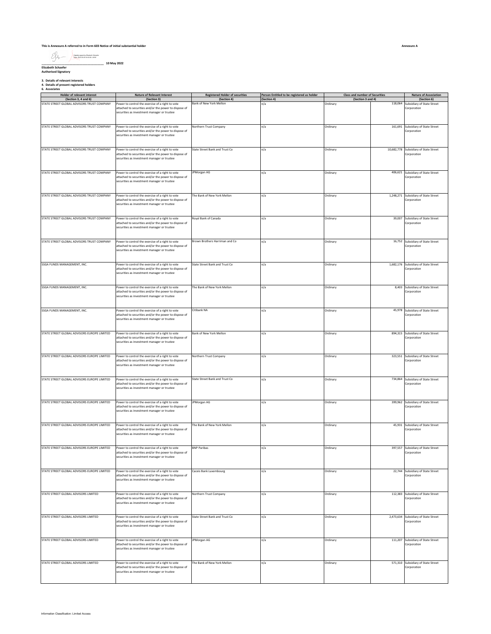### **This is Annexure A referred to in Form 603 Notice of initial substantial holder**

**\_\_\_\_\_\_\_\_\_\_\_\_\_\_\_\_\_\_\_\_\_\_\_\_\_\_\_\_\_\_\_\_\_\_\_\_\_\_ 10 May 2022 Elizabeth Schaefer Authorised Signatory** Digitally signed by Elizabeth Schaefer Date: 2022.05.09 19:13:30 -04'00'

**3. Details of relevant interests 4. Details of present registered holders 6. Associates**

| <b>Holder of relevant interest</b>          | Nature of Relevant Interest                                                                                                                              | <b>Registered Holder of securities</b> | Person Entitled to be registered as holder | <b>Class and number of Securities</b> |         | <b>Nature of Association</b>                         |
|---------------------------------------------|----------------------------------------------------------------------------------------------------------------------------------------------------------|----------------------------------------|--------------------------------------------|---------------------------------------|---------|------------------------------------------------------|
| (Section 3, 4 and 6)                        | (Section 3)                                                                                                                                              | (Section 4)                            | (Section 4)                                | (Section 3 and 4)                     |         | (Section 6)                                          |
| STATE STREET GLOBAL ADVISORS TRUST COMPANY  | Power to control the exercise of a right to vote<br>attached to securities and/or the power to dispose of<br>securities as investment manager or trustee | Bank of New York Mellon                | n/a                                        | Ordinary                              | 118,064 | Subsidiary of State Street<br>Corporation            |
| STATE STREET GLOBAL ADVISORS TRUST COMPANY  | Power to control the exercise of a right to vote<br>attached to securities and/or the power to dispose of<br>securities as investment manager or trustee | Northern Trust Company                 | n/a                                        | Ordinary                              |         | 161,691 Subsidiary of State Street<br>Corporation    |
| STATE STREET GLOBAL ADVISORS TRUST COMPANY  | Power to control the exercise of a right to vote<br>attached to securities and/or the power to dispose of<br>securities as investment manager or trustee | State Street Bank and Trust Co         | n/a                                        | Ordinary                              |         | 10,682,778 Subsidiary of State Street<br>Corporation |
| STATE STREET GLOBAL ADVISORS TRUST COMPANY  | Power to control the exercise of a right to vote<br>attached to securities and/or the power to dispose of<br>securities as investment manager or trustee | JPMorgan AG                            | n/a                                        | Ordinary                              |         | 406,621 Subsidiary of State Street<br>Corporation    |
| STATE STREET GLOBAL ADVISORS TRUST COMPANY  | Power to control the exercise of a right to vote<br>attached to securities and/or the power to dispose of<br>securities as investment manager or trustee | The Bank of New York Mellon            | n/a                                        | Ordinary                              |         | 1,248,271 Subsidiary of State Street<br>Corporation  |
| STATE STREET GLOBAL ADVISORS TRUST COMPANY  | Power to control the exercise of a right to vote<br>attached to securities and/or the power to dispose of<br>securities as investment manager or trustee | Royal Bank of Canada                   | n/a                                        | Ordinary                              |         | 39,007 Subsidiary of State Street<br>Corporation     |
| STATE STREET GLOBAL ADVISORS TRUST COMPANY  | Power to control the exercise of a right to vote<br>attached to securities and/or the power to dispose of<br>securities as investment manager or trustee | Brown Brothers Harriman and Co         | n/a                                        | Ordinary                              |         | 16,752 Subsidiary of State Street<br>Corporation     |
| SSGA FUNDS MANAGEMENT, INC.                 | Power to control the exercise of a right to vote<br>attached to securities and/or the power to dispose of<br>securities as investment manager or trustee | State Street Bank and Trust Co         | n/a                                        | Ordinary                              |         | 1,682,176 Subsidiary of State Street<br>Corporation  |
| SSGA FUNDS MANAGEMENT, INC.                 | Power to control the exercise of a right to vote<br>attached to securities and/or the power to dispose of<br>securities as investment manager or trustee | The Bank of New York Mellon            | n/a                                        | Ordinary                              |         | 8,403 Subsidiary of State Street<br>Corporation      |
| SSGA FUNDS MANAGEMENT, INC.                 | Power to control the exercise of a right to vote<br>attached to securities and/or the power to dispose of<br>securities as investment manager or trustee | Citibank NA                            | n/a                                        | Ordinary                              |         | 45,978 Subsidiary of State Street<br>Corporation     |
| STATE STREET GLOBAL ADVISORS EUROPE LIMITED | Power to control the exercise of a right to vote<br>attached to securities and/or the power to dispose of<br>securities as investment manager or trustee | Bank of New York Mellon                | n/a                                        | Ordinary                              |         | 894,315 Subsidiary of State Street<br>Corporation    |
| STATE STREET GLOBAL ADVISORS EUROPE LIMITED | Power to control the exercise of a right to vote<br>attached to securities and/or the power to dispose of<br>securities as investment manager or trustee | Northern Trust Company                 | n/a                                        | Ordinary                              |         | 323,551 Subsidiary of State Street<br>Corporation    |
| STATE STREET GLOBAL ADVISORS EUROPE LIMITED | Power to control the exercise of a right to vote<br>attached to securities and/or the power to dispose of<br>securities as investment manager or trustee | State Street Bank and Trust Co         | n/a                                        | Ordinary                              |         | 734,864 Subsidiary of State Street<br>Corporation    |
| STATE STREET GLOBAL ADVISORS EUROPE LIMITED | Power to control the exercise of a right to vote<br>attached to securities and/or the power to dispose of<br>securities as investment manager or trustee | JPMorgan AG                            | n/a                                        | Ordinary                              |         | 399,962 Subsidiary of State Street<br>Corporation    |
| STATE STREET GLOBAL ADVISORS EUROPE LIMITED | Power to control the exercise of a right to vote<br>attached to securities and/or the power to dispose of<br>securities as investment manager or trustee | The Bank of New York Mellon            | n/a                                        | Ordinary                              |         | 45,931 Subsidiary of State Street<br>Corporation     |
| STATE STREET GLOBAL ADVISORS EUROPE LIMITED | Power to control the exercise of a right to vote<br>attached to securities and/or the power to dispose of<br>securities as investment manager or trustee | <b>BNP Paribas</b>                     | n/a                                        | Ordinary                              |         | 397,557 Subsidiary of State Street<br>Corporation    |
| STATE STREET GLOBAL ADVISORS EUROPE LIMITED | Power to control the exercise of a right to vote<br>attached to securities and/or the power to dispose of<br>securities as investment manager or trustee | Caceis Bank Luxembourg                 | n/a                                        | Ordinary                              |         | 22,744 Subsidiary of State Street<br>Corporation     |
| STATE STREET GLOBAL ADVISORS LIMITED        | Power to control the exercise of a right to vote<br>attached to securities and/or the power to dispose of<br>securities as investment manager or trustee | Northern Trust Company                 | n/a                                        | Ordinary                              |         | 112,383 Subsidiary of State Street<br>Corporation    |
| STATE STREET GLOBAL ADVISORS LIMITED        | Power to control the exercise of a right to vote<br>attached to securities and/or the power to dispose of<br>securities as investment manager or trustee | State Street Bank and Trust Co.        | n/a                                        | Ordinary                              |         | 2,473,634 Subsidiary of State Street<br>Corporation  |
| STATE STREET GLOBAL ADVISORS LIMITED        | Power to control the exercise of a right to vote<br>attached to securities and/or the power to dispose of<br>securities as investment manager or trustee | JPMorgan AG                            | n/a                                        | Ordinary                              |         | 111,207 Subsidiary of State Street<br>Corporation    |
| STATE STREET GLOBAL ADVISORS LIMITED        | Power to control the exercise of a right to vote<br>attached to securities and/or the power to dispose of<br>securities as investment manager or trustee | The Bank of New York Mellon            | n/a                                        | Ordinary                              |         | 571,310 Subsidiary of State Street<br>Corporation    |

┑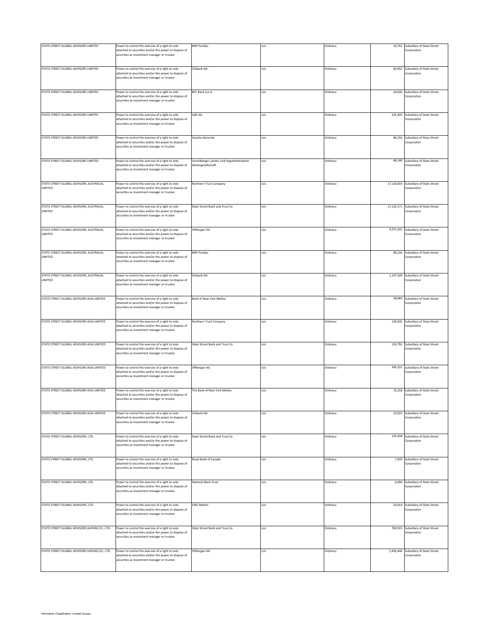| STATE STREET GLOBAL ADVISORS LIMITED           | Power to control the exercise of a right to vote<br>attached to securities and/or the power to dispose of<br>securities as investment manager or trustee | <b>BNP Paribas</b>                     | n/a | Ordinary |            | 10,742 Subsidiary of State Street<br>Corporation  |
|------------------------------------------------|----------------------------------------------------------------------------------------------------------------------------------------------------------|----------------------------------------|-----|----------|------------|---------------------------------------------------|
|                                                |                                                                                                                                                          |                                        |     |          |            |                                                   |
| STATE STREET GLOBAL ADVISORS LIMITED           | Power to control the exercise of a right to vote                                                                                                         | Citibank NA                            | n/a | Ordinary | 60,452     | Subsidiary of State Street                        |
|                                                | attached to securities and/or the power to dispose of<br>securities as investment manager or trustee                                                     |                                        |     |          |            | Corporation                                       |
| STATE STREET GLOBAL ADVISORS LIMITED           | Power to control the exercise of a right to vote                                                                                                         | BFF Bank S.p.A.                        | n/a | Ordinary |            | 24,626 Subsidiary of State Street                 |
|                                                | attached to securities and/or the power to dispose of<br>securities as investment manager or trustee                                                     |                                        |     |          |            | Corporation                                       |
| STATE STREET GLOBAL ADVISORS LIMITED           | Power to control the exercise of a right to vote                                                                                                         | UBS AG                                 | n/a | Ordinary |            | 235,305 Subsidiary of State Street                |
|                                                | attached to securities and/or the power to dispose of<br>securities as investment manager or trustee                                                     |                                        |     |          |            | Corporation                                       |
| STATE STREET GLOBAL ADVISORS LIMITED           | Power to control the exercise of a right to vote                                                                                                         | Societe Generale                       | n/a | Ordinary |            | 84,156 Subsidiary of State Street                 |
|                                                | attached to securities and/or the power to dispose of<br>securities as investment manager or trustee                                                     |                                        |     |          |            | Corporation                                       |
| STATE STREET GLOBAL ADVISORS LIMITED           | Power to control the exercise of a right to vote                                                                                                         | Vorarlberger Landes Und Hypothekenbank | n/a | Ordinary | 66,146     | Subsidiary of State Street                        |
|                                                | attached to securities and/or the power to dispose of<br>securities as investment manager or trustee                                                     | Aktiengesellschaft                     |     |          |            | Corporation                                       |
| STATE STREET GLOBAL ADVISORS, AUSTRALIA,       | Power to control the exercise of a right to vote                                                                                                         | Northern Trust Company                 | n/a | Ordinary | 17,110,019 | Subsidiary of State Street                        |
| LIMITED                                        | attached to securities and/or the power to dispose of<br>securities as investment manager or trustee                                                     |                                        |     |          |            | Corporation                                       |
| STATE STREET GLOBAL ADVISORS, AUSTRALIA,       | Power to control the exercise of a right to vote                                                                                                         | State Street Bank and Trust Co         | n/a | Ordinary |            | 17,132,171 Subsidiary of State Street             |
| LIMITED                                        | attached to securities and/or the power to dispose of<br>securities as investment manager or trustee                                                     |                                        |     |          |            | Corporation                                       |
| STATE STREET GLOBAL ADVISORS, AUSTRALIA,       | Power to control the exercise of a right to vote                                                                                                         | JPMorgan AG                            | n/a | Ordinary |            | 4,371,241 Subsidiary of State Street              |
| LIMITED                                        | attached to securities and/or the power to dispose of<br>securities as investment manager or trustee                                                     |                                        |     |          |            | Corporation                                       |
| STATE STREET GLOBAL ADVISORS, AUSTRALIA,       | Power to control the exercise of a right to vote                                                                                                         | <b>BNP Paribas</b>                     | n/a | Ordinary |            | 90,226 Subsidiary of State Street                 |
| LIMITED                                        | attached to securities and/or the power to dispose of<br>securities as investment manager or trustee                                                     |                                        |     |          |            | Corporation                                       |
| STATE STREET GLOBAL ADVISORS, AUSTRALIA,       | Power to control the exercise of a right to vote                                                                                                         | Citibank NA                            | n/a | Ordinary | 1,107,320  | Subsidiary of State Street                        |
| LIMITED                                        | attached to securities and/or the power to dispose of<br>securities as investment manager or trustee                                                     |                                        |     |          |            | Corporation                                       |
| STATE STREET GLOBAL ADVISORS ASIA LIMITED      |                                                                                                                                                          | Bank of New York Mellon                |     |          |            |                                                   |
|                                                | Power to control the exercise of a right to vote<br>attached to securities and/or the power to dispose of<br>securities as investment manager or trustee |                                        | n/a | Ordinary |            | 58,464 Subsidiary of State Street<br>Corporation  |
|                                                |                                                                                                                                                          |                                        |     |          |            |                                                   |
| STATE STREET GLOBAL ADVISORS ASIA LIMITED      | Power to control the exercise of a right to vote                                                                                                         | Northern Trust Company                 | n/a | Ordinary |            | 136,035 Subsidiary of State Street                |
|                                                | attached to securities and/or the power to dispose of<br>securities as investment manager or trustee                                                     |                                        |     |          |            | Corporation                                       |
| STATE STREET GLOBAL ADVISORS ASIA LIMITED      | Power to control the exercise of a right to vote                                                                                                         | State Street Bank and Trust Co         | n/a | Ordinary | 132,792    | Subsidiary of State Street                        |
|                                                | attached to securities and/or the power to dispose of<br>securities as investment manager or trustee                                                     |                                        |     |          |            | Corporation                                       |
| STATE STREET GLOBAL ADVISORS ASIA LIMITED      | Power to control the exercise of a right to vote                                                                                                         | JPMorgan AG                            | n/a | Ordinary |            | 345,221 Subsidiary of State Street                |
|                                                | attached to securities and/or the power to dispose of<br>securities as investment manager or trustee                                                     |                                        |     |          |            | Corporation                                       |
| STATE STREET GLOBAL ADVISORS ASIA LIMITED      | Power to control the exercise of a right to vote                                                                                                         | The Bank of New York Mellon            | n/a | Ordinary |            | 15,318 Subsidiary of State Street                 |
|                                                | attached to securities and/or the power to dispose of<br>securities as investment manager or trustee                                                     |                                        |     |          |            | Corporation                                       |
| STATE STREET GLOBAL ADVISORS ASIA LIMITED      | Power to control the exercise of a right to vote                                                                                                         | Citibank NA                            | n/a | Ordinary |            | 22,925 Subsidiary of State Street                 |
|                                                | attached to securities and/or the power to dispose of<br>securities as investment manager or trustee                                                     |                                        |     |          |            | Corporation                                       |
| STATE STREET GLOBAL ADVISORS, LTD.             | Power to control the exercise of a right to vote                                                                                                         | State Street Bank and Trust Co         | n/a | Ordinary |            | 125,358 Subsidiary of State Street                |
|                                                | attached to securities and/or the power to dispose of<br>securities as investment manager or trustee                                                     |                                        |     |          |            | Corporation                                       |
| STATE STREET GLOBAL ADVISORS, LTD.             | Power to control the exercise of a right to vote                                                                                                         | Royal Bank of Canada                   | n/a | Ordinary |            | 7,929 Subsidiary of State Street                  |
|                                                | attached to securities and/or the power to dispose of                                                                                                    |                                        |     |          |            | Corporation                                       |
| STATE STREET GLOBAL ADVISORS, LTD.             | securities as investment manager or trustee                                                                                                              |                                        |     |          |            |                                                   |
|                                                |                                                                                                                                                          |                                        |     |          |            |                                                   |
|                                                | Power to control the exercise of a right to vote<br>attached to securities and/or the power to dispose of<br>securities as investment manager or trustee | National Bank Trust                    | n/a | Ordinary |            | 6,090 Subsidiary of State Street<br>Corporation   |
|                                                |                                                                                                                                                          |                                        |     |          |            |                                                   |
| STATE STREET GLOBAL ADVISORS, LTD.             | Power to control the exercise of a right to vote<br>attached to securities and/or the power to dispose of<br>securities as investment manager or trustee | <b>CIBC Mellon</b>                     | n/a | Ordinary | 53,014     | Subsidiary of State Street<br>Corporation         |
|                                                |                                                                                                                                                          |                                        |     |          |            |                                                   |
| STATE STREET GLOBAL ADVISORS (JAPAN) CO., LTD. | Power to control the exercise of a right to vote<br>attached to securities and/or the power to dispose of<br>securities as investment manager or trustee | State Street Bank and Trust Co         | n/a | Ordinary |            | 782,923 Subsidiary of State Street<br>Corporation |
| STATE STREET GLOBAL ADVISORS (JAPAN) CO., LTD. | Power to control the exercise of a right to vote                                                                                                         | PMorgan AG                             | n/a | Ordinary | 1,492,446  | Subsidiary of State Street                        |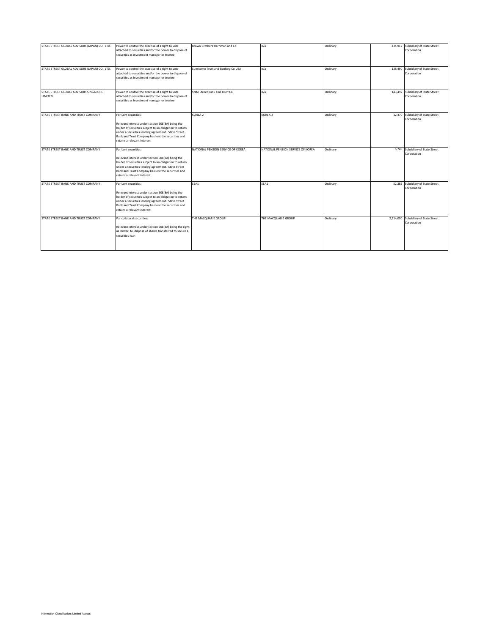| STATE STREET GLOBAL ADVISORS (JAPAN) CO., LTD. | Power to control the exercise of a right to vote         | Brown Brothers Harriman and Co.   | n/a                               | Ordinary | 434,917 Subsidiary of State Street   |
|------------------------------------------------|----------------------------------------------------------|-----------------------------------|-----------------------------------|----------|--------------------------------------|
|                                                | attached to securities and/or the power to dispose of    |                                   |                                   |          | Corporation                          |
|                                                | securities as investment manager or trustee              |                                   |                                   |          |                                      |
|                                                |                                                          |                                   |                                   |          |                                      |
|                                                |                                                          |                                   |                                   |          |                                      |
|                                                |                                                          |                                   |                                   |          |                                      |
| STATE STREET GLOBAL ADVISORS (JAPAN) CO., LTD. | Power to control the exercise of a right to vote         | Sumitomo Trust and Banking Co USA | n/a                               | Ordinary | 128,490 Subsidiary of State Street   |
|                                                | attached to securities and/or the power to dispose of    |                                   |                                   |          | Corporation                          |
|                                                | securities as investment manager or trustee              |                                   |                                   |          |                                      |
|                                                |                                                          |                                   |                                   |          |                                      |
|                                                |                                                          |                                   |                                   |          |                                      |
|                                                |                                                          |                                   |                                   |          |                                      |
| STATE STREET GLOBAL ADVISORS SINGAPORE         | Power to control the exercise of a right to vote         | State Street Bank and Trust Co    | n/a                               | Ordinary | 143,497 Subsidiary of State Street   |
| LIMITED                                        | attached to securities and/or the power to dispose of    |                                   |                                   |          | Corporation                          |
|                                                | securities as investment manager or trustee              |                                   |                                   |          |                                      |
|                                                |                                                          |                                   |                                   |          |                                      |
|                                                |                                                          |                                   |                                   |          |                                      |
| STATE STREET BANK AND TRUST COMPANY            |                                                          |                                   | KOREA <sub>2</sub>                |          | 12,470 Subsidiary of State Street    |
|                                                | For Lent securities:                                     | KOREA 2                           |                                   | Ordinary |                                      |
|                                                |                                                          |                                   |                                   |          | Corporation                          |
|                                                | Relevant interest under section 608(8A) being the        |                                   |                                   |          |                                      |
|                                                | holder of securities subject to an obligation to return  |                                   |                                   |          |                                      |
|                                                | under a securities lending agreement. State Street       |                                   |                                   |          |                                      |
|                                                | Bank and Trust Company has lent the securities and       |                                   |                                   |          |                                      |
|                                                | retains a relevant interest                              |                                   |                                   |          |                                      |
|                                                |                                                          |                                   |                                   |          |                                      |
| STATE STREET BANK AND TRUST COMPANY            | For Lent securities:                                     | NATIONAL PENSION SERVICE OF KOREA | NATIONAL PENSION SERVICE OF KOREA | Ordinary | 5,749 Subsidiary of State Street     |
|                                                |                                                          |                                   |                                   |          | Corporation                          |
|                                                | Relevant interest under section 608(8A) being the        |                                   |                                   |          |                                      |
|                                                | holder of securities subject to an obligation to return  |                                   |                                   |          |                                      |
|                                                |                                                          |                                   |                                   |          |                                      |
|                                                | under a securities lending agreement. State Street       |                                   |                                   |          |                                      |
|                                                | Bank and Trust Company has lent the securities and       |                                   |                                   |          |                                      |
|                                                | retains a relevant interest                              |                                   |                                   |          |                                      |
|                                                |                                                          |                                   |                                   |          |                                      |
| STATE STREET BANK AND TRUST COMPANY            | For Lent securities:                                     | SEA1                              | SEA1                              | Ordinary | 52,385 Subsidiary of State Street    |
|                                                |                                                          |                                   |                                   |          | Corporation                          |
|                                                | Relevant interest under section 608(8A) being the        |                                   |                                   |          |                                      |
|                                                | holder of securities subject to an obligation to return  |                                   |                                   |          |                                      |
|                                                | under a securities lending agreement. State Street       |                                   |                                   |          |                                      |
|                                                | Bank and Trust Company has lent the securities and       |                                   |                                   |          |                                      |
|                                                | retains a relevant interest                              |                                   |                                   |          |                                      |
|                                                |                                                          |                                   |                                   |          |                                      |
| STATE STREET BANK AND TRUST COMPANY            | For collateral securities:                               | THE MACQUARIE GROUP               | THE MACQUARIE GROUP               |          | 2,514,000 Subsidiary of State Street |
|                                                |                                                          |                                   |                                   | Ordinary |                                      |
|                                                |                                                          |                                   |                                   |          | Corporation                          |
|                                                | Relevant interest under section 608(8A) being the right, |                                   |                                   |          |                                      |
|                                                | as lender, to dispose of shares transferred to secure a  |                                   |                                   |          |                                      |
|                                                | securities loan                                          |                                   |                                   |          |                                      |
|                                                |                                                          |                                   |                                   |          |                                      |
|                                                |                                                          |                                   |                                   |          |                                      |
|                                                |                                                          |                                   |                                   |          |                                      |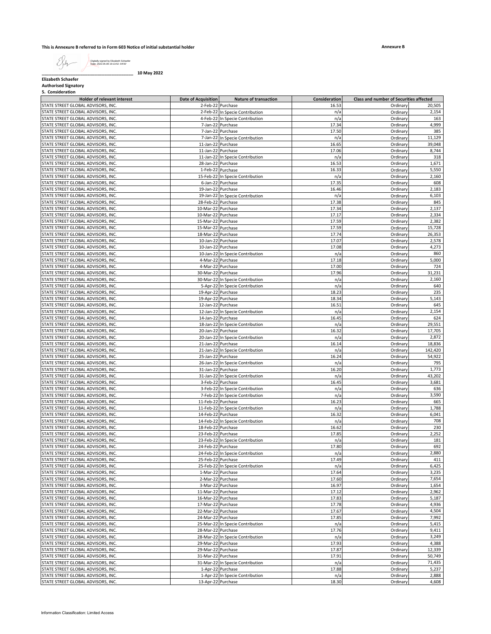# **This is Annexure B referred to in Form 603 Notice of initial substantial holder**

Digitally signed by Elizabeth Schaefer Date: 2022.05.09 19:13:52 -04'00'

**\_\_\_\_\_\_\_\_\_\_\_\_\_\_\_\_\_\_\_\_\_\_\_\_\_\_\_\_\_\_\_\_\_\_\_\_\_\_ 10 May 2022**

**Elizabeth Schaefer**

**Authorised Signatory 5. Consideration**

| <b>Holder of relevant interest</b> | <b>Date of Acquisition</b> | <b>Nature of transaction</b>     | Consideration | Class and number of Securities affected |         |
|------------------------------------|----------------------------|----------------------------------|---------------|-----------------------------------------|---------|
| STATE STREET GLOBAL ADVISORS, INC. | 2-Feb-22 Purchase          |                                  | 16.53         | Ordinary                                | 20,505  |
| STATE STREET GLOBAL ADVISORS, INC. |                            | 2-Feb-22 In Specie Contribution  | n/a           | Ordinary                                | 2,154   |
| STATE STREET GLOBAL ADVISORS, INC. |                            | 4-Feb-22 In Specie Contribution  | n/a           | Ordinary                                | 163     |
| STATE STREET GLOBAL ADVISORS, INC. |                            | 7-Jan-22 Purchase                | 17.34         | Ordinary                                | 4,999   |
| STATE STREET GLOBAL ADVISORS, INC. |                            | 7-Jan-22 Purchase                | 17.50         | Ordinary                                | 385     |
| STATE STREET GLOBAL ADVISORS, INC. |                            | 7-Jan-22 In Specie Contribution  | n/a           | Ordinary                                | 11,129  |
| STATE STREET GLOBAL ADVISORS, INC. | 11-Jan-22 Purchase         |                                  | 16.65         | Ordinary                                | 39,048  |
|                                    |                            |                                  |               |                                         |         |
| STATE STREET GLOBAL ADVISORS, INC. | 11-Jan-22 Purchase         |                                  | 17.06         | Ordinary                                | 8,744   |
| STATE STREET GLOBAL ADVISORS, INC. |                            | 11-Jan-22 In Specie Contribution | n/a           | Ordinary                                | 318     |
| STATE STREET GLOBAL ADVISORS, INC. | 28-Jan-22 Purchase         |                                  | 16.53         | Ordinary                                | 1,671   |
| STATE STREET GLOBAL ADVISORS, INC. | 1-Feb-22 Purchase          |                                  | 16.33         | Ordinary                                | 5,550   |
| STATE STREET GLOBAL ADVISORS, INC. |                            | 15-Feb-22 In Specie Contribution | n/a           | Ordinary                                | 2,160   |
| STATE STREET GLOBAL ADVISORS, INC. |                            | 6-Jan-22 Purchase                | 17.35         | Ordinary                                | 608     |
| STATE STREET GLOBAL ADVISORS, INC. | 19-Jan-22 Purchase         |                                  | 16.46         | Ordinary                                | 2,183   |
| STATE STREET GLOBAL ADVISORS, INC. |                            | 19-Jan-22 In Specie Contribution | n/a           | Ordinary                                | 6,103   |
| STATE STREET GLOBAL ADVISORS, INC. | 28-Feb-22 Purchase         |                                  | 17.38         | Ordinary                                | 845     |
| STATE STREET GLOBAL ADVISORS, INC. | 10-Mar-22 Purchase         |                                  | 17.34         | Ordinary                                | 2,137   |
| STATE STREET GLOBAL ADVISORS, INC. | 10-Mar-22 Purchase         |                                  | 17.17         | Ordinary                                | 2,334   |
| STATE STREET GLOBAL ADVISORS, INC. | 15-Mar-22 Purchase         |                                  | 17.59         | Ordinary                                | 2,382   |
| STATE STREET GLOBAL ADVISORS, INC. | 15-Mar-22 Purchase         |                                  | 17.59         | Ordinary                                | 15,728  |
| STATE STREET GLOBAL ADVISORS, INC. | 18-Mar-22 Purchase         |                                  | 17.74         | Ordinary                                | 26,353  |
|                                    |                            |                                  |               |                                         | 2,578   |
| STATE STREET GLOBAL ADVISORS, INC. | 10-Jan-22 Purchase         |                                  | 17.07         | Ordinary                                |         |
| STATE STREET GLOBAL ADVISORS, INC. | 10-Jan-22 Purchase         |                                  | 17.08         | Ordinary                                | 4,273   |
| STATE STREET GLOBAL ADVISORS, INC. |                            | 10-Jan-22 In Specie Contribution | n/a           | Ordinary                                | 860     |
| STATE STREET GLOBAL ADVISORS, INC. | 4-Mar-22 Purchase          |                                  | 17.18         | Ordinary                                | 5,000   |
| STATE STREET GLOBAL ADVISORS, INC. | 4-Mar-22 Purchase          |                                  | 17.00         | Ordinary                                | 724     |
| STATE STREET GLOBAL ADVISORS, INC. | 30-Mar-22 Purchase         |                                  | 17.96         | Ordinary                                | 31,231  |
| STATE STREET GLOBAL ADVISORS, INC. |                            | 30-Mar-22 In Specie Contribution | n/a           | Ordinary                                | 2,160   |
| STATE STREET GLOBAL ADVISORS, INC. |                            | 5-Apr-22 In Specie Contribution  | n/a           | Ordinary                                | 640     |
| STATE STREET GLOBAL ADVISORS, INC. | 19-Apr-22 Purchase         |                                  | 18.23         | Ordinary                                | 235     |
| STATE STREET GLOBAL ADVISORS, INC. | 19-Apr-22 Purchase         |                                  | 18.34         | Ordinary                                | 5,143   |
| STATE STREET GLOBAL ADVISORS, INC. | 12-Jan-22 Purchase         |                                  | 16.51         | Ordinary                                | 645     |
| STATE STREET GLOBAL ADVISORS, INC. |                            | 12-Jan-22 In Specie Contribution | n/a           | Ordinary                                | 2,154   |
| STATE STREET GLOBAL ADVISORS, INC. | 14-Jan-22 Purchase         |                                  | 16.45         | Ordinary                                | 624     |
| STATE STREET GLOBAL ADVISORS, INC. |                            | 18-Jan-22 In Specie Contribution | n/a           | Ordinary                                | 29,551  |
| STATE STREET GLOBAL ADVISORS, INC. | 20-Jan-22 Purchase         |                                  | 16.32         | Ordinary                                | 17,705  |
|                                    |                            |                                  |               |                                         | 2,872   |
| STATE STREET GLOBAL ADVISORS, INC. |                            | 20-Jan-22 In Specie Contribution | n/a           | Ordinary                                |         |
| STATE STREET GLOBAL ADVISORS, INC. | 21-Jan-22 Purchase         |                                  | 16.14         | Ordinary                                | 18,836  |
| STATE STREET GLOBAL ADVISORS, INC. |                            | 21-Jan-22 In Specie Contribution | n/a           | Ordinary                                | 142,420 |
| STATE STREET GLOBAL ADVISORS, INC. | 25-Jan-22 Purchase         |                                  | 16.24         | Ordinary                                | 54,922  |
| STATE STREET GLOBAL ADVISORS, INC. |                            | 26-Jan-22 In Specie Contribution | n/a           | Ordinary                                | 795     |
| STATE STREET GLOBAL ADVISORS, INC. | 31-Jan-22 Purchase         |                                  | 16.20         | Ordinary                                | 1,773   |
| STATE STREET GLOBAL ADVISORS, INC. |                            | 31-Jan-22 In Specie Contribution | n/a           | Ordinary                                | 43,202  |
| STATE STREET GLOBAL ADVISORS, INC. | 3-Feb-22 Purchase          |                                  | 16.45         | Ordinary                                | 3,681   |
| STATE STREET GLOBAL ADVISORS, INC. |                            | 3-Feb-22 In Specie Contribution  | n/a           | Ordinary                                | 636     |
| STATE STREET GLOBAL ADVISORS, INC. |                            | 7-Feb-22 In Specie Contribution  | n/a           | Ordinary                                | 3,590   |
| STATE STREET GLOBAL ADVISORS, INC. | 11-Feb-22 Purchase         |                                  | 16.23         | Ordinary                                | 665     |
| STATE STREET GLOBAL ADVISORS, INC. |                            | 11-Feb-22 In Specie Contribution | n/a           | Ordinary                                | 1,788   |
| STATE STREET GLOBAL ADVISORS, INC. | 14-Feb-22 Purchase         |                                  | 16.32         | Ordinary                                | 6,041   |
| STATE STREET GLOBAL ADVISORS, INC. |                            | 14-Feb-22 In Specie Contribution | n/a           | Ordinary                                | 708     |
| STATE STREET GLOBAL ADVISORS, INC. | 18-Feb-22 Purchase         |                                  | 16.62         | Ordinary                                | 230     |
| STATE STREET GLOBAL ADVISORS, INC. | 23-Feb-22 Purchase         |                                  | 17.85         | Ordinary                                | 2,252   |
| STATE STREET GLOBAL ADVISORS, INC. |                            | 23-Feb-22 In Specie Contribution | n/a           | Ordinary                                | 181     |
|                                    |                            |                                  |               |                                         | 692     |
| STATE STREET GLOBAL ADVISORS, INC. | 24-Feb-22 Purchase         |                                  | 17.80         | Ordinary                                |         |
| STATE STREET GLOBAL ADVISORS, INC. |                            | 24-Feb-22 In Specie Contribution | n/a           | Ordinary                                | 2,880   |
| STATE STREET GLOBAL ADVISORS, INC. | 25-Feb-22 Purchase         |                                  | 17.49         | Ordinary                                | 411     |
| STATE STREET GLOBAL ADVISORS, INC. |                            | 25-Feb-22 In Specie Contribution | n/a           | Ordinary                                | 6,425   |
| STATE STREET GLOBAL ADVISORS, INC. | 1-Mar-22 Purchase          |                                  | 17.64         | Ordinary                                | 3,235   |
| STATE STREET GLOBAL ADVISORS, INC. | 2-Mar-22 Purchase          |                                  | 17.60         | Ordinary                                | 7,654   |
| STATE STREET GLOBAL ADVISORS, INC. | 3-Mar-22 Purchase          |                                  | 16.97         | Ordinary                                | 1,654   |
| STATE STREET GLOBAL ADVISORS, INC. | 11-Mar-22 Purchase         |                                  | 17.12         | Ordinary                                | 2,962   |
| STATE STREET GLOBAL ADVISORS, INC. | 16-Mar-22 Purchase         |                                  | 17.83         | Ordinary                                | 5,187   |
| STATE STREET GLOBAL ADVISORS, INC. | 17-Mar-22 Purchase         |                                  | 17.78         | Ordinary                                | 4,936   |
| STATE STREET GLOBAL ADVISORS, INC. | 22-Mar-22 Purchase         |                                  | 17.67         | Ordinary                                | 4,504   |
| STATE STREET GLOBAL ADVISORS, INC. | 24-Mar-22 Purchase         |                                  | 17.85         | Ordinary                                | 7,992   |
| STATE STREET GLOBAL ADVISORS, INC. |                            | 25-Mar-22 In Specie Contribution | n/a           | Ordinary                                | 5,415   |
| STATE STREET GLOBAL ADVISORS, INC. | 28-Mar-22 Purchase         |                                  | 17.76         | Ordinary                                | 9,411   |
| STATE STREET GLOBAL ADVISORS, INC. |                            | 28-Mar-22 In Specie Contribution | n/a           | Ordinary                                | 3,249   |
|                                    |                            |                                  | 17.93         |                                         |         |
| STATE STREET GLOBAL ADVISORS, INC. | 29-Mar-22 Purchase         |                                  |               | Ordinary                                | 4,388   |
| STATE STREET GLOBAL ADVISORS, INC. | 29-Mar-22 Purchase         |                                  | 17.87         | Ordinary                                | 12,339  |
| STATE STREET GLOBAL ADVISORS, INC. | 31-Mar-22 Purchase         |                                  | 17.91         | Ordinary                                | 50,749  |
| STATE STREET GLOBAL ADVISORS, INC. |                            | 31-Mar-22 In Specie Contribution | n/a           | Ordinary                                | 71,435  |
| STATE STREET GLOBAL ADVISORS, INC. |                            | 1-Apr-22 Purchase                | 17.88         | Ordinary                                | 5,237   |
| STATE STREET GLOBAL ADVISORS, INC. |                            | 1-Apr-22 In Specie Contribution  | n/a           | Ordinary                                | 2,888   |
| STATE STREET GLOBAL ADVISORS, INC. | 13-Apr-22 Purchase         |                                  | 18.30         | Ordinary                                | 4,608   |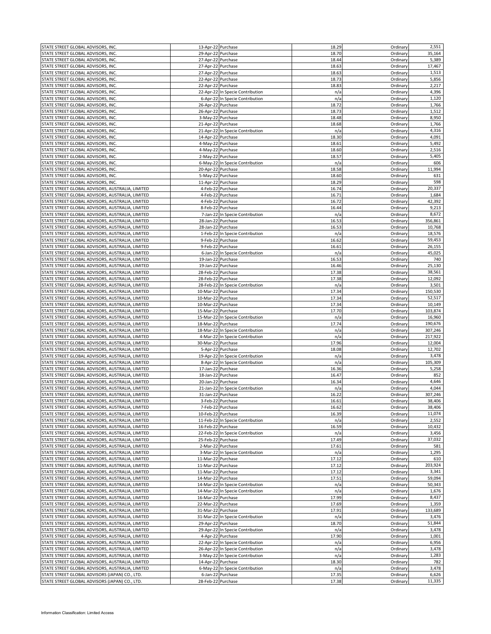| STATE STREET GLOBAL ADVISORS, INC.                                                               | 13-Apr-22 Purchase |                                  | 18.29          | Ordinary | 2,551           |
|--------------------------------------------------------------------------------------------------|--------------------|----------------------------------|----------------|----------|-----------------|
| STATE STREET GLOBAL ADVISORS, INC.                                                               | 29-Apr-22 Purchase |                                  | 18.70          | Ordinary | 35,164          |
| STATE STREET GLOBAL ADVISORS, INC.                                                               | 27-Apr-22 Purchase |                                  | 18.44          | Ordinary | 5,389           |
|                                                                                                  |                    |                                  |                |          |                 |
| STATE STREET GLOBAL ADVISORS, INC.                                                               | 27-Apr-22 Purchase |                                  | 18.63          | Ordinary | 17,467          |
| STATE STREET GLOBAL ADVISORS, INC.                                                               | 27-Apr-22 Purchase |                                  | 18.63          | Ordinary | 1,513           |
| STATE STREET GLOBAL ADVISORS, INC.                                                               | 22-Apr-22 Purchase |                                  | 18.73          | Ordinary | 5,856           |
| STATE STREET GLOBAL ADVISORS, INC.                                                               | 22-Apr-22 Purchase |                                  | 18.83          | Ordinary | 2,217           |
| STATE STREET GLOBAL ADVISORS, INC.                                                               |                    | 22-Apr-22 In Specie Contribution | n/a            | Ordinary | 4,396           |
| STATE STREET GLOBAL ADVISORS, INC.                                                               |                    | 6-Apr-22 In Specie Contribution  | n/a            | Ordinary | 1,120           |
| STATE STREET GLOBAL ADVISORS, INC.                                                               | 26-Apr-22 Purchase |                                  | 18.72          | Ordinary | 1,766           |
| STATE STREET GLOBAL ADVISORS, INC.                                                               | 26-Apr-22 Purchase |                                  | 18.73          | Ordinary | 1,512           |
|                                                                                                  |                    |                                  |                |          |                 |
| STATE STREET GLOBAL ADVISORS, INC.                                                               | 3-May-22 Purchase  |                                  | 18.48          | Ordinary | 8,950           |
| STATE STREET GLOBAL ADVISORS, INC.                                                               | 21-Apr-22 Purchase |                                  | 18.68          | Ordinary | 1,766           |
| STATE STREET GLOBAL ADVISORS, INC.                                                               |                    | 21-Apr-22 In Specie Contribution | n/a            | Ordinary | 4,316           |
| STATE STREET GLOBAL ADVISORS, INC.                                                               | 14-Apr-22 Purchase |                                  | 18.30          | Ordinary | 4,091           |
| STATE STREET GLOBAL ADVISORS, INC.                                                               | 4-May-22 Purchase  |                                  | 18.61          | Ordinary | 5,492           |
| STATE STREET GLOBAL ADVISORS, INC.                                                               | 4-May-22 Purchase  |                                  | 18.60          | Ordinary | 2,516           |
| STATE STREET GLOBAL ADVISORS, INC.                                                               | 2-May-22 Purchase  |                                  | 18.57          | Ordinary | 5,405           |
|                                                                                                  |                    |                                  |                |          |                 |
| STATE STREET GLOBAL ADVISORS, INC.                                                               |                    | 6-May-22 In Specie Contribution  | n/a            | Ordinary | 606             |
| STATE STREET GLOBAL ADVISORS, INC.                                                               | 20-Apr-22 Purchase |                                  | 18.58          | Ordinan  | 11,994          |
| STATE STREET GLOBAL ADVISORS, INC.                                                               | 5-May-22 Purchase  |                                  | 18.60          | Ordinary | 631             |
| STATE STREET GLOBAL ADVISORS, INC.                                                               | 11-Apr-22 Purchase |                                  | 18.29          | Ordinary | 598             |
| STATE STREET GLOBAL ADVISORS, AUSTRALIA, LIMITED                                                 | 4-Feb-22 Purchase  |                                  | 16.74          | Ordinan  | 20,337          |
| STATE STREET GLOBAL ADVISORS, AUSTRALIA, LIMITED                                                 | 4-Feb-22 Purchase  |                                  | 16.71          | Ordinary | 1,684           |
| STATE STREET GLOBAL ADVISORS, AUSTRALIA, LIMITED                                                 | 4-Feb-22 Purchase  |                                  | 16.72          | Ordinary | 42,392          |
| STATE STREET GLOBAL ADVISORS, AUSTRALIA, LIMITED                                                 | 8-Feb-22 Purchase  |                                  | 16.44          | Ordinan  | 9,213           |
|                                                                                                  |                    |                                  |                |          |                 |
| STATE STREET GLOBAL ADVISORS, AUSTRALIA, LIMITED                                                 |                    | 7-Jan-22 In Specie Contribution  | n/a            | Ordinary | 8,672           |
| STATE STREET GLOBAL ADVISORS, AUSTRALIA, LIMITED                                                 | 28-Jan-22 Purchase |                                  | 16.53          | Ordinary | 356,861         |
| STATE STREET GLOBAL ADVISORS, AUSTRALIA, LIMITED                                                 | 28-Jan-22 Purchase |                                  | 16.53          | Ordinary | 10,768          |
| STATE STREET GLOBAL ADVISORS, AUSTRALIA, LIMITED                                                 |                    | 1-Feb-22 In Specie Contribution  | n/a            | Ordinary | 18,576          |
| STATE STREET GLOBAL ADVISORS, AUSTRALIA, LIMITED                                                 | 9-Feb-22 Purchase  |                                  | 16.62          | Ordinary | 59,453          |
| STATE STREET GLOBAL ADVISORS, AUSTRALIA, LIMITED                                                 | 9-Feb-22 Purchase  |                                  | 16.61          | Ordinary | 26,155          |
| STATE STREET GLOBAL ADVISORS, AUSTRALIA, LIMITED                                                 |                    | 6-Jan-22 In Specie Contribution  | n/a            | Ordinary | 45,025          |
|                                                                                                  |                    |                                  |                |          | 740             |
| STATE STREET GLOBAL ADVISORS, AUSTRALIA, LIMITED                                                 | 19-Jan-22 Purchase |                                  | 16.53          | Ordinary |                 |
| STATE STREET GLOBAL ADVISORS, AUSTRALIA, LIMITED                                                 | 19-Jan-22 Purchase |                                  | 16.46          | Ordinary | 25,130          |
| STATE STREET GLOBAL ADVISORS, AUSTRALIA, LIMITED                                                 | 28-Feb-22 Purchase |                                  | 17.38          | Ordinary | 38,561          |
| STATE STREET GLOBAL ADVISORS, AUSTRALIA, LIMITED                                                 | 28-Feb-22 Purchase |                                  | 17.38          | Ordinary | 12,092          |
| STATE STREET GLOBAL ADVISORS, AUSTRALIA, LIMITED                                                 |                    | 28-Feb-22 In Specie Contribution | n/a            | Ordinary | 3,501           |
| STATE STREET GLOBAL ADVISORS, AUSTRALIA, LIMITED                                                 | 10-Mar-22 Purchase |                                  | 17.34          | Ordinary | 150,530         |
| STATE STREET GLOBAL ADVISORS, AUSTRALIA, LIMITED                                                 | 10-Mar-22 Purchase |                                  | 17.34          | Ordinary | 52,517          |
|                                                                                                  |                    |                                  |                |          |                 |
| STATE STREET GLOBAL ADVISORS, AUSTRALIA, LIMITED                                                 | 10-Mar-22 Purchase |                                  | 17.34          | Ordinary | 10,149          |
| STATE STREET GLOBAL ADVISORS, AUSTRALIA, LIMITED                                                 | 15-Mar-22 Purchase |                                  | 17.70          | Ordinary | 103,874         |
| STATE STREET GLOBAL ADVISORS, AUSTRALIA, LIMITED                                                 |                    | 15-Mar-22 In Specie Contribution | n/a            | Ordinary | 16,960          |
| STATE STREET GLOBAL ADVISORS, AUSTRALIA, LIMITED                                                 |                    |                                  |                |          |                 |
|                                                                                                  | 18-Mar-22 Purchase |                                  | 17.74          | Ordinary | 190,676         |
|                                                                                                  |                    |                                  | n/a            | Ordinary | 307,246         |
| STATE STREET GLOBAL ADVISORS, AUSTRALIA, LIMITED                                                 |                    | 18-Mar-22 In Specie Contribution |                |          |                 |
| STATE STREET GLOBAL ADVISORS, AUSTRALIA, LIMITED                                                 |                    | 4-Mar-22 In Specie Contribution  | n/a            | Ordinary | 217,922         |
| STATE STREET GLOBAL ADVISORS, AUSTRALIA, LIMITED                                                 | 30-Mar-22 Purchase |                                  | 17.96          | Ordinary | 12,004          |
| STATE STREET GLOBAL ADVISORS, AUSTRALIA, LIMITED                                                 | 5-Apr-22 Purchase  |                                  | 18.08          | Ordinary | 12,702          |
| STATE STREET GLOBAL ADVISORS, AUSTRALIA, LIMITED                                                 |                    | 19-Apr-22 In Specie Contribution | n/a            | Ordinary | 3,478           |
| STATE STREET GLOBAL ADVISORS, AUSTRALIA, LIMITED                                                 |                    | 8-Apr-22 In Specie Contribution  | n/a            | Ordinary | 105,309         |
| STATE STREET GLOBAL ADVISORS, AUSTRALIA, LIMITED                                                 | 17-Jan-22 Purchase |                                  | 16.36          | Ordinary | 5,258           |
| STATE STREET GLOBAL ADVISORS, AUSTRALIA, LIMITED                                                 | 18-Jan-22 Purchase |                                  | 16.47          | Ordinary | 852             |
| STATE STREET GLOBAL ADVISORS, AUSTRALIA, LIMITED                                                 | 20-Jan-22 Purchase |                                  | 16.34          | Ordinary | 4,646           |
|                                                                                                  |                    |                                  |                |          |                 |
| STATE STREET GLOBAL ADVISORS, AUSTRALIA, LIMITED                                                 |                    | 21-Jan-22 In Specie Contribution | n/a            | Ordinary | 4,044           |
| STATE STREET GLOBAL ADVISORS, AUSTRALIA, LIMITED                                                 | 31-Jan-22 Purchase |                                  | 16.22          | Ordinary | 307,246         |
| STATE STREET GLOBAL ADVISORS, AUSTRALIA, LIMITED                                                 | 3-Feb-22 Purchase  |                                  | 16.61          | Ordinary | 38,406          |
| STATE STREET GLOBAL ADVISORS, AUSTRALIA, LIMITED                                                 | 7-Feb-22 Purchase  |                                  | 16.62          | Ordinary | 38,406          |
| STATE STREET GLOBAL ADVISORS, AUSTRALIA, LIMITED                                                 | 10-Feb-22 Purchase |                                  | 16.39          | Ordinary | 11,074          |
| STATE STREET GLOBAL ADVISORS, AUSTRALIA, LIMITED                                                 |                    | 11-Feb-22 In Specie Contribution | n/a            | Ordinary | 2,552           |
| STATE STREET GLOBAL ADVISORS, AUSTRALIA, LIMITED                                                 | 16-Feb-22 Purchase |                                  | 16.59          | Ordinary | 10,432          |
| STATE STREET GLOBAL ADVISORS, AUSTRALIA, LIMITED                                                 |                    | 22-Feb-22 In Specie Contribution | n/a            | Ordinary | 3,456           |
|                                                                                                  |                    |                                  |                |          |                 |
| STATE STREET GLOBAL ADVISORS, AUSTRALIA, LIMITED                                                 | 25-Feb-22 Purchase |                                  | 17.49          | Ordinary | 37,032          |
| STATE STREET GLOBAL ADVISORS, AUSTRALIA, LIMITED                                                 | 2-Mar-22 Purchase  |                                  | 17.61          | Ordinary | 581             |
| STATE STREET GLOBAL ADVISORS, AUSTRALIA, LIMITED                                                 |                    | 3-Mar-22 In Specie Contribution  | n/a            | Ordinary | 1,295           |
| STATE STREET GLOBAL ADVISORS, AUSTRALIA, LIMITED                                                 | 11-Mar-22 Purchase |                                  | 17.12          | Ordinary | 610             |
| STATE STREET GLOBAL ADVISORS, AUSTRALIA, LIMITED                                                 | 11-Mar-22 Purchase |                                  | 17.12          | Ordinary | 203,924         |
| STATE STREET GLOBAL ADVISORS, AUSTRALIA, LIMITED                                                 | 11-Mar-22 Purchase |                                  | 17.12          | Ordinary | 3,341           |
| STATE STREET GLOBAL ADVISORS, AUSTRALIA, LIMITED                                                 | 14-Mar-22 Purchase |                                  | 17.51          | Ordinary | 59,094          |
| STATE STREET GLOBAL ADVISORS, AUSTRALIA, LIMITED                                                 |                    | 14-Mar-22 In Specie Contribution | n/a            | Ordinary | 50,343          |
|                                                                                                  |                    |                                  |                |          |                 |
| STATE STREET GLOBAL ADVISORS, AUSTRALIA, LIMITED                                                 |                    | 14-Mar-22 In Specie Contribution | n/a            | Ordinary | 1,676           |
| STATE STREET GLOBAL ADVISORS, AUSTRALIA, LIMITED                                                 | 16-Mar-22 Purchase |                                  | 17.99          | Ordinary | 8,437           |
| STATE STREET GLOBAL ADVISORS, AUSTRALIA, LIMITED                                                 | 22-Mar-22 Purchase |                                  | 17.69          | Ordinary | 1,359           |
| STATE STREET GLOBAL ADVISORS, AUSTRALIA, LIMITED                                                 | 31-Mar-22 Purchase |                                  | 17.91          | Ordinary | 133,689         |
| STATE STREET GLOBAL ADVISORS, AUSTRALIA, LIMITED                                                 |                    | 31-Mar-22 In Specie Contribution | n/a            | Ordinary | 3,476           |
| STATE STREET GLOBAL ADVISORS, AUSTRALIA, LIMITED                                                 | 29-Apr-22 Purchase |                                  | 18.70          | Ordinary | 51,844          |
| STATE STREET GLOBAL ADVISORS, AUSTRALIA, LIMITED                                                 |                    | 29-Apr-22 In Specie Contribution | n/a            | Ordinan  | 3,478           |
| STATE STREET GLOBAL ADVISORS, AUSTRALIA, LIMITED                                                 |                    | 4-Apr-22 Purchase                | 17.90          | Ordinary | 1,001           |
|                                                                                                  |                    |                                  |                |          |                 |
| STATE STREET GLOBAL ADVISORS, AUSTRALIA, LIMITED                                                 |                    | 22-Apr-22 In Specie Contribution | n/a            | Ordinary | 6,956           |
| STATE STREET GLOBAL ADVISORS, AUSTRALIA, LIMITED                                                 |                    | 26-Apr-22 In Specie Contribution | n/a            | Ordinary | 3,478           |
| STATE STREET GLOBAL ADVISORS, AUSTRALIA, LIMITED                                                 |                    | 3-May-22 In Specie Contribution  | n/a            | Ordinary | 1,283           |
| STATE STREET GLOBAL ADVISORS, AUSTRALIA, LIMITED                                                 | 14-Apr-22 Purchase |                                  | 18.30          | Ordinary | 782             |
| STATE STREET GLOBAL ADVISORS, AUSTRALIA, LIMITED                                                 |                    | 6-May-22 In Specie Contribution  | n/a            | Ordinary | 3,478           |
| STATE STREET GLOBAL ADVISORS (JAPAN) CO., LTD.<br>STATE STREET GLOBAL ADVISORS (JAPAN) CO., LTD. | 28-Feb-22 Purchase | 6-Jan-22 Purchase                | 17.35<br>17.38 | Ordinary | 6,626<br>11,335 |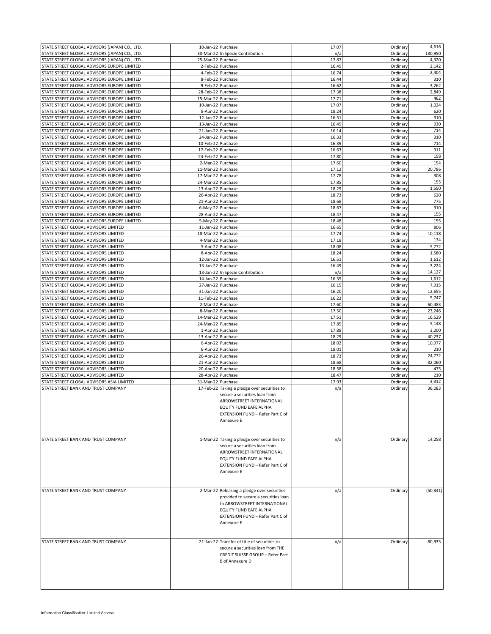| STATE STREET GLOBAL ADVISORS (JAPAN) CO., LTD. | 10-Jan-22 Purchase |                                                                                                                                                                                                 | 17.07 | Ordinary | 4,616     |
|------------------------------------------------|--------------------|-------------------------------------------------------------------------------------------------------------------------------------------------------------------------------------------------|-------|----------|-----------|
| STATE STREET GLOBAL ADVISORS (JAPAN) CO., LTD. |                    | 30-Mar-22 In Specie Contribution                                                                                                                                                                | n/a   | Ordinary | 130.950   |
| STATE STREET GLOBAL ADVISORS (JAPAN) CO., LTD. | 25-Mar-22 Purchase |                                                                                                                                                                                                 | 17.87 | Ordinary | 4,320     |
| STATE STREET GLOBAL ADVISORS EUROPE LIMITED    |                    | 2-Feb-22 Purchase                                                                                                                                                                               | 16.49 | Ordinary | 2,142     |
| STATE STREET GLOBAL ADVISORS EUROPE LIMITED    |                    | 4-Feb-22 Purchase                                                                                                                                                                               | 16.74 | Ordinary | 2,404     |
| STATE STREET GLOBAL ADVISORS EUROPE LIMITED    |                    | 8-Feb-22 Purchase                                                                                                                                                                               | 16.44 | Ordinary | 310       |
| STATE STREET GLOBAL ADVISORS EUROPE LIMITED    |                    | 9-Feb-22 Purchase                                                                                                                                                                               | 16.62 | Ordinary | 3,262     |
| STATE STREET GLOBAL ADVISORS EUROPE LIMITED    | 28-Feb-22 Purchase |                                                                                                                                                                                                 | 17.38 | Ordinary | 2,849     |
|                                                |                    |                                                                                                                                                                                                 |       |          |           |
| STATE STREET GLOBAL ADVISORS EUROPE LIMITED    | 15-Mar-22 Purchase |                                                                                                                                                                                                 | 17.71 | Ordinary | 462       |
| STATE STREET GLOBAL ADVISORS EUROPE LIMITED    |                    | 10-Jan-22 Purchase                                                                                                                                                                              | 17.07 | Ordinary | 1,024     |
| STATE STREET GLOBAL ADVISORS EUROPE LIMITED    |                    | 8-Apr-22 Purchase                                                                                                                                                                               | 18.24 | Ordinary | 620       |
| STATE STREET GLOBAL ADVISORS EUROPE LIMITED    |                    | 12-Jan-22 Purchase                                                                                                                                                                              | 16.51 | Ordinary | 310       |
| STATE STREET GLOBAL ADVISORS EUROPE LIMITED    | 13-Jan-22 Purchase |                                                                                                                                                                                                 | 16.49 | Ordinary | 930       |
| STATE STREET GLOBAL ADVISORS EUROPE LIMITED    | 21-Jan-22 Purchase |                                                                                                                                                                                                 | 16.14 | Ordinary | 714       |
| STATE STREET GLOBAL ADVISORS EUROPE LIMITED    | 24-Jan-22 Purchase |                                                                                                                                                                                                 | 16.33 | Ordinary | 310       |
| STATE STREET GLOBAL ADVISORS EUROPE LIMITED    | 10-Feb-22 Purchase |                                                                                                                                                                                                 | 16.39 | Ordinary | 714       |
| STATE STREET GLOBAL ADVISORS EUROPE LIMITED    | 17-Feb-22 Purchase |                                                                                                                                                                                                 | 16.63 | Ordinary | 311       |
| STATE STREET GLOBAL ADVISORS EUROPE LIMITED    | 24-Feb-22 Purchase |                                                                                                                                                                                                 | 17.80 | Ordinary | 158       |
| STATE STREET GLOBAL ADVISORS EUROPE LIMITED    | 2-Mar-22 Purchase  |                                                                                                                                                                                                 | 17.60 | Ordinary | 154       |
|                                                |                    |                                                                                                                                                                                                 |       |          | 20,786    |
| STATE STREET GLOBAL ADVISORS EUROPE LIMITED    | 11-Mar-22 Purchase |                                                                                                                                                                                                 | 17.12 | Ordinary |           |
| STATE STREET GLOBAL ADVISORS EUROPE LIMITED    | 17-Mar-22 Purchase |                                                                                                                                                                                                 | 17.78 | Ordinary | 308       |
| STATE STREET GLOBAL ADVISORS EUROPE LIMITED    | 24-Mar-22 Purchase |                                                                                                                                                                                                 | 17.85 | Ordinary | 155       |
| STATE STREET GLOBAL ADVISORS EUROPE LIMITED    | 13-Apr-22 Purchase |                                                                                                                                                                                                 | 18.29 | Ordinary | 1,550     |
| STATE STREET GLOBAL ADVISORS EUROPE LIMITED    | 26-Apr-22 Purchase |                                                                                                                                                                                                 | 18.73 | Ordinary | 620       |
| STATE STREET GLOBAL ADVISORS EUROPE LIMITED    | 21-Apr-22 Purchase |                                                                                                                                                                                                 | 18.68 | Ordinary | 775       |
| STATE STREET GLOBAL ADVISORS EUROPE LIMITED    |                    | 6-May-22 Purchase                                                                                                                                                                               | 18.67 | Ordinary | 310       |
| STATE STREET GLOBAL ADVISORS EUROPE LIMITED    | 28-Apr-22 Purchase |                                                                                                                                                                                                 | 18.47 | Ordinary | 155       |
|                                                |                    |                                                                                                                                                                                                 |       |          |           |
| STATE STREET GLOBAL ADVISORS EUROPE LIMITED    | 5-May-22 Purchase  |                                                                                                                                                                                                 | 18.48 | Ordinary | 155       |
| STATE STREET GLOBAL ADVISORS LIMITED           | 11-Jan-22 Purchase |                                                                                                                                                                                                 | 16.65 | Ordinary | 806       |
| STATE STREET GLOBAL ADVISORS LIMITED           | 18-Mar-22 Purchase |                                                                                                                                                                                                 | 17.74 | Ordinary | 10,118    |
| STATE STREET GLOBAL ADVISORS LIMITED           |                    | 4-Mar-22 Purchase                                                                                                                                                                               | 17.18 | Ordinary | 134       |
| STATE STREET GLOBAL ADVISORS LIMITED           |                    | 5-Apr-22 Purchase                                                                                                                                                                               | 18.08 | Ordinary | 5,772     |
| STATE STREET GLOBAL ADVISORS LIMITED           |                    | 8-Apr-22 Purchase                                                                                                                                                                               | 18.24 | Ordinary | 1,580     |
| STATE STREET GLOBAL ADVISORS LIMITED           | 12-Jan-22 Purchase |                                                                                                                                                                                                 | 16.51 | Ordinary | 1,612     |
| STATE STREET GLOBAL ADVISORS LIMITED           | 13-Jan-22 Purchase |                                                                                                                                                                                                 | 16.49 | Ordinary | 3,224     |
|                                                |                    |                                                                                                                                                                                                 |       |          | 14,127    |
| STATE STREET GLOBAL ADVISORS LIMITED           |                    | 13-Jan-22 In Specie Contribution                                                                                                                                                                | n/a   | Ordinary |           |
| STATE STREET GLOBAL ADVISORS LIMITED           | 14-Jan-22 Purchase |                                                                                                                                                                                                 | 16.35 | Ordinary | 1,612     |
| STATE STREET GLOBAL ADVISORS LIMITED           | 27-Jan-22 Purchase |                                                                                                                                                                                                 | 16.15 | Ordinary | 7,915     |
| STATE STREET GLOBAL ADVISORS LIMITED           | 31-Jan-22 Purchase |                                                                                                                                                                                                 | 16.20 | Ordinary | 12,655    |
| STATE STREET GLOBAL ADVISORS LIMITED           | 11-Feb-22 Purchase |                                                                                                                                                                                                 | 16.23 | Ordinary | 5,747     |
| STATE STREET GLOBAL ADVISORS LIMITED           |                    | 2-Mar-22 Purchase                                                                                                                                                                               | 17.60 | Ordinary | 60,483    |
| STATE STREET GLOBAL ADVISORS LIMITED           |                    | 8-Mar-22 Purchase                                                                                                                                                                               | 17.50 | Ordinary | 23,246    |
| STATE STREET GLOBAL ADVISORS LIMITED           | 14-Mar-22 Purchase |                                                                                                                                                                                                 | 17.51 | Ordinary | 16,529    |
|                                                |                    |                                                                                                                                                                                                 |       |          |           |
| STATE STREET GLOBAL ADVISORS LIMITED           | 24-Mar-22 Purchase |                                                                                                                                                                                                 | 17.85 | Ordinary | 5,148     |
| STATE STREET GLOBAL ADVISORS LIMITED           |                    | 1-Apr-22 Purchase                                                                                                                                                                               | 17.88 | Ordinary | 3,200     |
| STATE STREET GLOBAL ADVISORS LIMITED           | 13-Apr-22 Purchase |                                                                                                                                                                                                 | 18.29 | Ordinary | 40,237    |
| STATE STREET GLOBAL ADVISORS LIMITED           |                    | 6-Apr-22 Purchase                                                                                                                                                                               | 18.02 | Ordinary | 10,977    |
| STATE STREET GLOBAL ADVISORS LIMITED           |                    | 6-Apr-22 Purchase                                                                                                                                                                               | 18.01 | Ordinary | 210       |
| STATE STREET GLOBAL ADVISORS LIMITED           | 26-Apr-22 Purchase |                                                                                                                                                                                                 | 18.73 | Ordinary | 24,772    |
| STATE STREET GLOBAL ADVISORS LIMITED           | 21-Apr-22 Purchase |                                                                                                                                                                                                 | 18.68 | Ordinary | 32,060    |
| STATE STREET GLOBAL ADVISORS LIMITED           | 20-Apr-22 Purchase |                                                                                                                                                                                                 | 18.58 | Ordinary | 475       |
|                                                |                    |                                                                                                                                                                                                 | 18.47 | Ordinary | 210       |
| STATE STREET GLOBAL ADVISORS LIMITED           | 28-Apr-22 Purchase |                                                                                                                                                                                                 |       |          |           |
| STATE STREET GLOBAL ADVISORS ASIA LIMITED      | 31-Mar-22 Purchase |                                                                                                                                                                                                 | 17.93 | Ordinary | 3,312     |
| STATE STREET BANK AND TRUST COMPANY            |                    | 17-Feb-22 Taking a pledge over securities to<br>secure a securities loan from<br>ARROWSTREET INTERNATIONAL<br>EQUITY FUND EAFE ALPHA<br>EXTENSION FUND - Refer Part C of<br>Annexure E          | n/a   | Ordinary | 36,083    |
| STATE STREET BANK AND TRUST COMPANY            |                    | 1-Mar-22 Taking a pledge over securities to<br>secure a securities loan from<br>ARROWSTREET INTERNATIONAL<br>EQUITY FUND EAFE ALPHA<br>EXTENSION FUND - Refer Part C of<br>Annexure E           | n/a   | Ordinary | 14,258    |
| STATE STREET BANK AND TRUST COMPANY            |                    | 2-Mar-22 Releasing a pledge over securities<br>provided to secure a securities loan<br>to ARROWSTREET INTERNATIONAL<br>EQUITY FUND EAFE ALPHA<br>EXTENSION FUND - Refer Part C of<br>Annexure E | n/a   | Ordinary | (50, 341) |
| STATE STREET BANK AND TRUST COMPANY            |                    | 21-Jan-22 Transfer of title of securities to<br>secure a securities loan from THE<br>CREDIT SUISSE GROUP - Refer Part<br><b>B</b> of Annexure D                                                 | n/a   | Ordinary | 80,935    |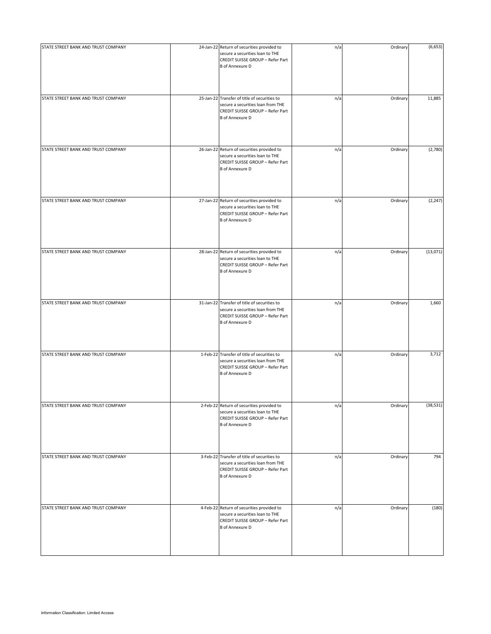| STATE STREET BANK AND TRUST COMPANY | 24-Jan-22 Return of securities provided to<br>secure a securities loan to THE<br>CREDIT SUISSE GROUP - Refer Part<br><b>B</b> of Annexure D     | n/a | Ordinary | (6, 653)  |
|-------------------------------------|-------------------------------------------------------------------------------------------------------------------------------------------------|-----|----------|-----------|
| STATE STREET BANK AND TRUST COMPANY | 25-Jan-22 Transfer of title of securities to<br>secure a securities loan from THE<br>CREDIT SUISSE GROUP - Refer Part<br><b>B</b> of Annexure D | n/a | Ordinary | 11,885    |
| STATE STREET BANK AND TRUST COMPANY | 26-Jan-22 Return of securities provided to<br>secure a securities loan to THE<br>CREDIT SUISSE GROUP - Refer Part<br><b>B</b> of Annexure D     | n/a | Ordinary | (2,780)   |
| STATE STREET BANK AND TRUST COMPANY | 27-Jan-22 Return of securities provided to<br>secure a securities loan to THE<br>CREDIT SUISSE GROUP - Refer Part<br><b>B</b> of Annexure D     | n/a | Ordinary | (2, 247)  |
| STATE STREET BANK AND TRUST COMPANY | 28-Jan-22 Return of securities provided to<br>secure a securities loan to THE<br>CREDIT SUISSE GROUP - Refer Part<br><b>B</b> of Annexure D     | n/a | Ordinary | (13,071)  |
| STATE STREET BANK AND TRUST COMPANY | 31-Jan-22 Transfer of title of securities to<br>secure a securities loan from THE<br>CREDIT SUISSE GROUP - Refer Part<br><b>B</b> of Annexure D | n/a | Ordinary | 1,660     |
| STATE STREET BANK AND TRUST COMPANY | 1-Feb-22 Transfer of title of securities to<br>secure a securities loan from THE<br>CREDIT SUISSE GROUP - Refer Part<br><b>B</b> of Annexure D  | n/a | Ordinary | 3,712     |
| STATE STREET BANK AND TRUST COMPANY | 2-Feb-22 Return of securities provided to<br>secure a securities loan to THE<br>CREDIT SUISSE GROUP - Refer Part<br><b>B</b> of Annexure D      | n/a | Ordinary | (38, 531) |
| STATE STREET BANK AND TRUST COMPANY | 3-Feb-22 Transfer of title of securities to<br>secure a securities loan from THE<br>CREDIT SUISSE GROUP - Refer Part<br><b>B</b> of Annexure D  | n/a | Ordinary | 794       |
| STATE STREET BANK AND TRUST COMPANY | 4-Feb-22 Return of securities provided to<br>secure a securities loan to THE<br>CREDIT SUISSE GROUP - Refer Part<br><b>B</b> of Annexure D      | n/a | Ordinary | (180)     |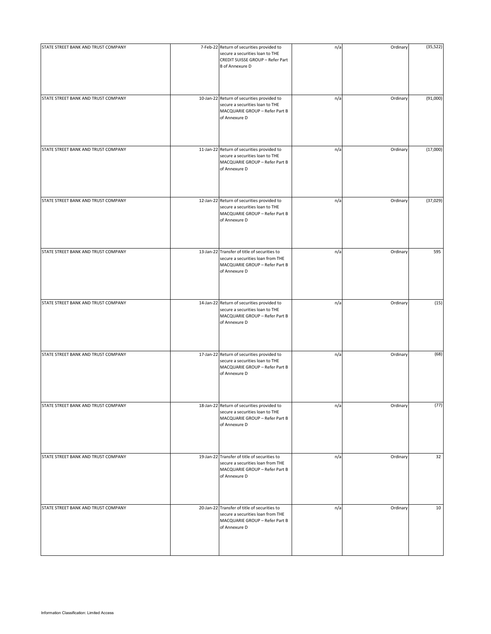| STATE STREET BANK AND TRUST COMPANY | 7-Feb-22 Return of securities provided to<br>secure a securities loan to THE<br>CREDIT SUISSE GROUP - Refer Part<br><b>B</b> of Annexure D | n/a | Ordinary | (35, 522) |
|-------------------------------------|--------------------------------------------------------------------------------------------------------------------------------------------|-----|----------|-----------|
| STATE STREET BANK AND TRUST COMPANY | 10-Jan-22 Return of securities provided to<br>secure a securities loan to THE<br>MACQUARIE GROUP - Refer Part B<br>of Annexure D           | n/a | Ordinary | (91,000)  |
| STATE STREET BANK AND TRUST COMPANY | 11-Jan-22 Return of securities provided to<br>secure a securities loan to THE<br>MACQUARIE GROUP - Refer Part B<br>of Annexure D           | n/a | Ordinary | (17,000)  |
| STATE STREET BANK AND TRUST COMPANY | 12-Jan-22 Return of securities provided to<br>secure a securities loan to THE<br>MACQUARIE GROUP - Refer Part B<br>of Annexure D           | n/a | Ordinary | (37, 029) |
| STATE STREET BANK AND TRUST COMPANY | 13-Jan-22 Transfer of title of securities to<br>secure a securities loan from THE<br>MACQUARIE GROUP - Refer Part B<br>of Annexure D       | n/a | Ordinary | 595       |
| STATE STREET BANK AND TRUST COMPANY | 14-Jan-22 Return of securities provided to<br>secure a securities loan to THE<br>MACQUARIE GROUP - Refer Part B<br>of Annexure D           | n/a | Ordinary | (15)      |
| STATE STREET BANK AND TRUST COMPANY | 17-Jan-22 Return of securities provided to<br>secure a securities loan to THE<br>MACQUARIE GROUP - Refer Part B<br>of Annexure D           | n/a | Ordinary | (68)      |
| STATE STREET BANK AND TRUST COMPANY | 18-Jan-22 Return of securities provided to<br>secure a securities loan to THE<br>MACQUARIE GROUP - Refer Part B<br>of Annexure D           | n/a | Ordinary | (77)      |
| STATE STREET BANK AND TRUST COMPANY | 19-Jan-22 Transfer of title of securities to<br>secure a securities loan from THE<br>MACQUARIE GROUP - Refer Part B<br>of Annexure D       | n/a | Ordinary | 32        |
| STATE STREET BANK AND TRUST COMPANY | 20-Jan-22 Transfer of title of securities to<br>secure a securities loan from THE<br>MACQUARIE GROUP - Refer Part B<br>of Annexure D       | n/a | Ordinary | 10        |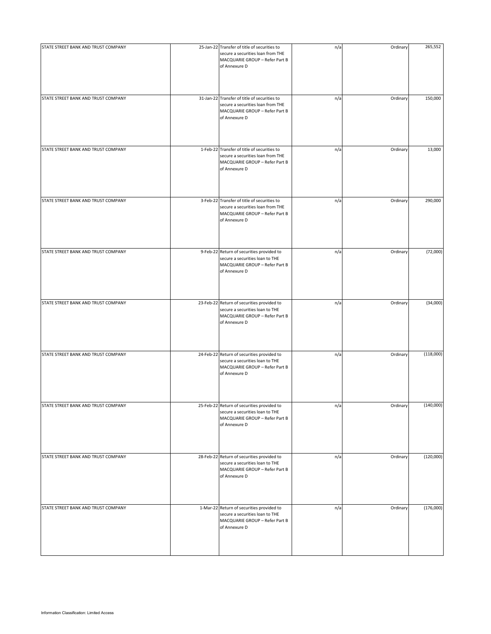| STATE STREET BANK AND TRUST COMPANY | 25-Jan-22 Transfer of title of securities to<br>secure a securities loan from THE<br>MACQUARIE GROUP - Refer Part B<br>of Annexure D | n/a | Ordinary | 265,552   |
|-------------------------------------|--------------------------------------------------------------------------------------------------------------------------------------|-----|----------|-----------|
| STATE STREET BANK AND TRUST COMPANY | 31-Jan-22 Transfer of title of securities to<br>secure a securities loan from THE<br>MACQUARIE GROUP - Refer Part B<br>of Annexure D | n/a | Ordinary | 150,000   |
| STATE STREET BANK AND TRUST COMPANY | 1-Feb-22 Transfer of title of securities to<br>secure a securities loan from THE<br>MACQUARIE GROUP - Refer Part B<br>of Annexure D  | n/a | Ordinary | 13,000    |
| STATE STREET BANK AND TRUST COMPANY | 3-Feb-22 Transfer of title of securities to<br>secure a securities loan from THE<br>MACQUARIE GROUP - Refer Part B<br>of Annexure D  | n/a | Ordinary | 290,000   |
| STATE STREET BANK AND TRUST COMPANY | 9-Feb-22 Return of securities provided to<br>secure a securities loan to THE<br>MACQUARIE GROUP - Refer Part B<br>of Annexure D      | n/a | Ordinary | (72,000)  |
| STATE STREET BANK AND TRUST COMPANY | 23-Feb-22 Return of securities provided to<br>secure a securities loan to THE<br>MACQUARIE GROUP - Refer Part B<br>of Annexure D     | n/a | Ordinary | (34,000)  |
| STATE STREET BANK AND TRUST COMPANY | 24-Feb-22 Return of securities provided to<br>secure a securities loan to THE<br>MACQUARIE GROUP - Refer Part B<br>of Annexure D     | n/a | Ordinary | (118,000) |
| STATE STREET BANK AND TRUST COMPANY | 25-Feb-22 Return of securities provided to<br>secure a securities loan to THE<br>MACQUARIE GROUP - Refer Part B<br>of Annexure D     | n/a | Ordinary | (140,000) |
| STATE STREET BANK AND TRUST COMPANY | 28-Feb-22 Return of securities provided to<br>secure a securities loan to THE<br>MACQUARIE GROUP - Refer Part B<br>of Annexure D     | n/a | Ordinary | (120,000) |
| STATE STREET BANK AND TRUST COMPANY | 1-Mar-22 Return of securities provided to<br>secure a securities loan to THE<br>MACQUARIE GROUP - Refer Part B<br>of Annexure D      | n/a | Ordinary | (176,000) |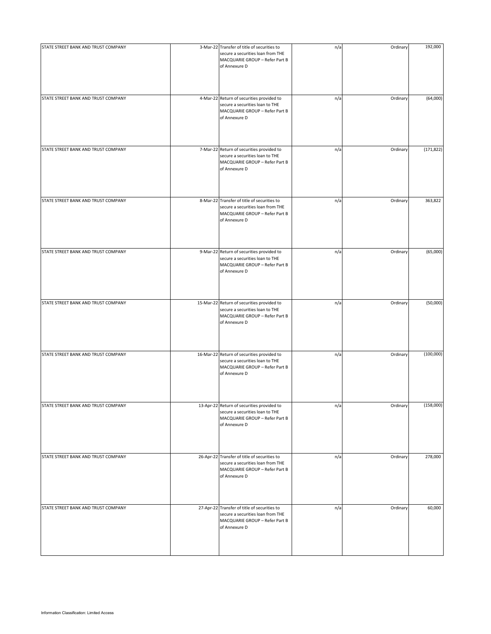| STATE STREET BANK AND TRUST COMPANY | 3-Mar-22 Transfer of title of securities to<br>secure a securities loan from THE<br>MACQUARIE GROUP - Refer Part B<br>of Annexure D  | n/a | Ordinary | 192,000    |
|-------------------------------------|--------------------------------------------------------------------------------------------------------------------------------------|-----|----------|------------|
| STATE STREET BANK AND TRUST COMPANY | 4-Mar-22 Return of securities provided to<br>secure a securities loan to THE<br>MACQUARIE GROUP - Refer Part B<br>of Annexure D      | n/a | Ordinary | (64,000)   |
| STATE STREET BANK AND TRUST COMPANY | 7-Mar-22 Return of securities provided to<br>secure a securities loan to THE<br>MACQUARIE GROUP - Refer Part B<br>of Annexure D      | n/a | Ordinary | (171, 822) |
| STATE STREET BANK AND TRUST COMPANY | 8-Mar-22 Transfer of title of securities to<br>secure a securities loan from THE<br>MACQUARIE GROUP - Refer Part B<br>of Annexure D  | n/a | Ordinary | 363,822    |
| STATE STREET BANK AND TRUST COMPANY | 9-Mar-22 Return of securities provided to<br>secure a securities loan to THE<br>MACQUARIE GROUP - Refer Part B<br>of Annexure D      | n/a | Ordinary | (65,000)   |
| STATE STREET BANK AND TRUST COMPANY | 15-Mar-22 Return of securities provided to<br>secure a securities loan to THE<br>MACQUARIE GROUP - Refer Part B<br>of Annexure D     | n/a | Ordinary | (50,000)   |
| STATE STREET BANK AND TRUST COMPANY | 16-Mar-22 Return of securities provided to<br>secure a securities loan to THE<br>MACQUARIE GROUP - Refer Part B<br>of Annexure D     | n/a | Ordinary | (100,000)  |
| STATE STREET BANK AND TRUST COMPANY | 13-Apr-22 Return of securities provided to<br>secure a securities loan to THE<br>MACQUARIE GROUP - Refer Part B<br>of Annexure D     | n/a | Ordinary | (158,000)  |
| STATE STREET BANK AND TRUST COMPANY | 26-Apr-22 Transfer of title of securities to<br>secure a securities loan from THE<br>MACQUARIE GROUP - Refer Part B<br>of Annexure D | n/a | Ordinary | 278,000    |
| STATE STREET BANK AND TRUST COMPANY | 27-Apr-22 Transfer of title of securities to<br>secure a securities loan from THE<br>MACQUARIE GROUP - Refer Part B<br>of Annexure D | n/a | Ordinary | 60,000     |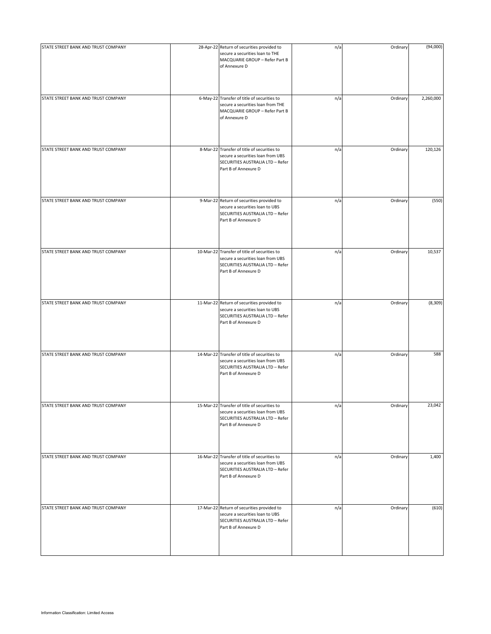| STATE STREET BANK AND TRUST COMPANY | 28-Apr-22 Return of securities provided to<br>secure a securities loan to THE<br>MACQUARIE GROUP - Refer Part B<br>of Annexure D              | n/a | Ordinary | (94,000)  |
|-------------------------------------|-----------------------------------------------------------------------------------------------------------------------------------------------|-----|----------|-----------|
| STATE STREET BANK AND TRUST COMPANY | 6-May-22 Transfer of title of securities to<br>secure a securities loan from THE<br>MACQUARIE GROUP - Refer Part B<br>of Annexure D           | n/a | Ordinary | 2,260,000 |
| STATE STREET BANK AND TRUST COMPANY | 8-Mar-22 Transfer of title of securities to<br>secure a securities loan from UBS<br>SECURITIES AUSTRALIA LTD - Refer<br>Part B of Annexure D  | n/a | Ordinary | 120,126   |
| STATE STREET BANK AND TRUST COMPANY | 9-Mar-22 Return of securities provided to<br>secure a securities loan to UBS<br>SECURITIES AUSTRALIA LTD - Refer<br>Part B of Annexure D      | n/a | Ordinary | (550)     |
| STATE STREET BANK AND TRUST COMPANY | 10-Mar-22 Transfer of title of securities to<br>secure a securities loan from UBS<br>SECURITIES AUSTRALIA LTD - Refer<br>Part B of Annexure D | n/a | Ordinary | 10,537    |
| STATE STREET BANK AND TRUST COMPANY | 11-Mar-22 Return of securities provided to<br>secure a securities loan to UBS<br>SECURITIES AUSTRALIA LTD - Refer<br>Part B of Annexure D     | n/a | Ordinary | (8,309)   |
| STATE STREET BANK AND TRUST COMPANY | 14-Mar-22 Transfer of title of securities to<br>secure a securities loan from UBS<br>SECURITIES AUSTRALIA LTD - Refer<br>Part B of Annexure D | n/a | Ordinary | 588       |
| STATE STREET BANK AND TRUST COMPANY | 15-Mar-22 Transfer of title of securities to<br>secure a securities loan from UBS<br>SECURITIES AUSTRALIA LTD - Refer<br>Part B of Annexure D | n/a | Ordinary | 23,042    |
| STATE STREET BANK AND TRUST COMPANY | 16-Mar-22 Transfer of title of securities to<br>secure a securities loan from UBS<br>SECURITIES AUSTRALIA LTD - Refer<br>Part B of Annexure D | n/a | Ordinary | 1,400     |
| STATE STREET BANK AND TRUST COMPANY | 17-Mar-22 Return of securities provided to<br>secure a securities loan to UBS<br>SECURITIES AUSTRALIA LTD - Refer<br>Part B of Annexure D     | n/a | Ordinary | (610)     |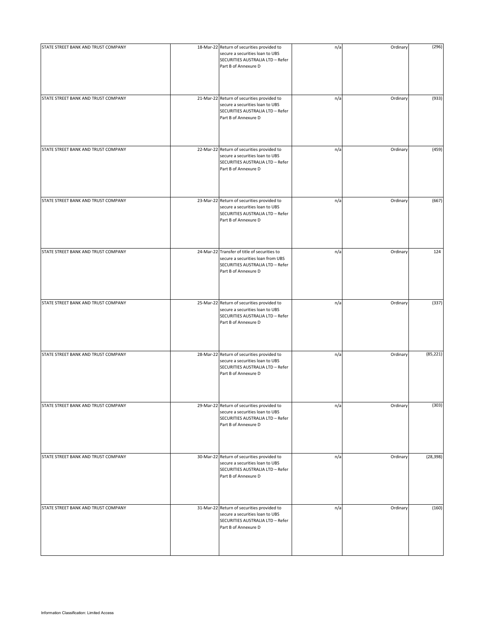| STATE STREET BANK AND TRUST COMPANY | 18-Mar-22 Return of securities provided to<br>secure a securities loan to UBS<br>SECURITIES AUSTRALIA LTD - Refer<br>Part B of Annexure D     | n/a | Ordinary | (296)     |
|-------------------------------------|-----------------------------------------------------------------------------------------------------------------------------------------------|-----|----------|-----------|
| STATE STREET BANK AND TRUST COMPANY | 21-Mar-22 Return of securities provided to<br>secure a securities loan to UBS<br>SECURITIES AUSTRALIA LTD - Refer<br>Part B of Annexure D     | n/a | Ordinary | (933)     |
| STATE STREET BANK AND TRUST COMPANY | 22-Mar-22 Return of securities provided to<br>secure a securities loan to UBS<br>SECURITIES AUSTRALIA LTD - Refer<br>Part B of Annexure D     | n/a | Ordinary | (459)     |
| STATE STREET BANK AND TRUST COMPANY | 23-Mar-22 Return of securities provided to<br>secure a securities loan to UBS<br>SECURITIES AUSTRALIA LTD - Refer<br>Part B of Annexure D     | n/a | Ordinary | (667)     |
| STATE STREET BANK AND TRUST COMPANY | 24-Mar-22 Transfer of title of securities to<br>secure a securities loan from UBS<br>SECURITIES AUSTRALIA LTD - Refer<br>Part B of Annexure D | n/a | Ordinary | 124       |
| STATE STREET BANK AND TRUST COMPANY | 25-Mar-22 Return of securities provided to<br>secure a securities loan to UBS<br>SECURITIES AUSTRALIA LTD - Refer<br>Part B of Annexure D     | n/a | Ordinary | (337)     |
| STATE STREET BANK AND TRUST COMPANY | 28-Mar-22 Return of securities provided to<br>secure a securities loan to UBS<br>SECURITIES AUSTRALIA LTD - Refer<br>Part B of Annexure D     | n/a | Ordinary | (85, 221) |
| STATE STREET BANK AND TRUST COMPANY | 29-Mar-22 Return of securities provided to<br>secure a securities loan to UBS<br>SECURITIES AUSTRALIA LTD - Refer<br>Part B of Annexure D     | n/a | Ordinary | (303)     |
| STATE STREET BANK AND TRUST COMPANY | 30-Mar-22 Return of securities provided to<br>secure a securities loan to UBS<br>SECURITIES AUSTRALIA LTD - Refer<br>Part B of Annexure D     | n/a | Ordinary | (28, 398) |
| STATE STREET BANK AND TRUST COMPANY | 31-Mar-22 Return of securities provided to<br>secure a securities loan to UBS<br>SECURITIES AUSTRALIA LTD - Refer<br>Part B of Annexure D     | n/a | Ordinary | (160)     |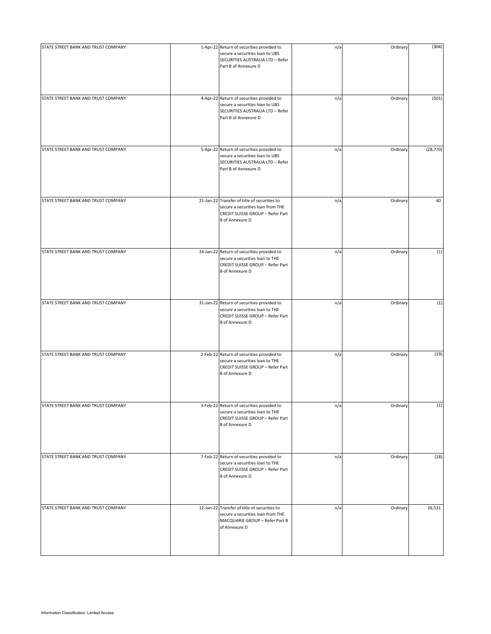| STATE STREET BANK AND TRUST COMPANY | 1-Apr-22 Return of securities provided to<br>secure a securities loan to UBS<br>SECURITIES AUSTRALIA LTD - Refer<br>Part B of Annexure D        | n/a | Ordinary | (304)     |
|-------------------------------------|-------------------------------------------------------------------------------------------------------------------------------------------------|-----|----------|-----------|
| STATE STREET BANK AND TRUST COMPANY | 4-Apr-22 Return of securities provided to<br>secure a securities loan to UBS<br>SECURITIES AUSTRALIA LTD - Refer<br>Part B of Annexure D        | n/a | Ordinary | (501)     |
| STATE STREET BANK AND TRUST COMPANY | 5-Apr-22 Return of securities provided to<br>secure a securities loan to UBS<br>SECURITIES AUSTRALIA LTD - Refer<br>Part B of Annexure D        | n/a | Ordinary | (28, 770) |
| STATE STREET BANK AND TRUST COMPANY | 21-Jan-22 Transfer of title of securities to<br>secure a securities loan from THE<br>CREDIT SUISSE GROUP - Refer Part<br><b>B</b> of Annexure D | n/a | Ordinary | 40        |
| STATE STREET BANK AND TRUST COMPANY | 24-Jan-22 Return of securities provided to<br>secure a securities loan to THE<br>CREDIT SUISSE GROUP - Refer Part<br><b>B</b> of Annexure D     | n/a | Ordinary | (1)       |
| STATE STREET BANK AND TRUST COMPANY | 31-Jan-22 Return of securities provided to<br>secure a securities loan to THE<br>CREDIT SUISSE GROUP - Refer Part<br><b>B</b> of Annexure D     | n/a | Ordinary | (1)       |
| STATE STREET BANK AND TRUST COMPANY | 2-Feb-22 Return of securities provided to<br>secure a securities loan to THE<br>CREDIT SUISSE GROUP - Refer Part<br><b>B</b> of Annexure D      | n/a | Ordinary | (19)      |
| STATE STREET BANK AND TRUST COMPANY | 3-Feb-22 Return of securities provided to<br>secure a securities loan to THE<br>CREDIT SUISSE GROUP - Refer Part<br><b>B</b> of Annexure D      | n/a | Ordinary | (1)       |
| STATE STREET BANK AND TRUST COMPANY | 7-Feb-22 Return of securities provided to<br>secure a securities loan to THE<br>CREDIT SUISSE GROUP - Refer Part<br><b>B</b> of Annexure D      | n/a | Ordinary | (18)      |
| STATE STREET BANK AND TRUST COMPANY | 12-Jan-22 Transfer of title of securities to<br>secure a securities loan from THE<br>MACQUARIE GROUP - Refer Part B<br>of Annexure D            | n/a | Ordinary | 26,531    |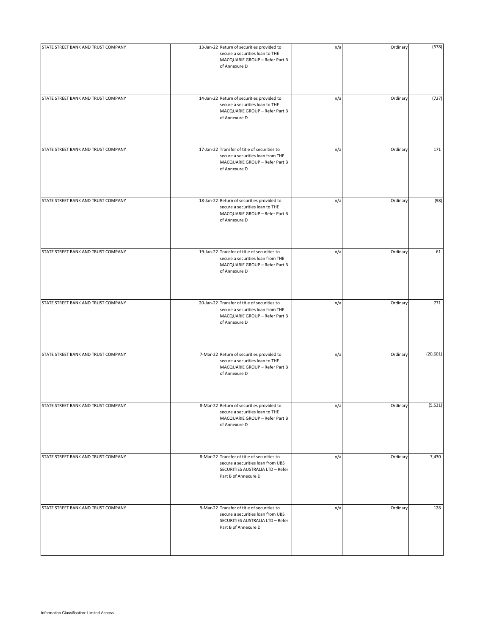| STATE STREET BANK AND TRUST COMPANY | 13-Jan-22 Return of securities provided to<br>secure a securities loan to THE<br>MACQUARIE GROUP - Refer Part B<br>of Annexure D             | n/a | Ordinary | (578)     |
|-------------------------------------|----------------------------------------------------------------------------------------------------------------------------------------------|-----|----------|-----------|
| STATE STREET BANK AND TRUST COMPANY | 14-Jan-22 Return of securities provided to<br>secure a securities loan to THE<br>MACQUARIE GROUP - Refer Part B<br>of Annexure D             | n/a | Ordinary | (727)     |
| STATE STREET BANK AND TRUST COMPANY | 17-Jan-22 Transfer of title of securities to<br>secure a securities loan from THE<br>MACQUARIE GROUP - Refer Part B<br>of Annexure D         | n/a | Ordinary | 171       |
| STATE STREET BANK AND TRUST COMPANY | 18-Jan-22 Return of securities provided to<br>secure a securities loan to THE<br>MACQUARIE GROUP - Refer Part B<br>of Annexure D             | n/a | Ordinary | (98)      |
| STATE STREET BANK AND TRUST COMPANY | 19-Jan-22 Transfer of title of securities to<br>secure a securities loan from THE<br>MACQUARIE GROUP - Refer Part B<br>of Annexure D         | n/a | Ordinary | 61        |
| STATE STREET BANK AND TRUST COMPANY | 20-Jan-22 Transfer of title of securities to<br>secure a securities loan from THE<br>MACQUARIE GROUP - Refer Part B<br>of Annexure D         | n/a | Ordinary | 771       |
| STATE STREET BANK AND TRUST COMPANY | 7-Mar-22 Return of securities provided to<br>secure a securities loan to THE<br>MACQUARIE GROUP - Refer Part B<br>of Annexure D              | n/a | Ordinary | (20, 601) |
| STATE STREET BANK AND TRUST COMPANY | 8-Mar-22 Return of securities provided to<br>secure a securities loan to THE<br>MACQUARIE GROUP - Refer Part B<br>of Annexure D              | n/a | Ordinary | (5, 531)  |
| STATE STREET BANK AND TRUST COMPANY | 8-Mar-22 Transfer of title of securities to<br>secure a securities loan from UBS<br>SECURITIES AUSTRALIA LTD - Refer<br>Part B of Annexure D | n/a | Ordinary | 7,430     |
| STATE STREET BANK AND TRUST COMPANY | 9-Mar-22 Transfer of title of securities to<br>secure a securities loan from UBS<br>SECURITIES AUSTRALIA LTD - Refer<br>Part B of Annexure D | n/a | Ordinary | 128       |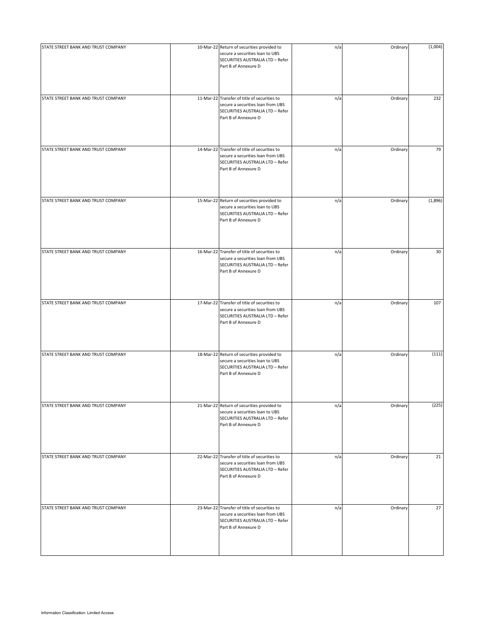| STATE STREET BANK AND TRUST COMPANY | 10-Mar-22 Return of securities provided to<br>secure a securities loan to UBS<br>SECURITIES AUSTRALIA LTD - Refer<br>Part B of Annexure D     | n/a | Ordinary | (1,004) |
|-------------------------------------|-----------------------------------------------------------------------------------------------------------------------------------------------|-----|----------|---------|
| STATE STREET BANK AND TRUST COMPANY | 11-Mar-22 Transfer of title of securities to<br>secure a securities loan from UBS<br>SECURITIES AUSTRALIA LTD - Refer<br>Part B of Annexure D | n/a | Ordinary | 232     |
| STATE STREET BANK AND TRUST COMPANY | 14-Mar-22 Transfer of title of securities to<br>secure a securities loan from UBS<br>SECURITIES AUSTRALIA LTD - Refer<br>Part B of Annexure D | n/a | Ordinary | 79      |
| STATE STREET BANK AND TRUST COMPANY | 15-Mar-22 Return of securities provided to<br>secure a securities loan to UBS<br>SECURITIES AUSTRALIA LTD - Refer<br>Part B of Annexure D     | n/a | Ordinary | (1,896) |
| STATE STREET BANK AND TRUST COMPANY | 16-Mar-22 Transfer of title of securities to<br>secure a securities loan from UBS<br>SECURITIES AUSTRALIA LTD - Refer<br>Part B of Annexure D | n/a | Ordinary | 30      |
| STATE STREET BANK AND TRUST COMPANY | 17-Mar-22 Transfer of title of securities to<br>secure a securities loan from UBS<br>SECURITIES AUSTRALIA LTD - Refer<br>Part B of Annexure D | n/a | Ordinary | 107     |
| STATE STREET BANK AND TRUST COMPANY | 18-Mar-22 Return of securities provided to<br>secure a securities loan to UBS<br>SECURITIES AUSTRALIA LTD - Refer<br>Part B of Annexure D     | n/a | Ordinary | (111)   |
| STATE STREET BANK AND TRUST COMPANY | 21-Mar-22 Return of securities provided to<br>secure a securities loan to UBS<br>SECURITIES AUSTRALIA LTD - Refer<br>Part B of Annexure D     | n/a | Ordinary | (225)   |
| STATE STREET BANK AND TRUST COMPANY | 22-Mar-22 Transfer of title of securities to<br>secure a securities loan from UBS<br>SECURITIES AUSTRALIA LTD - Refer<br>Part B of Annexure D | n/a | Ordinary | 21      |
| STATE STREET BANK AND TRUST COMPANY | 23-Mar-22 Transfer of title of securities to<br>secure a securities loan from UBS<br>SECURITIES AUSTRALIA LTD - Refer<br>Part B of Annexure D | n/a | Ordinary | 27      |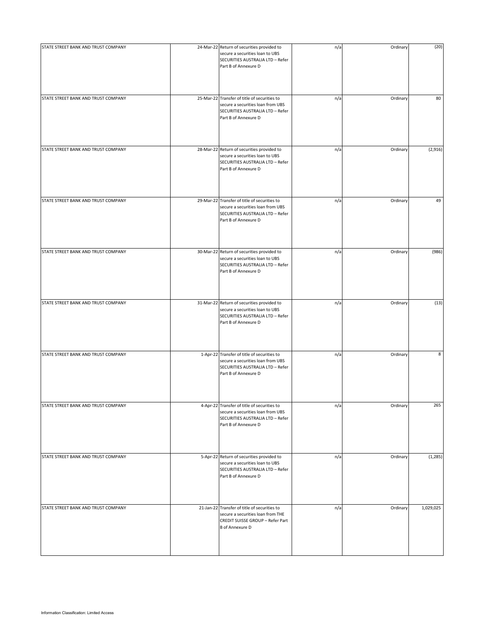| STATE STREET BANK AND TRUST COMPANY | 24-Mar-22 Return of securities provided to<br>secure a securities loan to UBS<br>SECURITIES AUSTRALIA LTD - Refer<br>Part B of Annexure D       | n/a | Ordinary | (20)      |
|-------------------------------------|-------------------------------------------------------------------------------------------------------------------------------------------------|-----|----------|-----------|
| STATE STREET BANK AND TRUST COMPANY | 25-Mar-22 Transfer of title of securities to<br>secure a securities loan from UBS<br>SECURITIES AUSTRALIA LTD - Refer<br>Part B of Annexure D   | n/a | Ordinary | 80        |
| STATE STREET BANK AND TRUST COMPANY | 28-Mar-22 Return of securities provided to<br>secure a securities loan to UBS<br>SECURITIES AUSTRALIA LTD - Refer<br>Part B of Annexure D       | n/a | Ordinary | (2,916)   |
| STATE STREET BANK AND TRUST COMPANY | 29-Mar-22 Transfer of title of securities to<br>secure a securities loan from UBS<br>SECURITIES AUSTRALIA LTD - Refer<br>Part B of Annexure D   | n/a | Ordinary | 49        |
| STATE STREET BANK AND TRUST COMPANY | 30-Mar-22 Return of securities provided to<br>secure a securities loan to UBS<br>SECURITIES AUSTRALIA LTD - Refer<br>Part B of Annexure D       | n/a | Ordinary | (986)     |
| STATE STREET BANK AND TRUST COMPANY | 31-Mar-22 Return of securities provided to<br>secure a securities loan to UBS<br>SECURITIES AUSTRALIA LTD - Refer<br>Part B of Annexure D       | n/a | Ordinary | (13)      |
| STATE STREET BANK AND TRUST COMPANY | 1-Apr-22 Transfer of title of securities to<br>secure a securities loan from UBS<br>SECURITIES AUSTRALIA LTD - Refer<br>Part B of Annexure D    | n/a | Ordinary | 8         |
| STATE STREET BANK AND TRUST COMPANY | 4-Apr-22 Transfer of title of securities to<br>secure a securities loan from UBS<br>SECURITIES AUSTRALIA LTD - Refer<br>Part B of Annexure D    | n/a | Ordinary | 265       |
| STATE STREET BANK AND TRUST COMPANY | 5-Apr-22 Return of securities provided to<br>secure a securities loan to UBS<br>SECURITIES AUSTRALIA LTD - Refer<br>Part B of Annexure D        | n/a | Ordinary | (1, 285)  |
| STATE STREET BANK AND TRUST COMPANY | 21-Jan-22 Transfer of title of securities to<br>secure a securities loan from THE<br>CREDIT SUISSE GROUP - Refer Part<br><b>B</b> of Annexure D | n/a | Ordinary | 1,029,025 |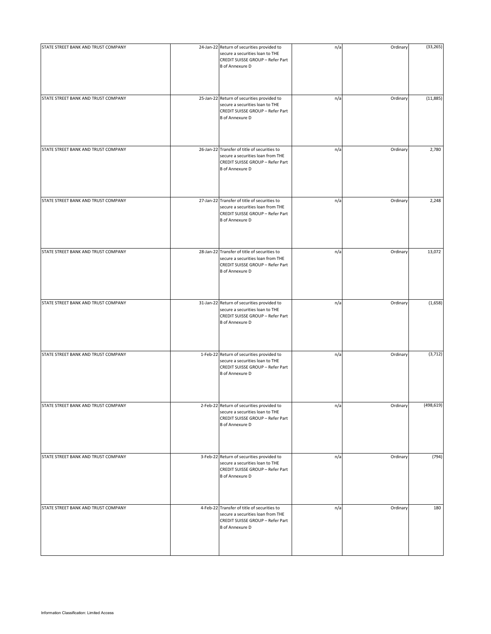| STATE STREET BANK AND TRUST COMPANY | 24-Jan-22 Return of securities provided to<br>secure a securities loan to THE<br>CREDIT SUISSE GROUP - Refer Part<br><b>B</b> of Annexure D     | n/a | Ordinary | (33, 265)  |
|-------------------------------------|-------------------------------------------------------------------------------------------------------------------------------------------------|-----|----------|------------|
| STATE STREET BANK AND TRUST COMPANY | 25-Jan-22 Return of securities provided to<br>secure a securities loan to THE<br>CREDIT SUISSE GROUP - Refer Part<br><b>B</b> of Annexure D     | n/a | Ordinary | (11,885)   |
| STATE STREET BANK AND TRUST COMPANY | 26-Jan-22 Transfer of title of securities to<br>secure a securities loan from THE<br>CREDIT SUISSE GROUP - Refer Part<br><b>B</b> of Annexure D | n/a | Ordinary | 2,780      |
| STATE STREET BANK AND TRUST COMPANY | 27-Jan-22 Transfer of title of securities to<br>secure a securities loan from THE<br>CREDIT SUISSE GROUP - Refer Part<br><b>B</b> of Annexure D | n/a | Ordinary | 2,248      |
| STATE STREET BANK AND TRUST COMPANY | 28-Jan-22 Transfer of title of securities to<br>secure a securities loan from THE<br>CREDIT SUISSE GROUP - Refer Part<br><b>B</b> of Annexure D | n/a | Ordinary | 13,072     |
| STATE STREET BANK AND TRUST COMPANY | 31-Jan-22 Return of securities provided to<br>secure a securities loan to THE<br>CREDIT SUISSE GROUP - Refer Part<br><b>B</b> of Annexure D     | n/a | Ordinary | (1,658)    |
| STATE STREET BANK AND TRUST COMPANY | 1-Feb-22 Return of securities provided to<br>secure a securities loan to THE<br>CREDIT SUISSE GROUP - Refer Part<br><b>B</b> of Annexure D      | n/a | Ordinary | (3,712)    |
| STATE STREET BANK AND TRUST COMPANY | 2-Feb-22 Return of securities provided to<br>secure a securities loan to THE<br>CREDIT SUISSE GROUP - Refer Part<br><b>B</b> of Annexure D      | n/a | Ordinary | (498, 619) |
| STATE STREET BANK AND TRUST COMPANY | 3-Feb-22 Return of securities provided to<br>secure a securities loan to THE<br>CREDIT SUISSE GROUP - Refer Part<br><b>B</b> of Annexure D      | n/a | Ordinary | (794)      |
| STATE STREET BANK AND TRUST COMPANY | 4-Feb-22 Transfer of title of securities to<br>secure a securities loan from THE<br>CREDIT SUISSE GROUP - Refer Part<br><b>B</b> of Annexure D  | n/a | Ordinary | 180        |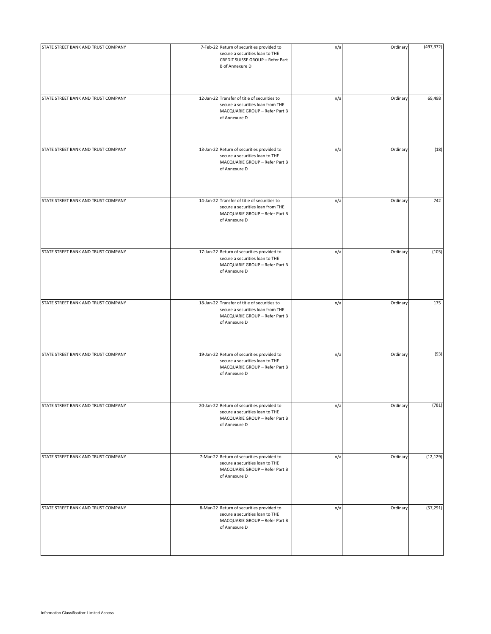| STATE STREET BANK AND TRUST COMPANY | 7-Feb-22 Return of securities provided to<br>secure a securities loan to THE<br>CREDIT SUISSE GROUP - Refer Part<br><b>B</b> of Annexure D | n/a | Ordinary | (497, 372) |
|-------------------------------------|--------------------------------------------------------------------------------------------------------------------------------------------|-----|----------|------------|
| STATE STREET BANK AND TRUST COMPANY | 12-Jan-22 Transfer of title of securities to<br>secure a securities loan from THE<br>MACQUARIE GROUP - Refer Part B<br>of Annexure D       | n/a | Ordinary | 69,498     |
| STATE STREET BANK AND TRUST COMPANY | 13-Jan-22 Return of securities provided to<br>secure a securities loan to THE<br>MACQUARIE GROUP - Refer Part B<br>of Annexure D           | n/a | Ordinary | (18)       |
| STATE STREET BANK AND TRUST COMPANY | 14-Jan-22 Transfer of title of securities to<br>secure a securities loan from THE<br>MACQUARIE GROUP - Refer Part B<br>of Annexure D       | n/a | Ordinary | 742        |
| STATE STREET BANK AND TRUST COMPANY | 17-Jan-22 Return of securities provided to<br>secure a securities loan to THE<br>MACQUARIE GROUP - Refer Part B<br>of Annexure D           | n/a | Ordinary | (103)      |
| STATE STREET BANK AND TRUST COMPANY | 18-Jan-22 Transfer of title of securities to<br>secure a securities loan from THE<br>MACQUARIE GROUP - Refer Part B<br>of Annexure D       | n/a | Ordinary | 175        |
| STATE STREET BANK AND TRUST COMPANY | 19-Jan-22 Return of securities provided to<br>secure a securities loan to THE<br>MACQUARIE GROUP - Refer Part B<br>of Annexure D           | n/a | Ordinary | (93)       |
| STATE STREET BANK AND TRUST COMPANY | 20-Jan-22 Return of securities provided to<br>secure a securities loan to THE<br>MACQUARIE GROUP - Refer Part B<br>of Annexure D           | n/a | Ordinary | (781)      |
| STATE STREET BANK AND TRUST COMPANY | 7-Mar-22 Return of securities provided to<br>secure a securities loan to THE<br>MACQUARIE GROUP - Refer Part B<br>of Annexure D            | n/a | Ordinary | (12, 129)  |
| STATE STREET BANK AND TRUST COMPANY | 8-Mar-22 Return of securities provided to<br>secure a securities loan to THE<br>MACQUARIE GROUP - Refer Part B<br>of Annexure D            | n/a | Ordinary | (57, 291)  |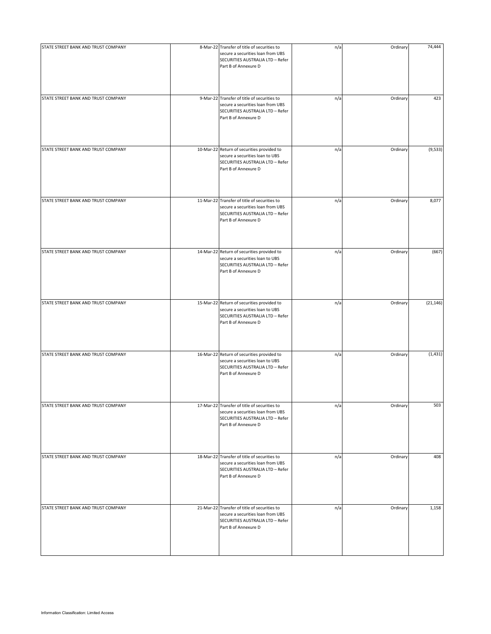| STATE STREET BANK AND TRUST COMPANY | 8-Mar-22 Transfer of title of securities to<br>secure a securities loan from UBS<br>SECURITIES AUSTRALIA LTD - Refer<br>Part B of Annexure D  | n/a | Ordinary | 74,444    |
|-------------------------------------|-----------------------------------------------------------------------------------------------------------------------------------------------|-----|----------|-----------|
| STATE STREET BANK AND TRUST COMPANY | 9-Mar-22 Transfer of title of securities to<br>secure a securities loan from UBS<br>SECURITIES AUSTRALIA LTD - Refer<br>Part B of Annexure D  | n/a | Ordinary | 423       |
| STATE STREET BANK AND TRUST COMPANY | 10-Mar-22 Return of securities provided to<br>secure a securities loan to UBS<br>SECURITIES AUSTRALIA LTD - Refer<br>Part B of Annexure D     | n/a | Ordinary | (9,533)   |
| STATE STREET BANK AND TRUST COMPANY | 11-Mar-22 Transfer of title of securities to<br>secure a securities loan from UBS<br>SECURITIES AUSTRALIA LTD - Refer<br>Part B of Annexure D | n/a | Ordinary | 8,077     |
| STATE STREET BANK AND TRUST COMPANY | 14-Mar-22 Return of securities provided to<br>secure a securities loan to UBS<br>SECURITIES AUSTRALIA LTD - Refer<br>Part B of Annexure D     | n/a | Ordinary | (667)     |
| STATE STREET BANK AND TRUST COMPANY | 15-Mar-22 Return of securities provided to<br>secure a securities loan to UBS<br>SECURITIES AUSTRALIA LTD - Refer<br>Part B of Annexure D     | n/a | Ordinary | (21, 146) |
| STATE STREET BANK AND TRUST COMPANY | 16-Mar-22 Return of securities provided to<br>secure a securities loan to UBS<br>SECURITIES AUSTRALIA LTD - Refer<br>Part B of Annexure D     | n/a | Ordinary | (1, 431)  |
| STATE STREET BANK AND TRUST COMPANY | 17-Mar-22 Transfer of title of securities to<br>secure a securities loan from UBS<br>SECURITIES AUSTRALIA LTD - Refer<br>Part B of Annexure D | n/a | Ordinary | 503       |
| STATE STREET BANK AND TRUST COMPANY | 18-Mar-22 Transfer of title of securities to<br>secure a securities loan from UBS<br>SECURITIES AUSTRALIA LTD - Refer<br>Part B of Annexure D | n/a | Ordinary | 408       |
| STATE STREET BANK AND TRUST COMPANY | 21-Mar-22 Transfer of title of securities to<br>secure a securities loan from UBS<br>SECURITIES AUSTRALIA LTD - Refer<br>Part B of Annexure D | n/a | Ordinary | 1,158     |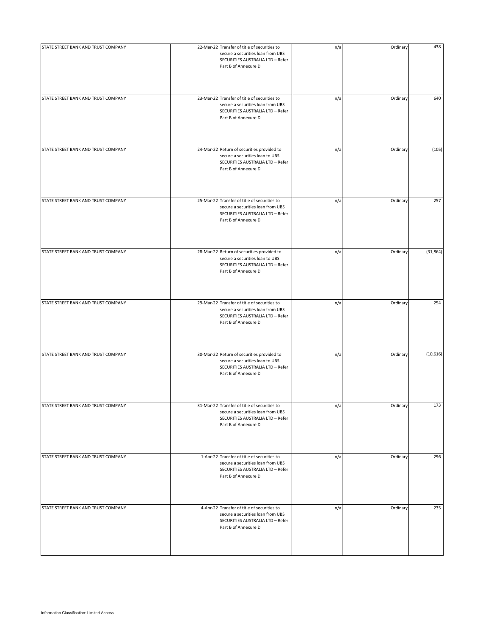| STATE STREET BANK AND TRUST COMPANY | 22-Mar-22 Transfer of title of securities to                                                                                                  | n/a | Ordinary | 438       |
|-------------------------------------|-----------------------------------------------------------------------------------------------------------------------------------------------|-----|----------|-----------|
|                                     | secure a securities loan from UBS<br>SECURITIES AUSTRALIA LTD - Refer<br>Part B of Annexure D                                                 |     |          |           |
| STATE STREET BANK AND TRUST COMPANY | 23-Mar-22 Transfer of title of securities to                                                                                                  | n/a | Ordinary | 640       |
|                                     | secure a securities loan from UBS<br>SECURITIES AUSTRALIA LTD - Refer<br>Part B of Annexure D                                                 |     |          |           |
| STATE STREET BANK AND TRUST COMPANY | 24-Mar-22 Return of securities provided to<br>secure a securities loan to UBS<br>SECURITIES AUSTRALIA LTD - Refer<br>Part B of Annexure D     | n/a | Ordinary | (105)     |
| STATE STREET BANK AND TRUST COMPANY | 25-Mar-22 Transfer of title of securities to<br>secure a securities loan from UBS<br>SECURITIES AUSTRALIA LTD - Refer<br>Part B of Annexure D | n/a | Ordinary | 257       |
| STATE STREET BANK AND TRUST COMPANY | 28-Mar-22 Return of securities provided to<br>secure a securities loan to UBS<br>SECURITIES AUSTRALIA LTD - Refer<br>Part B of Annexure D     | n/a | Ordinary | (31, 864) |
| STATE STREET BANK AND TRUST COMPANY | 29-Mar-22 Transfer of title of securities to<br>secure a securities loan from UBS<br>SECURITIES AUSTRALIA LTD - Refer<br>Part B of Annexure D | n/a | Ordinary | 254       |
| STATE STREET BANK AND TRUST COMPANY | 30-Mar-22 Return of securities provided to<br>secure a securities loan to UBS<br>SECURITIES AUSTRALIA LTD - Refer<br>Part B of Annexure D     | n/a | Ordinary | (10, 616) |
| STATE STREET BANK AND TRUST COMPANY | 31-Mar-22 Transfer of title of securities to<br>secure a securities loan from UBS<br>SECURITIES AUSTRALIA LTD - Refer<br>Part B of Annexure D | n/a | Ordinary | 173       |
| STATE STREET BANK AND TRUST COMPANY | 1-Apr-22 Transfer of title of securities to<br>secure a securities loan from UBS<br>SECURITIES AUSTRALIA LTD - Refer<br>Part B of Annexure D  | n/a | Ordinary | 296       |
| STATE STREET BANK AND TRUST COMPANY | 4-Apr-22 Transfer of title of securities to<br>secure a securities loan from UBS<br>SECURITIES AUSTRALIA LTD - Refer<br>Part B of Annexure D  | n/a | Ordinary | 235       |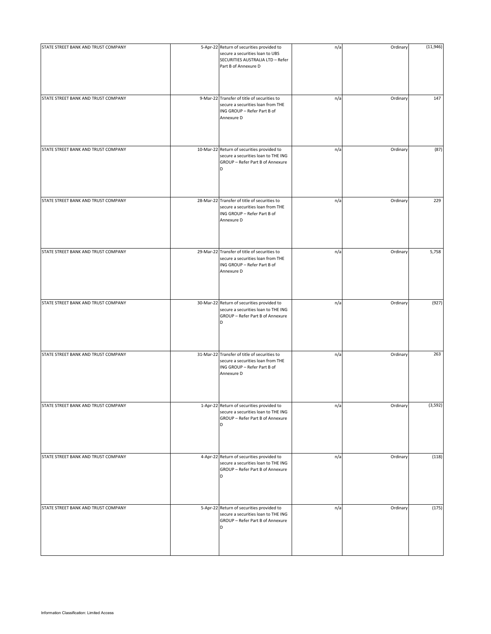| STATE STREET BANK AND TRUST COMPANY | 5-Apr-22 Return of securities provided to<br>secure a securities loan to UBS<br>SECURITIES AUSTRALIA LTD - Refer<br>Part B of Annexure D | n/a | Ordinary | (11,946) |
|-------------------------------------|------------------------------------------------------------------------------------------------------------------------------------------|-----|----------|----------|
| STATE STREET BANK AND TRUST COMPANY | 9-Mar-22 Transfer of title of securities to<br>secure a securities loan from THE<br>ING GROUP - Refer Part B of<br>Annexure D            | n/a | Ordinary | 147      |
| STATE STREET BANK AND TRUST COMPANY | 10-Mar-22 Return of securities provided to<br>secure a securities loan to THE ING<br>GROUP - Refer Part B of Annexure<br>D               | n/a | Ordinary | (87)     |
| STATE STREET BANK AND TRUST COMPANY | 28-Mar-22 Transfer of title of securities to<br>secure a securities loan from THE<br>ING GROUP - Refer Part B of<br>Annexure D           | n/a | Ordinary | 229      |
| STATE STREET BANK AND TRUST COMPANY | 29-Mar-22 Transfer of title of securities to<br>secure a securities loan from THE<br>ING GROUP - Refer Part B of<br>Annexure D           | n/a | Ordinary | 5,758    |
| STATE STREET BANK AND TRUST COMPANY | 30-Mar-22 Return of securities provided to<br>secure a securities loan to THE ING<br>GROUP - Refer Part B of Annexure<br>D               | n/a | Ordinary | (927)    |
| STATE STREET BANK AND TRUST COMPANY | 31-Mar-22 Transfer of title of securities to<br>secure a securities loan from THE<br>ING GROUP - Refer Part B of<br>Annexure D           | n/a | Ordinary | 263      |
| STATE STREET BANK AND TRUST COMPANY | 1-Apr-22 Return of securities provided to<br>secure a securities loan to THE ING<br>GROUP - Refer Part B of Annexure<br>D                | n/a | Ordinary | (3,592)  |
| STATE STREET BANK AND TRUST COMPANY | 4-Apr-22 Return of securities provided to<br>secure a securities loan to THE ING<br>GROUP - Refer Part B of Annexure<br>D                | n/a | Ordinary | (118)    |
| STATE STREET BANK AND TRUST COMPANY | 5-Apr-22 Return of securities provided to<br>secure a securities loan to THE ING<br>GROUP - Refer Part B of Annexure<br>D                | n/a | Ordinary | (175)    |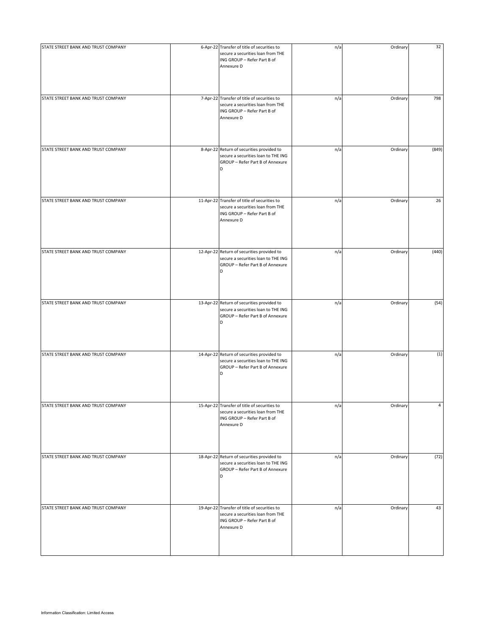| STATE STREET BANK AND TRUST COMPANY | 6-Apr-22 Transfer of title of securities to<br>secure a securities loan from THE<br>ING GROUP - Refer Part B of<br>Annexure D  | n/a | Ordinary | 32    |
|-------------------------------------|--------------------------------------------------------------------------------------------------------------------------------|-----|----------|-------|
| STATE STREET BANK AND TRUST COMPANY | 7-Apr-22 Transfer of title of securities to<br>secure a securities loan from THE<br>ING GROUP - Refer Part B of<br>Annexure D  | n/a | Ordinary | 798   |
| STATE STREET BANK AND TRUST COMPANY | 8-Apr-22 Return of securities provided to<br>secure a securities loan to THE ING<br>GROUP - Refer Part B of Annexure<br>D      | n/a | Ordinary | (849) |
| STATE STREET BANK AND TRUST COMPANY | 11-Apr-22 Transfer of title of securities to<br>secure a securities loan from THE<br>ING GROUP - Refer Part B of<br>Annexure D | n/a | Ordinary | 26    |
| STATE STREET BANK AND TRUST COMPANY | 12-Apr-22 Return of securities provided to<br>secure a securities loan to THE ING<br>GROUP - Refer Part B of Annexure<br>D     | n/a | Ordinary | (440) |
| STATE STREET BANK AND TRUST COMPANY | 13-Apr-22 Return of securities provided to<br>secure a securities loan to THE ING<br>GROUP - Refer Part B of Annexure<br>D     | n/a | Ordinary | (54)  |
| STATE STREET BANK AND TRUST COMPANY | 14-Apr-22 Return of securities provided to<br>secure a securities loan to THE ING<br>GROUP - Refer Part B of Annexure<br>D     | n/a | Ordinary | (1)   |
| STATE STREET BANK AND TRUST COMPANY | 15-Apr-22 Transfer of title of securities to<br>secure a securities loan from THE<br>ING GROUP - Refer Part B of<br>Annexure D | n/a | Ordinary | 4     |
| STATE STREET BANK AND TRUST COMPANY | 18-Apr-22 Return of securities provided to<br>secure a securities loan to THE ING<br>GROUP - Refer Part B of Annexure<br>D     | n/a | Ordinary | (72)  |
| STATE STREET BANK AND TRUST COMPANY | 19-Apr-22 Transfer of title of securities to<br>secure a securities loan from THE<br>ING GROUP - Refer Part B of<br>Annexure D | n/a | Ordinary | 43    |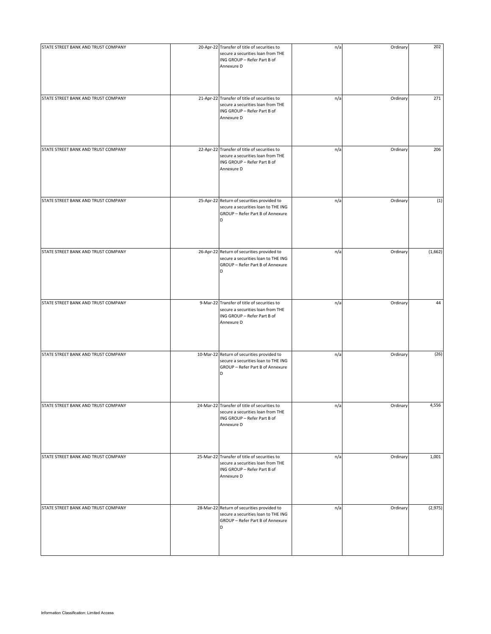| STATE STREET BANK AND TRUST COMPANY | 20-Apr-22 Transfer of title of securities to<br>secure a securities loan from THE<br>ING GROUP - Refer Part B of<br>Annexure D | n/a | Ordinary | 202     |
|-------------------------------------|--------------------------------------------------------------------------------------------------------------------------------|-----|----------|---------|
| STATE STREET BANK AND TRUST COMPANY | 21-Apr-22 Transfer of title of securities to<br>secure a securities loan from THE<br>ING GROUP - Refer Part B of<br>Annexure D | n/a | Ordinary | 271     |
| STATE STREET BANK AND TRUST COMPANY | 22-Apr-22 Transfer of title of securities to<br>secure a securities loan from THE<br>ING GROUP - Refer Part B of<br>Annexure D | n/a | Ordinary | 206     |
| STATE STREET BANK AND TRUST COMPANY | 25-Apr-22 Return of securities provided to<br>secure a securities loan to THE ING<br>GROUP - Refer Part B of Annexure<br>D     | n/a | Ordinary | (1)     |
| STATE STREET BANK AND TRUST COMPANY | 26-Apr-22 Return of securities provided to<br>secure a securities loan to THE ING<br>GROUP - Refer Part B of Annexure<br>D     | n/a | Ordinary | (1,662) |
| STATE STREET BANK AND TRUST COMPANY | 9-Mar-22 Transfer of title of securities to<br>secure a securities loan from THE<br>ING GROUP - Refer Part B of<br>Annexure D  | n/a | Ordinary | 44      |
| STATE STREET BANK AND TRUST COMPANY | 10-Mar-22 Return of securities provided to<br>secure a securities loan to THE ING<br>GROUP - Refer Part B of Annexure<br>D     | n/a | Ordinary | (26)    |
| STATE STREET BANK AND TRUST COMPANY | 24-Mar-22 Transfer of title of securities to<br>secure a securities loan from THE<br>ING GROUP - Refer Part B of<br>Annexure D | n/a | Ordinary | 4,556   |
| STATE STREET BANK AND TRUST COMPANY | 25-Mar-22 Transfer of title of securities to<br>secure a securities loan from THE<br>ING GROUP - Refer Part B of<br>Annexure D | n/a | Ordinary | 1,001   |
| STATE STREET BANK AND TRUST COMPANY | 28-Mar-22 Return of securities provided to<br>secure a securities loan to THE ING<br>GROUP - Refer Part B of Annexure<br>D     | n/a | Ordinary | (2,975) |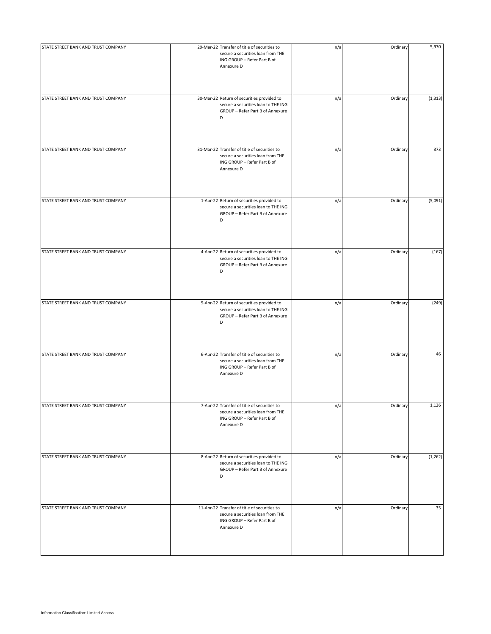| STATE STREET BANK AND TRUST COMPANY | 29-Mar-22 Transfer of title of securities to<br>secure a securities loan from THE<br>ING GROUP - Refer Part B of<br>Annexure D | n/a | Ordinary | 5,970    |
|-------------------------------------|--------------------------------------------------------------------------------------------------------------------------------|-----|----------|----------|
| STATE STREET BANK AND TRUST COMPANY | 30-Mar-22 Return of securities provided to<br>secure a securities loan to THE ING<br>GROUP - Refer Part B of Annexure<br>D     | n/a | Ordinary | (1, 313) |
| STATE STREET BANK AND TRUST COMPANY | 31-Mar-22 Transfer of title of securities to<br>secure a securities loan from THE<br>ING GROUP - Refer Part B of<br>Annexure D | n/a | Ordinary | 373      |
| STATE STREET BANK AND TRUST COMPANY | 1-Apr-22 Return of securities provided to<br>secure a securities loan to THE ING<br>GROUP - Refer Part B of Annexure<br>D      | n/a | Ordinary | (5,091)  |
| STATE STREET BANK AND TRUST COMPANY | 4-Apr-22 Return of securities provided to<br>secure a securities loan to THE ING<br>GROUP - Refer Part B of Annexure<br>D      | n/a | Ordinary | (167)    |
| STATE STREET BANK AND TRUST COMPANY | 5-Apr-22 Return of securities provided to<br>secure a securities loan to THE ING<br>GROUP - Refer Part B of Annexure<br>D      | n/a | Ordinary | (249)    |
| STATE STREET BANK AND TRUST COMPANY | 6-Apr-22 Transfer of title of securities to<br>secure a securities loan from THE<br>ING GROUP - Refer Part B of<br>Annexure D  | n/a | Ordinary | 46       |
| STATE STREET BANK AND TRUST COMPANY | 7-Apr-22 Transfer of title of securities to<br>secure a securities loan from THE<br>ING GROUP - Refer Part B of<br>Annexure D  | n/a | Ordinary | 1,126    |
| STATE STREET BANK AND TRUST COMPANY | 8-Apr-22 Return of securities provided to<br>secure a securities loan to THE ING<br>GROUP - Refer Part B of Annexure<br>D      | n/a | Ordinary | (1, 262) |
| STATE STREET BANK AND TRUST COMPANY | 11-Apr-22 Transfer of title of securities to<br>secure a securities loan from THE<br>ING GROUP - Refer Part B of<br>Annexure D | n/a | Ordinary | 35       |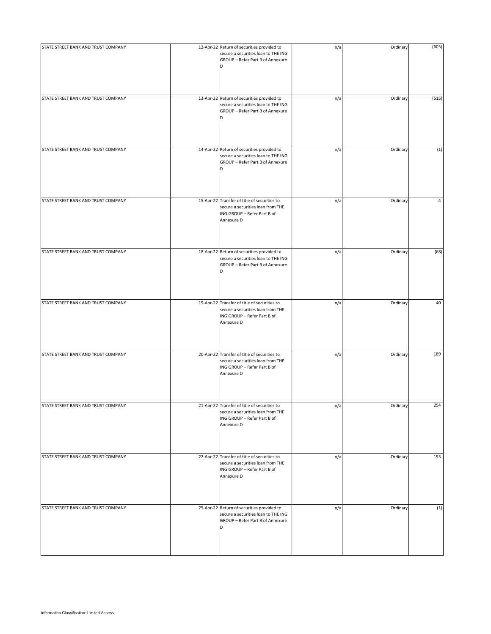| STATE STREET BANK AND TRUST COMPANY | 12-Apr-22 Return of securities provided to<br>secure a securities loan to THE ING<br>GROUP - Refer Part B of Annexure<br>D     | n/a | Ordinary | (605) |
|-------------------------------------|--------------------------------------------------------------------------------------------------------------------------------|-----|----------|-------|
| STATE STREET BANK AND TRUST COMPANY | 13-Apr-22 Return of securities provided to<br>secure a securities loan to THE ING<br>GROUP - Refer Part B of Annexure<br>D     | n/a | Ordinary | (515) |
| STATE STREET BANK AND TRUST COMPANY | 14-Apr-22 Return of securities provided to<br>secure a securities loan to THE ING<br>GROUP - Refer Part B of Annexure<br>D     | n/a | Ordinary | (1)   |
| STATE STREET BANK AND TRUST COMPANY | 15-Apr-22 Transfer of title of securities to<br>secure a securities loan from THE<br>ING GROUP - Refer Part B of<br>Annexure D | n/a | Ordinary | 4     |
| STATE STREET BANK AND TRUST COMPANY | 18-Apr-22 Return of securities provided to<br>secure a securities loan to THE ING<br>GROUP - Refer Part B of Annexure<br>D     | n/a | Ordinary | (68)  |
| STATE STREET BANK AND TRUST COMPANY | 19-Apr-22 Transfer of title of securities to<br>secure a securities loan from THE<br>ING GROUP - Refer Part B of<br>Annexure D | n/a | Ordinary | 40    |
| STATE STREET BANK AND TRUST COMPANY | 20-Apr-22 Transfer of title of securities to<br>secure a securities loan from THE<br>ING GROUP - Refer Part B of<br>Annexure D | n/a | Ordinary | 189   |
| STATE STREET BANK AND TRUST COMPANY | 21-Apr-22 Transfer of title of securities to<br>secure a securities loan from THE<br>ING GROUP - Refer Part B of<br>Annexure D | n/a | Ordinary | 254   |
| STATE STREET BANK AND TRUST COMPANY | 22-Apr-22 Transfer of title of securities to<br>secure a securities loan from THE<br>ING GROUP - Refer Part B of<br>Annexure D | n/a | Ordinary | 193   |
| STATE STREET BANK AND TRUST COMPANY | 25-Apr-22 Return of securities provided to<br>secure a securities loan to THE ING<br>GROUP - Refer Part B of Annexure<br>D     | n/a | Ordinary | (1)   |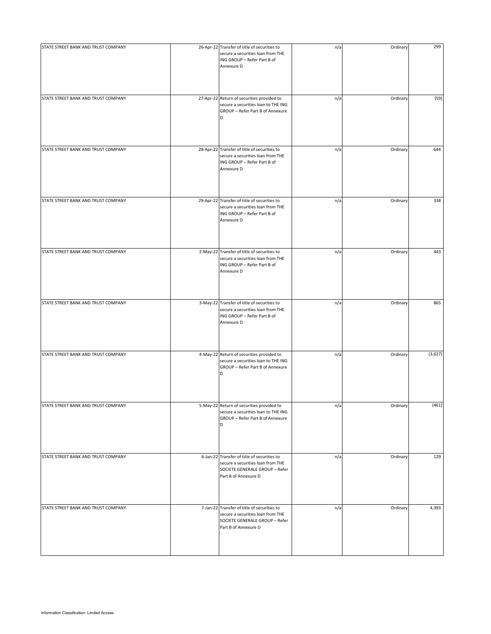| STATE STREET BANK AND TRUST COMPANY | 26-Apr-22 Transfer of title of securities to<br>secure a securities loan from THE<br>ING GROUP - Refer Part B of<br>Annexure D             | n/a | Ordinary | 299     |
|-------------------------------------|--------------------------------------------------------------------------------------------------------------------------------------------|-----|----------|---------|
| STATE STREET BANK AND TRUST COMPANY | 27-Apr-22 Return of securities provided to<br>secure a securities loan to THE ING<br>GROUP - Refer Part B of Annexure<br>D                 | n/a | Ordinary | (59)    |
| STATE STREET BANK AND TRUST COMPANY | 28-Apr-22 Transfer of title of securities to<br>secure a securities loan from THE<br>ING GROUP - Refer Part B of<br>Annexure D             | n/a | Ordinary | 644     |
| STATE STREET BANK AND TRUST COMPANY | 29-Apr-22 Transfer of title of securities to<br>secure a securities loan from THE<br>ING GROUP - Refer Part B of<br>Annexure D             | n/a | Ordinary | 338     |
| STATE STREET BANK AND TRUST COMPANY | 2-May-22 Transfer of title of securities to<br>secure a securities loan from THE<br>ING GROUP - Refer Part B of<br>Annexure D              | n/a | Ordinary | 443     |
| STATE STREET BANK AND TRUST COMPANY | 3-May-22 Transfer of title of securities to<br>secure a securities loan from THE<br>ING GROUP - Refer Part B of<br>Annexure D              | n/a | Ordinary | 865     |
| STATE STREET BANK AND TRUST COMPANY | 4-May-22 Return of securities provided to<br>secure a securities loan to THE ING<br>GROUP - Refer Part B of Annexure<br>D                  | n/a | Ordinary | (3,627) |
| STATE STREET BANK AND TRUST COMPANY | 5-May-22 Return of securities provided to<br>secure a securities loan to THE ING<br>GROUP - Refer Part B of Annexure<br>D                  | n/a | Ordinary | (461)   |
| STATE STREET BANK AND TRUST COMPANY | 6-Jan-22 Transfer of title of securities to<br>secure a securities loan from THE<br>SOCIETE GENERALE GROUP - Refer<br>Part B of Annexure D | n/a | Ordinary | 129     |
| STATE STREET BANK AND TRUST COMPANY | 7-Jan-22 Transfer of title of securities to<br>secure a securities loan from THE<br>SOCIETE GENERALE GROUP - Refer<br>Part B of Annexure D | n/a | Ordinary | 4,393   |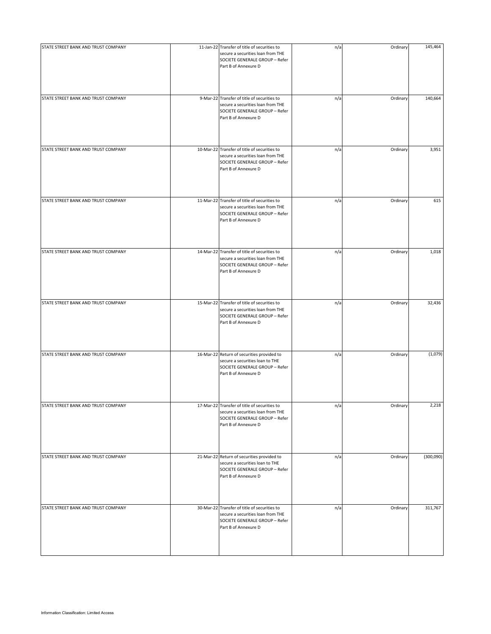| STATE STREET BANK AND TRUST COMPANY | 11-Jan-22 Transfer of title of securities to                                                                                                | n/a | Ordinary | 145,464   |
|-------------------------------------|---------------------------------------------------------------------------------------------------------------------------------------------|-----|----------|-----------|
|                                     | secure a securities loan from THE<br>SOCIETE GENERALE GROUP - Refer<br>Part B of Annexure D                                                 |     |          |           |
|                                     |                                                                                                                                             |     |          |           |
| STATE STREET BANK AND TRUST COMPANY | 9-Mar-22 Transfer of title of securities to<br>secure a securities loan from THE<br>SOCIETE GENERALE GROUP - Refer<br>Part B of Annexure D  | n/a | Ordinary | 140,664   |
| STATE STREET BANK AND TRUST COMPANY | 10-Mar-22 Transfer of title of securities to<br>secure a securities loan from THE<br>SOCIETE GENERALE GROUP - Refer<br>Part B of Annexure D | n/a | Ordinary | 3,951     |
| STATE STREET BANK AND TRUST COMPANY | 11-Mar-22 Transfer of title of securities to<br>secure a securities loan from THE<br>SOCIETE GENERALE GROUP - Refer<br>Part B of Annexure D | n/a | Ordinary | 615       |
| STATE STREET BANK AND TRUST COMPANY | 14-Mar-22 Transfer of title of securities to<br>secure a securities loan from THE<br>SOCIETE GENERALE GROUP - Refer<br>Part B of Annexure D | n/a | Ordinary | 1,018     |
| STATE STREET BANK AND TRUST COMPANY | 15-Mar-22 Transfer of title of securities to<br>secure a securities loan from THE<br>SOCIETE GENERALE GROUP - Refer<br>Part B of Annexure D | n/a | Ordinary | 32,436    |
| STATE STREET BANK AND TRUST COMPANY | 16-Mar-22 Return of securities provided to<br>secure a securities loan to THE<br>SOCIETE GENERALE GROUP - Refer<br>Part B of Annexure D     | n/a | Ordinary | (1,079)   |
| STATE STREET BANK AND TRUST COMPANY | 17-Mar-22 Transfer of title of securities to<br>secure a securities loan from THE<br>SOCIETE GENERALE GROUP - Refer<br>Part B of Annexure D | n/a | Ordinary | 2,218     |
| STATE STREET BANK AND TRUST COMPANY | 21-Mar-22 Return of securities provided to<br>secure a securities loan to THE<br>SOCIETE GENERALE GROUP - Refer<br>Part B of Annexure D     | n/a | Ordinary | (300,090) |
| STATE STREET BANK AND TRUST COMPANY | 30-Mar-22 Transfer of title of securities to<br>secure a securities loan from THE<br>SOCIETE GENERALE GROUP - Refer<br>Part B of Annexure D | n/a | Ordinary | 311,767   |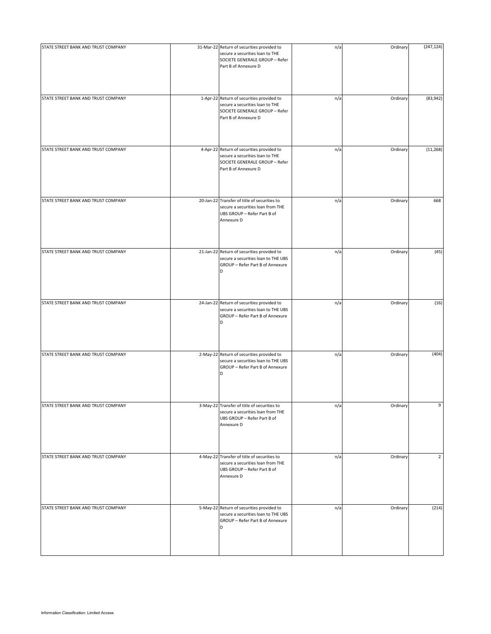| STATE STREET BANK AND TRUST COMPANY | 31-Mar-22 Return of securities provided to<br>secure a securities loan to THE<br>SOCIETE GENERALE GROUP - Refer<br>Part B of Annexure D | n/a | Ordinary | (247, 124)     |
|-------------------------------------|-----------------------------------------------------------------------------------------------------------------------------------------|-----|----------|----------------|
| STATE STREET BANK AND TRUST COMPANY | 1-Apr-22 Return of securities provided to<br>secure a securities loan to THE<br>SOCIETE GENERALE GROUP - Refer<br>Part B of Annexure D  | n/a | Ordinary | (83, 942)      |
| STATE STREET BANK AND TRUST COMPANY | 4-Apr-22 Return of securities provided to<br>secure a securities loan to THE<br>SOCIETE GENERALE GROUP - Refer<br>Part B of Annexure D  | n/a | Ordinary | (11, 268)      |
| STATE STREET BANK AND TRUST COMPANY | 20-Jan-22 Transfer of title of securities to<br>secure a securities loan from THE<br>UBS GROUP - Refer Part B of<br>Annexure D          | n/a | Ordinary | 668            |
| STATE STREET BANK AND TRUST COMPANY | 21-Jan-22 Return of securities provided to<br>secure a securities loan to THE UBS<br>GROUP - Refer Part B of Annexure<br>D              | n/a | Ordinary | (45)           |
| STATE STREET BANK AND TRUST COMPANY | 24-Jan-22 Return of securities provided to<br>secure a securities loan to THE UBS<br>GROUP - Refer Part B of Annexure<br>D              | n/a | Ordinary | (16)           |
| STATE STREET BANK AND TRUST COMPANY | 2-May-22 Return of securities provided to<br>secure a securities loan to THE UBS<br>GROUP - Refer Part B of Annexure<br>D               | n/a | Ordinary | (404)          |
| STATE STREET BANK AND TRUST COMPANY | 3-May-22 Transfer of title of securities to<br>secure a securities loan from THE<br>UBS GROUP - Refer Part B of<br>Annexure D           | n/a | Ordinary | 9              |
| STATE STREET BANK AND TRUST COMPANY | 4-May-22 Transfer of title of securities to<br>secure a securities loan from THE<br>UBS GROUP - Refer Part B of<br>Annexure D           | n/a | Ordinary | $\overline{2}$ |
| STATE STREET BANK AND TRUST COMPANY | 5-May-22 Return of securities provided to<br>secure a securities loan to THE UBS<br>GROUP - Refer Part B of Annexure<br>D               | n/a | Ordinary | (214)          |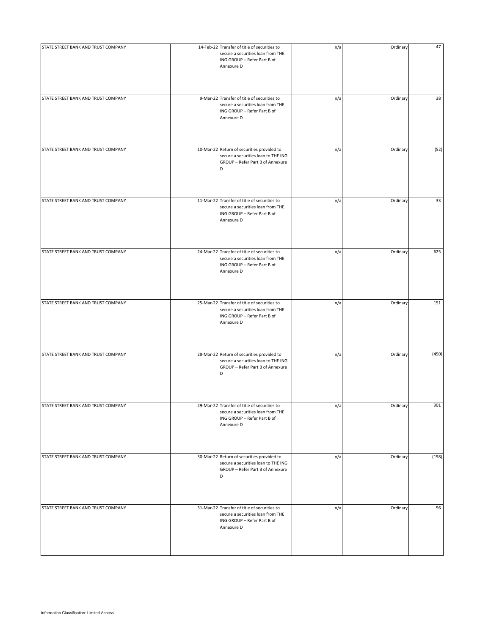| STATE STREET BANK AND TRUST COMPANY | 14-Feb-22 Transfer of title of securities to<br>secure a securities loan from THE<br>ING GROUP - Refer Part B of<br>Annexure D | n/a | Ordinary | 47    |
|-------------------------------------|--------------------------------------------------------------------------------------------------------------------------------|-----|----------|-------|
| STATE STREET BANK AND TRUST COMPANY | 9-Mar-22 Transfer of title of securities to<br>secure a securities loan from THE<br>ING GROUP - Refer Part B of<br>Annexure D  | n/a | Ordinary | 38    |
| STATE STREET BANK AND TRUST COMPANY | 10-Mar-22 Return of securities provided to<br>secure a securities loan to THE ING<br>GROUP - Refer Part B of Annexure<br>D     | n/a | Ordinary | (52)  |
| STATE STREET BANK AND TRUST COMPANY | 11-Mar-22 Transfer of title of securities to<br>secure a securities loan from THE<br>ING GROUP - Refer Part B of<br>Annexure D | n/a | Ordinary | 33    |
| STATE STREET BANK AND TRUST COMPANY | 24-Mar-22 Transfer of title of securities to<br>secure a securities loan from THE<br>ING GROUP - Refer Part B of<br>Annexure D | n/a | Ordinary | 625   |
| STATE STREET BANK AND TRUST COMPANY | 25-Mar-22 Transfer of title of securities to<br>secure a securities loan from THE<br>ING GROUP - Refer Part B of<br>Annexure D | n/a | Ordinary | 151   |
| STATE STREET BANK AND TRUST COMPANY | 28-Mar-22 Return of securities provided to<br>secure a securities loan to THE ING<br>GROUP - Refer Part B of Annexure<br>D     | n/a | Ordinary | (450) |
| STATE STREET BANK AND TRUST COMPANY | 29-Mar-22 Transfer of title of securities to<br>secure a securities loan from THE<br>ING GROUP - Refer Part B of<br>Annexure D | n/a | Ordinary | 901   |
| STATE STREET BANK AND TRUST COMPANY | 30-Mar-22 Return of securities provided to<br>secure a securities loan to THE ING<br>GROUP - Refer Part B of Annexure<br>D     | n/a | Ordinary | (198) |
| STATE STREET BANK AND TRUST COMPANY | 31-Mar-22 Transfer of title of securities to<br>secure a securities loan from THE<br>ING GROUP - Refer Part B of<br>Annexure D | n/a | Ordinary | 56    |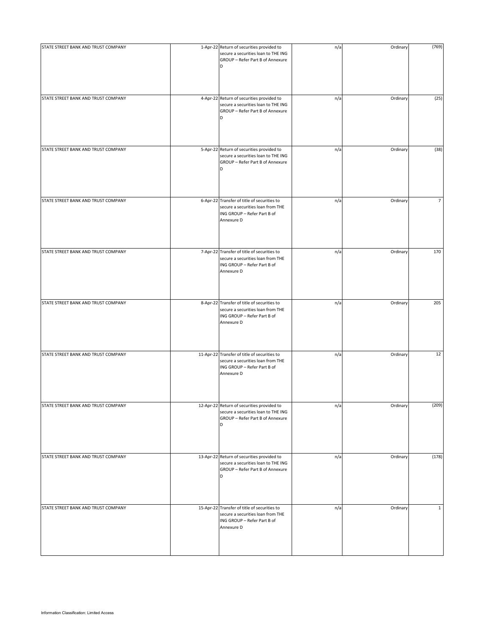| STATE STREET BANK AND TRUST COMPANY | 1-Apr-22 Return of securities provided to<br>secure a securities loan to THE ING<br>GROUP - Refer Part B of Annexure<br>D      | n/a | Ordinary | (769)          |
|-------------------------------------|--------------------------------------------------------------------------------------------------------------------------------|-----|----------|----------------|
| STATE STREET BANK AND TRUST COMPANY | 4-Apr-22 Return of securities provided to<br>secure a securities loan to THE ING<br>GROUP - Refer Part B of Annexure<br>D      | n/a | Ordinary | (25)           |
| STATE STREET BANK AND TRUST COMPANY | 5-Apr-22 Return of securities provided to<br>secure a securities loan to THE ING<br>GROUP - Refer Part B of Annexure<br>D      | n/a | Ordinary | (38)           |
| STATE STREET BANK AND TRUST COMPANY | 6-Apr-22 Transfer of title of securities to<br>secure a securities loan from THE<br>ING GROUP - Refer Part B of<br>Annexure D  | n/a | Ordinary | $\overline{7}$ |
| STATE STREET BANK AND TRUST COMPANY | 7-Apr-22 Transfer of title of securities to<br>secure a securities loan from THE<br>ING GROUP - Refer Part B of<br>Annexure D  | n/a | Ordinary | 170            |
| STATE STREET BANK AND TRUST COMPANY | 8-Apr-22 Transfer of title of securities to<br>secure a securities loan from THE<br>ING GROUP - Refer Part B of<br>Annexure D  | n/a | Ordinary | 205            |
| STATE STREET BANK AND TRUST COMPANY | 11-Apr-22 Transfer of title of securities to<br>secure a securities loan from THE<br>ING GROUP - Refer Part B of<br>Annexure D | n/a | Ordinary | 12             |
| STATE STREET BANK AND TRUST COMPANY | 12-Apr-22 Return of securities provided to<br>secure a securities loan to THE ING<br>GROUP - Refer Part B of Annexure<br>D     | n/a | Ordinary | (209)          |
| STATE STREET BANK AND TRUST COMPANY | 13-Apr-22 Return of securities provided to<br>secure a securities loan to THE ING<br>GROUP - Refer Part B of Annexure<br>D     | n/a | Ordinary | (178)          |
| STATE STREET BANK AND TRUST COMPANY | 15-Apr-22 Transfer of title of securities to<br>secure a securities loan from THE<br>ING GROUP - Refer Part B of<br>Annexure D | n/a | Ordinary | $\mathbf{1}$   |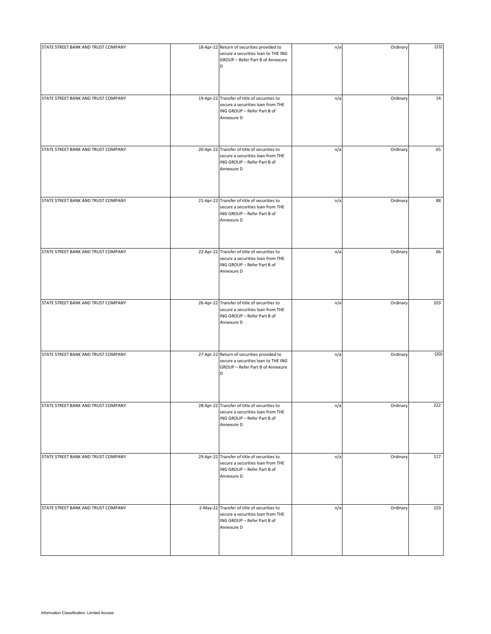| STATE STREET BANK AND TRUST COMPANY | 18-Apr-22 Return of securities provided to<br>secure a securities loan to THE ING<br>GROUP - Refer Part B of Annexure          | n/a | Ordinary | (23) |
|-------------------------------------|--------------------------------------------------------------------------------------------------------------------------------|-----|----------|------|
|                                     | D                                                                                                                              |     |          |      |
| STATE STREET BANK AND TRUST COMPANY | 19-Apr-22 Transfer of title of securities to<br>secure a securities loan from THE<br>ING GROUP - Refer Part B of<br>Annexure D | n/a | Ordinary | 14   |
| STATE STREET BANK AND TRUST COMPANY | 20-Apr-22 Transfer of title of securities to<br>secure a securities loan from THE<br>ING GROUP - Refer Part B of<br>Annexure D | n/a | Ordinary | 65   |
| STATE STREET BANK AND TRUST COMPANY | 21-Apr-22 Transfer of title of securities to<br>secure a securities loan from THE<br>ING GROUP - Refer Part B of<br>Annexure D | n/a | Ordinary | 88   |
| STATE STREET BANK AND TRUST COMPANY | 22-Apr-22 Transfer of title of securities to<br>secure a securities loan from THE<br>ING GROUP - Refer Part B of<br>Annexure D | n/a | Ordinary | 66   |
| STATE STREET BANK AND TRUST COMPANY | 26-Apr-22 Transfer of title of securities to<br>secure a securities loan from THE<br>ING GROUP - Refer Part B of<br>Annexure D | n/a | Ordinary | 103  |
| STATE STREET BANK AND TRUST COMPANY | 27-Apr-22 Return of securities provided to<br>secure a securities loan to THE ING<br>GROUP - Refer Part B of Annexure<br>D     | n/a | Ordinary | (20) |
| STATE STREET BANK AND TRUST COMPANY | 28-Apr-22 Transfer of title of securities to<br>secure a securities loan from THE<br>ING GROUP - Refer Part B of<br>Annexure D | n/a | Ordinary | 222  |
| STATE STREET BANK AND TRUST COMPANY | 29-Apr-22 Transfer of title of securities to<br>secure a securities loan from THE<br>ING GROUP - Refer Part B of<br>Annexure D | n/a | Ordinary | 117  |
| STATE STREET BANK AND TRUST COMPANY | 2-May-22 Transfer of title of securities to<br>secure a securities loan from THE<br>ING GROUP - Refer Part B of<br>Annexure D  | n/a | Ordinary | 153  |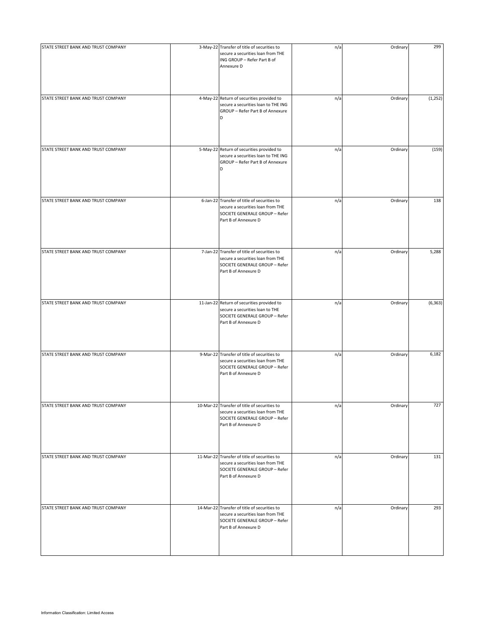| STATE STREET BANK AND TRUST COMPANY | 3-May-22 Transfer of title of securities to<br>secure a securities loan from THE<br>ING GROUP - Refer Part B of<br>Annexure D               | n/a | Ordinary | 299      |
|-------------------------------------|---------------------------------------------------------------------------------------------------------------------------------------------|-----|----------|----------|
| STATE STREET BANK AND TRUST COMPANY | 4-May-22 Return of securities provided to<br>secure a securities loan to THE ING<br>GROUP - Refer Part B of Annexure<br>D                   | n/a | Ordinary | (1, 252) |
| STATE STREET BANK AND TRUST COMPANY | 5-May-22 Return of securities provided to<br>secure a securities loan to THE ING<br>GROUP - Refer Part B of Annexure<br>D                   | n/a | Ordinary | (159)    |
| STATE STREET BANK AND TRUST COMPANY | 6-Jan-22 Transfer of title of securities to<br>secure a securities loan from THE<br>SOCIETE GENERALE GROUP - Refer<br>Part B of Annexure D  | n/a | Ordinary | 138      |
| STATE STREET BANK AND TRUST COMPANY | 7-Jan-22 Transfer of title of securities to<br>secure a securities loan from THE<br>SOCIETE GENERALE GROUP - Refer<br>Part B of Annexure D  | n/a | Ordinary | 5,288    |
| STATE STREET BANK AND TRUST COMPANY | 11-Jan-22 Return of securities provided to<br>secure a securities loan to THE<br>SOCIETE GENERALE GROUP - Refer<br>Part B of Annexure D     | n/a | Ordinary | (6, 363) |
| STATE STREET BANK AND TRUST COMPANY | 9-Mar-22 Transfer of title of securities to<br>secure a securities loan from THE<br>SOCIETE GENERALE GROUP - Refer<br>Part B of Annexure D  | n/a | Ordinary | 6,182    |
| STATE STREET BANK AND TRUST COMPANY | 10-Mar-22 Transfer of title of securities to<br>secure a securities loan from THE<br>SOCIETE GENERALE GROUP - Refer<br>Part B of Annexure D | n/a | Ordinary | 727      |
| STATE STREET BANK AND TRUST COMPANY | 11-Mar-22 Transfer of title of securities to<br>secure a securities loan from THE<br>SOCIETE GENERALE GROUP - Refer<br>Part B of Annexure D | n/a | Ordinary | 131      |
| STATE STREET BANK AND TRUST COMPANY | 14-Mar-22 Transfer of title of securities to<br>secure a securities loan from THE<br>SOCIETE GENERALE GROUP - Refer<br>Part B of Annexure D | n/a | Ordinary | 293      |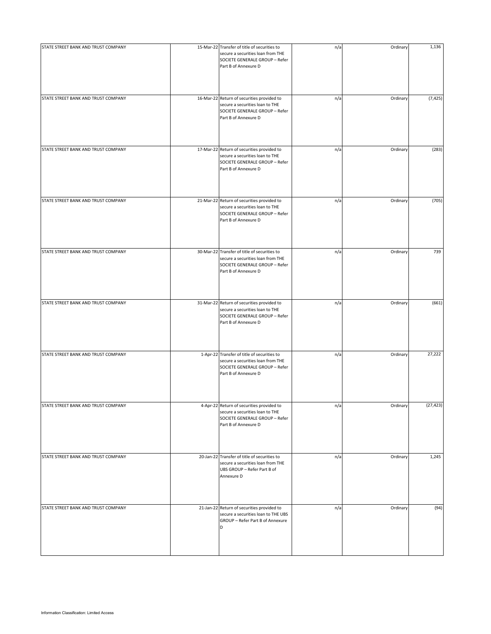| STATE STREET BANK AND TRUST COMPANY | 15-Mar-22 Transfer of title of securities to<br>secure a securities loan from THE<br>SOCIETE GENERALE GROUP - Refer<br>Part B of Annexure D | n/a | Ordinary | 1,136     |
|-------------------------------------|---------------------------------------------------------------------------------------------------------------------------------------------|-----|----------|-----------|
| STATE STREET BANK AND TRUST COMPANY | 16-Mar-22 Return of securities provided to<br>secure a securities loan to THE<br>SOCIETE GENERALE GROUP - Refer<br>Part B of Annexure D     | n/a | Ordinary | (7, 425)  |
| STATE STREET BANK AND TRUST COMPANY | 17-Mar-22 Return of securities provided to<br>secure a securities loan to THE<br>SOCIETE GENERALE GROUP - Refer<br>Part B of Annexure D     | n/a | Ordinary | (283)     |
| STATE STREET BANK AND TRUST COMPANY | 21-Mar-22 Return of securities provided to<br>secure a securities loan to THE<br>SOCIETE GENERALE GROUP - Refer<br>Part B of Annexure D     | n/a | Ordinary | (705)     |
| STATE STREET BANK AND TRUST COMPANY | 30-Mar-22 Transfer of title of securities to<br>secure a securities loan from THE<br>SOCIETE GENERALE GROUP - Refer<br>Part B of Annexure D | n/a | Ordinary | 739       |
| STATE STREET BANK AND TRUST COMPANY | 31-Mar-22 Return of securities provided to<br>secure a securities loan to THE<br>SOCIETE GENERALE GROUP - Refer<br>Part B of Annexure D     | n/a | Ordinary | (661)     |
| STATE STREET BANK AND TRUST COMPANY | 1-Apr-22 Transfer of title of securities to<br>secure a securities loan from THE<br>SOCIETE GENERALE GROUP - Refer<br>Part B of Annexure D  | n/a | Ordinary | 27,222    |
| STATE STREET BANK AND TRUST COMPANY | 4-Apr-22 Return of securities provided to<br>secure a securities loan to THE<br>SOCIETE GENERALE GROUP - Refer<br>Part B of Annexure D      | n/a | Ordinary | (27, 423) |
| STATE STREET BANK AND TRUST COMPANY | 20-Jan-22 Transfer of title of securities to<br>secure a securities loan from THE<br>UBS GROUP - Refer Part B of<br>Annexure D              | n/a | Ordinary | 1,245     |
| STATE STREET BANK AND TRUST COMPANY | 21-Jan-22 Return of securities provided to<br>secure a securities loan to THE UBS<br>GROUP - Refer Part B of Annexure<br>D                  | n/a | Ordinary | (94)      |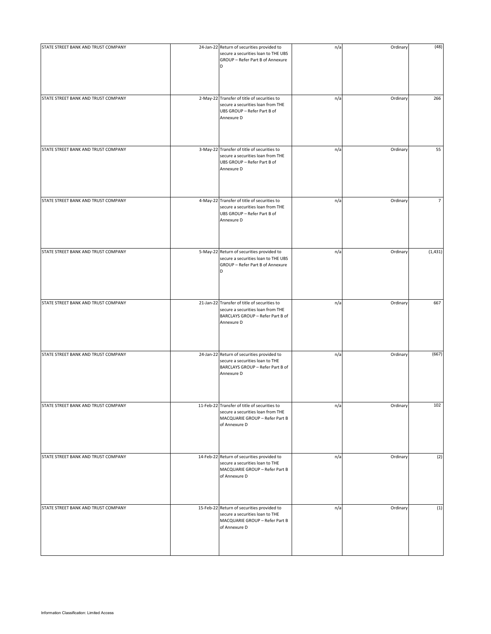| STATE STREET BANK AND TRUST COMPANY | 24-Jan-22 Return of securities provided to                                                                                           | n/a | Ordinary | (48)           |
|-------------------------------------|--------------------------------------------------------------------------------------------------------------------------------------|-----|----------|----------------|
|                                     | secure a securities loan to THE UBS<br>GROUP - Refer Part B of Annexure<br>D                                                         |     |          |                |
| STATE STREET BANK AND TRUST COMPANY | 2-May-22 Transfer of title of securities to<br>secure a securities loan from THE<br>UBS GROUP - Refer Part B of<br>Annexure D        | n/a | Ordinary | 266            |
| STATE STREET BANK AND TRUST COMPANY | 3-May-22 Transfer of title of securities to<br>secure a securities loan from THE<br>UBS GROUP - Refer Part B of<br>Annexure D        | n/a | Ordinary | 55             |
| STATE STREET BANK AND TRUST COMPANY | 4-May-22 Transfer of title of securities to<br>secure a securities loan from THE<br>UBS GROUP - Refer Part B of<br>Annexure D        | n/a | Ordinary | $\overline{7}$ |
| STATE STREET BANK AND TRUST COMPANY | 5-May-22 Return of securities provided to<br>secure a securities loan to THE UBS<br>GROUP - Refer Part B of Annexure<br>D            | n/a | Ordinary | (1, 431)       |
| STATE STREET BANK AND TRUST COMPANY | 21-Jan-22 Transfer of title of securities to<br>secure a securities loan from THE<br>BARCLAYS GROUP - Refer Part B of<br>Annexure D  | n/a | Ordinary | 667            |
| STATE STREET BANK AND TRUST COMPANY | 24-Jan-22 Return of securities provided to<br>secure a securities loan to THE<br>BARCLAYS GROUP - Refer Part B of<br>Annexure D      | n/a | Ordinary | (667)          |
| STATE STREET BANK AND TRUST COMPANY | 11-Feb-22 Transfer of title of securities to<br>secure a securities loan from THE<br>MACQUARIE GROUP - Refer Part B<br>of Annexure D | n/a | Ordinary | 102            |
| STATE STREET BANK AND TRUST COMPANY | 14-Feb-22 Return of securities provided to<br>secure a securities loan to THE<br>MACQUARIE GROUP - Refer Part B<br>of Annexure D     | n/a | Ordinary | (2)            |
| STATE STREET BANK AND TRUST COMPANY | 15-Feb-22 Return of securities provided to<br>secure a securities loan to THE<br>MACQUARIE GROUP - Refer Part B<br>of Annexure D     | n/a | Ordinary | (1)            |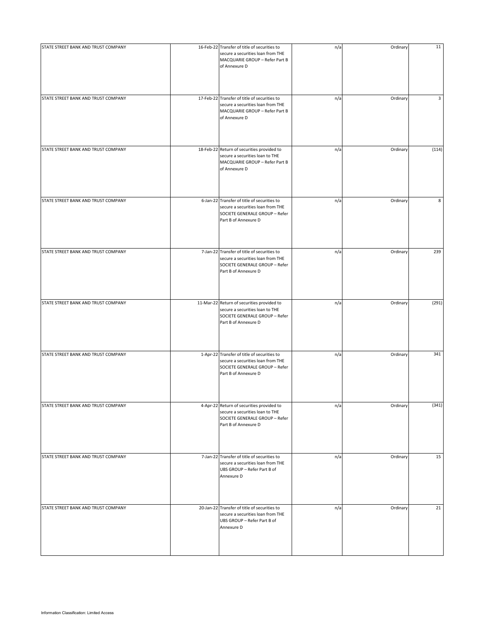| STATE STREET BANK AND TRUST COMPANY | 16-Feb-22 Transfer of title of securities to<br>secure a securities loan from THE<br>MACQUARIE GROUP - Refer Part B<br>of Annexure D       | n/a | Ordinary | 11    |
|-------------------------------------|--------------------------------------------------------------------------------------------------------------------------------------------|-----|----------|-------|
| STATE STREET BANK AND TRUST COMPANY | 17-Feb-22 Transfer of title of securities to<br>secure a securities loan from THE<br>MACQUARIE GROUP - Refer Part B<br>of Annexure D       | n/a | Ordinary | 3     |
| STATE STREET BANK AND TRUST COMPANY | 18-Feb-22 Return of securities provided to<br>secure a securities loan to THE<br>MACQUARIE GROUP - Refer Part B<br>of Annexure D           | n/a | Ordinary | (114) |
| STATE STREET BANK AND TRUST COMPANY | 6-Jan-22 Transfer of title of securities to<br>secure a securities loan from THE<br>SOCIETE GENERALE GROUP - Refer<br>Part B of Annexure D | n/a | Ordinary | 8     |
| STATE STREET BANK AND TRUST COMPANY | 7-Jan-22 Transfer of title of securities to<br>secure a securities loan from THE<br>SOCIETE GENERALE GROUP - Refer<br>Part B of Annexure D | n/a | Ordinary | 239   |
| STATE STREET BANK AND TRUST COMPANY | 11-Mar-22 Return of securities provided to<br>secure a securities loan to THE<br>SOCIETE GENERALE GROUP - Refer<br>Part B of Annexure D    | n/a | Ordinary | (291) |
| STATE STREET BANK AND TRUST COMPANY | 1-Apr-22 Transfer of title of securities to<br>secure a securities loan from THE<br>SOCIETE GENERALE GROUP - Refer<br>Part B of Annexure D | n/a | Ordinary | 341   |
| STATE STREET BANK AND TRUST COMPANY | 4-Apr-22 Return of securities provided to<br>secure a securities loan to THE<br>SOCIETE GENERALE GROUP - Refer<br>Part B of Annexure D     | n/a | Ordinary | (341) |
| STATE STREET BANK AND TRUST COMPANY | 7-Jan-22 Transfer of title of securities to<br>secure a securities loan from THE<br>UBS GROUP - Refer Part B of<br>Annexure D              | n/a | Ordinary | 15    |
| STATE STREET BANK AND TRUST COMPANY | 20-Jan-22 Transfer of title of securities to<br>secure a securities loan from THE<br>UBS GROUP - Refer Part B of<br>Annexure D             | n/a | Ordinary | 21    |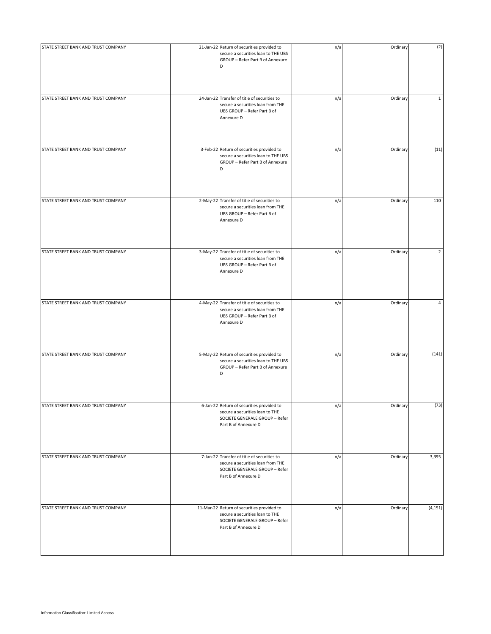| STATE STREET BANK AND TRUST COMPANY | 21-Jan-22 Return of securities provided to<br>secure a securities loan to THE UBS<br>GROUP - Refer Part B of Annexure                      | n/a | Ordinary | (2)            |
|-------------------------------------|--------------------------------------------------------------------------------------------------------------------------------------------|-----|----------|----------------|
|                                     | D                                                                                                                                          |     |          |                |
| STATE STREET BANK AND TRUST COMPANY | 24-Jan-22 Transfer of title of securities to<br>secure a securities loan from THE<br>UBS GROUP - Refer Part B of<br>Annexure D             | n/a | Ordinary | $\mathbf{1}$   |
| STATE STREET BANK AND TRUST COMPANY | 3-Feb-22 Return of securities provided to<br>secure a securities loan to THE UBS<br>GROUP - Refer Part B of Annexure<br>D                  | n/a | Ordinary | (11)           |
| STATE STREET BANK AND TRUST COMPANY | 2-May-22 Transfer of title of securities to<br>secure a securities loan from THE<br>UBS GROUP - Refer Part B of<br>Annexure D              | n/a | Ordinary | 110            |
| STATE STREET BANK AND TRUST COMPANY | 3-May-22 Transfer of title of securities to<br>secure a securities loan from THE<br>UBS GROUP - Refer Part B of<br>Annexure D              | n/a | Ordinary | $\overline{2}$ |
| STATE STREET BANK AND TRUST COMPANY | 4-May-22 Transfer of title of securities to<br>secure a securities loan from THE<br>UBS GROUP - Refer Part B of<br>Annexure D              | n/a | Ordinary | 4              |
| STATE STREET BANK AND TRUST COMPANY | 5-May-22 Return of securities provided to<br>secure a securities loan to THE UBS<br>GROUP - Refer Part B of Annexure<br>D                  | n/a | Ordinary | (141)          |
| STATE STREET BANK AND TRUST COMPANY | 6-Jan-22 Return of securities provided to<br>secure a securities loan to THE<br>SOCIETE GENERALE GROUP - Refer<br>Part B of Annexure D     | n/a | Ordinary | (73)           |
| STATE STREET BANK AND TRUST COMPANY | 7-Jan-22 Transfer of title of securities to<br>secure a securities loan from THE<br>SOCIETE GENERALE GROUP - Refer<br>Part B of Annexure D | n/a | Ordinary | 3,395          |
| STATE STREET BANK AND TRUST COMPANY | 11-Mar-22 Return of securities provided to<br>secure a securities loan to THE<br>SOCIETE GENERALE GROUP - Refer<br>Part B of Annexure D    | n/a | Ordinary | (4, 151)       |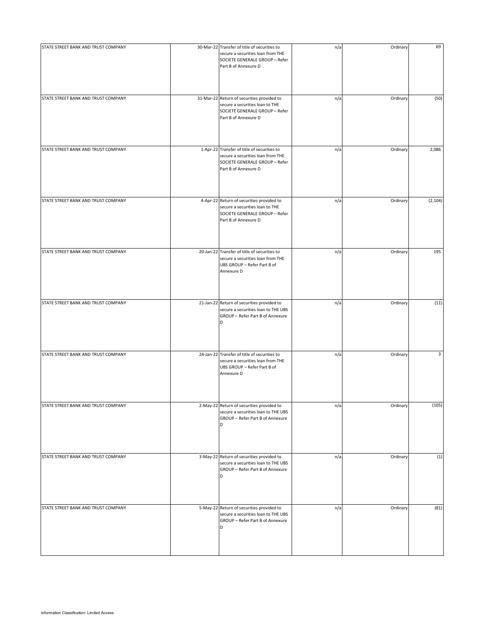| STATE STREET BANK AND TRUST COMPANY | 30-Mar-22 Transfer of title of securities to<br>secure a securities loan from THE<br>SOCIETE GENERALE GROUP - Refer<br>Part B of Annexure D | n/a | Ordinary | 69       |
|-------------------------------------|---------------------------------------------------------------------------------------------------------------------------------------------|-----|----------|----------|
| STATE STREET BANK AND TRUST COMPANY | 31-Mar-22 Return of securities provided to<br>secure a securities loan to THE<br>SOCIETE GENERALE GROUP - Refer<br>Part B of Annexure D     | n/a | Ordinary | (50)     |
| STATE STREET BANK AND TRUST COMPANY | 1-Apr-22 Transfer of title of securities to<br>secure a securities loan from THE<br>SOCIETE GENERALE GROUP - Refer<br>Part B of Annexure D  | n/a | Ordinary | 2,086    |
| STATE STREET BANK AND TRUST COMPANY | 4-Apr-22 Return of securities provided to<br>secure a securities loan to THE<br>SOCIETE GENERALE GROUP - Refer<br>Part B of Annexure D      | n/a | Ordinary | (2, 104) |
| STATE STREET BANK AND TRUST COMPANY | 20-Jan-22 Transfer of title of securities to<br>secure a securities loan from THE<br>UBS GROUP - Refer Part B of<br>Annexure D              | n/a | Ordinary | 195      |
| STATE STREET BANK AND TRUST COMPANY | 21-Jan-22 Return of securities provided to<br>secure a securities loan to THE UBS<br>GROUP - Refer Part B of Annexure<br>D                  | n/a | Ordinary | (11)     |
| STATE STREET BANK AND TRUST COMPANY | 24-Jan-22 Transfer of title of securities to<br>secure a securities loan from THE<br>UBS GROUP - Refer Part B of<br>Annexure D              | n/a | Ordinary | 3        |
| STATE STREET BANK AND TRUST COMPANY | 2-May-22 Return of securities provided to<br>secure a securities loan to THE UBS<br>GROUP - Refer Part B of Annexure<br>D                   | n/a | Ordinary | (105)    |
| STATE STREET BANK AND TRUST COMPANY | 3-May-22 Return of securities provided to<br>secure a securities loan to THE UBS<br>GROUP - Refer Part B of Annexure<br>D                   | n/a | Ordinary | (1)      |
| STATE STREET BANK AND TRUST COMPANY | 5-May-22 Return of securities provided to<br>secure a securities loan to THE UBS<br>GROUP - Refer Part B of Annexure<br>D                   | n/a | Ordinary | (81)     |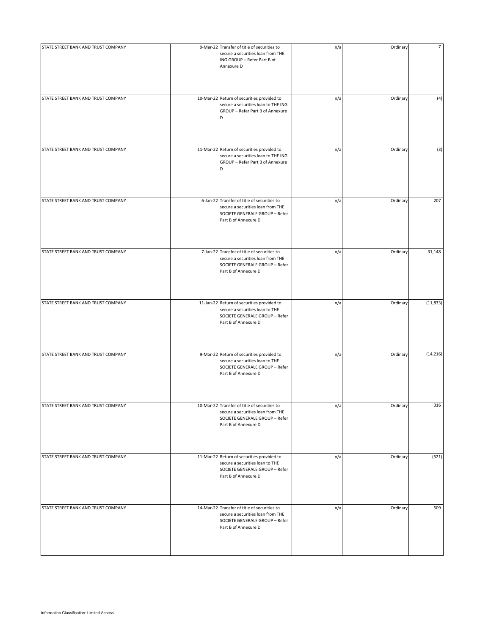| STATE STREET BANK AND TRUST COMPANY | 9-Mar-22 Transfer of title of securities to<br>secure a securities loan from THE<br>ING GROUP - Refer Part B of<br>Annexure D               | n/a | Ordinary | $\overline{7}$ |
|-------------------------------------|---------------------------------------------------------------------------------------------------------------------------------------------|-----|----------|----------------|
| STATE STREET BANK AND TRUST COMPANY | 10-Mar-22 Return of securities provided to<br>secure a securities loan to THE ING<br>GROUP - Refer Part B of Annexure<br>D                  | n/a | Ordinary | (4)            |
| STATE STREET BANK AND TRUST COMPANY | 11-Mar-22 Return of securities provided to<br>secure a securities loan to THE ING<br>GROUP - Refer Part B of Annexure<br>D                  | n/a | Ordinary | (3)            |
| STATE STREET BANK AND TRUST COMPANY | 6-Jan-22 Transfer of title of securities to<br>secure a securities loan from THE<br>SOCIETE GENERALE GROUP - Refer<br>Part B of Annexure D  | n/a | Ordinary | 207            |
| STATE STREET BANK AND TRUST COMPANY | 7-Jan-22 Transfer of title of securities to<br>secure a securities loan from THE<br>SOCIETE GENERALE GROUP - Refer<br>Part B of Annexure D  | n/a | Ordinary | 31,148         |
| STATE STREET BANK AND TRUST COMPANY | 11-Jan-22 Return of securities provided to<br>secure a securities loan to THE<br>SOCIETE GENERALE GROUP - Refer<br>Part B of Annexure D     | n/a | Ordinary | (11, 833)      |
| STATE STREET BANK AND TRUST COMPANY | 9-Mar-22 Return of securities provided to<br>secure a securities loan to THE<br>SOCIETE GENERALE GROUP - Refer<br>Part B of Annexure D      | n/a | Ordinary | (14, 216)      |
| STATE STREET BANK AND TRUST COMPANY | 10-Mar-22 Transfer of title of securities to<br>secure a securities loan from THE<br>SOCIETE GENERALE GROUP - Refer<br>Part B of Annexure D | n/a | Ordinary | 316            |
| STATE STREET BANK AND TRUST COMPANY | 11-Mar-22 Return of securities provided to<br>secure a securities loan to THE<br>SOCIETE GENERALE GROUP - Refer<br>Part B of Annexure D     | n/a | Ordinary | (521)          |
| STATE STREET BANK AND TRUST COMPANY | 14-Mar-22 Transfer of title of securities to<br>secure a securities loan from THE<br>SOCIETE GENERALE GROUP - Refer<br>Part B of Annexure D | n/a | Ordinary | 509            |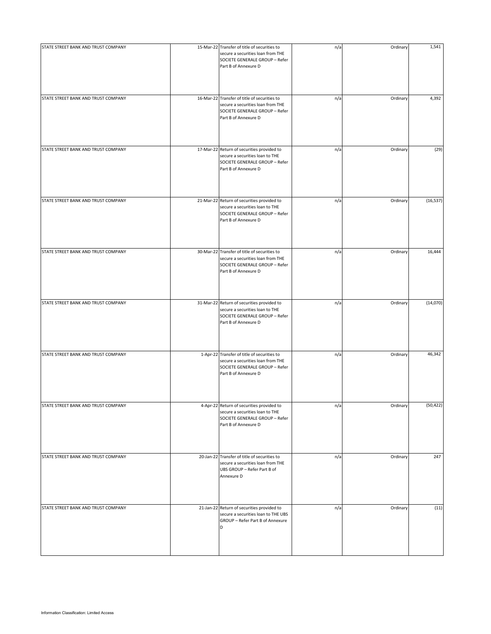| STATE STREET BANK AND TRUST COMPANY | 15-Mar-22 Transfer of title of securities to<br>secure a securities loan from THE<br>SOCIETE GENERALE GROUP - Refer<br>Part B of Annexure D | n/a | Ordinary | 1,541     |
|-------------------------------------|---------------------------------------------------------------------------------------------------------------------------------------------|-----|----------|-----------|
| STATE STREET BANK AND TRUST COMPANY | 16-Mar-22 Transfer of title of securities to<br>secure a securities loan from THE<br>SOCIETE GENERALE GROUP - Refer<br>Part B of Annexure D | n/a | Ordinary | 4,392     |
| STATE STREET BANK AND TRUST COMPANY | 17-Mar-22 Return of securities provided to<br>secure a securities loan to THE<br>SOCIETE GENERALE GROUP - Refer<br>Part B of Annexure D     | n/a | Ordinary | (29)      |
| STATE STREET BANK AND TRUST COMPANY | 21-Mar-22 Return of securities provided to<br>secure a securities loan to THE<br>SOCIETE GENERALE GROUP - Refer<br>Part B of Annexure D     | n/a | Ordinary | (16, 537) |
| STATE STREET BANK AND TRUST COMPANY | 30-Mar-22 Transfer of title of securities to<br>secure a securities loan from THE<br>SOCIETE GENERALE GROUP - Refer<br>Part B of Annexure D | n/a | Ordinary | 16,444    |
| STATE STREET BANK AND TRUST COMPANY | 31-Mar-22 Return of securities provided to<br>secure a securities loan to THE<br>SOCIETE GENERALE GROUP - Refer<br>Part B of Annexure D     | n/a | Ordinary | (14,070)  |
| STATE STREET BANK AND TRUST COMPANY | 1-Apr-22 Transfer of title of securities to<br>secure a securities loan from THE<br>SOCIETE GENERALE GROUP - Refer<br>Part B of Annexure D  | n/a | Ordinary | 46,342    |
| STATE STREET BANK AND TRUST COMPANY | 4-Apr-22 Return of securities provided to<br>secure a securities loan to THE<br>SOCIETE GENERALE GROUP - Refer<br>Part B of Annexure D      | n/a | Ordinary | (50, 422) |
| STATE STREET BANK AND TRUST COMPANY | 20-Jan-22 Transfer of title of securities to<br>secure a securities loan from THE<br>UBS GROUP - Refer Part B of<br>Annexure D              | n/a | Ordinary | 247       |
| STATE STREET BANK AND TRUST COMPANY | 21-Jan-22 Return of securities provided to<br>secure a securities loan to THE UBS<br>GROUP - Refer Part B of Annexure<br>D                  | n/a | Ordinary | (11)      |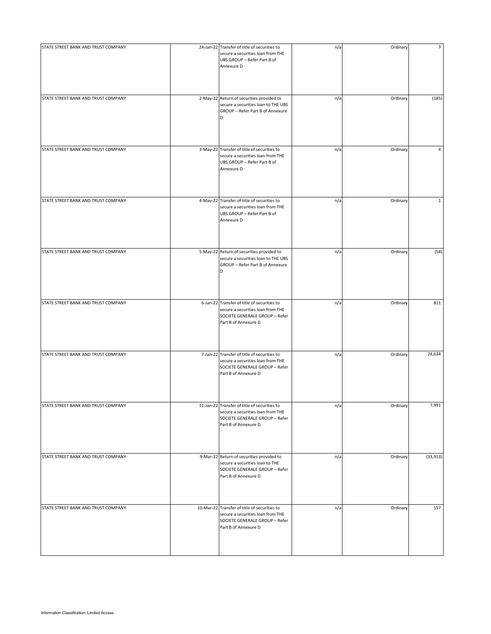| STATE STREET BANK AND TRUST COMPANY | 24-Jan-22 Transfer of title of securities to<br>secure a securities loan from THE<br>UBS GROUP - Refer Part B of<br>Annexure D              | n/a | Ordinary | 3            |
|-------------------------------------|---------------------------------------------------------------------------------------------------------------------------------------------|-----|----------|--------------|
| STATE STREET BANK AND TRUST COMPANY | 2-May-22 Return of securities provided to<br>secure a securities loan to THE UBS<br>GROUP - Refer Part B of Annexure<br>D                   | n/a | Ordinary | (185)        |
| STATE STREET BANK AND TRUST COMPANY | 3-May-22 Transfer of title of securities to<br>secure a securities loan from THE<br>UBS GROUP - Refer Part B of<br>Annexure D               | n/a | Ordinary | 4            |
| STATE STREET BANK AND TRUST COMPANY | 4-May-22 Transfer of title of securities to<br>secure a securities loan from THE<br>UBS GROUP - Refer Part B of<br>Annexure D               | n/a | Ordinary | $\mathbf{1}$ |
| STATE STREET BANK AND TRUST COMPANY | 5-May-22 Return of securities provided to<br>secure a securities loan to THE UBS<br>GROUP - Refer Part B of Annexure<br>D                   | n/a | Ordinary | (58)         |
| STATE STREET BANK AND TRUST COMPANY | 6-Jan-22 Transfer of title of securities to<br>secure a securities loan from THE<br>SOCIETE GENERALE GROUP - Refer<br>Part B of Annexure D  | n/a | Ordinary | 811          |
| STATE STREET BANK AND TRUST COMPANY | 7-Jan-22 Transfer of title of securities to<br>secure a securities loan from THE<br>SOCIETE GENERALE GROUP - Refer<br>Part B of Annexure D  | n/a | Ordinary | 24,634       |
| STATE STREET BANK AND TRUST COMPANY | 11-Jan-22 Transfer of title of securities to<br>secure a securities loan from THE<br>SOCIETE GENERALE GROUP - Refer<br>Part B of Annexure D | n/a | Ordinary | 7,991        |
| STATE STREET BANK AND TRUST COMPANY | 9-Mar-22 Return of securities provided to<br>secure a securities loan to THE<br>SOCIETE GENERALE GROUP - Refer<br>Part B of Annexure D      | n/a | Ordinary | (33, 913)    |
| STATE STREET BANK AND TRUST COMPANY | 10-Mar-22 Transfer of title of securities to<br>secure a securities loan from THE<br>SOCIETE GENERALE GROUP - Refer<br>Part B of Annexure D | n/a | Ordinary | 157          |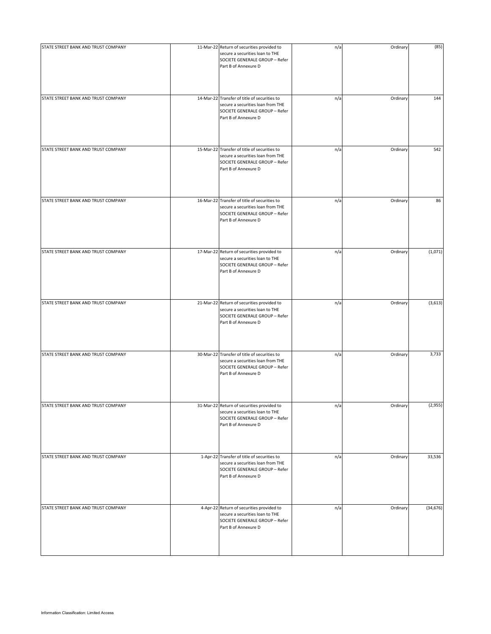| STATE STREET BANK AND TRUST COMPANY | 11-Mar-22 Return of securities provided to<br>secure a securities loan to THE<br>SOCIETE GENERALE GROUP - Refer<br>Part B of Annexure D     | n/a | Ordinary | (85)      |
|-------------------------------------|---------------------------------------------------------------------------------------------------------------------------------------------|-----|----------|-----------|
| STATE STREET BANK AND TRUST COMPANY | 14-Mar-22 Transfer of title of securities to<br>secure a securities loan from THE<br>SOCIETE GENERALE GROUP - Refer<br>Part B of Annexure D | n/a | Ordinary | 144       |
| STATE STREET BANK AND TRUST COMPANY | 15-Mar-22 Transfer of title of securities to<br>secure a securities loan from THE<br>SOCIETE GENERALE GROUP - Refer<br>Part B of Annexure D | n/a | Ordinary | 542       |
| STATE STREET BANK AND TRUST COMPANY | 16-Mar-22 Transfer of title of securities to<br>secure a securities loan from THE<br>SOCIETE GENERALE GROUP - Refer<br>Part B of Annexure D | n/a | Ordinary | 86        |
| STATE STREET BANK AND TRUST COMPANY | 17-Mar-22 Return of securities provided to<br>secure a securities loan to THE<br>SOCIETE GENERALE GROUP - Refer<br>Part B of Annexure D     | n/a | Ordinary | (1,071)   |
| STATE STREET BANK AND TRUST COMPANY | 21-Mar-22 Return of securities provided to<br>secure a securities loan to THE<br>SOCIETE GENERALE GROUP - Refer<br>Part B of Annexure D     | n/a | Ordinary | (3,613)   |
| STATE STREET BANK AND TRUST COMPANY | 30-Mar-22 Transfer of title of securities to<br>secure a securities loan from THE<br>SOCIETE GENERALE GROUP - Refer<br>Part B of Annexure D | n/a | Ordinary | 3,733     |
| STATE STREET BANK AND TRUST COMPANY | 31-Mar-22 Return of securities provided to<br>secure a securities loan to THE<br>SOCIETE GENERALE GROUP - Refer<br>Part B of Annexure D     | n/a | Ordinary | (2,955)   |
| STATE STREET BANK AND TRUST COMPANY | 1-Apr-22 Transfer of title of securities to<br>secure a securities loan from THE<br>SOCIETE GENERALE GROUP - Refer<br>Part B of Annexure D  | n/a | Ordinary | 33,536    |
| STATE STREET BANK AND TRUST COMPANY | 4-Apr-22 Return of securities provided to<br>secure a securities loan to THE<br>SOCIETE GENERALE GROUP - Refer<br>Part B of Annexure D      | n/a | Ordinary | (34, 676) |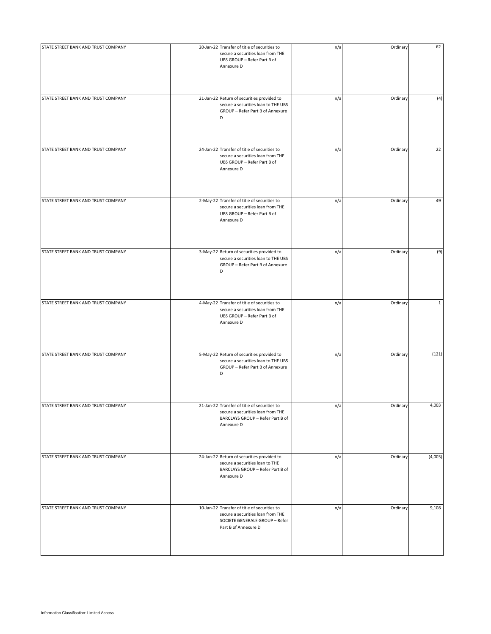| STATE STREET BANK AND TRUST COMPANY | 20-Jan-22 Transfer of title of securities to<br>secure a securities loan from THE<br>UBS GROUP - Refer Part B of<br>Annexure D              | n/a | Ordinary | 62           |
|-------------------------------------|---------------------------------------------------------------------------------------------------------------------------------------------|-----|----------|--------------|
| STATE STREET BANK AND TRUST COMPANY | 21-Jan-22 Return of securities provided to<br>secure a securities loan to THE UBS<br>GROUP - Refer Part B of Annexure<br>D                  | n/a | Ordinary | (4)          |
| STATE STREET BANK AND TRUST COMPANY | 24-Jan-22 Transfer of title of securities to<br>secure a securities loan from THE<br>UBS GROUP - Refer Part B of<br>Annexure D              | n/a | Ordinary | 22           |
| STATE STREET BANK AND TRUST COMPANY | 2-May-22 Transfer of title of securities to<br>secure a securities loan from THE<br>UBS GROUP - Refer Part B of<br>Annexure D               | n/a | Ordinary | 49           |
| STATE STREET BANK AND TRUST COMPANY | 3-May-22 Return of securities provided to<br>secure a securities loan to THE UBS<br>GROUP - Refer Part B of Annexure<br>D                   | n/a | Ordinary | (9)          |
| STATE STREET BANK AND TRUST COMPANY | 4-May-22 Transfer of title of securities to<br>secure a securities loan from THE<br>UBS GROUP - Refer Part B of<br>Annexure D               | n/a | Ordinary | $\mathbf{1}$ |
| STATE STREET BANK AND TRUST COMPANY | 5-May-22 Return of securities provided to<br>secure a securities loan to THE UBS<br>GROUP - Refer Part B of Annexure<br>D                   | n/a | Ordinary | (121)        |
| STATE STREET BANK AND TRUST COMPANY | 21-Jan-22 Transfer of title of securities to<br>secure a securities loan from THE<br>BARCLAYS GROUP - Refer Part B of<br>Annexure D         | n/a | Ordinary | 4,003        |
| STATE STREET BANK AND TRUST COMPANY | 24-Jan-22 Return of securities provided to<br>secure a securities loan to THE<br>BARCLAYS GROUP - Refer Part B of<br>Annexure D             | n/a | Ordinary | (4,003)      |
| STATE STREET BANK AND TRUST COMPANY | 10-Jan-22 Transfer of title of securities to<br>secure a securities loan from THE<br>SOCIETE GENERALE GROUP - Refer<br>Part B of Annexure D | n/a | Ordinary | 9,108        |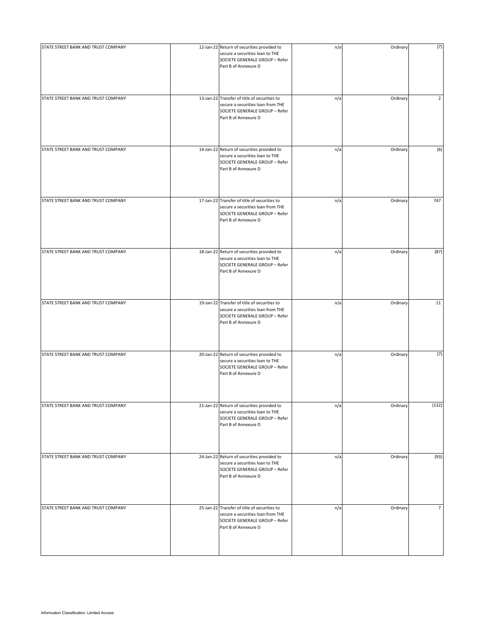| STATE STREET BANK AND TRUST COMPANY | 12-Jan-22 Return of securities provided to<br>secure a securities loan to THE<br>SOCIETE GENERALE GROUP - Refer<br>Part B of Annexure D     | n/a | Ordinary | (7)            |
|-------------------------------------|---------------------------------------------------------------------------------------------------------------------------------------------|-----|----------|----------------|
| STATE STREET BANK AND TRUST COMPANY | 13-Jan-22 Transfer of title of securities to<br>secure a securities loan from THE<br>SOCIETE GENERALE GROUP - Refer<br>Part B of Annexure D | n/a | Ordinary | $\overline{2}$ |
| STATE STREET BANK AND TRUST COMPANY | 14-Jan-22 Return of securities provided to<br>secure a securities loan to THE<br>SOCIETE GENERALE GROUP - Refer<br>Part B of Annexure D     | n/a | Ordinary | (6)            |
| STATE STREET BANK AND TRUST COMPANY | 17-Jan-22 Transfer of title of securities to<br>secure a securities loan from THE<br>SOCIETE GENERALE GROUP - Refer<br>Part B of Annexure D | n/a | Ordinary | 747            |
| STATE STREET BANK AND TRUST COMPANY | 18-Jan-22 Return of securities provided to<br>secure a securities loan to THE<br>SOCIETE GENERALE GROUP - Refer<br>Part B of Annexure D     | n/a | Ordinary | (87)           |
| STATE STREET BANK AND TRUST COMPANY | 19-Jan-22 Transfer of title of securities to<br>secure a securities loan from THE<br>SOCIETE GENERALE GROUP - Refer<br>Part B of Annexure D | n/a | Ordinary | 11             |
| STATE STREET BANK AND TRUST COMPANY | 20-Jan-22 Return of securities provided to<br>secure a securities loan to THE<br>SOCIETE GENERALE GROUP - Refer<br>Part B of Annexure D     | n/a | Ordinary | (7)            |
| STATE STREET BANK AND TRUST COMPANY | 21-Jan-22 Return of securities provided to<br>secure a securities loan to THE<br>SOCIETE GENERALE GROUP - Refer<br>Part B of Annexure D     | n/a | Ordinary | (132)          |
| STATE STREET BANK AND TRUST COMPANY | 24-Jan-22 Return of securities provided to<br>secure a securities loan to THE<br>SOCIETE GENERALE GROUP - Refer<br>Part B of Annexure D     | n/a | Ordinary | (93)           |
| STATE STREET BANK AND TRUST COMPANY | 25-Jan-22 Transfer of title of securities to<br>secure a securities loan from THE<br>SOCIETE GENERALE GROUP - Refer<br>Part B of Annexure D | n/a | Ordinary | $\overline{7}$ |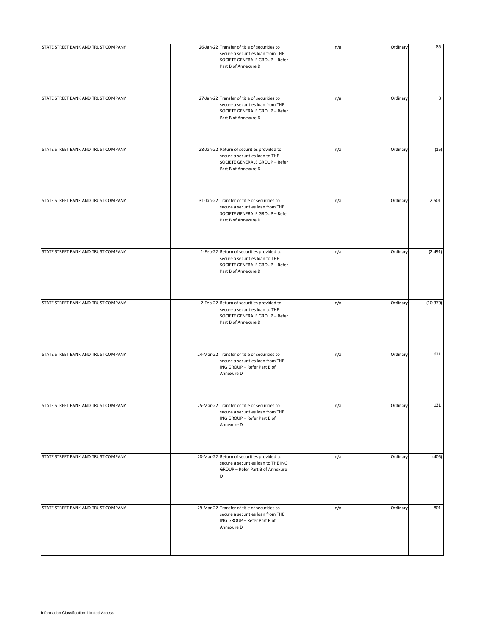| STATE STREET BANK AND TRUST COMPANY | 26-Jan-22 Transfer of title of securities to<br>secure a securities loan from THE<br>SOCIETE GENERALE GROUP - Refer<br>Part B of Annexure D | n/a | Ordinary | 85        |
|-------------------------------------|---------------------------------------------------------------------------------------------------------------------------------------------|-----|----------|-----------|
| STATE STREET BANK AND TRUST COMPANY | 27-Jan-22 Transfer of title of securities to<br>secure a securities loan from THE<br>SOCIETE GENERALE GROUP - Refer<br>Part B of Annexure D | n/a | Ordinary | 8         |
| STATE STREET BANK AND TRUST COMPANY | 28-Jan-22 Return of securities provided to<br>secure a securities loan to THE<br>SOCIETE GENERALE GROUP - Refer<br>Part B of Annexure D     | n/a | Ordinary | (15)      |
| STATE STREET BANK AND TRUST COMPANY | 31-Jan-22 Transfer of title of securities to<br>secure a securities loan from THE<br>SOCIETE GENERALE GROUP - Refer<br>Part B of Annexure D | n/a | Ordinary | 2,501     |
| STATE STREET BANK AND TRUST COMPANY | 1-Feb-22 Return of securities provided to<br>secure a securities loan to THE<br>SOCIETE GENERALE GROUP - Refer<br>Part B of Annexure D      | n/a | Ordinary | (2,491)   |
| STATE STREET BANK AND TRUST COMPANY | 2-Feb-22 Return of securities provided to<br>secure a securities loan to THE<br>SOCIETE GENERALE GROUP - Refer<br>Part B of Annexure D      | n/a | Ordinary | (10, 370) |
| STATE STREET BANK AND TRUST COMPANY | 24-Mar-22 Transfer of title of securities to<br>secure a securities loan from THE<br>ING GROUP - Refer Part B of<br>Annexure D              | n/a | Ordinary | 621       |
| STATE STREET BANK AND TRUST COMPANY | 25-Mar-22 Transfer of title of securities to<br>secure a securities loan from THE<br>ING GROUP - Refer Part B of<br>Annexure D              | n/a | Ordinary | 131       |
| STATE STREET BANK AND TRUST COMPANY | 28-Mar-22 Return of securities provided to<br>secure a securities loan to THE ING<br>GROUP - Refer Part B of Annexure<br>D                  | n/a | Ordinary | (405)     |
| STATE STREET BANK AND TRUST COMPANY | 29-Mar-22 Transfer of title of securities to<br>secure a securities loan from THE<br>ING GROUP - Refer Part B of<br>Annexure D              | n/a | Ordinary | 801       |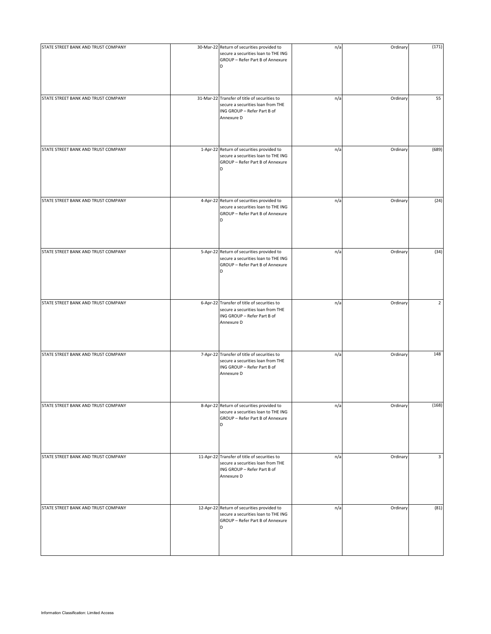| STATE STREET BANK AND TRUST COMPANY | 30-Mar-22 Return of securities provided to<br>secure a securities loan to THE ING<br>GROUP - Refer Part B of Annexure<br>D     | n/a | Ordinary | (171)          |
|-------------------------------------|--------------------------------------------------------------------------------------------------------------------------------|-----|----------|----------------|
| STATE STREET BANK AND TRUST COMPANY | 31-Mar-22 Transfer of title of securities to<br>secure a securities loan from THE<br>ING GROUP - Refer Part B of<br>Annexure D | n/a | Ordinary | 55             |
| STATE STREET BANK AND TRUST COMPANY | 1-Apr-22 Return of securities provided to<br>secure a securities loan to THE ING<br>GROUP - Refer Part B of Annexure<br>D      | n/a | Ordinary | (689)          |
| STATE STREET BANK AND TRUST COMPANY | 4-Apr-22 Return of securities provided to<br>secure a securities loan to THE ING<br>GROUP - Refer Part B of Annexure<br>D      | n/a | Ordinary | (24)           |
| STATE STREET BANK AND TRUST COMPANY | 5-Apr-22 Return of securities provided to<br>secure a securities loan to THE ING<br>GROUP - Refer Part B of Annexure<br>D      | n/a | Ordinary | (34)           |
| STATE STREET BANK AND TRUST COMPANY | 6-Apr-22 Transfer of title of securities to<br>secure a securities loan from THE<br>ING GROUP - Refer Part B of<br>Annexure D  | n/a | Ordinary | $\overline{2}$ |
| STATE STREET BANK AND TRUST COMPANY | 7-Apr-22 Transfer of title of securities to<br>secure a securities loan from THE<br>ING GROUP - Refer Part B of<br>Annexure D  | n/a | Ordinary | 148            |
| STATE STREET BANK AND TRUST COMPANY | 8-Apr-22 Return of securities provided to<br>secure a securities loan to THE ING<br>GROUP - Refer Part B of Annexure<br>D      | n/a | Ordinary | (168)          |
| STATE STREET BANK AND TRUST COMPANY | 11-Apr-22 Transfer of title of securities to<br>secure a securities loan from THE<br>ING GROUP - Refer Part B of<br>Annexure D | n/a | Ordinary | 3              |
| STATE STREET BANK AND TRUST COMPANY | 12-Apr-22 Return of securities provided to<br>secure a securities loan to THE ING<br>GROUP - Refer Part B of Annexure<br>D     | n/a | Ordinary | (81)           |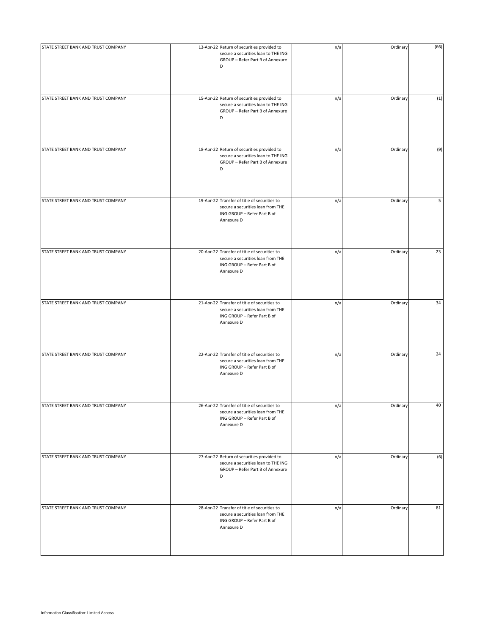| STATE STREET BANK AND TRUST COMPANY | 13-Apr-22 Return of securities provided to<br>secure a securities loan to THE ING<br>GROUP - Refer Part B of Annexure<br>D     | n/a | Ordinary | (66) |
|-------------------------------------|--------------------------------------------------------------------------------------------------------------------------------|-----|----------|------|
| STATE STREET BANK AND TRUST COMPANY | 15-Apr-22 Return of securities provided to<br>secure a securities loan to THE ING<br>GROUP - Refer Part B of Annexure<br>D     | n/a | Ordinary | (1)  |
| STATE STREET BANK AND TRUST COMPANY | 18-Apr-22 Return of securities provided to<br>secure a securities loan to THE ING<br>GROUP - Refer Part B of Annexure<br>D     | n/a | Ordinary | (9)  |
| STATE STREET BANK AND TRUST COMPANY | 19-Apr-22 Transfer of title of securities to<br>secure a securities loan from THE<br>ING GROUP - Refer Part B of<br>Annexure D | n/a | Ordinary | 5    |
| STATE STREET BANK AND TRUST COMPANY | 20-Apr-22 Transfer of title of securities to<br>secure a securities loan from THE<br>ING GROUP - Refer Part B of<br>Annexure D | n/a | Ordinary | 23   |
| STATE STREET BANK AND TRUST COMPANY | 21-Apr-22 Transfer of title of securities to<br>secure a securities loan from THE<br>ING GROUP - Refer Part B of<br>Annexure D | n/a | Ordinary | 34   |
| STATE STREET BANK AND TRUST COMPANY | 22-Apr-22 Transfer of title of securities to<br>secure a securities loan from THE<br>ING GROUP - Refer Part B of<br>Annexure D | n/a | Ordinary | 24   |
| STATE STREET BANK AND TRUST COMPANY | 26-Apr-22 Transfer of title of securities to<br>secure a securities loan from THE<br>ING GROUP - Refer Part B of<br>Annexure D | n/a | Ordinary | 40   |
| STATE STREET BANK AND TRUST COMPANY | 27-Apr-22 Return of securities provided to<br>secure a securities loan to THE ING<br>GROUP - Refer Part B of Annexure<br>D     | n/a | Ordinary | (6)  |
| STATE STREET BANK AND TRUST COMPANY | 28-Apr-22 Transfer of title of securities to<br>secure a securities loan from THE<br>ING GROUP - Refer Part B of<br>Annexure D | n/a | Ordinary | 81   |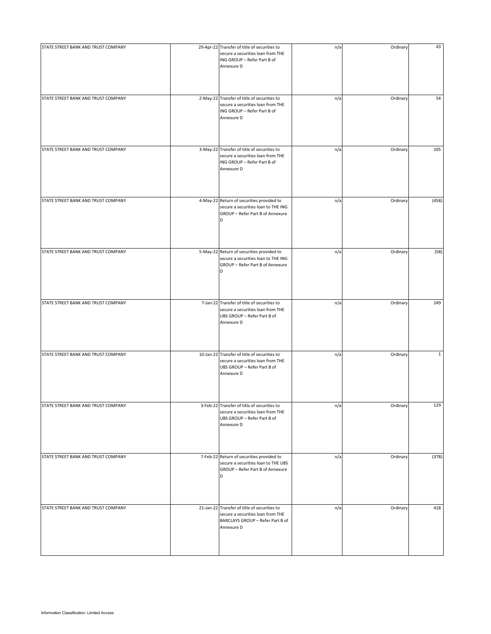| STATE STREET BANK AND TRUST COMPANY | 29-Apr-22 Transfer of title of securities to<br>secure a securities loan from THE<br>ING GROUP - Refer Part B of<br>Annexure D      | n/a | Ordinary | 43           |
|-------------------------------------|-------------------------------------------------------------------------------------------------------------------------------------|-----|----------|--------------|
| STATE STREET BANK AND TRUST COMPANY | 2-May-22 Transfer of title of securities to<br>secure a securities loan from THE<br>ING GROUP - Refer Part B of<br>Annexure D       | n/a | Ordinary | 54           |
| STATE STREET BANK AND TRUST COMPANY | 3-May-22 Transfer of title of securities to<br>secure a securities loan from THE<br>ING GROUP - Refer Part B of<br>Annexure D       | n/a | Ordinary | 105          |
| STATE STREET BANK AND TRUST COMPANY | 4-May-22 Return of securities provided to<br>secure a securities loan to THE ING<br>GROUP - Refer Part B of Annexure<br>D           | n/a | Ordinary | (458)        |
| STATE STREET BANK AND TRUST COMPANY | 5-May-22 Return of securities provided to<br>secure a securities loan to THE ING<br>GROUP - Refer Part B of Annexure<br>D           | n/a | Ordinary | (58)         |
| STATE STREET BANK AND TRUST COMPANY | 7-Jan-22 Transfer of title of securities to<br>secure a securities loan from THE<br>UBS GROUP - Refer Part B of<br>Annexure D       | n/a | Ordinary | 249          |
| STATE STREET BANK AND TRUST COMPANY | 10-Jan-22 Transfer of title of securities to<br>secure a securities loan from THE<br>UBS GROUP - Refer Part B of<br>Annexure D      | n/a | Ordinary | $\mathbf{1}$ |
| STATE STREET BANK AND TRUST COMPANY | 3-Feb-22 Transfer of title of securities to<br>secure a securities loan from THE<br>UBS GROUP - Refer Part B of<br>Annexure D       | n/a | Ordinary | 129          |
| STATE STREET BANK AND TRUST COMPANY | 7-Feb-22 Return of securities provided to<br>secure a securities loan to THE UBS<br>GROUP - Refer Part B of Annexure<br>D           | n/a | Ordinary | (378)        |
| STATE STREET BANK AND TRUST COMPANY | 21-Jan-22 Transfer of title of securities to<br>secure a securities loan from THE<br>BARCLAYS GROUP - Refer Part B of<br>Annexure D | n/a | Ordinary | 418          |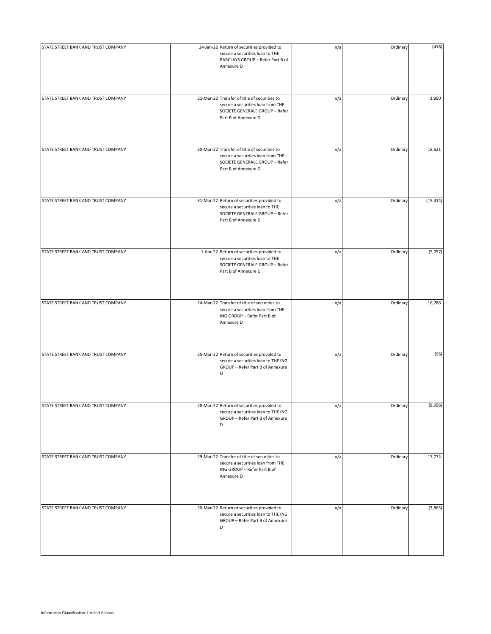| STATE STREET BANK AND TRUST COMPANY | 24-Jan-22 Return of securities provided to<br>secure a securities loan to THE<br>BARCLAYS GROUP - Refer Part B of<br>Annexure D             | n/a | Ordinary | (418)     |
|-------------------------------------|---------------------------------------------------------------------------------------------------------------------------------------------|-----|----------|-----------|
| STATE STREET BANK AND TRUST COMPANY | 21-Mar-22 Transfer of title of securities to<br>secure a securities loan from THE<br>SOCIETE GENERALE GROUP - Refer<br>Part B of Annexure D | n/a | Ordinary | 1,850     |
| STATE STREET BANK AND TRUST COMPANY | 30-Mar-22 Transfer of title of securities to<br>secure a securities loan from THE<br>SOCIETE GENERALE GROUP - Refer<br>Part B of Annexure D | n/a | Ordinary | 18,621    |
| STATE STREET BANK AND TRUST COMPANY | 31-Mar-22 Return of securities provided to<br>secure a securities loan to THE<br>SOCIETE GENERALE GROUP - Refer<br>Part B of Annexure D     | n/a | Ordinary | (15, 414) |
| STATE STREET BANK AND TRUST COMPANY | 1-Apr-22 Return of securities provided to<br>secure a securities loan to THE<br>SOCIETE GENERALE GROUP - Refer<br>Part B of Annexure D      | n/a | Ordinary | (5,057)   |
| STATE STREET BANK AND TRUST COMPANY | 24-Mar-22 Transfer of title of securities to<br>secure a securities loan from THE<br>ING GROUP - Refer Part B of<br>Annexure D              | n/a | Ordinary | 16,788    |
| STATE STREET BANK AND TRUST COMPANY | 25-Mar-22 Return of securities provided to<br>secure a securities loan to THE ING<br>GROUP - Refer Part B of Annexure<br>D                  | n/a | Ordinary | (96)      |
| STATE STREET BANK AND TRUST COMPANY | 28-Mar-22 Return of securities provided to<br>secure a securities loan to THE ING<br>GROUP - Refer Part B of Annexure<br>D                  | n/a | Ordinary | (8,956)   |
| STATE STREET BANK AND TRUST COMPANY | 29-Mar-22 Transfer of title of securities to<br>secure a securities loan from THE<br>ING GROUP - Refer Part B of<br>Annexure D              | n/a | Ordinary | 17,774    |
| STATE STREET BANK AND TRUST COMPANY | 30-Mar-22 Return of securities provided to<br>secure a securities loan to THE ING<br>GROUP - Refer Part B of Annexure<br>D                  | n/a | Ordinary | (3,865)   |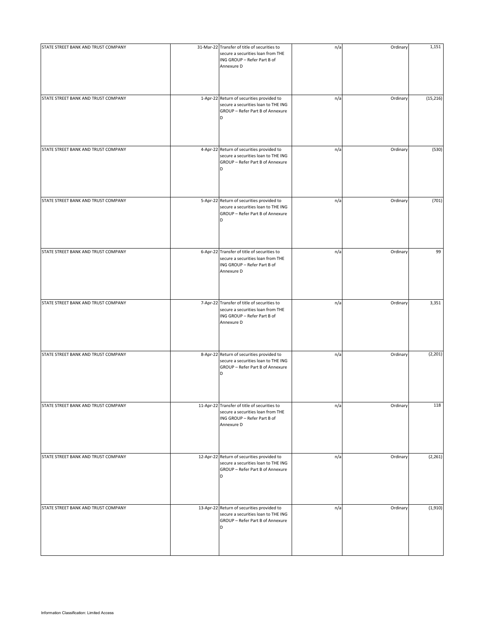| STATE STREET BANK AND TRUST COMPANY | 31-Mar-22 Transfer of title of securities to<br>secure a securities loan from THE<br>ING GROUP - Refer Part B of<br>Annexure D | n/a | Ordinary | 1,151     |
|-------------------------------------|--------------------------------------------------------------------------------------------------------------------------------|-----|----------|-----------|
| STATE STREET BANK AND TRUST COMPANY | 1-Apr-22 Return of securities provided to<br>secure a securities loan to THE ING<br>GROUP - Refer Part B of Annexure<br>D      | n/a | Ordinary | (15, 216) |
| STATE STREET BANK AND TRUST COMPANY | 4-Apr-22 Return of securities provided to<br>secure a securities loan to THE ING<br>GROUP - Refer Part B of Annexure<br>D      | n/a | Ordinary | (530)     |
| STATE STREET BANK AND TRUST COMPANY | 5-Apr-22 Return of securities provided to<br>secure a securities loan to THE ING<br>GROUP - Refer Part B of Annexure<br>D      | n/a | Ordinary | (701)     |
| STATE STREET BANK AND TRUST COMPANY | 6-Apr-22 Transfer of title of securities to<br>secure a securities loan from THE<br>ING GROUP - Refer Part B of<br>Annexure D  | n/a | Ordinary | 99        |
| STATE STREET BANK AND TRUST COMPANY | 7-Apr-22 Transfer of title of securities to<br>secure a securities loan from THE<br>ING GROUP - Refer Part B of<br>Annexure D  | n/a | Ordinary | 3,351     |
| STATE STREET BANK AND TRUST COMPANY | 8-Apr-22 Return of securities provided to<br>secure a securities loan to THE ING<br>GROUP - Refer Part B of Annexure<br>D      | n/a | Ordinary | (2, 201)  |
| STATE STREET BANK AND TRUST COMPANY | 11-Apr-22 Transfer of title of securities to<br>secure a securities loan from THE<br>ING GROUP - Refer Part B of<br>Annexure D | n/a | Ordinary | 118       |
| STATE STREET BANK AND TRUST COMPANY | 12-Apr-22 Return of securities provided to<br>secure a securities loan to THE ING<br>GROUP - Refer Part B of Annexure<br>D     | n/a | Ordinary | (2, 261)  |
| STATE STREET BANK AND TRUST COMPANY | 13-Apr-22 Return of securities provided to<br>secure a securities loan to THE ING<br>GROUP - Refer Part B of Annexure<br>D     | n/a | Ordinary | (1,910)   |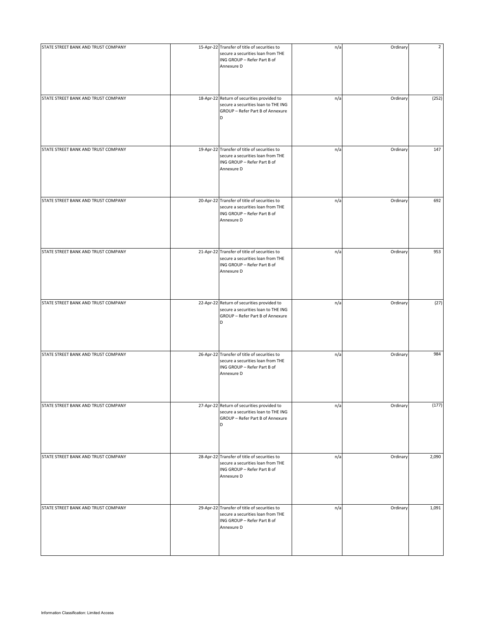| STATE STREET BANK AND TRUST COMPANY | 15-Apr-22 Transfer of title of securities to<br>secure a securities loan from THE<br>ING GROUP - Refer Part B of<br>Annexure D | n/a | Ordinary | $\overline{2}$ |
|-------------------------------------|--------------------------------------------------------------------------------------------------------------------------------|-----|----------|----------------|
| STATE STREET BANK AND TRUST COMPANY | 18-Apr-22 Return of securities provided to<br>secure a securities loan to THE ING<br>GROUP - Refer Part B of Annexure<br>D     | n/a | Ordinary | (252)          |
| STATE STREET BANK AND TRUST COMPANY | 19-Apr-22 Transfer of title of securities to<br>secure a securities loan from THE<br>ING GROUP - Refer Part B of<br>Annexure D | n/a | Ordinary | 147            |
| STATE STREET BANK AND TRUST COMPANY | 20-Apr-22 Transfer of title of securities to<br>secure a securities loan from THE<br>ING GROUP - Refer Part B of<br>Annexure D | n/a | Ordinary | 692            |
| STATE STREET BANK AND TRUST COMPANY | 21-Apr-22 Transfer of title of securities to<br>secure a securities loan from THE<br>ING GROUP - Refer Part B of<br>Annexure D | n/a | Ordinary | 953            |
| STATE STREET BANK AND TRUST COMPANY | 22-Apr-22 Return of securities provided to<br>secure a securities loan to THE ING<br>GROUP - Refer Part B of Annexure<br>D     | n/a | Ordinary | (27)           |
| STATE STREET BANK AND TRUST COMPANY | 26-Apr-22 Transfer of title of securities to<br>secure a securities loan from THE<br>ING GROUP - Refer Part B of<br>Annexure D | n/a | Ordinary | 984            |
| STATE STREET BANK AND TRUST COMPANY | 27-Apr-22 Return of securities provided to<br>secure a securities loan to THE ING<br>GROUP - Refer Part B of Annexure<br>D     | n/a | Ordinary | (177)          |
| STATE STREET BANK AND TRUST COMPANY | 28-Apr-22 Transfer of title of securities to<br>secure a securities loan from THE<br>ING GROUP - Refer Part B of<br>Annexure D | n/a | Ordinary | 2,090          |
| STATE STREET BANK AND TRUST COMPANY | 29-Apr-22 Transfer of title of securities to<br>secure a securities loan from THE<br>ING GROUP - Refer Part B of<br>Annexure D | n/a | Ordinary | 1,091          |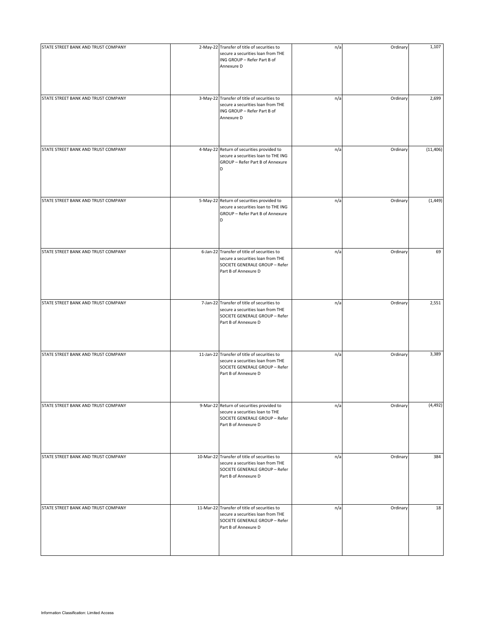| STATE STREET BANK AND TRUST COMPANY | 2-May-22 Transfer of title of securities to<br>secure a securities loan from THE<br>ING GROUP - Refer Part B of<br>Annexure D               | n/a | Ordinary | 1,107     |
|-------------------------------------|---------------------------------------------------------------------------------------------------------------------------------------------|-----|----------|-----------|
| STATE STREET BANK AND TRUST COMPANY | 3-May-22 Transfer of title of securities to<br>secure a securities loan from THE<br>ING GROUP - Refer Part B of<br>Annexure D               | n/a | Ordinary | 2,699     |
| STATE STREET BANK AND TRUST COMPANY | 4-May-22 Return of securities provided to<br>secure a securities loan to THE ING<br>GROUP - Refer Part B of Annexure<br>D                   | n/a | Ordinary | (11, 406) |
| STATE STREET BANK AND TRUST COMPANY | 5-May-22 Return of securities provided to<br>secure a securities loan to THE ING<br>GROUP - Refer Part B of Annexure<br>D                   | n/a | Ordinary | (1, 449)  |
| STATE STREET BANK AND TRUST COMPANY | 6-Jan-22 Transfer of title of securities to<br>secure a securities loan from THE<br>SOCIETE GENERALE GROUP - Refer<br>Part B of Annexure D  | n/a | Ordinary | 69        |
| STATE STREET BANK AND TRUST COMPANY | 7-Jan-22 Transfer of title of securities to<br>secure a securities loan from THE<br>SOCIETE GENERALE GROUP - Refer<br>Part B of Annexure D  | n/a | Ordinary | 2,551     |
| STATE STREET BANK AND TRUST COMPANY | 11-Jan-22 Transfer of title of securities to<br>secure a securities loan from THE<br>SOCIETE GENERALE GROUP - Refer<br>Part B of Annexure D | n/a | Ordinary | 3,389     |
| STATE STREET BANK AND TRUST COMPANY | 9-Mar-22 Return of securities provided to<br>secure a securities loan to THE<br>SOCIETE GENERALE GROUP - Refer<br>Part B of Annexure D      | n/a | Ordinary | (4, 492)  |
| STATE STREET BANK AND TRUST COMPANY | 10-Mar-22 Transfer of title of securities to<br>secure a securities loan from THE<br>SOCIETE GENERALE GROUP - Refer<br>Part B of Annexure D | n/a | Ordinary | 384       |
| STATE STREET BANK AND TRUST COMPANY | 11-Mar-22 Transfer of title of securities to<br>secure a securities loan from THE<br>SOCIETE GENERALE GROUP - Refer<br>Part B of Annexure D | n/a | Ordinary | 18        |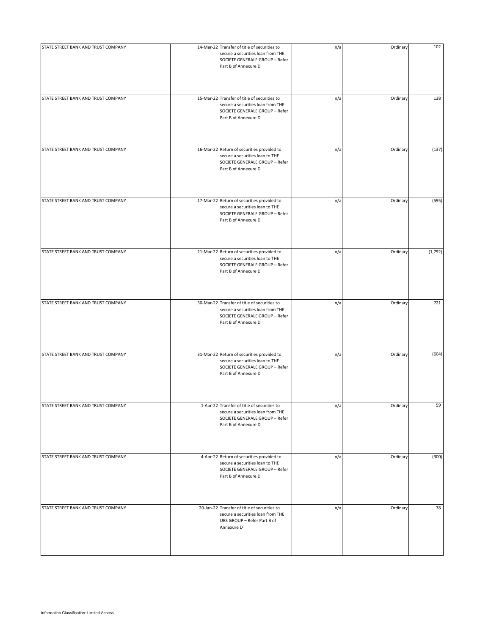| STATE STREET BANK AND TRUST COMPANY | 14-Mar-22 Transfer of title of securities to<br>secure a securities loan from THE<br>SOCIETE GENERALE GROUP - Refer<br>Part B of Annexure D | n/a | Ordinary | 102     |
|-------------------------------------|---------------------------------------------------------------------------------------------------------------------------------------------|-----|----------|---------|
| STATE STREET BANK AND TRUST COMPANY | 15-Mar-22 Transfer of title of securities to<br>secure a securities loan from THE<br>SOCIETE GENERALE GROUP - Refer<br>Part B of Annexure D | n/a | Ordinary | 138     |
| STATE STREET BANK AND TRUST COMPANY | 16-Mar-22 Return of securities provided to<br>secure a securities loan to THE<br>SOCIETE GENERALE GROUP - Refer<br>Part B of Annexure D     | n/a | Ordinary | (137)   |
| STATE STREET BANK AND TRUST COMPANY | 17-Mar-22 Return of securities provided to<br>secure a securities loan to THE<br>SOCIETE GENERALE GROUP - Refer<br>Part B of Annexure D     | n/a | Ordinary | (595)   |
| STATE STREET BANK AND TRUST COMPANY | 21-Mar-22 Return of securities provided to<br>secure a securities loan to THE<br>SOCIETE GENERALE GROUP - Refer<br>Part B of Annexure D     | n/a | Ordinary | (1,792) |
| STATE STREET BANK AND TRUST COMPANY | 30-Mar-22 Transfer of title of securities to<br>secure a securities loan from THE<br>SOCIETE GENERALE GROUP - Refer<br>Part B of Annexure D | n/a | Ordinary | 721     |
| STATE STREET BANK AND TRUST COMPANY | 31-Mar-22 Return of securities provided to<br>secure a securities loan to THE<br>SOCIETE GENERALE GROUP - Refer<br>Part B of Annexure D     | n/a | Ordinary | (604)   |
| STATE STREET BANK AND TRUST COMPANY | 1-Apr-22 Transfer of title of securities to<br>secure a securities loan from THE<br>SOCIETE GENERALE GROUP - Refer<br>Part B of Annexure D  | n/a | Ordinary | 59      |
| STATE STREET BANK AND TRUST COMPANY | 4-Apr-22 Return of securities provided to<br>secure a securities loan to THE<br>SOCIETE GENERALE GROUP - Refer<br>Part B of Annexure D      | n/a | Ordinary | (300)   |
| STATE STREET BANK AND TRUST COMPANY | 20-Jan-22 Transfer of title of securities to<br>secure a securities loan from THE<br>UBS GROUP - Refer Part B of<br>Annexure D              | n/a | Ordinary | 78      |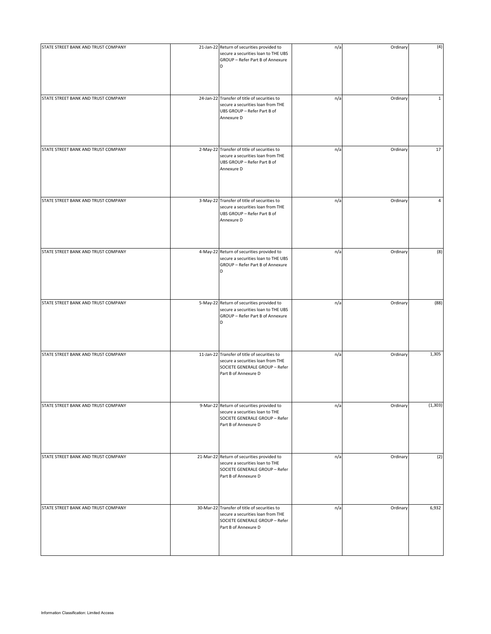| STATE STREET BANK AND TRUST COMPANY | 21-Jan-22 Return of securities provided to<br>secure a securities loan to THE UBS<br>GROUP - Refer Part B of Annexure<br>D                  | n/a | Ordinary | (4)          |
|-------------------------------------|---------------------------------------------------------------------------------------------------------------------------------------------|-----|----------|--------------|
| STATE STREET BANK AND TRUST COMPANY | 24-Jan-22 Transfer of title of securities to<br>secure a securities loan from THE<br>UBS GROUP - Refer Part B of<br>Annexure D              | n/a | Ordinary | $\mathbf{1}$ |
| STATE STREET BANK AND TRUST COMPANY | 2-May-22 Transfer of title of securities to<br>secure a securities loan from THE<br>UBS GROUP - Refer Part B of<br>Annexure D               | n/a | Ordinary | 17           |
| STATE STREET BANK AND TRUST COMPANY | 3-May-22 Transfer of title of securities to<br>secure a securities loan from THE<br>UBS GROUP - Refer Part B of<br>Annexure D               | n/a | Ordinary | 4            |
| STATE STREET BANK AND TRUST COMPANY | 4-May-22 Return of securities provided to<br>secure a securities loan to THE UBS<br>GROUP - Refer Part B of Annexure<br>D                   | n/a | Ordinary | (8)          |
| STATE STREET BANK AND TRUST COMPANY | 5-May-22 Return of securities provided to<br>secure a securities loan to THE UBS<br>GROUP - Refer Part B of Annexure<br>D                   | n/a | Ordinary | (88)         |
| STATE STREET BANK AND TRUST COMPANY | 11-Jan-22 Transfer of title of securities to<br>secure a securities loan from THE<br>SOCIETE GENERALE GROUP - Refer<br>Part B of Annexure D | n/a | Ordinary | 1,305        |
| STATE STREET BANK AND TRUST COMPANY | 9-Mar-22 Return of securities provided to<br>secure a securities loan to THE<br>SOCIETE GENERALE GROUP - Refer<br>Part B of Annexure D      | n/a | Ordinary | (1, 303)     |
| STATE STREET BANK AND TRUST COMPANY | 21-Mar-22 Return of securities provided to<br>secure a securities loan to THE<br>SOCIETE GENERALE GROUP - Refer<br>Part B of Annexure D     | n/a | Ordinary | (2)          |
| STATE STREET BANK AND TRUST COMPANY | 30-Mar-22 Transfer of title of securities to<br>secure a securities loan from THE<br>SOCIETE GENERALE GROUP - Refer<br>Part B of Annexure D | n/a | Ordinary | 6,932        |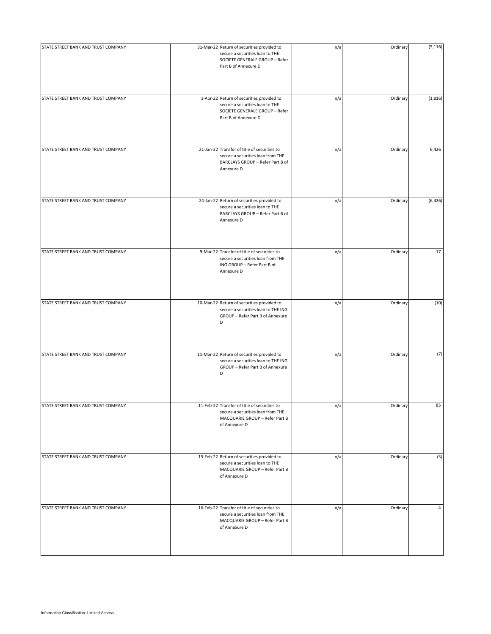| STATE STREET BANK AND TRUST COMPANY | 31-Mar-22 Return of securities provided to<br>secure a securities loan to THE<br>SOCIETE GENERALE GROUP - Refer<br>Part B of Annexure D | n/a | Ordinary | (5, 116)       |
|-------------------------------------|-----------------------------------------------------------------------------------------------------------------------------------------|-----|----------|----------------|
| STATE STREET BANK AND TRUST COMPANY | 1-Apr-22 Return of securities provided to<br>secure a securities loan to THE<br>SOCIETE GENERALE GROUP - Refer<br>Part B of Annexure D  | n/a | Ordinary | (1, 816)       |
| STATE STREET BANK AND TRUST COMPANY | 21-Jan-22 Transfer of title of securities to<br>secure a securities loan from THE<br>BARCLAYS GROUP - Refer Part B of<br>Annexure D     | n/a | Ordinary | 6,426          |
| STATE STREET BANK AND TRUST COMPANY | 24-Jan-22 Return of securities provided to<br>secure a securities loan to THE<br>BARCLAYS GROUP - Refer Part B of<br>Annexure D         | n/a | Ordinary | (6, 426)       |
| STATE STREET BANK AND TRUST COMPANY | 9-Mar-22 Transfer of title of securities to<br>secure a securities loan from THE<br>ING GROUP - Refer Part B of<br>Annexure D           | n/a | Ordinary | 17             |
| STATE STREET BANK AND TRUST COMPANY | 10-Mar-22 Return of securities provided to<br>secure a securities loan to THE ING<br>GROUP - Refer Part B of Annexure<br>D              | n/a | Ordinary | (10)           |
| STATE STREET BANK AND TRUST COMPANY | 11-Mar-22 Return of securities provided to<br>secure a securities loan to THE ING<br>GROUP - Refer Part B of Annexure<br>D              | n/a | Ordinary | (7)            |
| STATE STREET BANK AND TRUST COMPANY | 11-Feb-22 Transfer of title of securities to<br>secure a securities loan from THE<br>MACQUARIE GROUP - Refer Part B<br>of Annexure D    | n/a | Ordinary | 85             |
| STATE STREET BANK AND TRUST COMPANY | 15-Feb-22 Return of securities provided to<br>secure a securities loan to THE<br>MACQUARIE GROUP - Refer Part B<br>of Annexure D        | n/a | Ordinary | (3)            |
| STATE STREET BANK AND TRUST COMPANY | 16-Feb-22 Transfer of title of securities to<br>secure a securities loan from THE<br>MACQUARIE GROUP - Refer Part B<br>of Annexure D    | n/a | Ordinary | $\overline{4}$ |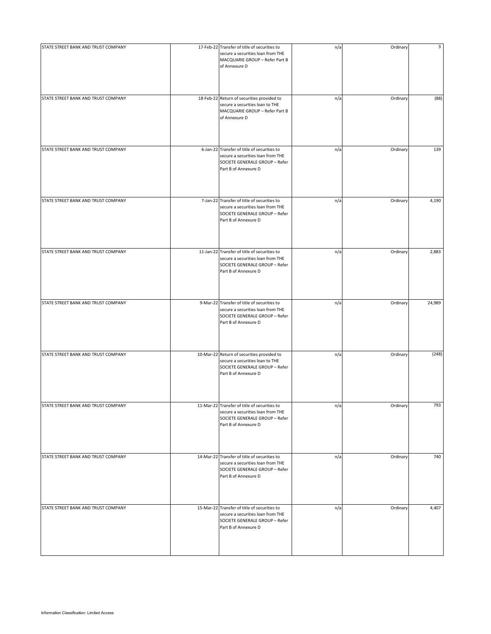| STATE STREET BANK AND TRUST COMPANY | 17-Feb-22 Transfer of title of securities to<br>secure a securities loan from THE<br>MACQUARIE GROUP - Refer Part B<br>of Annexure D        | n/a | Ordinary | 3      |
|-------------------------------------|---------------------------------------------------------------------------------------------------------------------------------------------|-----|----------|--------|
| STATE STREET BANK AND TRUST COMPANY | 18-Feb-22 Return of securities provided to<br>secure a securities loan to THE<br>MACQUARIE GROUP - Refer Part B<br>of Annexure D            | n/a | Ordinary | (88)   |
| STATE STREET BANK AND TRUST COMPANY | 6-Jan-22 Transfer of title of securities to<br>secure a securities loan from THE<br>SOCIETE GENERALE GROUP - Refer<br>Part B of Annexure D  | n/a | Ordinary | 139    |
| STATE STREET BANK AND TRUST COMPANY | 7-Jan-22 Transfer of title of securities to<br>secure a securities loan from THE<br>SOCIETE GENERALE GROUP - Refer<br>Part B of Annexure D  | n/a | Ordinary | 4,190  |
| STATE STREET BANK AND TRUST COMPANY | 11-Jan-22 Transfer of title of securities to<br>secure a securities loan from THE<br>SOCIETE GENERALE GROUP - Refer<br>Part B of Annexure D | n/a | Ordinary | 2,883  |
| STATE STREET BANK AND TRUST COMPANY | 9-Mar-22 Transfer of title of securities to<br>secure a securities loan from THE<br>SOCIETE GENERALE GROUP - Refer<br>Part B of Annexure D  | n/a | Ordinary | 24,989 |
| STATE STREET BANK AND TRUST COMPANY | 10-Mar-22 Return of securities provided to<br>secure a securities loan to THE<br>SOCIETE GENERALE GROUP - Refer<br>Part B of Annexure D     | n/a | Ordinary | (248)  |
| STATE STREET BANK AND TRUST COMPANY | 11-Mar-22 Transfer of title of securities to<br>secure a securities loan from THE<br>SOCIETE GENERALE GROUP - Refer<br>Part B of Annexure D | n/a | Ordinary | 793    |
| STATE STREET BANK AND TRUST COMPANY | 14-Mar-22 Transfer of title of securities to<br>secure a securities loan from THE<br>SOCIETE GENERALE GROUP - Refer<br>Part B of Annexure D | n/a | Ordinary | 740    |
| STATE STREET BANK AND TRUST COMPANY | 15-Mar-22 Transfer of title of securities to<br>secure a securities loan from THE<br>SOCIETE GENERALE GROUP - Refer<br>Part B of Annexure D | n/a | Ordinary | 4,407  |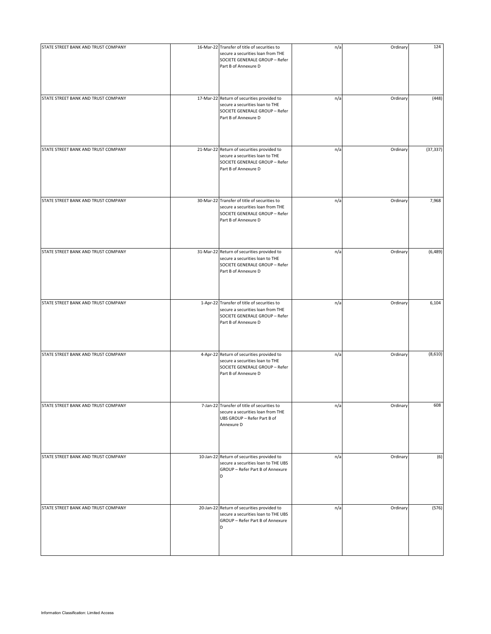| STATE STREET BANK AND TRUST COMPANY | 16-Mar-22 Transfer of title of securities to<br>secure a securities loan from THE<br>SOCIETE GENERALE GROUP - Refer<br>Part B of Annexure D | n/a | Ordinary | 124       |
|-------------------------------------|---------------------------------------------------------------------------------------------------------------------------------------------|-----|----------|-----------|
| STATE STREET BANK AND TRUST COMPANY | 17-Mar-22 Return of securities provided to<br>secure a securities loan to THE<br>SOCIETE GENERALE GROUP - Refer<br>Part B of Annexure D     | n/a | Ordinary | (448)     |
| STATE STREET BANK AND TRUST COMPANY | 21-Mar-22 Return of securities provided to<br>secure a securities loan to THE<br>SOCIETE GENERALE GROUP - Refer<br>Part B of Annexure D     | n/a | Ordinary | (37, 337) |
| STATE STREET BANK AND TRUST COMPANY | 30-Mar-22 Transfer of title of securities to<br>secure a securities loan from THE<br>SOCIETE GENERALE GROUP - Refer<br>Part B of Annexure D | n/a | Ordinary | 7,968     |
| STATE STREET BANK AND TRUST COMPANY | 31-Mar-22 Return of securities provided to<br>secure a securities loan to THE<br>SOCIETE GENERALE GROUP - Refer<br>Part B of Annexure D     | n/a | Ordinary | (6,489)   |
| STATE STREET BANK AND TRUST COMPANY | 1-Apr-22 Transfer of title of securities to<br>secure a securities loan from THE<br>SOCIETE GENERALE GROUP - Refer<br>Part B of Annexure D  | n/a | Ordinary | 6,104     |
| STATE STREET BANK AND TRUST COMPANY | 4-Apr-22 Return of securities provided to<br>secure a securities loan to THE<br>SOCIETE GENERALE GROUP - Refer<br>Part B of Annexure D      | n/a | Ordinary | (8,610)   |
| STATE STREET BANK AND TRUST COMPANY | 7-Jan-22 Transfer of title of securities to<br>secure a securities loan from THE<br>UBS GROUP - Refer Part B of<br>Annexure D               | n/a | Ordinary | 608       |
| STATE STREET BANK AND TRUST COMPANY | 10-Jan-22 Return of securities provided to<br>secure a securities loan to THE UBS<br>GROUP - Refer Part B of Annexure<br>D                  | n/a | Ordinary | (6)       |
| STATE STREET BANK AND TRUST COMPANY | 20-Jan-22 Return of securities provided to<br>secure a securities loan to THE UBS<br>GROUP - Refer Part B of Annexure<br>D                  | n/a | Ordinary | (576)     |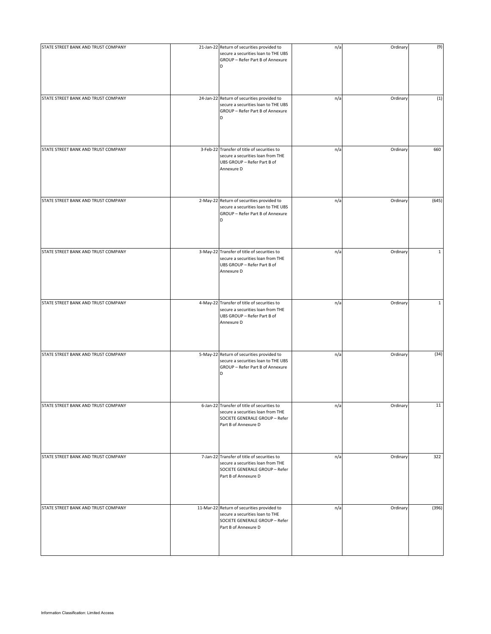| STATE STREET BANK AND TRUST COMPANY | 21-Jan-22 Return of securities provided to<br>secure a securities loan to THE UBS<br>GROUP - Refer Part B of Annexure<br>D                 | n/a | Ordinary | (9)          |
|-------------------------------------|--------------------------------------------------------------------------------------------------------------------------------------------|-----|----------|--------------|
| STATE STREET BANK AND TRUST COMPANY | 24-Jan-22 Return of securities provided to<br>secure a securities loan to THE UBS<br>GROUP - Refer Part B of Annexure<br>D                 | n/a | Ordinary | (1)          |
| STATE STREET BANK AND TRUST COMPANY | 3-Feb-22 Transfer of title of securities to<br>secure a securities loan from THE<br>UBS GROUP - Refer Part B of<br>Annexure D              | n/a | Ordinary | 660          |
| STATE STREET BANK AND TRUST COMPANY | 2-May-22 Return of securities provided to<br>secure a securities loan to THE UBS<br>GROUP - Refer Part B of Annexure<br>D                  | n/a | Ordinary | (645)        |
| STATE STREET BANK AND TRUST COMPANY | 3-May-22 Transfer of title of securities to<br>secure a securities loan from THE<br>UBS GROUP - Refer Part B of<br>Annexure D              | n/a | Ordinary | $\mathbf{1}$ |
| STATE STREET BANK AND TRUST COMPANY | 4-May-22 Transfer of title of securities to<br>secure a securities loan from THE<br>UBS GROUP - Refer Part B of<br>Annexure D              | n/a | Ordinary | $\mathbf{1}$ |
| STATE STREET BANK AND TRUST COMPANY | 5-May-22 Return of securities provided to<br>secure a securities loan to THE UBS<br>GROUP - Refer Part B of Annexure<br>D                  | n/a | Ordinary | (34)         |
| STATE STREET BANK AND TRUST COMPANY | 6-Jan-22 Transfer of title of securities to<br>secure a securities loan from THE<br>SOCIETE GENERALE GROUP - Refer<br>Part B of Annexure D | n/a | Ordinary | 11           |
| STATE STREET BANK AND TRUST COMPANY | 7-Jan-22 Transfer of title of securities to<br>secure a securities loan from THE<br>SOCIETE GENERALE GROUP - Refer<br>Part B of Annexure D | n/a | Ordinary | 322          |
| STATE STREET BANK AND TRUST COMPANY | 11-Mar-22 Return of securities provided to<br>secure a securities loan to THE<br>SOCIETE GENERALE GROUP - Refer<br>Part B of Annexure D    | n/a | Ordinary | (396)        |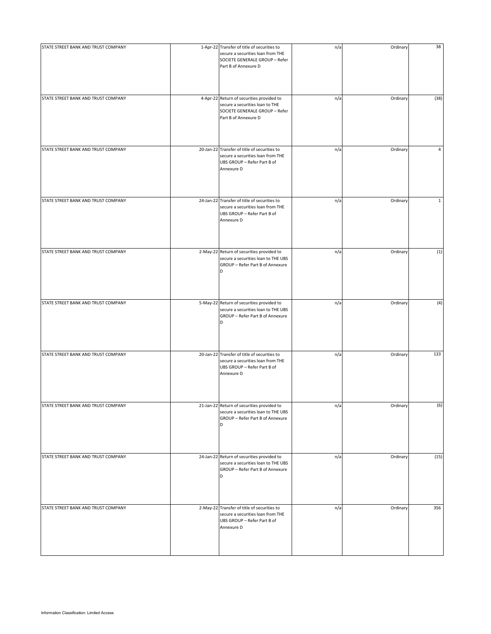| STATE STREET BANK AND TRUST COMPANY | 1-Apr-22 Transfer of title of securities to<br>secure a securities loan from THE<br>SOCIETE GENERALE GROUP - Refer<br>Part B of Annexure D | n/a | Ordinary | 38             |
|-------------------------------------|--------------------------------------------------------------------------------------------------------------------------------------------|-----|----------|----------------|
| STATE STREET BANK AND TRUST COMPANY | 4-Apr-22 Return of securities provided to<br>secure a securities loan to THE<br>SOCIETE GENERALE GROUP - Refer<br>Part B of Annexure D     | n/a | Ordinary | (38)           |
| STATE STREET BANK AND TRUST COMPANY | 20-Jan-22 Transfer of title of securities to<br>secure a securities loan from THE<br>UBS GROUP - Refer Part B of<br>Annexure D             | n/a | Ordinary | $\overline{4}$ |
| STATE STREET BANK AND TRUST COMPANY | 24-Jan-22 Transfer of title of securities to<br>secure a securities loan from THE<br>UBS GROUP - Refer Part B of<br>Annexure D             | n/a | Ordinary | $\mathbf{1}$   |
| STATE STREET BANK AND TRUST COMPANY | 2-May-22 Return of securities provided to<br>secure a securities loan to THE UBS<br>GROUP - Refer Part B of Annexure<br>D                  | n/a | Ordinary | (1)            |
| STATE STREET BANK AND TRUST COMPANY | 5-May-22 Return of securities provided to<br>secure a securities loan to THE UBS<br>GROUP - Refer Part B of Annexure<br>D                  | n/a | Ordinary | (4)            |
| STATE STREET BANK AND TRUST COMPANY | 20-Jan-22 Transfer of title of securities to<br>secure a securities loan from THE<br>UBS GROUP - Refer Part B of<br>Annexure D             | n/a | Ordinary | 133            |
| STATE STREET BANK AND TRUST COMPANY | 21-Jan-22 Return of securities provided to<br>secure a securities loan to THE UBS<br>GROUP - Refer Part B of Annexure<br>D                 | n/a | Ordinary | (6)            |
| STATE STREET BANK AND TRUST COMPANY | 24-Jan-22 Return of securities provided to<br>secure a securities loan to THE UBS<br>GROUP - Refer Part B of Annexure<br>D                 | n/a | Ordinary | (15)           |
| STATE STREET BANK AND TRUST COMPANY | 2-May-22 Transfer of title of securities to<br>secure a securities loan from THE<br>UBS GROUP - Refer Part B of<br>Annexure D              | n/a | Ordinary | 356            |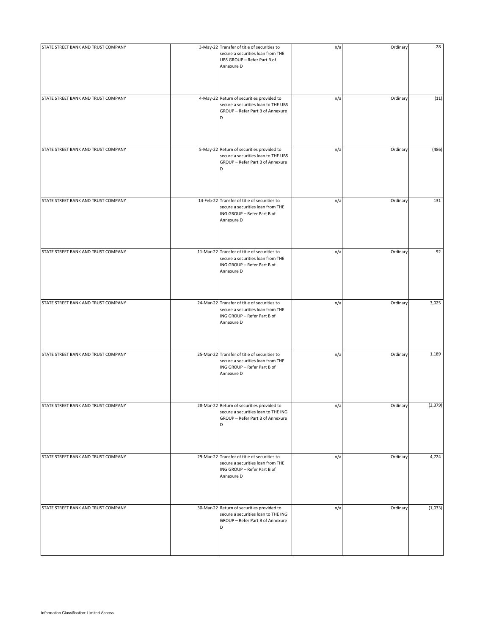| STATE STREET BANK AND TRUST COMPANY | 3-May-22 Transfer of title of securities to<br>secure a securities loan from THE<br>UBS GROUP - Refer Part B of<br>Annexure D  | n/a | Ordinary | 28       |
|-------------------------------------|--------------------------------------------------------------------------------------------------------------------------------|-----|----------|----------|
| STATE STREET BANK AND TRUST COMPANY | 4-May-22 Return of securities provided to<br>secure a securities loan to THE UBS<br>GROUP - Refer Part B of Annexure<br>D      | n/a | Ordinary | (11)     |
| STATE STREET BANK AND TRUST COMPANY | 5-May-22 Return of securities provided to<br>secure a securities loan to THE UBS<br>GROUP - Refer Part B of Annexure<br>D      | n/a | Ordinary | (486)    |
| STATE STREET BANK AND TRUST COMPANY | 14-Feb-22 Transfer of title of securities to<br>secure a securities loan from THE<br>ING GROUP - Refer Part B of<br>Annexure D | n/a | Ordinary | 131      |
| STATE STREET BANK AND TRUST COMPANY | 11-Mar-22 Transfer of title of securities to<br>secure a securities loan from THE<br>ING GROUP - Refer Part B of<br>Annexure D | n/a | Ordinary | 92       |
| STATE STREET BANK AND TRUST COMPANY | 24-Mar-22 Transfer of title of securities to<br>secure a securities loan from THE<br>ING GROUP - Refer Part B of<br>Annexure D | n/a | Ordinary | 3,025    |
| STATE STREET BANK AND TRUST COMPANY | 25-Mar-22 Transfer of title of securities to<br>secure a securities loan from THE<br>ING GROUP - Refer Part B of<br>Annexure D | n/a | Ordinary | 1,189    |
| STATE STREET BANK AND TRUST COMPANY | 28-Mar-22 Return of securities provided to<br>secure a securities loan to THE ING<br>GROUP - Refer Part B of Annexure<br>D     | n/a | Ordinary | (2, 379) |
| STATE STREET BANK AND TRUST COMPANY | 29-Mar-22 Transfer of title of securities to<br>secure a securities loan from THE<br>ING GROUP - Refer Part B of<br>Annexure D | n/a | Ordinary | 4,724    |
| STATE STREET BANK AND TRUST COMPANY | 30-Mar-22 Return of securities provided to<br>secure a securities loan to THE ING<br>GROUP - Refer Part B of Annexure<br>D     | n/a | Ordinary | (1,033)  |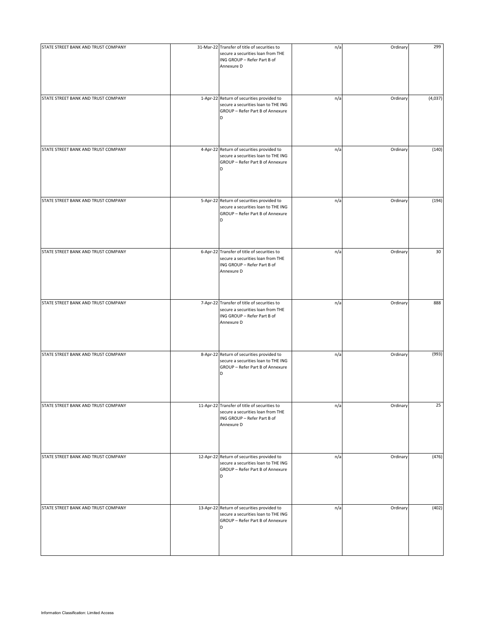| STATE STREET BANK AND TRUST COMPANY | 31-Mar-22 Transfer of title of securities to<br>secure a securities loan from THE<br>ING GROUP - Refer Part B of<br>Annexure D | n/a | Ordinary | 299     |
|-------------------------------------|--------------------------------------------------------------------------------------------------------------------------------|-----|----------|---------|
| STATE STREET BANK AND TRUST COMPANY | 1-Apr-22 Return of securities provided to<br>secure a securities loan to THE ING<br>GROUP - Refer Part B of Annexure<br>D      | n/a | Ordinary | (4,037) |
| STATE STREET BANK AND TRUST COMPANY | 4-Apr-22 Return of securities provided to<br>secure a securities loan to THE ING<br>GROUP - Refer Part B of Annexure<br>D      | n/a | Ordinary | (140)   |
| STATE STREET BANK AND TRUST COMPANY | 5-Apr-22 Return of securities provided to<br>secure a securities loan to THE ING<br>GROUP - Refer Part B of Annexure<br>D      | n/a | Ordinary | (194)   |
| STATE STREET BANK AND TRUST COMPANY | 6-Apr-22 Transfer of title of securities to<br>secure a securities loan from THE<br>ING GROUP - Refer Part B of<br>Annexure D  | n/a | Ordinary | 30      |
| STATE STREET BANK AND TRUST COMPANY | 7-Apr-22 Transfer of title of securities to<br>secure a securities loan from THE<br>ING GROUP - Refer Part B of<br>Annexure D  | n/a | Ordinary | 888     |
| STATE STREET BANK AND TRUST COMPANY | 8-Apr-22 Return of securities provided to<br>secure a securities loan to THE ING<br>GROUP - Refer Part B of Annexure<br>D      | n/a | Ordinary | (993)   |
| STATE STREET BANK AND TRUST COMPANY | 11-Apr-22 Transfer of title of securities to<br>secure a securities loan from THE<br>ING GROUP - Refer Part B of<br>Annexure D | n/a | Ordinary | 25      |
| STATE STREET BANK AND TRUST COMPANY | 12-Apr-22 Return of securities provided to<br>secure a securities loan to THE ING<br>GROUP - Refer Part B of Annexure<br>D     | n/a | Ordinary | (476)   |
| STATE STREET BANK AND TRUST COMPANY | 13-Apr-22 Return of securities provided to<br>secure a securities loan to THE ING<br>GROUP - Refer Part B of Annexure<br>D     | n/a | Ordinary | (402)   |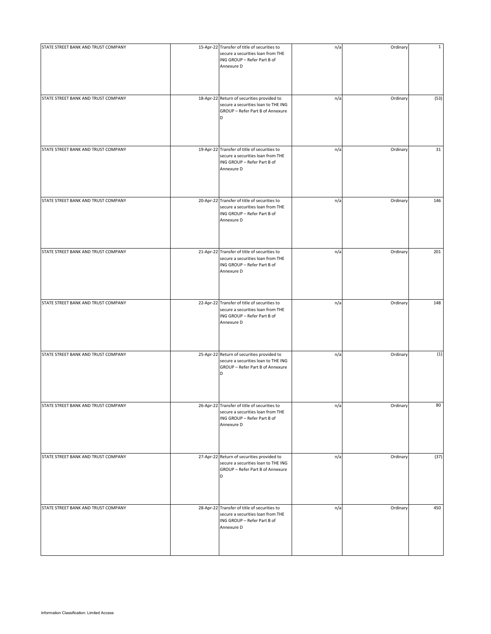| STATE STREET BANK AND TRUST COMPANY | 15-Apr-22 Transfer of title of securities to<br>secure a securities loan from THE<br>ING GROUP - Refer Part B of<br>Annexure D | n/a | Ordinary | $\mathbf{1}$ |
|-------------------------------------|--------------------------------------------------------------------------------------------------------------------------------|-----|----------|--------------|
| STATE STREET BANK AND TRUST COMPANY | 18-Apr-22 Return of securities provided to<br>secure a securities loan to THE ING<br>GROUP - Refer Part B of Annexure<br>D     | n/a | Ordinary | (53)         |
| STATE STREET BANK AND TRUST COMPANY | 19-Apr-22 Transfer of title of securities to<br>secure a securities loan from THE<br>ING GROUP - Refer Part B of<br>Annexure D | n/a | Ordinary | 31           |
| STATE STREET BANK AND TRUST COMPANY | 20-Apr-22 Transfer of title of securities to<br>secure a securities loan from THE<br>ING GROUP - Refer Part B of<br>Annexure D | n/a | Ordinary | 146          |
| STATE STREET BANK AND TRUST COMPANY | 21-Apr-22 Transfer of title of securities to<br>secure a securities loan from THE<br>ING GROUP - Refer Part B of<br>Annexure D | n/a | Ordinary | 201          |
| STATE STREET BANK AND TRUST COMPANY | 22-Apr-22 Transfer of title of securities to<br>secure a securities loan from THE<br>ING GROUP - Refer Part B of<br>Annexure D | n/a | Ordinary | 148          |
| STATE STREET BANK AND TRUST COMPANY | 25-Apr-22 Return of securities provided to<br>secure a securities loan to THE ING<br>GROUP - Refer Part B of Annexure<br>D     | n/a | Ordinary | (1)          |
| STATE STREET BANK AND TRUST COMPANY | 26-Apr-22 Transfer of title of securities to<br>secure a securities loan from THE<br>ING GROUP - Refer Part B of<br>Annexure D | n/a | Ordinary | 80           |
| STATE STREET BANK AND TRUST COMPANY | 27-Apr-22 Return of securities provided to<br>secure a securities loan to THE ING<br>GROUP - Refer Part B of Annexure<br>D     | n/a | Ordinary | (37)         |
| STATE STREET BANK AND TRUST COMPANY | 28-Apr-22 Transfer of title of securities to<br>secure a securities loan from THE<br>ING GROUP - Refer Part B of<br>Annexure D | n/a | Ordinary | 450          |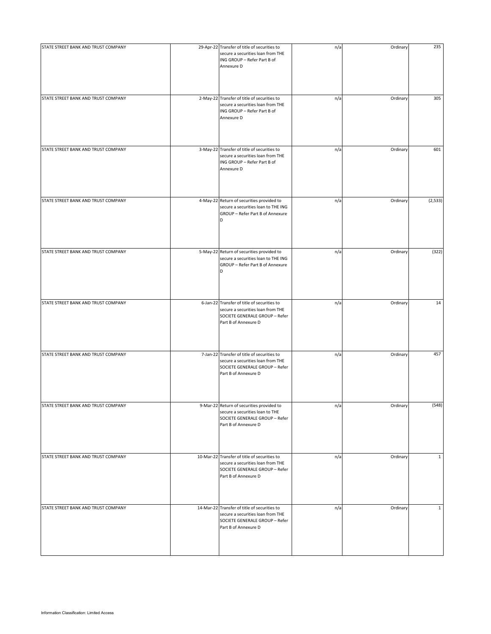| STATE STREET BANK AND TRUST COMPANY | 29-Apr-22 Transfer of title of securities to<br>secure a securities loan from THE<br>ING GROUP - Refer Part B of<br>Annexure D              | n/a | Ordinary | 235          |
|-------------------------------------|---------------------------------------------------------------------------------------------------------------------------------------------|-----|----------|--------------|
| STATE STREET BANK AND TRUST COMPANY | 2-May-22 Transfer of title of securities to<br>secure a securities loan from THE<br>ING GROUP - Refer Part B of<br>Annexure D               | n/a | Ordinary | 305          |
| STATE STREET BANK AND TRUST COMPANY | 3-May-22 Transfer of title of securities to<br>secure a securities loan from THE<br>ING GROUP - Refer Part B of<br>Annexure D               | n/a | Ordinary | 601          |
| STATE STREET BANK AND TRUST COMPANY | 4-May-22 Return of securities provided to<br>secure a securities loan to THE ING<br>GROUP - Refer Part B of Annexure<br>D                   | n/a | Ordinary | (2,533)      |
| STATE STREET BANK AND TRUST COMPANY | 5-May-22 Return of securities provided to<br>secure a securities loan to THE ING<br>GROUP - Refer Part B of Annexure<br>D                   | n/a | Ordinary | (322)        |
| STATE STREET BANK AND TRUST COMPANY | 6-Jan-22 Transfer of title of securities to<br>secure a securities loan from THE<br>SOCIETE GENERALE GROUP - Refer<br>Part B of Annexure D  | n/a | Ordinary | 14           |
| STATE STREET BANK AND TRUST COMPANY | 7-Jan-22 Transfer of title of securities to<br>secure a securities loan from THE<br>SOCIETE GENERALE GROUP - Refer<br>Part B of Annexure D  | n/a | Ordinary | 457          |
| STATE STREET BANK AND TRUST COMPANY | 9-Mar-22 Return of securities provided to<br>secure a securities loan to THE<br>SOCIETE GENERALE GROUP - Refer<br>Part B of Annexure D      | n/a | Ordinary | (548)        |
| STATE STREET BANK AND TRUST COMPANY | 10-Mar-22 Transfer of title of securities to<br>secure a securities loan from THE<br>SOCIETE GENERALE GROUP - Refer<br>Part B of Annexure D | n/a | Ordinary | $\mathbf{1}$ |
| STATE STREET BANK AND TRUST COMPANY | 14-Mar-22 Transfer of title of securities to<br>secure a securities loan from THE<br>SOCIETE GENERALE GROUP - Refer<br>Part B of Annexure D | n/a | Ordinary | $\mathbf{1}$ |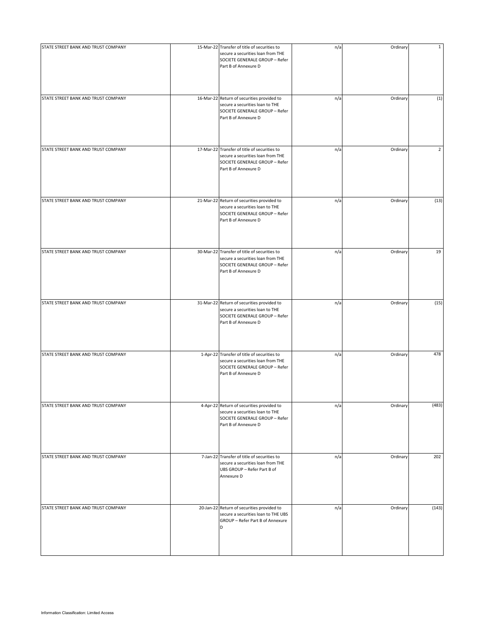| STATE STREET BANK AND TRUST COMPANY | 15-Mar-22 Transfer of title of securities to<br>secure a securities loan from THE<br>SOCIETE GENERALE GROUP - Refer<br>Part B of Annexure D | n/a | Ordinary | $\mathbf{1}$   |
|-------------------------------------|---------------------------------------------------------------------------------------------------------------------------------------------|-----|----------|----------------|
| STATE STREET BANK AND TRUST COMPANY | 16-Mar-22 Return of securities provided to<br>secure a securities loan to THE<br>SOCIETE GENERALE GROUP - Refer<br>Part B of Annexure D     | n/a | Ordinary | (1)            |
| STATE STREET BANK AND TRUST COMPANY | 17-Mar-22 Transfer of title of securities to<br>secure a securities loan from THE<br>SOCIETE GENERALE GROUP - Refer<br>Part B of Annexure D | n/a | Ordinary | $\overline{2}$ |
| STATE STREET BANK AND TRUST COMPANY | 21-Mar-22 Return of securities provided to<br>secure a securities loan to THE<br>SOCIETE GENERALE GROUP - Refer<br>Part B of Annexure D     | n/a | Ordinary | (13)           |
| STATE STREET BANK AND TRUST COMPANY | 30-Mar-22 Transfer of title of securities to<br>secure a securities loan from THE<br>SOCIETE GENERALE GROUP - Refer<br>Part B of Annexure D | n/a | Ordinary | 19             |
| STATE STREET BANK AND TRUST COMPANY | 31-Mar-22 Return of securities provided to<br>secure a securities loan to THE<br>SOCIETE GENERALE GROUP - Refer<br>Part B of Annexure D     | n/a | Ordinary | (15)           |
| STATE STREET BANK AND TRUST COMPANY | 1-Apr-22 Transfer of title of securities to<br>secure a securities loan from THE<br>SOCIETE GENERALE GROUP - Refer<br>Part B of Annexure D  | n/a | Ordinary | 478            |
| STATE STREET BANK AND TRUST COMPANY | 4-Apr-22 Return of securities provided to<br>secure a securities loan to THE<br>SOCIETE GENERALE GROUP - Refer<br>Part B of Annexure D      | n/a | Ordinary | (483)          |
| STATE STREET BANK AND TRUST COMPANY | 7-Jan-22 Transfer of title of securities to<br>secure a securities loan from THE<br>UBS GROUP - Refer Part B of<br>Annexure D               | n/a | Ordinary | 202            |
| STATE STREET BANK AND TRUST COMPANY | 20-Jan-22 Return of securities provided to<br>secure a securities loan to THE UBS<br>GROUP - Refer Part B of Annexure<br>D                  | n/a | Ordinary | (143)          |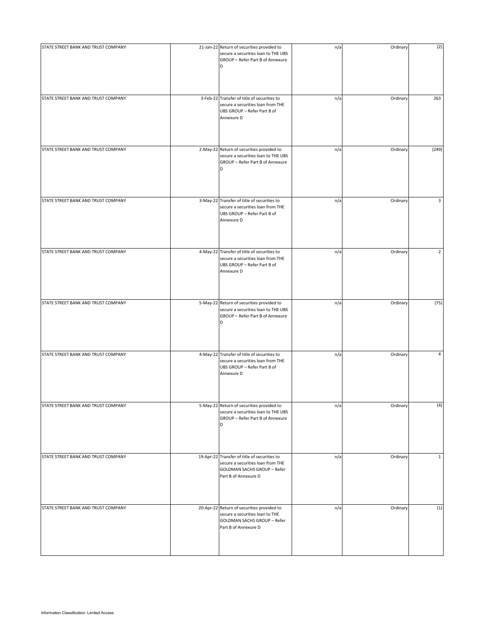| STATE STREET BANK AND TRUST COMPANY | 21-Jan-22 Return of securities provided to<br>secure a securities loan to THE UBS<br>GROUP - Refer Part B of Annexure<br>D                      | n/a | Ordinary | (2)            |
|-------------------------------------|-------------------------------------------------------------------------------------------------------------------------------------------------|-----|----------|----------------|
| STATE STREET BANK AND TRUST COMPANY | 3-Feb-22 Transfer of title of securities to<br>secure a securities loan from THE<br>UBS GROUP - Refer Part B of<br>Annexure D                   | n/a | Ordinary | 263            |
| STATE STREET BANK AND TRUST COMPANY | 2-May-22 Return of securities provided to<br>secure a securities loan to THE UBS<br>GROUP - Refer Part B of Annexure<br>D                       | n/a | Ordinary | (249)          |
| STATE STREET BANK AND TRUST COMPANY | 3-May-22 Transfer of title of securities to<br>secure a securities loan from THE<br>UBS GROUP - Refer Part B of<br>Annexure D                   | n/a | Ordinary | 3              |
| STATE STREET BANK AND TRUST COMPANY | 4-May-22 Transfer of title of securities to<br>secure a securities loan from THE<br>UBS GROUP - Refer Part B of<br>Annexure D                   | n/a | Ordinary | $\overline{2}$ |
| STATE STREET BANK AND TRUST COMPANY | 5-May-22 Return of securities provided to<br>secure a securities loan to THE UBS<br>GROUP - Refer Part B of Annexure<br>D                       | n/a | Ordinary | (75)           |
| STATE STREET BANK AND TRUST COMPANY | 4-May-22 Transfer of title of securities to<br>secure a securities loan from THE<br>UBS GROUP - Refer Part B of<br>Annexure D                   | n/a | Ordinary | 4              |
| STATE STREET BANK AND TRUST COMPANY | 5-May-22 Return of securities provided to<br>secure a securities loan to THE UBS<br>GROUP - Refer Part B of Annexure<br>D                       | n/a | Ordinary | (4)            |
| STATE STREET BANK AND TRUST COMPANY | 19-Apr-22 Transfer of title of securities to<br>secure a securities loan from THE<br><b>GOLDMAN SACHS GROUP - Refer</b><br>Part B of Annexure D | n/a | Ordinary | $\mathbf{1}$   |
| STATE STREET BANK AND TRUST COMPANY | 20-Apr-22 Return of securities provided to<br>secure a securities loan to THE<br>GOLDMAN SACHS GROUP - Refer<br>Part B of Annexure D            | n/a | Ordinary | (1)            |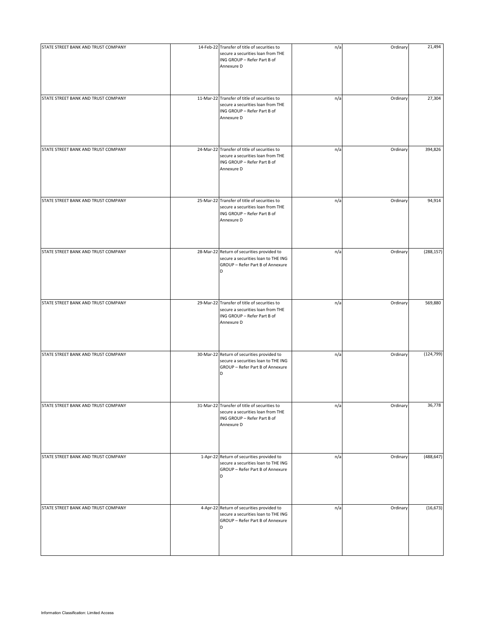| STATE STREET BANK AND TRUST COMPANY | 14-Feb-22 Transfer of title of securities to<br>secure a securities loan from THE<br>ING GROUP - Refer Part B of<br>Annexure D | n/a | Ordinary | 21,494     |
|-------------------------------------|--------------------------------------------------------------------------------------------------------------------------------|-----|----------|------------|
| STATE STREET BANK AND TRUST COMPANY | 11-Mar-22 Transfer of title of securities to<br>secure a securities loan from THE<br>ING GROUP - Refer Part B of<br>Annexure D | n/a | Ordinary | 27,304     |
| STATE STREET BANK AND TRUST COMPANY | 24-Mar-22 Transfer of title of securities to<br>secure a securities loan from THE<br>ING GROUP - Refer Part B of<br>Annexure D | n/a | Ordinary | 394,826    |
| STATE STREET BANK AND TRUST COMPANY | 25-Mar-22 Transfer of title of securities to<br>secure a securities loan from THE<br>ING GROUP - Refer Part B of<br>Annexure D | n/a | Ordinary | 94,914     |
| STATE STREET BANK AND TRUST COMPANY | 28-Mar-22 Return of securities provided to<br>secure a securities loan to THE ING<br>GROUP - Refer Part B of Annexure<br>D     | n/a | Ordinary | (288, 157) |
| STATE STREET BANK AND TRUST COMPANY | 29-Mar-22 Transfer of title of securities to<br>secure a securities loan from THE<br>ING GROUP - Refer Part B of<br>Annexure D | n/a | Ordinary | 569,880    |
| STATE STREET BANK AND TRUST COMPANY | 30-Mar-22 Return of securities provided to<br>secure a securities loan to THE ING<br>GROUP - Refer Part B of Annexure<br>D     | n/a | Ordinary | (124, 799) |
| STATE STREET BANK AND TRUST COMPANY | 31-Mar-22 Transfer of title of securities to<br>secure a securities loan from THE<br>ING GROUP - Refer Part B of<br>Annexure D | n/a | Ordinary | 36,778     |
| STATE STREET BANK AND TRUST COMPANY | 1-Apr-22 Return of securities provided to<br>secure a securities loan to THE ING<br>GROUP - Refer Part B of Annexure<br>D      | n/a | Ordinary | (488, 647) |
| STATE STREET BANK AND TRUST COMPANY | 4-Apr-22 Return of securities provided to<br>secure a securities loan to THE ING<br>GROUP - Refer Part B of Annexure<br>D      | n/a | Ordinary | (16, 673)  |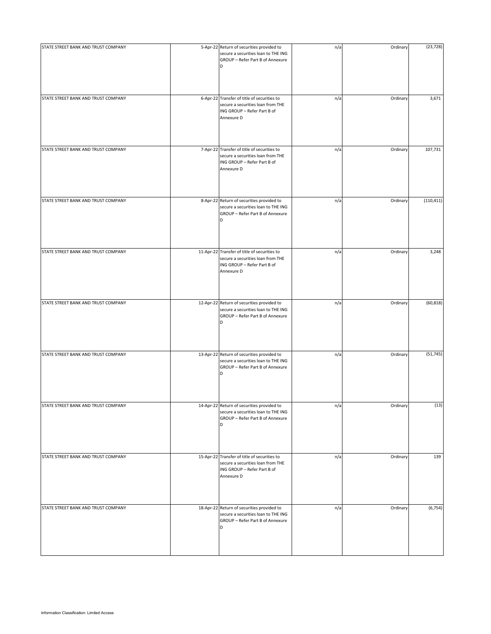| STATE STREET BANK AND TRUST COMPANY | 5-Apr-22 Return of securities provided to                                                                                      | n/a | Ordinary | (23, 728)  |
|-------------------------------------|--------------------------------------------------------------------------------------------------------------------------------|-----|----------|------------|
|                                     | secure a securities loan to THE ING<br>GROUP - Refer Part B of Annexure<br>D                                                   |     |          |            |
| STATE STREET BANK AND TRUST COMPANY | 6-Apr-22 Transfer of title of securities to<br>secure a securities loan from THE<br>ING GROUP - Refer Part B of<br>Annexure D  | n/a | Ordinary | 3,671      |
| STATE STREET BANK AND TRUST COMPANY | 7-Apr-22 Transfer of title of securities to<br>secure a securities loan from THE<br>ING GROUP - Refer Part B of<br>Annexure D  | n/a | Ordinary | 107,731    |
| STATE STREET BANK AND TRUST COMPANY | 8-Apr-22 Return of securities provided to<br>secure a securities loan to THE ING<br>GROUP - Refer Part B of Annexure<br>D      | n/a | Ordinary | (110, 411) |
| STATE STREET BANK AND TRUST COMPANY | 11-Apr-22 Transfer of title of securities to<br>secure a securities loan from THE<br>ING GROUP - Refer Part B of<br>Annexure D | n/a | Ordinary | 3,248      |
| STATE STREET BANK AND TRUST COMPANY | 12-Apr-22 Return of securities provided to<br>secure a securities loan to THE ING<br>GROUP - Refer Part B of Annexure<br>D     | n/a | Ordinary | (60, 818)  |
| STATE STREET BANK AND TRUST COMPANY | 13-Apr-22 Return of securities provided to<br>secure a securities loan to THE ING<br>GROUP - Refer Part B of Annexure<br>D     | n/a | Ordinary | (51, 745)  |
| STATE STREET BANK AND TRUST COMPANY | 14-Apr-22 Return of securities provided to<br>secure a securities loan to THE ING<br>GROUP - Refer Part B of Annexure<br>D     | n/a | Ordinary | (13)       |
| STATE STREET BANK AND TRUST COMPANY | 15-Apr-22 Transfer of title of securities to<br>secure a securities loan from THE<br>ING GROUP - Refer Part B of<br>Annexure D | n/a | Ordinary | 139        |
| STATE STREET BANK AND TRUST COMPANY | 18-Apr-22 Return of securities provided to<br>secure a securities loan to THE ING<br>GROUP - Refer Part B of Annexure<br>D     | n/a | Ordinary | (6, 754)   |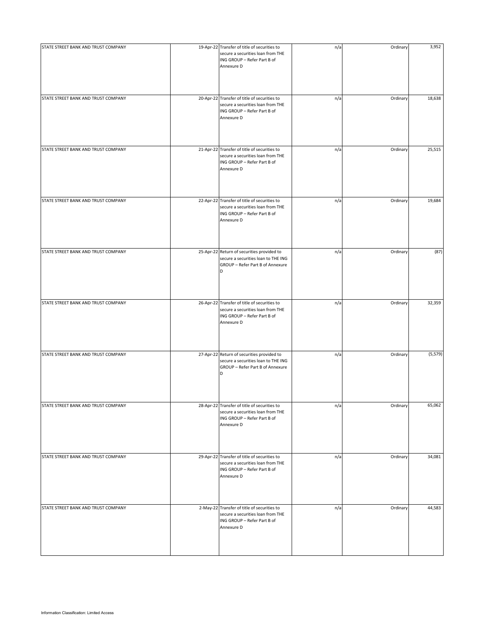| STATE STREET BANK AND TRUST COMPANY | 19-Apr-22 Transfer of title of securities to<br>secure a securities loan from THE<br>ING GROUP - Refer Part B of<br>Annexure D | n/a | Ordinary | 3,952    |
|-------------------------------------|--------------------------------------------------------------------------------------------------------------------------------|-----|----------|----------|
| STATE STREET BANK AND TRUST COMPANY | 20-Apr-22 Transfer of title of securities to<br>secure a securities loan from THE<br>ING GROUP - Refer Part B of<br>Annexure D | n/a | Ordinary | 18,638   |
| STATE STREET BANK AND TRUST COMPANY | 21-Apr-22 Transfer of title of securities to<br>secure a securities loan from THE<br>ING GROUP - Refer Part B of<br>Annexure D | n/a | Ordinary | 25,515   |
| STATE STREET BANK AND TRUST COMPANY | 22-Apr-22 Transfer of title of securities to<br>secure a securities loan from THE<br>ING GROUP - Refer Part B of<br>Annexure D | n/a | Ordinary | 19,684   |
| STATE STREET BANK AND TRUST COMPANY | 25-Apr-22 Return of securities provided to<br>secure a securities loan to THE ING<br>GROUP - Refer Part B of Annexure<br>D     | n/a | Ordinary | (87)     |
| STATE STREET BANK AND TRUST COMPANY | 26-Apr-22 Transfer of title of securities to<br>secure a securities loan from THE<br>ING GROUP - Refer Part B of<br>Annexure D | n/a | Ordinary | 32,359   |
| STATE STREET BANK AND TRUST COMPANY | 27-Apr-22 Return of securities provided to<br>secure a securities loan to THE ING<br>GROUP - Refer Part B of Annexure<br>D     | n/a | Ordinary | (5, 579) |
| STATE STREET BANK AND TRUST COMPANY | 28-Apr-22 Transfer of title of securities to<br>secure a securities loan from THE<br>ING GROUP - Refer Part B of<br>Annexure D | n/a | Ordinary | 65,062   |
| STATE STREET BANK AND TRUST COMPANY | 29-Apr-22 Transfer of title of securities to<br>secure a securities loan from THE<br>ING GROUP - Refer Part B of<br>Annexure D | n/a | Ordinary | 34,081   |
| STATE STREET BANK AND TRUST COMPANY | 2-May-22 Transfer of title of securities to<br>secure a securities loan from THE<br>ING GROUP - Refer Part B of<br>Annexure D  | n/a | Ordinary | 44,583   |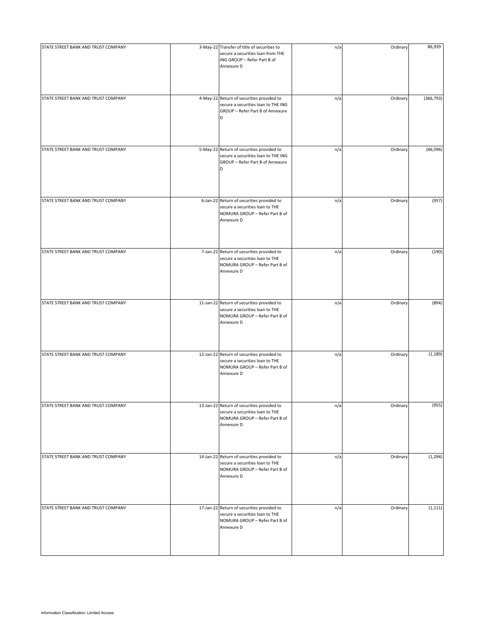| STATE STREET BANK AND TRUST COMPANY | 3-May-22 Transfer of title of securities to<br>secure a securities loan from THE<br>ING GROUP - Refer Part B of<br>Annexure D | n/a | Ordinary | 86,939     |
|-------------------------------------|-------------------------------------------------------------------------------------------------------------------------------|-----|----------|------------|
| STATE STREET BANK AND TRUST COMPANY | 4-May-22 Return of securities provided to<br>secure a securities loan to THE ING<br>GROUP - Refer Part B of Annexure<br>D     | n/a | Ordinary | (366, 793) |
| STATE STREET BANK AND TRUST COMPANY | 5-May-22 Return of securities provided to<br>secure a securities loan to THE ING<br>GROUP - Refer Part B of Annexure<br>D     | n/a | Ordinary | (46, 596)  |
| STATE STREET BANK AND TRUST COMPANY | 6-Jan-22 Return of securities provided to<br>secure a securities loan to THE<br>NOMURA GROUP - Refer Part B of<br>Annexure D  | n/a | Ordinary | (957)      |
| STATE STREET BANK AND TRUST COMPANY | 7-Jan-22 Return of securities provided to<br>secure a securities loan to THE<br>NOMURA GROUP - Refer Part B of<br>Annexure D  | n/a | Ordinary | (190)      |
| STATE STREET BANK AND TRUST COMPANY | 11-Jan-22 Return of securities provided to<br>secure a securities loan to THE<br>NOMURA GROUP - Refer Part B of<br>Annexure D | n/a | Ordinary | (894)      |
| STATE STREET BANK AND TRUST COMPANY | 12-Jan-22 Return of securities provided to<br>secure a securities loan to THE<br>NOMURA GROUP - Refer Part B of<br>Annexure D | n/a | Ordinary | (1, 189)   |
| STATE STREET BANK AND TRUST COMPANY | 13-Jan-22 Return of securities provided to<br>secure a securities loan to THE<br>NOMURA GROUP - Refer Part B of<br>Annexure D | n/a | Ordinary | (955)      |
| STATE STREET BANK AND TRUST COMPANY | 14-Jan-22 Return of securities provided to<br>secure a securities loan to THE<br>NOMURA GROUP - Refer Part B of<br>Annexure D | n/a | Ordinary | (1, 294)   |
| STATE STREET BANK AND TRUST COMPANY | 17-Jan-22 Return of securities provided to<br>secure a securities loan to THE<br>NOMURA GROUP - Refer Part B of<br>Annexure D | n/a | Ordinary | (1, 111)   |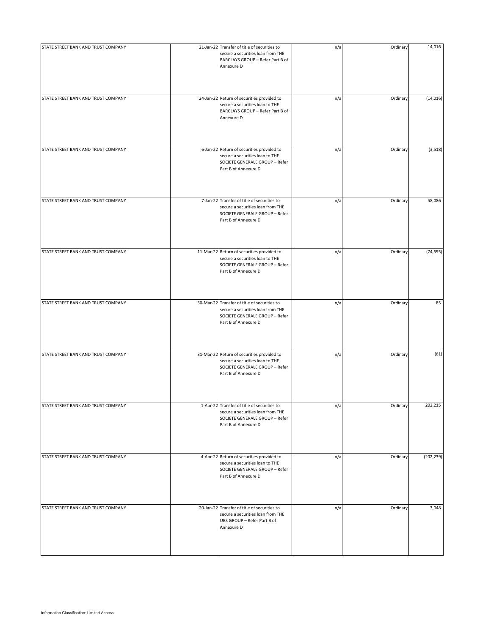| STATE STREET BANK AND TRUST COMPANY | 21-Jan-22 Transfer of title of securities to                                                                                                | n/a | Ordinary | 14,016     |
|-------------------------------------|---------------------------------------------------------------------------------------------------------------------------------------------|-----|----------|------------|
|                                     | secure a securities loan from THE<br>BARCLAYS GROUP - Refer Part B of<br>Annexure D                                                         |     |          |            |
|                                     |                                                                                                                                             |     |          |            |
| STATE STREET BANK AND TRUST COMPANY | 24-Jan-22 Return of securities provided to<br>secure a securities loan to THE<br>BARCLAYS GROUP - Refer Part B of<br>Annexure D             | n/a | Ordinary | (14, 016)  |
| STATE STREET BANK AND TRUST COMPANY | 6-Jan-22 Return of securities provided to<br>secure a securities loan to THE<br>SOCIETE GENERALE GROUP - Refer<br>Part B of Annexure D      | n/a | Ordinary | (3,518)    |
| STATE STREET BANK AND TRUST COMPANY | 7-Jan-22 Transfer of title of securities to<br>secure a securities loan from THE<br>SOCIETE GENERALE GROUP - Refer<br>Part B of Annexure D  | n/a | Ordinary | 58,086     |
| STATE STREET BANK AND TRUST COMPANY | 11-Mar-22 Return of securities provided to<br>secure a securities loan to THE<br>SOCIETE GENERALE GROUP - Refer<br>Part B of Annexure D     | n/a | Ordinary | (74, 595)  |
| STATE STREET BANK AND TRUST COMPANY | 30-Mar-22 Transfer of title of securities to<br>secure a securities loan from THE<br>SOCIETE GENERALE GROUP - Refer<br>Part B of Annexure D | n/a | Ordinary | 85         |
| STATE STREET BANK AND TRUST COMPANY | 31-Mar-22 Return of securities provided to<br>secure a securities loan to THE<br>SOCIETE GENERALE GROUP - Refer<br>Part B of Annexure D     | n/a | Ordinary | (61)       |
| STATE STREET BANK AND TRUST COMPANY | 1-Apr-22 Transfer of title of securities to<br>secure a securities loan from THE<br>SOCIETE GENERALE GROUP - Refer<br>Part B of Annexure D  | n/a | Ordinary | 202,215    |
| STATE STREET BANK AND TRUST COMPANY | 4-Apr-22 Return of securities provided to<br>secure a securities loan to THE<br>SOCIETE GENERALE GROUP - Refer<br>Part B of Annexure D      | n/a | Ordinary | (202, 239) |
| STATE STREET BANK AND TRUST COMPANY | 20-Jan-22 Transfer of title of securities to<br>secure a securities loan from THE<br>UBS GROUP - Refer Part B of<br>Annexure D              | n/a | Ordinary | 3,048      |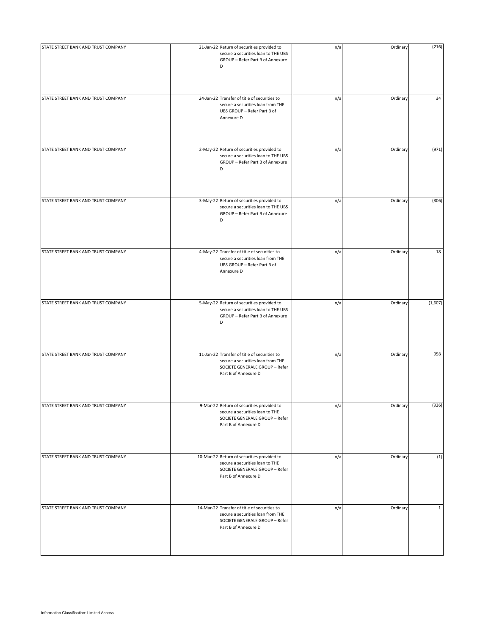| STATE STREET BANK AND TRUST COMPANY | 21-Jan-22 Return of securities provided to<br>secure a securities loan to THE UBS<br>GROUP - Refer Part B of Annexure<br>D                  | n/a | Ordinary | (216)        |
|-------------------------------------|---------------------------------------------------------------------------------------------------------------------------------------------|-----|----------|--------------|
| STATE STREET BANK AND TRUST COMPANY | 24-Jan-22 Transfer of title of securities to<br>secure a securities loan from THE<br>UBS GROUP - Refer Part B of<br>Annexure D              | n/a | Ordinary | 34           |
| STATE STREET BANK AND TRUST COMPANY | 2-May-22 Return of securities provided to<br>secure a securities loan to THE UBS<br>GROUP - Refer Part B of Annexure<br>D                   | n/a | Ordinary | (971)        |
| STATE STREET BANK AND TRUST COMPANY | 3-May-22 Return of securities provided to<br>secure a securities loan to THE UBS<br>GROUP - Refer Part B of Annexure<br>D                   | n/a | Ordinary | (306)        |
| STATE STREET BANK AND TRUST COMPANY | 4-May-22 Transfer of title of securities to<br>secure a securities loan from THE<br>UBS GROUP - Refer Part B of<br>Annexure D               | n/a | Ordinary | 18           |
| STATE STREET BANK AND TRUST COMPANY | 5-May-22 Return of securities provided to<br>secure a securities loan to THE UBS<br>GROUP - Refer Part B of Annexure<br>D                   | n/a | Ordinary | (1,607)      |
| STATE STREET BANK AND TRUST COMPANY | 11-Jan-22 Transfer of title of securities to<br>secure a securities loan from THE<br>SOCIETE GENERALE GROUP - Refer<br>Part B of Annexure D | n/a | Ordinary | 958          |
| STATE STREET BANK AND TRUST COMPANY | 9-Mar-22 Return of securities provided to<br>secure a securities loan to THE<br>SOCIETE GENERALE GROUP - Refer<br>Part B of Annexure D      | n/a | Ordinary | (926)        |
| STATE STREET BANK AND TRUST COMPANY | 10-Mar-22 Return of securities provided to<br>secure a securities loan to THE<br>SOCIETE GENERALE GROUP - Refer<br>Part B of Annexure D     | n/a | Ordinary | (1)          |
| STATE STREET BANK AND TRUST COMPANY | 14-Mar-22 Transfer of title of securities to<br>secure a securities loan from THE<br>SOCIETE GENERALE GROUP - Refer<br>Part B of Annexure D | n/a | Ordinary | $\mathbf{1}$ |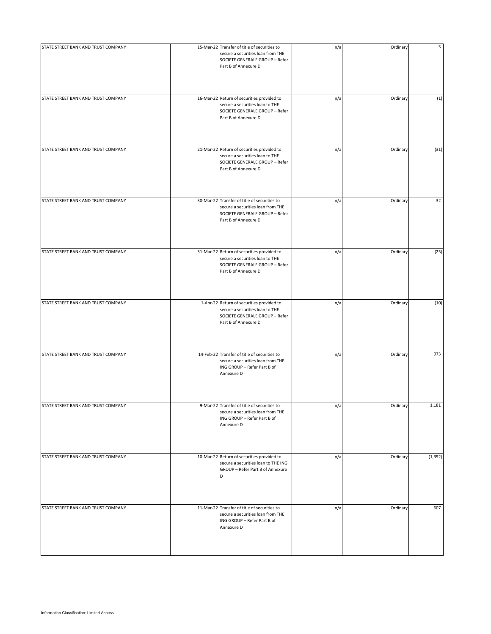| STATE STREET BANK AND TRUST COMPANY | 15-Mar-22 Transfer of title of securities to<br>secure a securities loan from THE<br>SOCIETE GENERALE GROUP - Refer<br>Part B of Annexure D | n/a | Ordinary | 3        |
|-------------------------------------|---------------------------------------------------------------------------------------------------------------------------------------------|-----|----------|----------|
| STATE STREET BANK AND TRUST COMPANY | 16-Mar-22 Return of securities provided to<br>secure a securities loan to THE<br>SOCIETE GENERALE GROUP - Refer<br>Part B of Annexure D     | n/a | Ordinary | (1)      |
| STATE STREET BANK AND TRUST COMPANY | 21-Mar-22 Return of securities provided to<br>secure a securities loan to THE<br>SOCIETE GENERALE GROUP - Refer<br>Part B of Annexure D     | n/a | Ordinary | (31)     |
| STATE STREET BANK AND TRUST COMPANY | 30-Mar-22 Transfer of title of securities to<br>secure a securities loan from THE<br>SOCIETE GENERALE GROUP - Refer<br>Part B of Annexure D | n/a | Ordinary | 32       |
| STATE STREET BANK AND TRUST COMPANY | 31-Mar-22 Return of securities provided to<br>secure a securities loan to THE<br>SOCIETE GENERALE GROUP - Refer<br>Part B of Annexure D     | n/a | Ordinary | (25)     |
| STATE STREET BANK AND TRUST COMPANY | 1-Apr-22 Return of securities provided to<br>secure a securities loan to THE<br>SOCIETE GENERALE GROUP - Refer<br>Part B of Annexure D      | n/a | Ordinary | (10)     |
| STATE STREET BANK AND TRUST COMPANY | 14-Feb-22 Transfer of title of securities to<br>secure a securities loan from THE<br>ING GROUP - Refer Part B of<br>Annexure D              | n/a | Ordinary | 973      |
| STATE STREET BANK AND TRUST COMPANY | 9-Mar-22 Transfer of title of securities to<br>secure a securities loan from THE<br>ING GROUP - Refer Part B of<br>Annexure D               | n/a | Ordinary | 1,181    |
| STATE STREET BANK AND TRUST COMPANY | 10-Mar-22 Return of securities provided to<br>secure a securities loan to THE ING<br>GROUP - Refer Part B of Annexure<br>D                  | n/a | Ordinary | (1, 392) |
| STATE STREET BANK AND TRUST COMPANY | 11-Mar-22 Transfer of title of securities to<br>secure a securities loan from THE<br>ING GROUP - Refer Part B of<br>Annexure D              | n/a | Ordinary | 607      |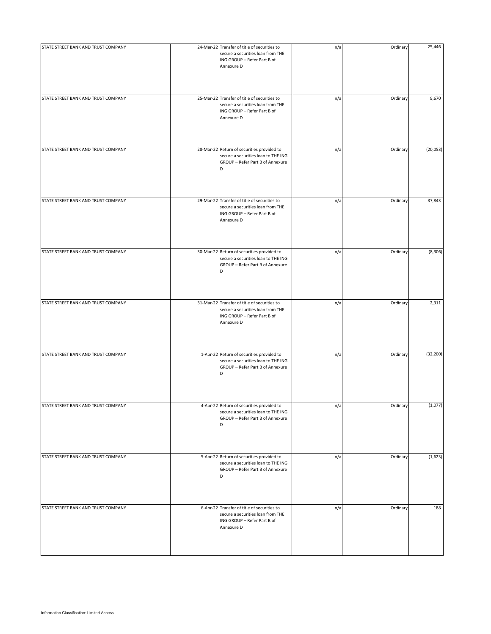| STATE STREET BANK AND TRUST COMPANY | 24-Mar-22 Transfer of title of securities to<br>secure a securities loan from THE<br>ING GROUP - Refer Part B of<br>Annexure D | n/a | Ordinary | 25,446    |
|-------------------------------------|--------------------------------------------------------------------------------------------------------------------------------|-----|----------|-----------|
| STATE STREET BANK AND TRUST COMPANY | 25-Mar-22 Transfer of title of securities to<br>secure a securities loan from THE<br>ING GROUP - Refer Part B of<br>Annexure D | n/a | Ordinary | 9,670     |
| STATE STREET BANK AND TRUST COMPANY | 28-Mar-22 Return of securities provided to<br>secure a securities loan to THE ING<br>GROUP - Refer Part B of Annexure<br>D     | n/a | Ordinary | (20,053)  |
| STATE STREET BANK AND TRUST COMPANY | 29-Mar-22 Transfer of title of securities to<br>secure a securities loan from THE<br>ING GROUP - Refer Part B of<br>Annexure D | n/a | Ordinary | 37,843    |
| STATE STREET BANK AND TRUST COMPANY | 30-Mar-22 Return of securities provided to<br>secure a securities loan to THE ING<br>GROUP - Refer Part B of Annexure<br>D     | n/a | Ordinary | (8,306)   |
| STATE STREET BANK AND TRUST COMPANY | 31-Mar-22 Transfer of title of securities to<br>secure a securities loan from THE<br>ING GROUP - Refer Part B of<br>Annexure D | n/a | Ordinary | 2,311     |
| STATE STREET BANK AND TRUST COMPANY | 1-Apr-22 Return of securities provided to<br>secure a securities loan to THE ING<br>GROUP - Refer Part B of Annexure<br>D      | n/a | Ordinary | (32, 200) |
| STATE STREET BANK AND TRUST COMPANY | 4-Apr-22 Return of securities provided to<br>secure a securities loan to THE ING<br>GROUP - Refer Part B of Annexure<br>D      | n/a | Ordinary | (1,077)   |
| STATE STREET BANK AND TRUST COMPANY | 5-Apr-22 Return of securities provided to<br>secure a securities loan to THE ING<br>GROUP - Refer Part B of Annexure<br>D      | n/a | Ordinary | (1,623)   |
| STATE STREET BANK AND TRUST COMPANY | 6-Apr-22 Transfer of title of securities to<br>secure a securities loan from THE<br>ING GROUP - Refer Part B of<br>Annexure D  | n/a | Ordinary | 188       |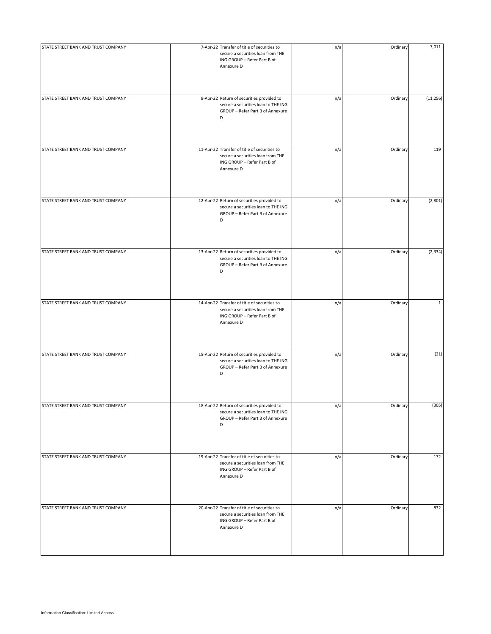| STATE STREET BANK AND TRUST COMPANY | 7-Apr-22 Transfer of title of securities to<br>secure a securities loan from THE<br>ING GROUP - Refer Part B of<br>Annexure D  | n/a | Ordinary | 7,011        |
|-------------------------------------|--------------------------------------------------------------------------------------------------------------------------------|-----|----------|--------------|
| STATE STREET BANK AND TRUST COMPANY | 8-Apr-22 Return of securities provided to<br>secure a securities loan to THE ING<br>GROUP - Refer Part B of Annexure<br>D      | n/a | Ordinary | (11, 256)    |
| STATE STREET BANK AND TRUST COMPANY | 11-Apr-22 Transfer of title of securities to<br>secure a securities loan from THE<br>ING GROUP - Refer Part B of<br>Annexure D | n/a | Ordinary | 119          |
| STATE STREET BANK AND TRUST COMPANY | 12-Apr-22 Return of securities provided to<br>secure a securities loan to THE ING<br>GROUP - Refer Part B of Annexure<br>D     | n/a | Ordinary | (2,801)      |
| STATE STREET BANK AND TRUST COMPANY | 13-Apr-22 Return of securities provided to<br>secure a securities loan to THE ING<br>GROUP - Refer Part B of Annexure<br>D     | n/a | Ordinary | (2, 334)     |
| STATE STREET BANK AND TRUST COMPANY | 14-Apr-22 Transfer of title of securities to<br>secure a securities loan from THE<br>ING GROUP - Refer Part B of<br>Annexure D | n/a | Ordinary | $\mathbf{1}$ |
| STATE STREET BANK AND TRUST COMPANY | 15-Apr-22 Return of securities provided to<br>secure a securities loan to THE ING<br>GROUP - Refer Part B of Annexure<br>D     | n/a | Ordinary | (21)         |
| STATE STREET BANK AND TRUST COMPANY | 18-Apr-22 Return of securities provided to<br>secure a securities loan to THE ING<br>GROUP - Refer Part B of Annexure<br>D     | n/a | Ordinary | (305)        |
| STATE STREET BANK AND TRUST COMPANY | 19-Apr-22 Transfer of title of securities to<br>secure a securities loan from THE<br>ING GROUP - Refer Part B of<br>Annexure D | n/a | Ordinary | 172          |
| STATE STREET BANK AND TRUST COMPANY | 20-Apr-22 Transfer of title of securities to<br>secure a securities loan from THE<br>ING GROUP - Refer Part B of<br>Annexure D | n/a | Ordinary | 832          |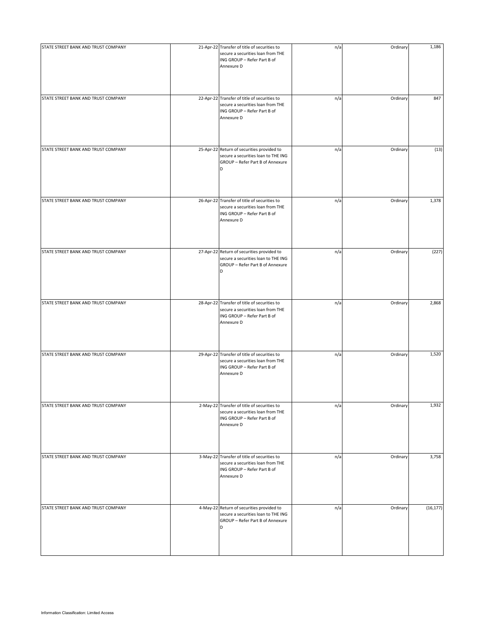| STATE STREET BANK AND TRUST COMPANY | 21-Apr-22 Transfer of title of securities to<br>secure a securities loan from THE<br>ING GROUP - Refer Part B of<br>Annexure D | n/a | Ordinary | 1,186     |
|-------------------------------------|--------------------------------------------------------------------------------------------------------------------------------|-----|----------|-----------|
| STATE STREET BANK AND TRUST COMPANY | 22-Apr-22 Transfer of title of securities to<br>secure a securities loan from THE<br>ING GROUP - Refer Part B of<br>Annexure D | n/a | Ordinary | 847       |
| STATE STREET BANK AND TRUST COMPANY | 25-Apr-22 Return of securities provided to<br>secure a securities loan to THE ING<br>GROUP - Refer Part B of Annexure<br>D     | n/a | Ordinary | (13)      |
| STATE STREET BANK AND TRUST COMPANY | 26-Apr-22 Transfer of title of securities to<br>secure a securities loan from THE<br>ING GROUP - Refer Part B of<br>Annexure D | n/a | Ordinary | 1,378     |
| STATE STREET BANK AND TRUST COMPANY | 27-Apr-22 Return of securities provided to<br>secure a securities loan to THE ING<br>GROUP - Refer Part B of Annexure<br>D     | n/a | Ordinary | (227)     |
| STATE STREET BANK AND TRUST COMPANY | 28-Apr-22 Transfer of title of securities to<br>secure a securities loan from THE<br>ING GROUP - Refer Part B of<br>Annexure D | n/a | Ordinary | 2,868     |
| STATE STREET BANK AND TRUST COMPANY | 29-Apr-22 Transfer of title of securities to<br>secure a securities loan from THE<br>ING GROUP - Refer Part B of<br>Annexure D | n/a | Ordinary | 1,520     |
| STATE STREET BANK AND TRUST COMPANY | 2-May-22 Transfer of title of securities to<br>secure a securities loan from THE<br>ING GROUP - Refer Part B of<br>Annexure D  | n/a | Ordinary | 1,932     |
| STATE STREET BANK AND TRUST COMPANY | 3-May-22 Transfer of title of securities to<br>secure a securities loan from THE<br>ING GROUP - Refer Part B of<br>Annexure D  | n/a | Ordinary | 3,758     |
| STATE STREET BANK AND TRUST COMPANY | 4-May-22 Return of securities provided to<br>secure a securities loan to THE ING<br>GROUP - Refer Part B of Annexure<br>D      | n/a | Ordinary | (16, 177) |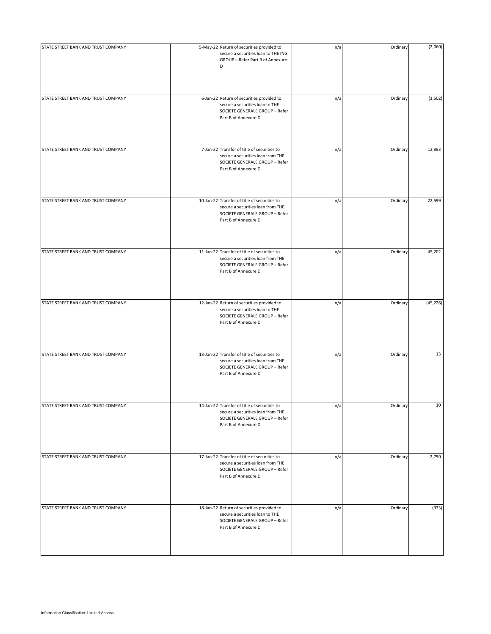| STATE STREET BANK AND TRUST COMPANY | 5-May-22 Return of securities provided to<br>secure a securities loan to THE ING<br>GROUP - Refer Part B of Annexure<br>D                   | n/a | Ordinary | (2,060)   |
|-------------------------------------|---------------------------------------------------------------------------------------------------------------------------------------------|-----|----------|-----------|
| STATE STREET BANK AND TRUST COMPANY | 6-Jan-22 Return of securities provided to<br>secure a securities loan to THE<br>SOCIETE GENERALE GROUP - Refer<br>Part B of Annexure D      | n/a | Ordinary | (1,502)   |
| STATE STREET BANK AND TRUST COMPANY | 7-Jan-22 Transfer of title of securities to                                                                                                 | n/a | Ordinary | 12,893    |
|                                     | secure a securities loan from THE<br>SOCIETE GENERALE GROUP - Refer<br>Part B of Annexure D                                                 |     |          |           |
| STATE STREET BANK AND TRUST COMPANY | 10-Jan-22 Transfer of title of securities to<br>secure a securities loan from THE<br>SOCIETE GENERALE GROUP - Refer<br>Part B of Annexure D | n/a | Ordinary | 22,599    |
| STATE STREET BANK AND TRUST COMPANY | 11-Jan-22 Transfer of title of securities to<br>secure a securities loan from THE<br>SOCIETE GENERALE GROUP - Refer<br>Part B of Annexure D | n/a | Ordinary | 45,202    |
| STATE STREET BANK AND TRUST COMPANY | 12-Jan-22 Return of securities provided to<br>secure a securities loan to THE<br>SOCIETE GENERALE GROUP - Refer<br>Part B of Annexure D     | n/a | Ordinary | (45, 226) |
| STATE STREET BANK AND TRUST COMPANY | 13-Jan-22 Transfer of title of securities to<br>secure a securities loan from THE<br>SOCIETE GENERALE GROUP - Refer<br>Part B of Annexure D | n/a | Ordinary | 13        |
| STATE STREET BANK AND TRUST COMPANY | 14-Jan-22 Transfer of title of securities to<br>secure a securities loan from THE<br>SOCIETE GENERALE GROUP - Refer<br>Part B of Annexure D | n/a | Ordinary | 10        |
| STATE STREET BANK AND TRUST COMPANY | 17-Jan-22 Transfer of title of securities to<br>secure a securities loan from THE<br>SOCIETE GENERALE GROUP - Refer<br>Part B of Annexure D | n/a | Ordinary | 2,790     |
| STATE STREET BANK AND TRUST COMPANY | 18-Jan-22 Return of securities provided to<br>secure a securities loan to THE<br>SOCIETE GENERALE GROUP - Refer<br>Part B of Annexure D     | n/a | Ordinary | (333)     |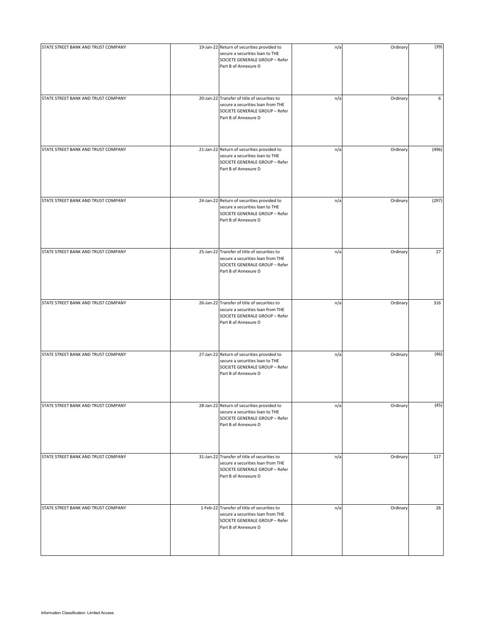| STATE STREET BANK AND TRUST COMPANY | 19-Jan-22 Return of securities provided to<br>secure a securities loan to THE<br>SOCIETE GENERALE GROUP - Refer<br>Part B of Annexure D     | n/a | Ordinary | (39)  |
|-------------------------------------|---------------------------------------------------------------------------------------------------------------------------------------------|-----|----------|-------|
| STATE STREET BANK AND TRUST COMPANY | 20-Jan-22 Transfer of title of securities to<br>secure a securities loan from THE<br>SOCIETE GENERALE GROUP - Refer<br>Part B of Annexure D | n/a | Ordinary | 6     |
| STATE STREET BANK AND TRUST COMPANY | 21-Jan-22 Return of securities provided to<br>secure a securities loan to THE<br>SOCIETE GENERALE GROUP - Refer<br>Part B of Annexure D     | n/a | Ordinary | (496) |
| STATE STREET BANK AND TRUST COMPANY | 24-Jan-22 Return of securities provided to<br>secure a securities loan to THE<br>SOCIETE GENERALE GROUP - Refer<br>Part B of Annexure D     | n/a | Ordinary | (297) |
| STATE STREET BANK AND TRUST COMPANY | 25-Jan-22 Transfer of title of securities to<br>secure a securities loan from THE<br>SOCIETE GENERALE GROUP - Refer<br>Part B of Annexure D | n/a | Ordinary | 27    |
| STATE STREET BANK AND TRUST COMPANY | 26-Jan-22 Transfer of title of securities to<br>secure a securities loan from THE<br>SOCIETE GENERALE GROUP - Refer<br>Part B of Annexure D | n/a | Ordinary | 316   |
| STATE STREET BANK AND TRUST COMPANY | 27-Jan-22 Return of securities provided to<br>secure a securities loan to THE<br>SOCIETE GENERALE GROUP - Refer<br>Part B of Annexure D     | n/a | Ordinary | (46)  |
| STATE STREET BANK AND TRUST COMPANY | 28-Jan-22 Return of securities provided to<br>secure a securities loan to THE<br>SOCIETE GENERALE GROUP - Refer<br>Part B of Annexure D     | n/a | Ordinary | (45)  |
| STATE STREET BANK AND TRUST COMPANY | 31-Jan-22 Transfer of title of securities to<br>secure a securities loan from THE<br>SOCIETE GENERALE GROUP - Refer<br>Part B of Annexure D | n/a | Ordinary | 117   |
| STATE STREET BANK AND TRUST COMPANY | 1-Feb-22 Transfer of title of securities to<br>secure a securities loan from THE<br>SOCIETE GENERALE GROUP - Refer<br>Part B of Annexure D  | n/a | Ordinary | 26    |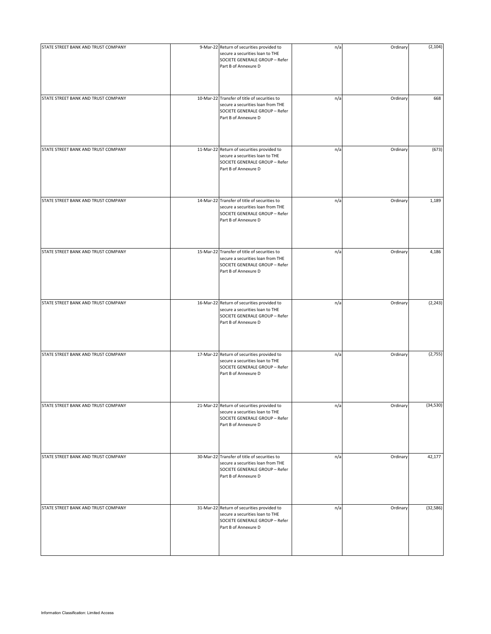| STATE STREET BANK AND TRUST COMPANY | 9-Mar-22 Return of securities provided to<br>secure a securities loan to THE<br>SOCIETE GENERALE GROUP - Refer<br>Part B of Annexure D      | n/a | Ordinary | (2, 104)  |
|-------------------------------------|---------------------------------------------------------------------------------------------------------------------------------------------|-----|----------|-----------|
| STATE STREET BANK AND TRUST COMPANY | 10-Mar-22 Transfer of title of securities to<br>secure a securities loan from THE<br>SOCIETE GENERALE GROUP - Refer<br>Part B of Annexure D | n/a | Ordinary | 668       |
| STATE STREET BANK AND TRUST COMPANY | 11-Mar-22 Return of securities provided to<br>secure a securities loan to THE<br>SOCIETE GENERALE GROUP - Refer<br>Part B of Annexure D     | n/a | Ordinary | (673)     |
| STATE STREET BANK AND TRUST COMPANY | 14-Mar-22 Transfer of title of securities to<br>secure a securities loan from THE<br>SOCIETE GENERALE GROUP - Refer<br>Part B of Annexure D | n/a | Ordinary | 1,189     |
| STATE STREET BANK AND TRUST COMPANY | 15-Mar-22 Transfer of title of securities to<br>secure a securities loan from THE<br>SOCIETE GENERALE GROUP - Refer<br>Part B of Annexure D | n/a | Ordinary | 4,186     |
| STATE STREET BANK AND TRUST COMPANY | 16-Mar-22 Return of securities provided to<br>secure a securities loan to THE<br>SOCIETE GENERALE GROUP - Refer<br>Part B of Annexure D     | n/a | Ordinary | (2, 243)  |
| STATE STREET BANK AND TRUST COMPANY | 17-Mar-22 Return of securities provided to<br>secure a securities loan to THE<br>SOCIETE GENERALE GROUP - Refer<br>Part B of Annexure D     | n/a | Ordinary | (2,755)   |
| STATE STREET BANK AND TRUST COMPANY | 21-Mar-22 Return of securities provided to<br>secure a securities loan to THE<br>SOCIETE GENERALE GROUP - Refer<br>Part B of Annexure D     | n/a | Ordinary | (34, 530) |
| STATE STREET BANK AND TRUST COMPANY | 30-Mar-22 Transfer of title of securities to<br>secure a securities loan from THE<br>SOCIETE GENERALE GROUP - Refer<br>Part B of Annexure D | n/a | Ordinary | 42,177    |
| STATE STREET BANK AND TRUST COMPANY | 31-Mar-22 Return of securities provided to<br>secure a securities loan to THE<br>SOCIETE GENERALE GROUP - Refer<br>Part B of Annexure D     | n/a | Ordinary | (32, 586) |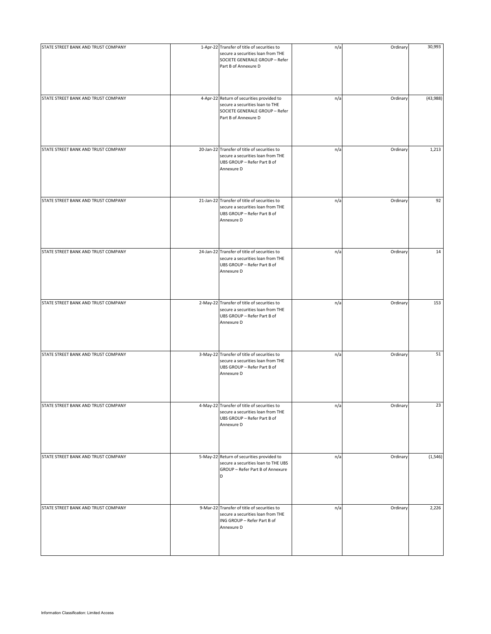| STATE STREET BANK AND TRUST COMPANY | 1-Apr-22 Transfer of title of securities to<br>secure a securities loan from THE<br>SOCIETE GENERALE GROUP - Refer<br>Part B of Annexure D | n/a | Ordinary | 30,993   |
|-------------------------------------|--------------------------------------------------------------------------------------------------------------------------------------------|-----|----------|----------|
| STATE STREET BANK AND TRUST COMPANY | 4-Apr-22 Return of securities provided to<br>secure a securities loan to THE<br>SOCIETE GENERALE GROUP - Refer<br>Part B of Annexure D     | n/a | Ordinary | (43,988) |
| STATE STREET BANK AND TRUST COMPANY | 20-Jan-22 Transfer of title of securities to<br>secure a securities loan from THE<br>UBS GROUP - Refer Part B of<br>Annexure D             | n/a | Ordinary | 1,213    |
| STATE STREET BANK AND TRUST COMPANY | 21-Jan-22 Transfer of title of securities to<br>secure a securities loan from THE<br>UBS GROUP - Refer Part B of<br>Annexure D             | n/a | Ordinary | 92       |
| STATE STREET BANK AND TRUST COMPANY | 24-Jan-22 Transfer of title of securities to<br>secure a securities loan from THE<br>UBS GROUP - Refer Part B of<br>Annexure D             | n/a | Ordinary | 14       |
| STATE STREET BANK AND TRUST COMPANY | 2-May-22 Transfer of title of securities to<br>secure a securities loan from THE<br>UBS GROUP - Refer Part B of<br>Annexure D              | n/a | Ordinary | 153      |
| STATE STREET BANK AND TRUST COMPANY | 3-May-22 Transfer of title of securities to<br>secure a securities loan from THE<br>UBS GROUP - Refer Part B of<br>Annexure D              | n/a | Ordinary | 51       |
| STATE STREET BANK AND TRUST COMPANY | 4-May-22 Transfer of title of securities to<br>secure a securities loan from THE<br>UBS GROUP - Refer Part B of<br>Annexure D              | n/a | Ordinary | 23       |
| STATE STREET BANK AND TRUST COMPANY | 5-May-22 Return of securities provided to<br>secure a securities loan to THE UBS<br>GROUP - Refer Part B of Annexure<br>D                  | n/a | Ordinary | (1, 546) |
| STATE STREET BANK AND TRUST COMPANY | 9-Mar-22 Transfer of title of securities to<br>secure a securities loan from THE<br>ING GROUP - Refer Part B of<br>Annexure D              | n/a | Ordinary | 2,226    |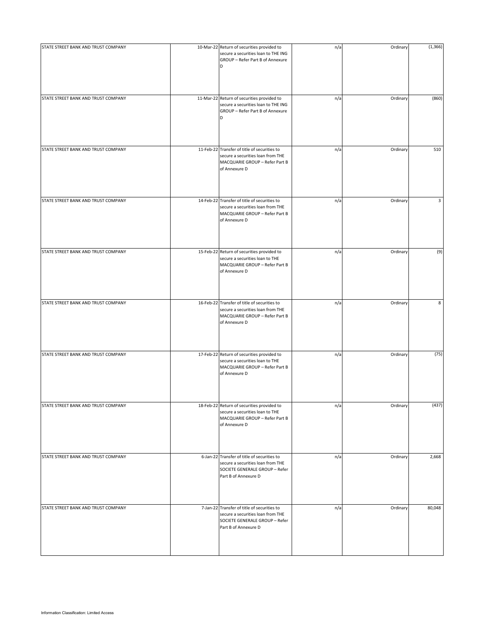| STATE STREET BANK AND TRUST COMPANY | 10-Mar-22 Return of securities provided to<br>secure a securities loan to THE ING<br>GROUP - Refer Part B of Annexure<br>D                 | n/a | Ordinary | (1, 366) |
|-------------------------------------|--------------------------------------------------------------------------------------------------------------------------------------------|-----|----------|----------|
| STATE STREET BANK AND TRUST COMPANY | 11-Mar-22 Return of securities provided to<br>secure a securities loan to THE ING<br>GROUP - Refer Part B of Annexure<br>D                 | n/a | Ordinary | (860)    |
| STATE STREET BANK AND TRUST COMPANY | 11-Feb-22 Transfer of title of securities to<br>secure a securities loan from THE<br>MACQUARIE GROUP - Refer Part B<br>of Annexure D       | n/a | Ordinary | 510      |
| STATE STREET BANK AND TRUST COMPANY | 14-Feb-22 Transfer of title of securities to<br>secure a securities loan from THE<br>MACQUARIE GROUP - Refer Part B<br>of Annexure D       | n/a | Ordinary | 3        |
| STATE STREET BANK AND TRUST COMPANY | 15-Feb-22 Return of securities provided to<br>secure a securities loan to THE<br>MACQUARIE GROUP - Refer Part B<br>of Annexure D           | n/a | Ordinary | (9)      |
| STATE STREET BANK AND TRUST COMPANY | 16-Feb-22 Transfer of title of securities to<br>secure a securities loan from THE<br>MACQUARIE GROUP - Refer Part B<br>of Annexure D       | n/a | Ordinary | 8        |
| STATE STREET BANK AND TRUST COMPANY | 17-Feb-22 Return of securities provided to<br>secure a securities loan to THE<br>MACQUARIE GROUP - Refer Part B<br>of Annexure D           | n/a | Ordinary | (75)     |
| STATE STREET BANK AND TRUST COMPANY | 18-Feb-22 Return of securities provided to<br>secure a securities loan to THE<br>MACQUARIE GROUP - Refer Part B<br>of Annexure D           | n/a | Ordinary | (437)    |
| STATE STREET BANK AND TRUST COMPANY | 6-Jan-22 Transfer of title of securities to<br>secure a securities loan from THE<br>SOCIETE GENERALE GROUP - Refer<br>Part B of Annexure D | n/a | Ordinary | 2,668    |
| STATE STREET BANK AND TRUST COMPANY | 7-Jan-22 Transfer of title of securities to<br>secure a securities loan from THE<br>SOCIETE GENERALE GROUP - Refer<br>Part B of Annexure D | n/a | Ordinary | 80,048   |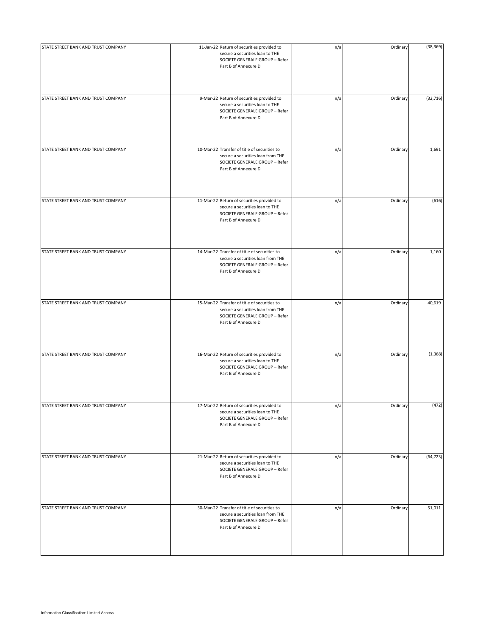| STATE STREET BANK AND TRUST COMPANY | 11-Jan-22 Return of securities provided to<br>secure a securities loan to THE<br>SOCIETE GENERALE GROUP - Refer<br>Part B of Annexure D     | n/a | Ordinary | (38, 369) |
|-------------------------------------|---------------------------------------------------------------------------------------------------------------------------------------------|-----|----------|-----------|
| STATE STREET BANK AND TRUST COMPANY | 9-Mar-22 Return of securities provided to<br>secure a securities loan to THE<br>SOCIETE GENERALE GROUP - Refer<br>Part B of Annexure D      | n/a | Ordinary | (32, 716) |
| STATE STREET BANK AND TRUST COMPANY | 10-Mar-22 Transfer of title of securities to<br>secure a securities loan from THE<br>SOCIETE GENERALE GROUP - Refer<br>Part B of Annexure D | n/a | Ordinary | 1,691     |
| STATE STREET BANK AND TRUST COMPANY | 11-Mar-22 Return of securities provided to<br>secure a securities loan to THE<br>SOCIETE GENERALE GROUP - Refer<br>Part B of Annexure D     | n/a | Ordinary | (616)     |
| STATE STREET BANK AND TRUST COMPANY | 14-Mar-22 Transfer of title of securities to<br>secure a securities loan from THE<br>SOCIETE GENERALE GROUP - Refer<br>Part B of Annexure D | n/a | Ordinary | 1,160     |
| STATE STREET BANK AND TRUST COMPANY | 15-Mar-22 Transfer of title of securities to<br>secure a securities loan from THE<br>SOCIETE GENERALE GROUP - Refer<br>Part B of Annexure D | n/a | Ordinary | 40,619    |
| STATE STREET BANK AND TRUST COMPANY | 16-Mar-22 Return of securities provided to<br>secure a securities loan to THE<br>SOCIETE GENERALE GROUP - Refer<br>Part B of Annexure D     | n/a | Ordinary | (1, 368)  |
| STATE STREET BANK AND TRUST COMPANY | 17-Mar-22 Return of securities provided to<br>secure a securities loan to THE<br>SOCIETE GENERALE GROUP - Refer<br>Part B of Annexure D     | n/a | Ordinary | (472)     |
| STATE STREET BANK AND TRUST COMPANY | 21-Mar-22 Return of securities provided to<br>secure a securities loan to THE<br>SOCIETE GENERALE GROUP - Refer<br>Part B of Annexure D     | n/a | Ordinary | (64, 723) |
| STATE STREET BANK AND TRUST COMPANY | 30-Mar-22 Transfer of title of securities to<br>secure a securities loan from THE<br>SOCIETE GENERALE GROUP - Refer<br>Part B of Annexure D | n/a | Ordinary | 51,011    |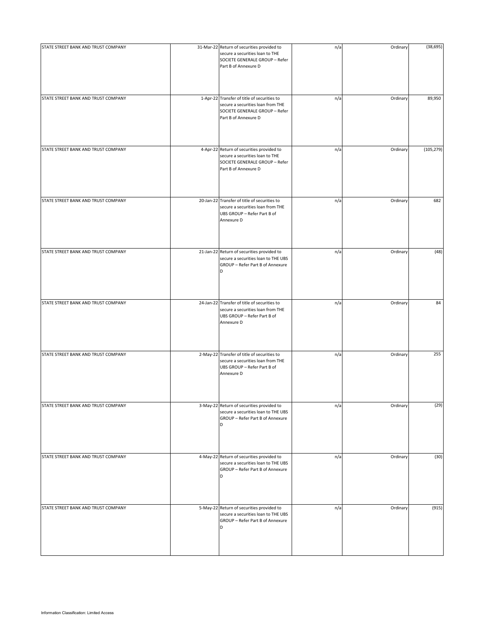| STATE STREET BANK AND TRUST COMPANY | 31-Mar-22 Return of securities provided to<br>secure a securities loan to THE<br>SOCIETE GENERALE GROUP - Refer<br>Part B of Annexure D    | n/a | Ordinary | (38, 695)  |
|-------------------------------------|--------------------------------------------------------------------------------------------------------------------------------------------|-----|----------|------------|
| STATE STREET BANK AND TRUST COMPANY | 1-Apr-22 Transfer of title of securities to<br>secure a securities loan from THE<br>SOCIETE GENERALE GROUP - Refer<br>Part B of Annexure D | n/a | Ordinary | 89,950     |
| STATE STREET BANK AND TRUST COMPANY | 4-Apr-22 Return of securities provided to<br>secure a securities loan to THE<br>SOCIETE GENERALE GROUP - Refer<br>Part B of Annexure D     | n/a | Ordinary | (105, 279) |
| STATE STREET BANK AND TRUST COMPANY | 20-Jan-22 Transfer of title of securities to<br>secure a securities loan from THE<br>UBS GROUP - Refer Part B of<br>Annexure D             | n/a | Ordinary | 682        |
| STATE STREET BANK AND TRUST COMPANY | 21-Jan-22 Return of securities provided to<br>secure a securities loan to THE UBS<br>GROUP - Refer Part B of Annexure<br>D                 | n/a | Ordinary | (48)       |
| STATE STREET BANK AND TRUST COMPANY | 24-Jan-22 Transfer of title of securities to<br>secure a securities loan from THE<br>UBS GROUP - Refer Part B of<br>Annexure D             | n/a | Ordinary | 84         |
| STATE STREET BANK AND TRUST COMPANY | 2-May-22 Transfer of title of securities to<br>secure a securities loan from THE<br>UBS GROUP - Refer Part B of<br>Annexure D              | n/a | Ordinary | 255        |
| STATE STREET BANK AND TRUST COMPANY | 3-May-22 Return of securities provided to<br>secure a securities loan to THE UBS<br>GROUP - Refer Part B of Annexure<br>D                  | n/a | Ordinary | (29)       |
| STATE STREET BANK AND TRUST COMPANY | 4-May-22 Return of securities provided to<br>secure a securities loan to THE UBS<br>GROUP - Refer Part B of Annexure<br>D                  | n/a | Ordinary | (30)       |
| STATE STREET BANK AND TRUST COMPANY | 5-May-22 Return of securities provided to<br>secure a securities loan to THE UBS<br>GROUP - Refer Part B of Annexure<br>D                  | n/a | Ordinary | (915)      |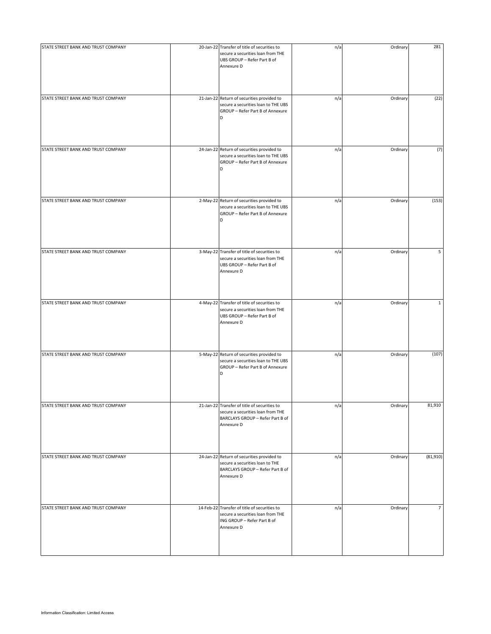| STATE STREET BANK AND TRUST COMPANY | 20-Jan-22 Transfer of title of securities to<br>secure a securities loan from THE<br>UBS GROUP - Refer Part B of<br>Annexure D      | n/a | Ordinary | 281            |
|-------------------------------------|-------------------------------------------------------------------------------------------------------------------------------------|-----|----------|----------------|
| STATE STREET BANK AND TRUST COMPANY | 21-Jan-22 Return of securities provided to<br>secure a securities loan to THE UBS<br>GROUP - Refer Part B of Annexure<br>D          | n/a | Ordinary | (22)           |
| STATE STREET BANK AND TRUST COMPANY | 24-Jan-22 Return of securities provided to<br>secure a securities loan to THE UBS<br>GROUP - Refer Part B of Annexure<br>D          | n/a | Ordinary | (7)            |
| STATE STREET BANK AND TRUST COMPANY | 2-May-22 Return of securities provided to<br>secure a securities loan to THE UBS<br>GROUP - Refer Part B of Annexure<br>D           | n/a | Ordinary | (153)          |
| STATE STREET BANK AND TRUST COMPANY | 3-May-22 Transfer of title of securities to<br>secure a securities loan from THE<br>UBS GROUP - Refer Part B of<br>Annexure D       | n/a | Ordinary | 5              |
| STATE STREET BANK AND TRUST COMPANY | 4-May-22 Transfer of title of securities to<br>secure a securities loan from THE<br>UBS GROUP - Refer Part B of<br>Annexure D       | n/a | Ordinary | $\mathbf{1}$   |
| STATE STREET BANK AND TRUST COMPANY | 5-May-22 Return of securities provided to<br>secure a securities loan to THE UBS<br>GROUP - Refer Part B of Annexure<br>D           | n/a | Ordinary | (107)          |
| STATE STREET BANK AND TRUST COMPANY | 21-Jan-22 Transfer of title of securities to<br>secure a securities loan from THE<br>BARCLAYS GROUP - Refer Part B of<br>Annexure D | n/a | Ordinary | 81,910         |
| STATE STREET BANK AND TRUST COMPANY | 24-Jan-22 Return of securities provided to<br>secure a securities loan to THE<br>BARCLAYS GROUP - Refer Part B of<br>Annexure D     | n/a | Ordinary | (81,910)       |
| STATE STREET BANK AND TRUST COMPANY | 14-Feb-22 Transfer of title of securities to<br>secure a securities loan from THE<br>ING GROUP - Refer Part B of<br>Annexure D      | n/a | Ordinary | $\overline{7}$ |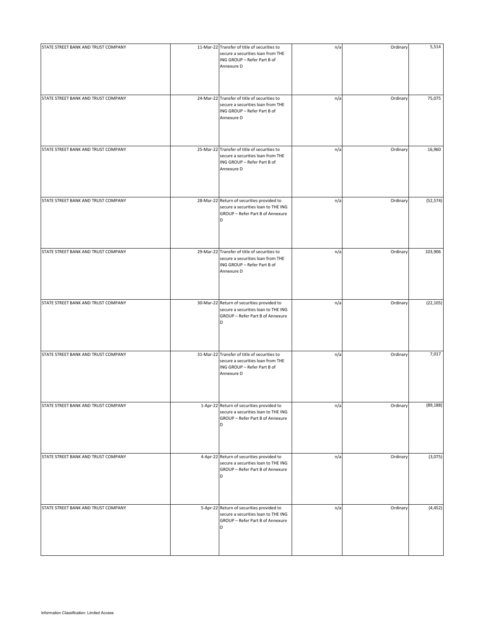| STATE STREET BANK AND TRUST COMPANY | 11-Mar-22 Transfer of title of securities to<br>secure a securities loan from THE<br>ING GROUP - Refer Part B of<br>Annexure D | n/a | Ordinary | 5,514     |
|-------------------------------------|--------------------------------------------------------------------------------------------------------------------------------|-----|----------|-----------|
| STATE STREET BANK AND TRUST COMPANY | 24-Mar-22 Transfer of title of securities to<br>secure a securities loan from THE<br>ING GROUP - Refer Part B of<br>Annexure D | n/a | Ordinary | 75,075    |
| STATE STREET BANK AND TRUST COMPANY | 25-Mar-22 Transfer of title of securities to<br>secure a securities loan from THE<br>ING GROUP - Refer Part B of<br>Annexure D | n/a | Ordinary | 16,960    |
| STATE STREET BANK AND TRUST COMPANY | 28-Mar-22 Return of securities provided to<br>secure a securities loan to THE ING<br>GROUP - Refer Part B of Annexure<br>D     | n/a | Ordinary | (52, 574) |
| STATE STREET BANK AND TRUST COMPANY | 29-Mar-22 Transfer of title of securities to<br>secure a securities loan from THE<br>ING GROUP - Refer Part B of<br>Annexure D | n/a | Ordinary | 103,906   |
| STATE STREET BANK AND TRUST COMPANY | 30-Mar-22 Return of securities provided to<br>secure a securities loan to THE ING<br>GROUP - Refer Part B of Annexure<br>D     | n/a | Ordinary | (22, 105) |
| STATE STREET BANK AND TRUST COMPANY | 31-Mar-22 Transfer of title of securities to<br>secure a securities loan from THE<br>ING GROUP - Refer Part B of<br>Annexure D | n/a | Ordinary | 7,017     |
| STATE STREET BANK AND TRUST COMPANY | 1-Apr-22 Return of securities provided to<br>secure a securities loan to THE ING<br>GROUP - Refer Part B of Annexure<br>D      | n/a | Ordinary | (89, 188) |
| STATE STREET BANK AND TRUST COMPANY | 4-Apr-22 Return of securities provided to<br>secure a securities loan to THE ING<br>GROUP - Refer Part B of Annexure<br>D      | n/a | Ordinary | (3,075)   |
| STATE STREET BANK AND TRUST COMPANY | 5-Apr-22 Return of securities provided to<br>secure a securities loan to THE ING<br>GROUP - Refer Part B of Annexure<br>D      | n/a | Ordinary | (4, 452)  |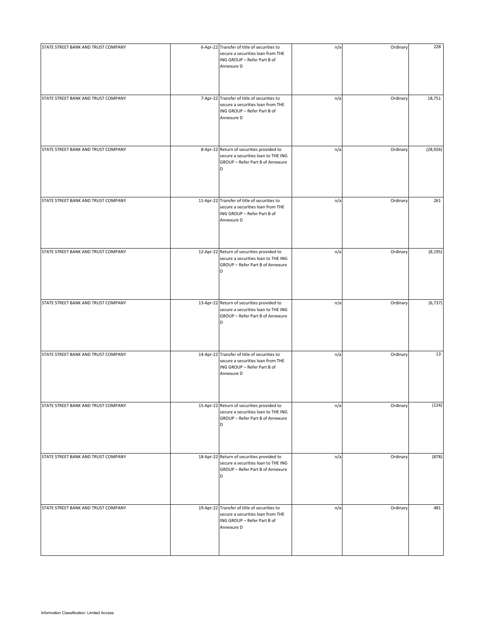| STATE STREET BANK AND TRUST COMPANY | 6-Apr-22 Transfer of title of securities to                                                                                    | n/a | Ordinary | 228       |
|-------------------------------------|--------------------------------------------------------------------------------------------------------------------------------|-----|----------|-----------|
|                                     | secure a securities loan from THE<br>ING GROUP - Refer Part B of<br>Annexure D                                                 |     |          |           |
|                                     |                                                                                                                                |     |          |           |
| STATE STREET BANK AND TRUST COMPANY | 7-Apr-22 Transfer of title of securities to<br>secure a securities loan from THE<br>ING GROUP - Refer Part B of<br>Annexure D  | n/a | Ordinary | 18,751    |
| STATE STREET BANK AND TRUST COMPANY | 8-Apr-22 Return of securities provided to<br>secure a securities loan to THE ING<br>GROUP - Refer Part B of Annexure<br>D      | n/a | Ordinary | (28, 926) |
| STATE STREET BANK AND TRUST COMPANY | 11-Apr-22 Transfer of title of securities to<br>secure a securities loan from THE<br>ING GROUP - Refer Part B of<br>Annexure D | n/a | Ordinary | 261       |
| STATE STREET BANK AND TRUST COMPANY | 12-Apr-22 Return of securities provided to<br>secure a securities loan to THE ING<br>GROUP - Refer Part B of Annexure<br>D     | n/a | Ordinary | (8, 195)  |
| STATE STREET BANK AND TRUST COMPANY | 13-Apr-22 Return of securities provided to<br>secure a securities loan to THE ING<br>GROUP - Refer Part B of Annexure<br>D     | n/a | Ordinary | (6, 737)  |
| STATE STREET BANK AND TRUST COMPANY | 14-Apr-22 Transfer of title of securities to<br>secure a securities loan from THE<br>ING GROUP - Refer Part B of<br>Annexure D | n/a | Ordinary | 13        |
| STATE STREET BANK AND TRUST COMPANY | 15-Apr-22 Return of securities provided to<br>secure a securities loan to THE ING<br>GROUP - Refer Part B of Annexure<br>D     | n/a | Ordinary | (124)     |
| STATE STREET BANK AND TRUST COMPANY | 18-Apr-22 Return of securities provided to<br>secure a securities loan to THE ING<br>GROUP - Refer Part B of Annexure<br>D     | n/a | Ordinary | (878)     |
| STATE STREET BANK AND TRUST COMPANY | 19-Apr-22 Transfer of title of securities to<br>secure a securities loan from THE<br>ING GROUP - Refer Part B of<br>Annexure D | n/a | Ordinary | 481       |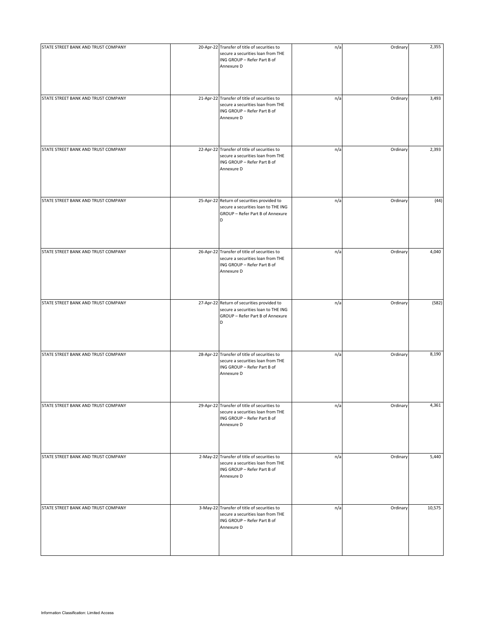| STATE STREET BANK AND TRUST COMPANY | 20-Apr-22 Transfer of title of securities to<br>secure a securities loan from THE<br>ING GROUP - Refer Part B of<br>Annexure D | n/a | Ordinary | 2,355  |
|-------------------------------------|--------------------------------------------------------------------------------------------------------------------------------|-----|----------|--------|
| STATE STREET BANK AND TRUST COMPANY | 21-Apr-22 Transfer of title of securities to<br>secure a securities loan from THE<br>ING GROUP - Refer Part B of<br>Annexure D | n/a | Ordinary | 3,493  |
| STATE STREET BANK AND TRUST COMPANY | 22-Apr-22 Transfer of title of securities to<br>secure a securities loan from THE<br>ING GROUP - Refer Part B of<br>Annexure D | n/a | Ordinary | 2,393  |
| STATE STREET BANK AND TRUST COMPANY | 25-Apr-22 Return of securities provided to<br>secure a securities loan to THE ING<br>GROUP - Refer Part B of Annexure<br>D     | n/a | Ordinary | (44)   |
| STATE STREET BANK AND TRUST COMPANY | 26-Apr-22 Transfer of title of securities to<br>secure a securities loan from THE<br>ING GROUP - Refer Part B of<br>Annexure D | n/a | Ordinary | 4,040  |
| STATE STREET BANK AND TRUST COMPANY | 27-Apr-22 Return of securities provided to<br>secure a securities loan to THE ING<br>GROUP - Refer Part B of Annexure<br>D     | n/a | Ordinary | (582)  |
| STATE STREET BANK AND TRUST COMPANY | 28-Apr-22 Transfer of title of securities to<br>secure a securities loan from THE<br>ING GROUP - Refer Part B of<br>Annexure D | n/a | Ordinary | 8,190  |
| STATE STREET BANK AND TRUST COMPANY | 29-Apr-22 Transfer of title of securities to<br>secure a securities loan from THE<br>ING GROUP - Refer Part B of<br>Annexure D | n/a | Ordinary | 4,361  |
| STATE STREET BANK AND TRUST COMPANY | 2-May-22 Transfer of title of securities to<br>secure a securities loan from THE<br>ING GROUP - Refer Part B of<br>Annexure D  | n/a | Ordinary | 5,440  |
| STATE STREET BANK AND TRUST COMPANY | 3-May-22 Transfer of title of securities to<br>secure a securities loan from THE<br>ING GROUP - Refer Part B of<br>Annexure D  | n/a | Ordinary | 10,575 |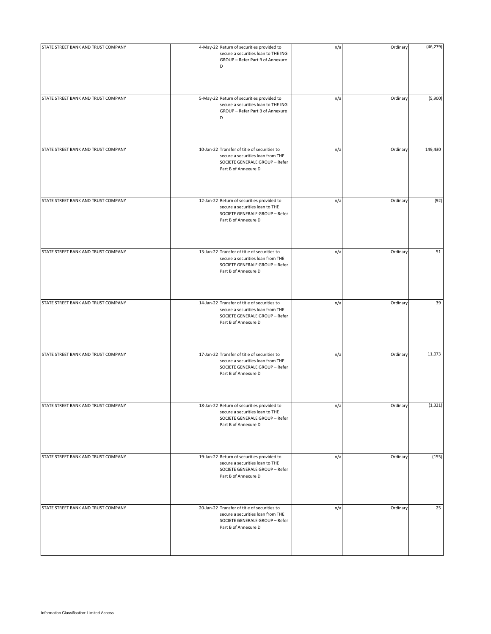| STATE STREET BANK AND TRUST COMPANY | 4-May-22 Return of securities provided to<br>secure a securities loan to THE ING<br>GROUP - Refer Part B of Annexure<br>D                   | n/a | Ordinary | (46, 279) |
|-------------------------------------|---------------------------------------------------------------------------------------------------------------------------------------------|-----|----------|-----------|
| STATE STREET BANK AND TRUST COMPANY | 5-May-22 Return of securities provided to<br>secure a securities loan to THE ING<br>GROUP - Refer Part B of Annexure<br>D                   | n/a | Ordinary | (5,900)   |
| STATE STREET BANK AND TRUST COMPANY | 10-Jan-22 Transfer of title of securities to<br>secure a securities loan from THE<br>SOCIETE GENERALE GROUP - Refer<br>Part B of Annexure D | n/a | Ordinary | 149,430   |
| STATE STREET BANK AND TRUST COMPANY | 12-Jan-22 Return of securities provided to<br>secure a securities loan to THE<br>SOCIETE GENERALE GROUP - Refer<br>Part B of Annexure D     | n/a | Ordinary | (92)      |
| STATE STREET BANK AND TRUST COMPANY | 13-Jan-22 Transfer of title of securities to<br>secure a securities loan from THE<br>SOCIETE GENERALE GROUP - Refer<br>Part B of Annexure D | n/a | Ordinary | 51        |
| STATE STREET BANK AND TRUST COMPANY | 14-Jan-22 Transfer of title of securities to<br>secure a securities loan from THE<br>SOCIETE GENERALE GROUP - Refer<br>Part B of Annexure D | n/a | Ordinary | 39        |
| STATE STREET BANK AND TRUST COMPANY | 17-Jan-22 Transfer of title of securities to<br>secure a securities loan from THE<br>SOCIETE GENERALE GROUP - Refer<br>Part B of Annexure D | n/a | Ordinary | 11,073    |
| STATE STREET BANK AND TRUST COMPANY | 18-Jan-22 Return of securities provided to<br>secure a securities loan to THE<br>SOCIETE GENERALE GROUP - Refer<br>Part B of Annexure D     | n/a | Ordinary | (1, 321)  |
| STATE STREET BANK AND TRUST COMPANY | 19-Jan-22 Return of securities provided to<br>secure a securities loan to THE<br>SOCIETE GENERALE GROUP - Refer<br>Part B of Annexure D     | n/a | Ordinary | (155)     |
| STATE STREET BANK AND TRUST COMPANY | 20-Jan-22 Transfer of title of securities to<br>secure a securities loan from THE<br>SOCIETE GENERALE GROUP - Refer<br>Part B of Annexure D | n/a | Ordinary | 25        |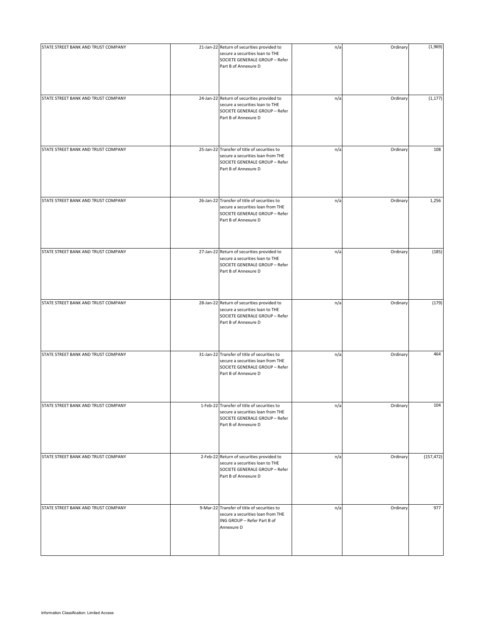| STATE STREET BANK AND TRUST COMPANY | 21-Jan-22 Return of securities provided to<br>secure a securities loan to THE<br>SOCIETE GENERALE GROUP - Refer<br>Part B of Annexure D     | n/a | Ordinary | (1,969)    |
|-------------------------------------|---------------------------------------------------------------------------------------------------------------------------------------------|-----|----------|------------|
| STATE STREET BANK AND TRUST COMPANY | 24-Jan-22 Return of securities provided to<br>secure a securities loan to THE<br>SOCIETE GENERALE GROUP - Refer<br>Part B of Annexure D     | n/a | Ordinary | (1, 177)   |
| STATE STREET BANK AND TRUST COMPANY | 25-Jan-22 Transfer of title of securities to<br>secure a securities loan from THE<br>SOCIETE GENERALE GROUP - Refer<br>Part B of Annexure D | n/a | Ordinary | 108        |
| STATE STREET BANK AND TRUST COMPANY | 26-Jan-22 Transfer of title of securities to<br>secure a securities loan from THE<br>SOCIETE GENERALE GROUP - Refer<br>Part B of Annexure D | n/a | Ordinary | 1,256      |
| STATE STREET BANK AND TRUST COMPANY | 27-Jan-22 Return of securities provided to<br>secure a securities loan to THE<br>SOCIETE GENERALE GROUP - Refer<br>Part B of Annexure D     | n/a | Ordinary | (185)      |
| STATE STREET BANK AND TRUST COMPANY | 28-Jan-22 Return of securities provided to<br>secure a securities loan to THE<br>SOCIETE GENERALE GROUP - Refer<br>Part B of Annexure D     | n/a | Ordinary | (179)      |
| STATE STREET BANK AND TRUST COMPANY | 31-Jan-22 Transfer of title of securities to<br>secure a securities loan from THE<br>SOCIETE GENERALE GROUP - Refer<br>Part B of Annexure D | n/a | Ordinary | 464        |
| STATE STREET BANK AND TRUST COMPANY | 1-Feb-22 Transfer of title of securities to<br>secure a securities loan from THE<br>SOCIETE GENERALE GROUP - Refer<br>Part B of Annexure D  | n/a | Ordinary | 104        |
| STATE STREET BANK AND TRUST COMPANY | 2-Feb-22 Return of securities provided to<br>secure a securities loan to THE<br>SOCIETE GENERALE GROUP - Refer<br>Part B of Annexure D      | n/a | Ordinary | (157, 472) |
| STATE STREET BANK AND TRUST COMPANY | 9-Mar-22 Transfer of title of securities to<br>secure a securities loan from THE<br>ING GROUP - Refer Part B of<br>Annexure D               | n/a | Ordinary | 977        |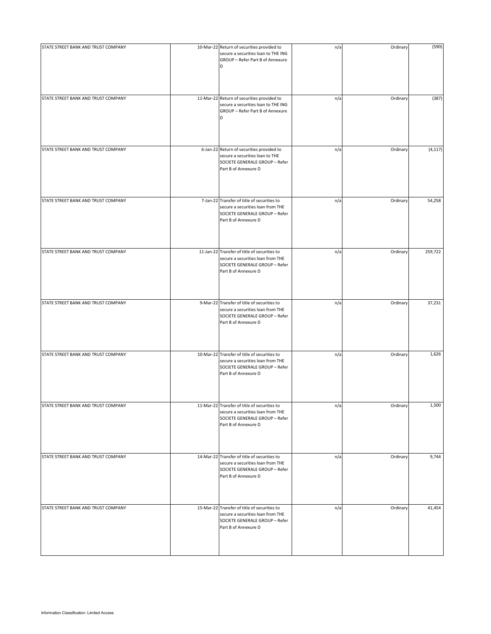| STATE STREET BANK AND TRUST COMPANY | 10-Mar-22 Return of securities provided to                                                                                                  | n/a | Ordinary | (590)    |
|-------------------------------------|---------------------------------------------------------------------------------------------------------------------------------------------|-----|----------|----------|
|                                     | secure a securities loan to THE ING<br>GROUP - Refer Part B of Annexure<br>D                                                                |     |          |          |
| STATE STREET BANK AND TRUST COMPANY | 11-Mar-22 Return of securities provided to<br>secure a securities loan to THE ING<br>GROUP - Refer Part B of Annexure<br>D                  | n/a | Ordinary | (387)    |
| STATE STREET BANK AND TRUST COMPANY | 6-Jan-22 Return of securities provided to<br>secure a securities loan to THE<br>SOCIETE GENERALE GROUP - Refer<br>Part B of Annexure D      | n/a | Ordinary | (4, 117) |
| STATE STREET BANK AND TRUST COMPANY | 7-Jan-22 Transfer of title of securities to<br>secure a securities loan from THE<br>SOCIETE GENERALE GROUP - Refer<br>Part B of Annexure D  | n/a | Ordinary | 54,258   |
| STATE STREET BANK AND TRUST COMPANY | 11-Jan-22 Transfer of title of securities to<br>secure a securities loan from THE<br>SOCIETE GENERALE GROUP - Refer<br>Part B of Annexure D | n/a | Ordinary | 259,722  |
| STATE STREET BANK AND TRUST COMPANY | 9-Mar-22 Transfer of title of securities to<br>secure a securities loan from THE<br>SOCIETE GENERALE GROUP - Refer<br>Part B of Annexure D  | n/a | Ordinary | 37,231   |
| STATE STREET BANK AND TRUST COMPANY | 10-Mar-22 Transfer of title of securities to<br>secure a securities loan from THE<br>SOCIETE GENERALE GROUP - Refer<br>Part B of Annexure D | n/a | Ordinary | 1,626    |
| STATE STREET BANK AND TRUST COMPANY | 11-Mar-22 Transfer of title of securities to<br>secure a securities loan from THE<br>SOCIETE GENERALE GROUP - Refer<br>Part B of Annexure D | n/a | Ordinary | 1,500    |
| STATE STREET BANK AND TRUST COMPANY | 14-Mar-22 Transfer of title of securities to<br>secure a securities loan from THE<br>SOCIETE GENERALE GROUP - Refer<br>Part B of Annexure D | n/a | Ordinary | 9,744    |
| STATE STREET BANK AND TRUST COMPANY | 15-Mar-22 Transfer of title of securities to<br>secure a securities loan from THE<br>SOCIETE GENERALE GROUP - Refer<br>Part B of Annexure D | n/a | Ordinary | 41,454   |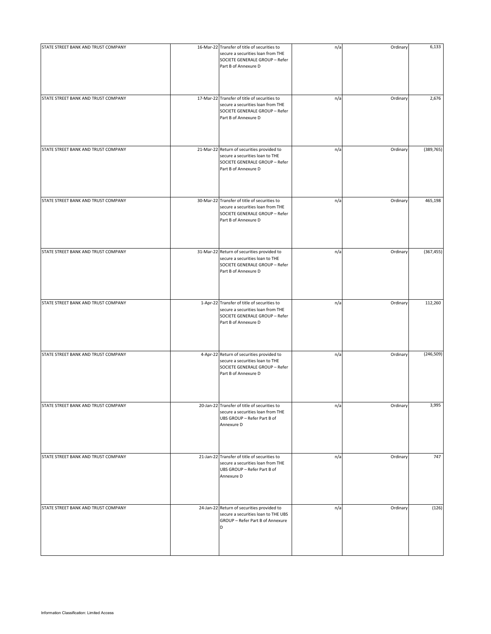| STATE STREET BANK AND TRUST COMPANY | 16-Mar-22 Transfer of title of securities to<br>secure a securities loan from THE<br>SOCIETE GENERALE GROUP - Refer<br>Part B of Annexure D | n/a | Ordinary | 6,133      |
|-------------------------------------|---------------------------------------------------------------------------------------------------------------------------------------------|-----|----------|------------|
| STATE STREET BANK AND TRUST COMPANY | 17-Mar-22 Transfer of title of securities to<br>secure a securities loan from THE<br>SOCIETE GENERALE GROUP - Refer<br>Part B of Annexure D | n/a | Ordinary | 2,676      |
| STATE STREET BANK AND TRUST COMPANY | 21-Mar-22 Return of securities provided to<br>secure a securities loan to THE<br>SOCIETE GENERALE GROUP - Refer<br>Part B of Annexure D     | n/a | Ordinary | (389, 765) |
| STATE STREET BANK AND TRUST COMPANY | 30-Mar-22 Transfer of title of securities to<br>secure a securities loan from THE<br>SOCIETE GENERALE GROUP - Refer<br>Part B of Annexure D | n/a | Ordinary | 465,198    |
| STATE STREET BANK AND TRUST COMPANY | 31-Mar-22 Return of securities provided to<br>secure a securities loan to THE<br>SOCIETE GENERALE GROUP - Refer<br>Part B of Annexure D     | n/a | Ordinary | (367, 455) |
| STATE STREET BANK AND TRUST COMPANY | 1-Apr-22 Transfer of title of securities to<br>secure a securities loan from THE<br>SOCIETE GENERALE GROUP - Refer<br>Part B of Annexure D  | n/a | Ordinary | 112,260    |
| STATE STREET BANK AND TRUST COMPANY | 4-Apr-22 Return of securities provided to<br>secure a securities loan to THE<br>SOCIETE GENERALE GROUP - Refer<br>Part B of Annexure D      | n/a | Ordinary | (246, 509) |
| STATE STREET BANK AND TRUST COMPANY | 20-Jan-22 Transfer of title of securities to<br>secure a securities loan from THE<br>UBS GROUP - Refer Part B of<br>Annexure D              | n/a | Ordinary | 3,995      |
| STATE STREET BANK AND TRUST COMPANY | 21-Jan-22 Transfer of title of securities to<br>secure a securities loan from THE<br>UBS GROUP - Refer Part B of<br>Annexure D              | n/a | Ordinary | 747        |
| STATE STREET BANK AND TRUST COMPANY | 24-Jan-22 Return of securities provided to<br>secure a securities loan to THE UBS<br>GROUP - Refer Part B of Annexure<br>D                  | n/a | Ordinary | (126)      |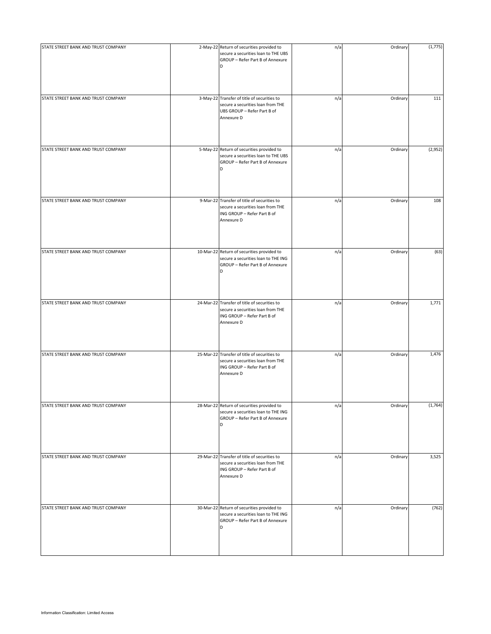| STATE STREET BANK AND TRUST COMPANY | 2-May-22 Return of securities provided to<br>secure a securities loan to THE UBS<br>GROUP - Refer Part B of Annexure<br>D      | n/a | Ordinary | (1,775) |
|-------------------------------------|--------------------------------------------------------------------------------------------------------------------------------|-----|----------|---------|
| STATE STREET BANK AND TRUST COMPANY | 3-May-22 Transfer of title of securities to<br>secure a securities loan from THE<br>UBS GROUP - Refer Part B of<br>Annexure D  | n/a | Ordinary | 111     |
| STATE STREET BANK AND TRUST COMPANY | 5-May-22 Return of securities provided to<br>secure a securities loan to THE UBS<br>GROUP - Refer Part B of Annexure<br>D      | n/a | Ordinary | (2,952) |
| STATE STREET BANK AND TRUST COMPANY | 9-Mar-22 Transfer of title of securities to<br>secure a securities loan from THE<br>ING GROUP - Refer Part B of<br>Annexure D  | n/a | Ordinary | 108     |
| STATE STREET BANK AND TRUST COMPANY | 10-Mar-22 Return of securities provided to<br>secure a securities loan to THE ING<br>GROUP - Refer Part B of Annexure<br>D     | n/a | Ordinary | (63)    |
| STATE STREET BANK AND TRUST COMPANY | 24-Mar-22 Transfer of title of securities to<br>secure a securities loan from THE<br>ING GROUP - Refer Part B of<br>Annexure D | n/a | Ordinary | 1,771   |
| STATE STREET BANK AND TRUST COMPANY | 25-Mar-22 Transfer of title of securities to<br>secure a securities loan from THE<br>ING GROUP - Refer Part B of<br>Annexure D | n/a | Ordinary | 1,476   |
| STATE STREET BANK AND TRUST COMPANY | 28-Mar-22 Return of securities provided to<br>secure a securities loan to THE ING<br>GROUP - Refer Part B of Annexure<br>D     | n/a | Ordinary | (1,764) |
| STATE STREET BANK AND TRUST COMPANY | 29-Mar-22 Transfer of title of securities to<br>secure a securities loan from THE<br>ING GROUP - Refer Part B of<br>Annexure D | n/a | Ordinary | 3,525   |
| STATE STREET BANK AND TRUST COMPANY | 30-Mar-22 Return of securities provided to<br>secure a securities loan to THE ING<br>GROUP - Refer Part B of Annexure<br>D     | n/a | Ordinary | (762)   |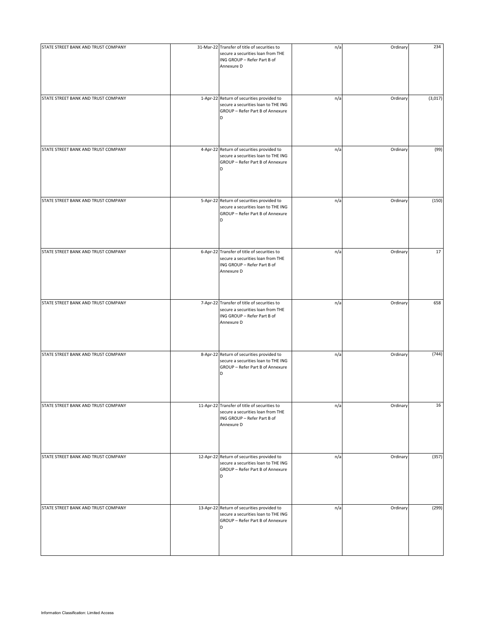| STATE STREET BANK AND TRUST COMPANY | 31-Mar-22 Transfer of title of securities to<br>secure a securities loan from THE<br>ING GROUP - Refer Part B of<br>Annexure D | n/a | Ordinary | 234     |
|-------------------------------------|--------------------------------------------------------------------------------------------------------------------------------|-----|----------|---------|
| STATE STREET BANK AND TRUST COMPANY | 1-Apr-22 Return of securities provided to<br>secure a securities loan to THE ING<br>GROUP - Refer Part B of Annexure<br>D      | n/a | Ordinary | (3,017) |
| STATE STREET BANK AND TRUST COMPANY | 4-Apr-22 Return of securities provided to<br>secure a securities loan to THE ING<br>GROUP - Refer Part B of Annexure<br>D      | n/a | Ordinary | (99)    |
| STATE STREET BANK AND TRUST COMPANY | 5-Apr-22 Return of securities provided to<br>secure a securities loan to THE ING<br>GROUP - Refer Part B of Annexure<br>D      | n/a | Ordinary | (150)   |
| STATE STREET BANK AND TRUST COMPANY | 6-Apr-22 Transfer of title of securities to<br>secure a securities loan from THE<br>ING GROUP - Refer Part B of<br>Annexure D  | n/a | Ordinary | 17      |
| STATE STREET BANK AND TRUST COMPANY | 7-Apr-22 Transfer of title of securities to<br>secure a securities loan from THE<br>ING GROUP - Refer Part B of<br>Annexure D  | n/a | Ordinary | 658     |
| STATE STREET BANK AND TRUST COMPANY | 8-Apr-22 Return of securities provided to<br>secure a securities loan to THE ING<br>GROUP - Refer Part B of Annexure<br>D      | n/a | Ordinary | (744)   |
| STATE STREET BANK AND TRUST COMPANY | 11-Apr-22 Transfer of title of securities to<br>secure a securities loan from THE<br>ING GROUP - Refer Part B of<br>Annexure D | n/a | Ordinary | 16      |
| STATE STREET BANK AND TRUST COMPANY | 12-Apr-22 Return of securities provided to<br>secure a securities loan to THE ING<br>GROUP - Refer Part B of Annexure<br>D     | n/a | Ordinary | (357)   |
| STATE STREET BANK AND TRUST COMPANY | 13-Apr-22 Return of securities provided to<br>secure a securities loan to THE ING<br>GROUP - Refer Part B of Annexure<br>D     | n/a | Ordinary | (299)   |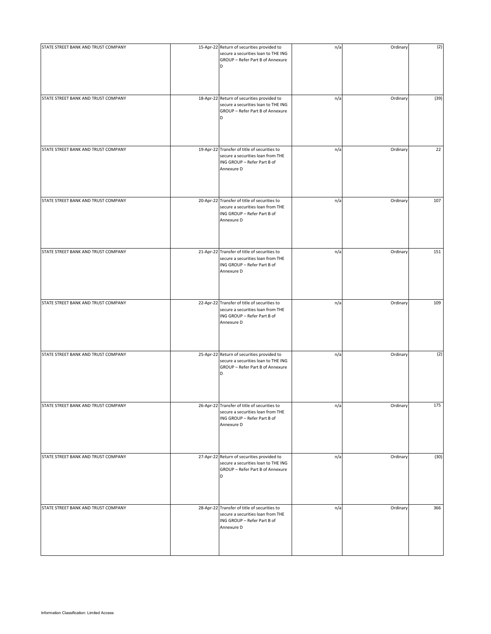| STATE STREET BANK AND TRUST COMPANY | 15-Apr-22 Return of securities provided to<br>secure a securities loan to THE ING                                              | n/a | Ordinary | (2)  |
|-------------------------------------|--------------------------------------------------------------------------------------------------------------------------------|-----|----------|------|
|                                     | GROUP - Refer Part B of Annexure<br>D                                                                                          |     |          |      |
| STATE STREET BANK AND TRUST COMPANY | 18-Apr-22 Return of securities provided to<br>secure a securities loan to THE ING<br>GROUP - Refer Part B of Annexure<br>D     | n/a | Ordinary | (39) |
| STATE STREET BANK AND TRUST COMPANY | 19-Apr-22 Transfer of title of securities to<br>secure a securities loan from THE<br>ING GROUP - Refer Part B of<br>Annexure D | n/a | Ordinary | 22   |
| STATE STREET BANK AND TRUST COMPANY | 20-Apr-22 Transfer of title of securities to<br>secure a securities loan from THE<br>ING GROUP - Refer Part B of<br>Annexure D | n/a | Ordinary | 107  |
| STATE STREET BANK AND TRUST COMPANY | 21-Apr-22 Transfer of title of securities to<br>secure a securities loan from THE<br>ING GROUP - Refer Part B of<br>Annexure D | n/a | Ordinary | 151  |
| STATE STREET BANK AND TRUST COMPANY | 22-Apr-22 Transfer of title of securities to<br>secure a securities loan from THE<br>ING GROUP - Refer Part B of<br>Annexure D | n/a | Ordinary | 109  |
| STATE STREET BANK AND TRUST COMPANY | 25-Apr-22 Return of securities provided to<br>secure a securities loan to THE ING<br>GROUP - Refer Part B of Annexure<br>D     | n/a | Ordinary | (2)  |
| STATE STREET BANK AND TRUST COMPANY | 26-Apr-22 Transfer of title of securities to<br>secure a securities loan from THE<br>ING GROUP - Refer Part B of<br>Annexure D | n/a | Ordinary | 175  |
| STATE STREET BANK AND TRUST COMPANY | 27-Apr-22 Return of securities provided to<br>secure a securities loan to THE ING<br>GROUP - Refer Part B of Annexure<br>D     | n/a | Ordinary | (30) |
| STATE STREET BANK AND TRUST COMPANY | 28-Apr-22 Transfer of title of securities to<br>secure a securities loan from THE<br>ING GROUP - Refer Part B of<br>Annexure D | n/a | Ordinary | 366  |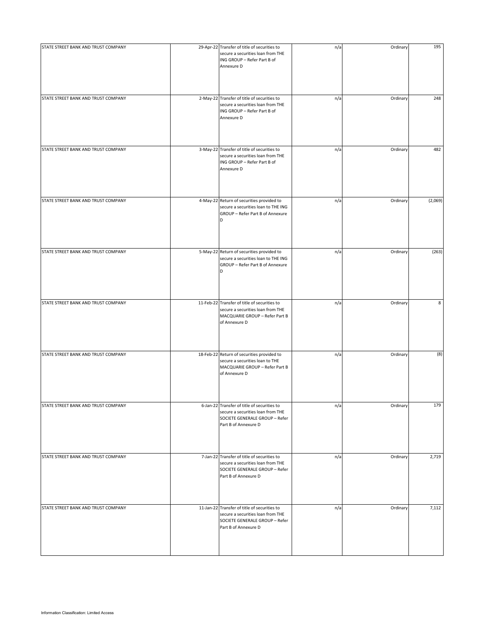| STATE STREET BANK AND TRUST COMPANY | 29-Apr-22 Transfer of title of securities to<br>secure a securities loan from THE<br>ING GROUP - Refer Part B of<br>Annexure D              | n/a | Ordinary | 195     |
|-------------------------------------|---------------------------------------------------------------------------------------------------------------------------------------------|-----|----------|---------|
| STATE STREET BANK AND TRUST COMPANY | 2-May-22 Transfer of title of securities to<br>secure a securities loan from THE<br>ING GROUP - Refer Part B of<br>Annexure D               | n/a | Ordinary | 248     |
| STATE STREET BANK AND TRUST COMPANY | 3-May-22 Transfer of title of securities to<br>secure a securities loan from THE<br>ING GROUP - Refer Part B of<br>Annexure D               | n/a | Ordinary | 482     |
| STATE STREET BANK AND TRUST COMPANY | 4-May-22 Return of securities provided to<br>secure a securities loan to THE ING<br>GROUP - Refer Part B of Annexure<br>D                   | n/a | Ordinary | (2,069) |
| STATE STREET BANK AND TRUST COMPANY | 5-May-22 Return of securities provided to<br>secure a securities loan to THE ING<br>GROUP - Refer Part B of Annexure<br>D                   | n/a | Ordinary | (263)   |
| STATE STREET BANK AND TRUST COMPANY | 11-Feb-22 Transfer of title of securities to<br>secure a securities loan from THE<br>MACQUARIE GROUP - Refer Part B<br>of Annexure D        | n/a | Ordinary | 8       |
| STATE STREET BANK AND TRUST COMPANY | 18-Feb-22 Return of securities provided to<br>secure a securities loan to THE<br>MACQUARIE GROUP - Refer Part B<br>of Annexure D            | n/a | Ordinary | (8)     |
| STATE STREET BANK AND TRUST COMPANY | 6-Jan-22 Transfer of title of securities to<br>secure a securities loan from THE<br>SOCIETE GENERALE GROUP - Refer<br>Part B of Annexure D  | n/a | Ordinary | 179     |
| STATE STREET BANK AND TRUST COMPANY | 7-Jan-22 Transfer of title of securities to<br>secure a securities loan from THE<br>SOCIETE GENERALE GROUP - Refer<br>Part B of Annexure D  | n/a | Ordinary | 2,719   |
| STATE STREET BANK AND TRUST COMPANY | 11-Jan-22 Transfer of title of securities to<br>secure a securities loan from THE<br>SOCIETE GENERALE GROUP - Refer<br>Part B of Annexure D | n/a | Ordinary | 7,112   |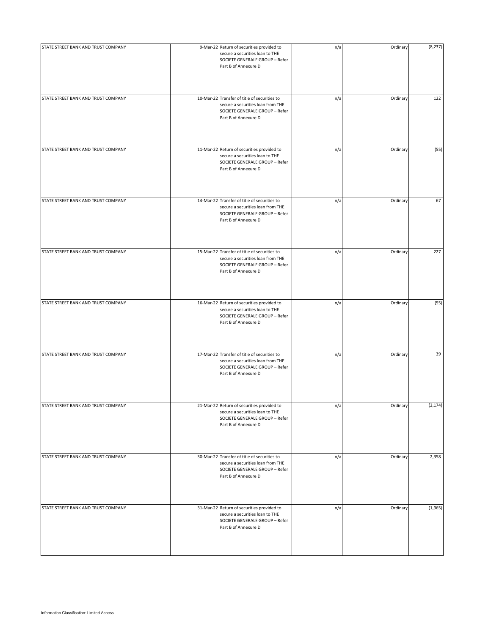| STATE STREET BANK AND TRUST COMPANY | 9-Mar-22 Return of securities provided to<br>secure a securities loan to THE<br>SOCIETE GENERALE GROUP - Refer<br>Part B of Annexure D      | n/a | Ordinary | (8, 237) |
|-------------------------------------|---------------------------------------------------------------------------------------------------------------------------------------------|-----|----------|----------|
| STATE STREET BANK AND TRUST COMPANY | 10-Mar-22 Transfer of title of securities to<br>secure a securities loan from THE<br>SOCIETE GENERALE GROUP - Refer<br>Part B of Annexure D | n/a | Ordinary | 122      |
| STATE STREET BANK AND TRUST COMPANY | 11-Mar-22 Return of securities provided to<br>secure a securities loan to THE<br>SOCIETE GENERALE GROUP - Refer<br>Part B of Annexure D     | n/a | Ordinary | (55)     |
| STATE STREET BANK AND TRUST COMPANY | 14-Mar-22 Transfer of title of securities to<br>secure a securities loan from THE<br>SOCIETE GENERALE GROUP - Refer<br>Part B of Annexure D | n/a | Ordinary | 67       |
| STATE STREET BANK AND TRUST COMPANY | 15-Mar-22 Transfer of title of securities to<br>secure a securities loan from THE<br>SOCIETE GENERALE GROUP - Refer<br>Part B of Annexure D | n/a | Ordinary | 227      |
| STATE STREET BANK AND TRUST COMPANY | 16-Mar-22 Return of securities provided to<br>secure a securities loan to THE<br>SOCIETE GENERALE GROUP - Refer<br>Part B of Annexure D     | n/a | Ordinary | (55)     |
| STATE STREET BANK AND TRUST COMPANY | 17-Mar-22 Transfer of title of securities to<br>secure a securities loan from THE<br>SOCIETE GENERALE GROUP - Refer<br>Part B of Annexure D | n/a | Ordinary | 39       |
| STATE STREET BANK AND TRUST COMPANY | 21-Mar-22 Return of securities provided to<br>secure a securities loan to THE<br>SOCIETE GENERALE GROUP - Refer<br>Part B of Annexure D     | n/a | Ordinary | (2, 174) |
| STATE STREET BANK AND TRUST COMPANY | 30-Mar-22 Transfer of title of securities to<br>secure a securities loan from THE<br>SOCIETE GENERALE GROUP - Refer<br>Part B of Annexure D | n/a | Ordinary | 2,358    |
| STATE STREET BANK AND TRUST COMPANY | 31-Mar-22 Return of securities provided to<br>secure a securities loan to THE<br>SOCIETE GENERALE GROUP - Refer<br>Part B of Annexure D     | n/a | Ordinary | (1,965)  |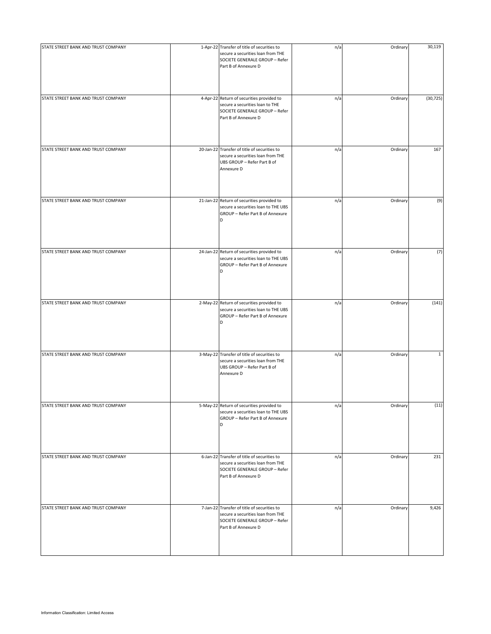| STATE STREET BANK AND TRUST COMPANY | 1-Apr-22 Transfer of title of securities to<br>secure a securities loan from THE<br>SOCIETE GENERALE GROUP - Refer<br>Part B of Annexure D | n/a | Ordinary | 30,119       |
|-------------------------------------|--------------------------------------------------------------------------------------------------------------------------------------------|-----|----------|--------------|
| STATE STREET BANK AND TRUST COMPANY | 4-Apr-22 Return of securities provided to<br>secure a securities loan to THE<br>SOCIETE GENERALE GROUP - Refer<br>Part B of Annexure D     | n/a | Ordinary | (30, 725)    |
| STATE STREET BANK AND TRUST COMPANY | 20-Jan-22 Transfer of title of securities to<br>secure a securities loan from THE<br>UBS GROUP - Refer Part B of<br>Annexure D             | n/a | Ordinary | 167          |
| STATE STREET BANK AND TRUST COMPANY | 21-Jan-22 Return of securities provided to<br>secure a securities loan to THE UBS<br>GROUP - Refer Part B of Annexure<br>D                 | n/a | Ordinary | (9)          |
| STATE STREET BANK AND TRUST COMPANY | 24-Jan-22 Return of securities provided to<br>secure a securities loan to THE UBS<br>GROUP - Refer Part B of Annexure<br>D                 | n/a | Ordinary | (7)          |
| STATE STREET BANK AND TRUST COMPANY | 2-May-22 Return of securities provided to<br>secure a securities loan to THE UBS<br>GROUP - Refer Part B of Annexure<br>D                  | n/a | Ordinary | (141)        |
| STATE STREET BANK AND TRUST COMPANY | 3-May-22 Transfer of title of securities to<br>secure a securities loan from THE<br>UBS GROUP - Refer Part B of<br>Annexure D              | n/a | Ordinary | $\mathbf{1}$ |
| STATE STREET BANK AND TRUST COMPANY | 5-May-22 Return of securities provided to<br>secure a securities loan to THE UBS<br>GROUP - Refer Part B of Annexure<br>D                  | n/a | Ordinary | (11)         |
| STATE STREET BANK AND TRUST COMPANY | 6-Jan-22 Transfer of title of securities to<br>secure a securities loan from THE<br>SOCIETE GENERALE GROUP - Refer<br>Part B of Annexure D | n/a | Ordinary | 231          |
| STATE STREET BANK AND TRUST COMPANY | 7-Jan-22 Transfer of title of securities to<br>secure a securities loan from THE<br>SOCIETE GENERALE GROUP - Refer<br>Part B of Annexure D | n/a | Ordinary | 9,426        |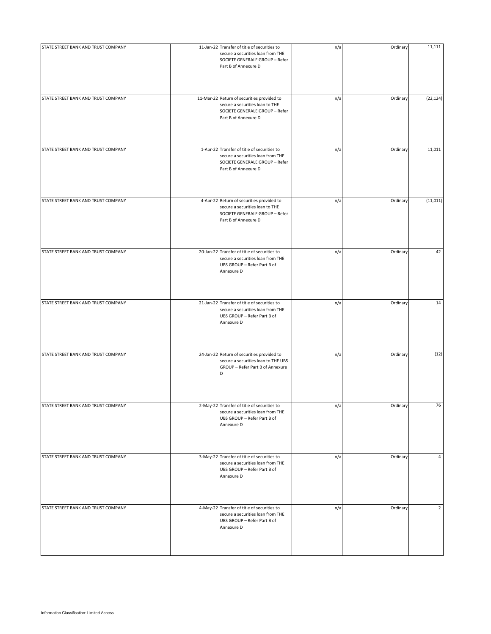| STATE STREET BANK AND TRUST COMPANY | 11-Jan-22 Transfer of title of securities to<br>secure a securities loan from THE<br>SOCIETE GENERALE GROUP - Refer<br>Part B of Annexure D | n/a | Ordinary | 11,111         |
|-------------------------------------|---------------------------------------------------------------------------------------------------------------------------------------------|-----|----------|----------------|
| STATE STREET BANK AND TRUST COMPANY | 11-Mar-22 Return of securities provided to<br>secure a securities loan to THE<br>SOCIETE GENERALE GROUP - Refer<br>Part B of Annexure D     | n/a | Ordinary | (22, 124)      |
| STATE STREET BANK AND TRUST COMPANY | 1-Apr-22 Transfer of title of securities to<br>secure a securities loan from THE<br>SOCIETE GENERALE GROUP - Refer<br>Part B of Annexure D  | n/a | Ordinary | 11,011         |
| STATE STREET BANK AND TRUST COMPANY | 4-Apr-22 Return of securities provided to<br>secure a securities loan to THE<br>SOCIETE GENERALE GROUP - Refer<br>Part B of Annexure D      | n/a | Ordinary | (11, 011)      |
| STATE STREET BANK AND TRUST COMPANY | 20-Jan-22 Transfer of title of securities to<br>secure a securities loan from THE<br>UBS GROUP - Refer Part B of<br>Annexure D              | n/a | Ordinary | 42             |
| STATE STREET BANK AND TRUST COMPANY | 21-Jan-22 Transfer of title of securities to<br>secure a securities loan from THE<br>UBS GROUP - Refer Part B of<br>Annexure D              | n/a | Ordinary | 14             |
| STATE STREET BANK AND TRUST COMPANY | 24-Jan-22 Return of securities provided to<br>secure a securities loan to THE UBS<br>GROUP - Refer Part B of Annexure<br>D                  | n/a | Ordinary | (12)           |
| STATE STREET BANK AND TRUST COMPANY | 2-May-22 Transfer of title of securities to<br>secure a securities loan from THE<br>UBS GROUP - Refer Part B of<br>Annexure D               | n/a | Ordinary | 76             |
| STATE STREET BANK AND TRUST COMPANY | 3-May-22 Transfer of title of securities to<br>secure a securities loan from THE<br>UBS GROUP - Refer Part B of<br>Annexure D               | n/a | Ordinary | $\overline{4}$ |
| STATE STREET BANK AND TRUST COMPANY | 4-May-22 Transfer of title of securities to<br>secure a securities loan from THE<br>UBS GROUP - Refer Part B of<br>Annexure D               | n/a | Ordinary | $\overline{2}$ |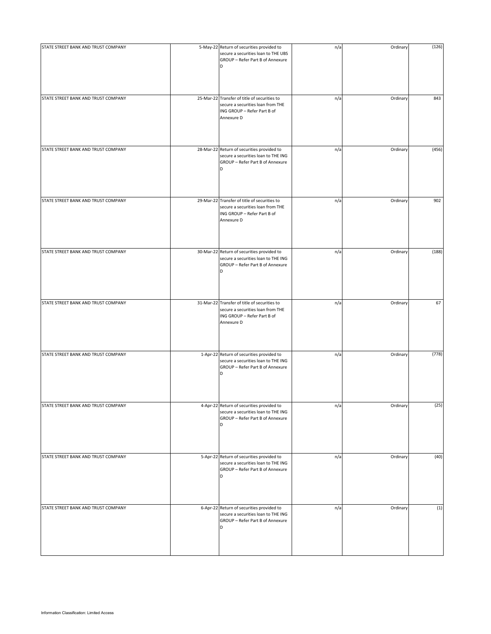| STATE STREET BANK AND TRUST COMPANY | 5-May-22 Return of securities provided to<br>secure a securities loan to THE UBS<br>GROUP - Refer Part B of Annexure<br>D      | n/a | Ordinary | (126) |
|-------------------------------------|--------------------------------------------------------------------------------------------------------------------------------|-----|----------|-------|
| STATE STREET BANK AND TRUST COMPANY | 25-Mar-22 Transfer of title of securities to<br>secure a securities loan from THE<br>ING GROUP - Refer Part B of<br>Annexure D | n/a | Ordinary | 843   |
| STATE STREET BANK AND TRUST COMPANY | 28-Mar-22 Return of securities provided to<br>secure a securities loan to THE ING<br>GROUP - Refer Part B of Annexure<br>D     | n/a | Ordinary | (456) |
| STATE STREET BANK AND TRUST COMPANY | 29-Mar-22 Transfer of title of securities to<br>secure a securities loan from THE<br>ING GROUP - Refer Part B of<br>Annexure D | n/a | Ordinary | 902   |
| STATE STREET BANK AND TRUST COMPANY | 30-Mar-22 Return of securities provided to<br>secure a securities loan to THE ING<br>GROUP - Refer Part B of Annexure<br>D     | n/a | Ordinary | (188) |
| STATE STREET BANK AND TRUST COMPANY | 31-Mar-22 Transfer of title of securities to<br>secure a securities loan from THE<br>ING GROUP - Refer Part B of<br>Annexure D | n/a | Ordinary | 67    |
| STATE STREET BANK AND TRUST COMPANY | 1-Apr-22 Return of securities provided to<br>secure a securities loan to THE ING<br>GROUP - Refer Part B of Annexure<br>D      | n/a | Ordinary | (778) |
| STATE STREET BANK AND TRUST COMPANY | 4-Apr-22 Return of securities provided to<br>secure a securities loan to THE ING<br>GROUP - Refer Part B of Annexure<br>D      | n/a | Ordinary | (25)  |
| STATE STREET BANK AND TRUST COMPANY | 5-Apr-22 Return of securities provided to<br>secure a securities loan to THE ING<br>GROUP - Refer Part B of Annexure<br>D      | n/a | Ordinary | (40)  |
| STATE STREET BANK AND TRUST COMPANY | 6-Apr-22 Return of securities provided to<br>secure a securities loan to THE ING<br>GROUP - Refer Part B of Annexure<br>D      | n/a | Ordinary | (1)   |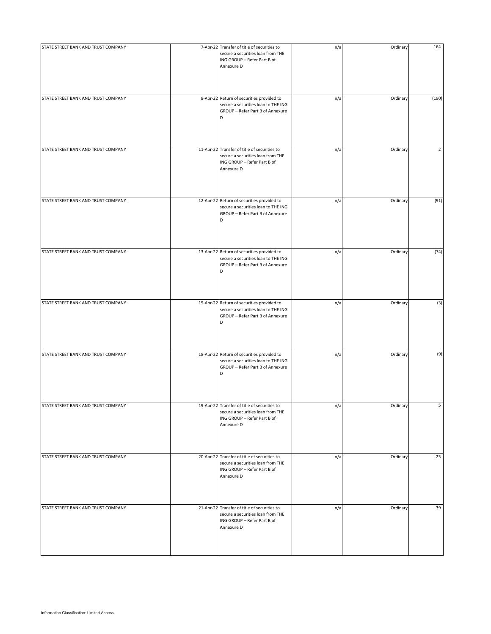| STATE STREET BANK AND TRUST COMPANY | 7-Apr-22 Transfer of title of securities to<br>secure a securities loan from THE<br>ING GROUP - Refer Part B of<br>Annexure D  | n/a | Ordinary | 164            |
|-------------------------------------|--------------------------------------------------------------------------------------------------------------------------------|-----|----------|----------------|
| STATE STREET BANK AND TRUST COMPANY | 8-Apr-22 Return of securities provided to<br>secure a securities loan to THE ING<br>GROUP - Refer Part B of Annexure<br>D      | n/a | Ordinary | (190)          |
| STATE STREET BANK AND TRUST COMPANY | 11-Apr-22 Transfer of title of securities to<br>secure a securities loan from THE<br>ING GROUP - Refer Part B of<br>Annexure D | n/a | Ordinary | $\overline{2}$ |
| STATE STREET BANK AND TRUST COMPANY | 12-Apr-22 Return of securities provided to<br>secure a securities loan to THE ING<br>GROUP - Refer Part B of Annexure<br>D     | n/a | Ordinary | (91)           |
| STATE STREET BANK AND TRUST COMPANY | 13-Apr-22 Return of securities provided to<br>secure a securities loan to THE ING<br>GROUP - Refer Part B of Annexure<br>D     | n/a | Ordinary | (74)           |
| STATE STREET BANK AND TRUST COMPANY | 15-Apr-22 Return of securities provided to<br>secure a securities loan to THE ING<br>GROUP - Refer Part B of Annexure<br>D     | n/a | Ordinary | (3)            |
| STATE STREET BANK AND TRUST COMPANY | 18-Apr-22 Return of securities provided to<br>secure a securities loan to THE ING<br>GROUP - Refer Part B of Annexure<br>D     | n/a | Ordinary | (9)            |
| STATE STREET BANK AND TRUST COMPANY | 19-Apr-22 Transfer of title of securities to<br>secure a securities loan from THE<br>ING GROUP - Refer Part B of<br>Annexure D | n/a | Ordinary | 5              |
| STATE STREET BANK AND TRUST COMPANY | 20-Apr-22 Transfer of title of securities to<br>secure a securities loan from THE<br>ING GROUP - Refer Part B of<br>Annexure D | n/a | Ordinary | 25             |
| STATE STREET BANK AND TRUST COMPANY | 21-Apr-22 Transfer of title of securities to<br>secure a securities loan from THE<br>ING GROUP - Refer Part B of<br>Annexure D | n/a | Ordinary | 39             |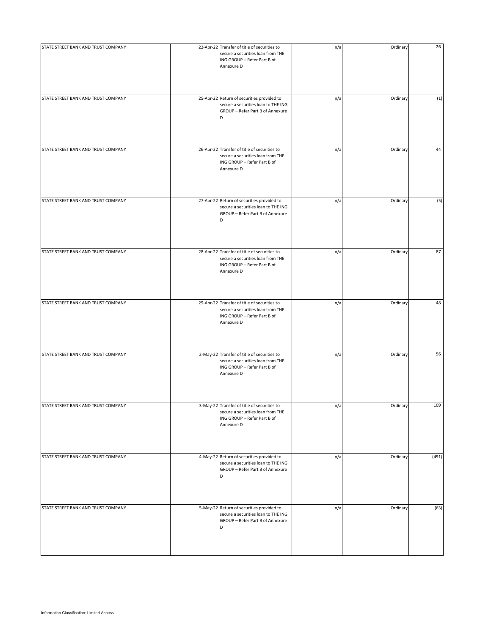| STATE STREET BANK AND TRUST COMPANY | 22-Apr-22 Transfer of title of securities to<br>secure a securities loan from THE<br>ING GROUP - Refer Part B of<br>Annexure D | n/a | Ordinary | 26    |
|-------------------------------------|--------------------------------------------------------------------------------------------------------------------------------|-----|----------|-------|
| STATE STREET BANK AND TRUST COMPANY | 25-Apr-22 Return of securities provided to<br>secure a securities loan to THE ING<br>GROUP - Refer Part B of Annexure<br>D     | n/a | Ordinary | (1)   |
| STATE STREET BANK AND TRUST COMPANY | 26-Apr-22 Transfer of title of securities to<br>secure a securities loan from THE<br>ING GROUP - Refer Part B of<br>Annexure D | n/a | Ordinary | 44    |
| STATE STREET BANK AND TRUST COMPANY | 27-Apr-22 Return of securities provided to<br>secure a securities loan to THE ING<br>GROUP - Refer Part B of Annexure<br>D     | n/a | Ordinary | (5)   |
| STATE STREET BANK AND TRUST COMPANY | 28-Apr-22 Transfer of title of securities to<br>secure a securities loan from THE<br>ING GROUP - Refer Part B of<br>Annexure D | n/a | Ordinary | 87    |
| STATE STREET BANK AND TRUST COMPANY | 29-Apr-22 Transfer of title of securities to<br>secure a securities loan from THE<br>ING GROUP - Refer Part B of<br>Annexure D | n/a | Ordinary | 48    |
| STATE STREET BANK AND TRUST COMPANY | 2-May-22 Transfer of title of securities to<br>secure a securities loan from THE<br>ING GROUP - Refer Part B of<br>Annexure D  | n/a | Ordinary | 56    |
| STATE STREET BANK AND TRUST COMPANY | 3-May-22 Transfer of title of securities to<br>secure a securities loan from THE<br>ING GROUP - Refer Part B of<br>Annexure D  | n/a | Ordinary | 109   |
| STATE STREET BANK AND TRUST COMPANY | 4-May-22 Return of securities provided to<br>secure a securities loan to THE ING<br>GROUP - Refer Part B of Annexure<br>D      | n/a | Ordinary | (491) |
| STATE STREET BANK AND TRUST COMPANY | 5-May-22 Return of securities provided to<br>secure a securities loan to THE ING<br>GROUP - Refer Part B of Annexure<br>D      | n/a | Ordinary | (63)  |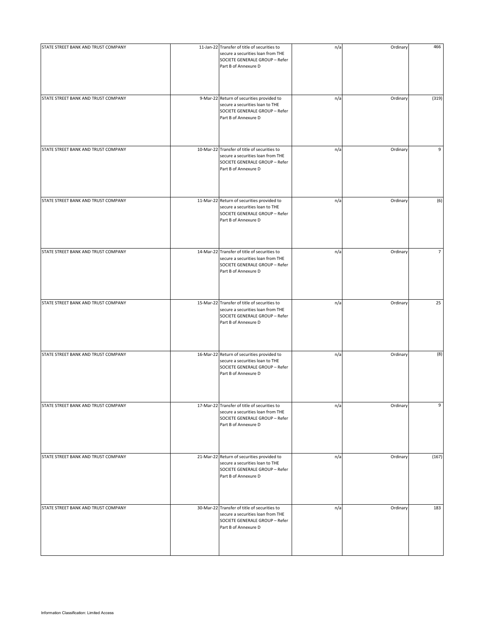| secure a securities loan from THE<br>SOCIETE GENERALE GROUP - Refer<br>Part B of Annexure D | n/a                                                                                                                                                                                                                                                                                                                                                                                                                                                                                 | Ordinary | 466            |
|---------------------------------------------------------------------------------------------|-------------------------------------------------------------------------------------------------------------------------------------------------------------------------------------------------------------------------------------------------------------------------------------------------------------------------------------------------------------------------------------------------------------------------------------------------------------------------------------|----------|----------------|
| secure a securities loan to THE<br>SOCIETE GENERALE GROUP - Refer<br>Part B of Annexure D   | n/a                                                                                                                                                                                                                                                                                                                                                                                                                                                                                 | Ordinary | (319)          |
| secure a securities loan from THE<br>SOCIETE GENERALE GROUP - Refer<br>Part B of Annexure D | n/a                                                                                                                                                                                                                                                                                                                                                                                                                                                                                 | Ordinary | 9              |
| secure a securities loan to THE<br>SOCIETE GENERALE GROUP - Refer<br>Part B of Annexure D   | n/a                                                                                                                                                                                                                                                                                                                                                                                                                                                                                 | Ordinary | (6)            |
| secure a securities loan from THE<br>SOCIETE GENERALE GROUP - Refer<br>Part B of Annexure D | n/a                                                                                                                                                                                                                                                                                                                                                                                                                                                                                 | Ordinary | $\overline{7}$ |
| secure a securities loan from THE<br>SOCIETE GENERALE GROUP - Refer<br>Part B of Annexure D | n/a                                                                                                                                                                                                                                                                                                                                                                                                                                                                                 | Ordinary | 25             |
| secure a securities loan to THE<br>SOCIETE GENERALE GROUP - Refer<br>Part B of Annexure D   | n/a                                                                                                                                                                                                                                                                                                                                                                                                                                                                                 | Ordinary | (8)            |
| secure a securities loan from THE<br>SOCIETE GENERALE GROUP - Refer<br>Part B of Annexure D | n/a                                                                                                                                                                                                                                                                                                                                                                                                                                                                                 | Ordinary | 9              |
| secure a securities loan to THE<br>SOCIETE GENERALE GROUP - Refer<br>Part B of Annexure D   | n/a                                                                                                                                                                                                                                                                                                                                                                                                                                                                                 | Ordinary | (167)          |
| secure a securities loan from THE<br>SOCIETE GENERALE GROUP - Refer<br>Part B of Annexure D | n/a                                                                                                                                                                                                                                                                                                                                                                                                                                                                                 | Ordinary | 183            |
|                                                                                             | 11-Jan-22 Transfer of title of securities to<br>9-Mar-22 Return of securities provided to<br>10-Mar-22 Transfer of title of securities to<br>11-Mar-22 Return of securities provided to<br>14-Mar-22 Transfer of title of securities to<br>15-Mar-22 Transfer of title of securities to<br>16-Mar-22 Return of securities provided to<br>17-Mar-22 Transfer of title of securities to<br>21-Mar-22 Return of securities provided to<br>30-Mar-22 Transfer of title of securities to |          |                |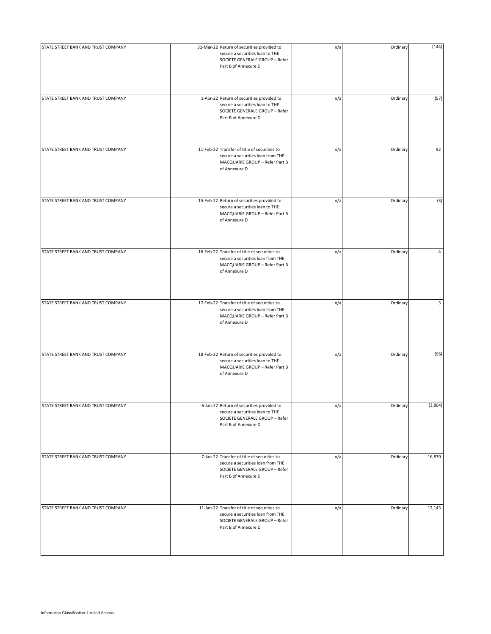| STATE STREET BANK AND TRUST COMPANY | 31-Mar-22 Return of securities provided to<br>secure a securities loan to THE<br>SOCIETE GENERALE GROUP - Refer<br>Part B of Annexure D     | n/a | Ordinary | (144)   |
|-------------------------------------|---------------------------------------------------------------------------------------------------------------------------------------------|-----|----------|---------|
| STATE STREET BANK AND TRUST COMPANY | 1-Apr-22 Return of securities provided to<br>secure a securities loan to THE<br>SOCIETE GENERALE GROUP - Refer<br>Part B of Annexure D      | n/a | Ordinary | (57)    |
| STATE STREET BANK AND TRUST COMPANY | 11-Feb-22 Transfer of title of securities to<br>secure a securities loan from THE<br>MACQUARIE GROUP - Refer Part B<br>of Annexure D        | n/a | Ordinary | 92      |
| STATE STREET BANK AND TRUST COMPANY | 15-Feb-22 Return of securities provided to<br>secure a securities loan to THE<br>MACQUARIE GROUP - Refer Part B<br>of Annexure D            | n/a | Ordinary | (3)     |
| STATE STREET BANK AND TRUST COMPANY | 16-Feb-22 Transfer of title of securities to<br>secure a securities loan from THE<br>MACQUARIE GROUP - Refer Part B<br>of Annexure D        | n/a | Ordinary | 4       |
| STATE STREET BANK AND TRUST COMPANY | 17-Feb-22 Transfer of title of securities to<br>secure a securities loan from THE<br>MACQUARIE GROUP - Refer Part B<br>of Annexure D        | n/a | Ordinary | 3       |
| STATE STREET BANK AND TRUST COMPANY | 18-Feb-22 Return of securities provided to<br>secure a securities loan to THE<br>MACQUARIE GROUP - Refer Part B<br>of Annexure D            | n/a | Ordinary | (96)    |
| STATE STREET BANK AND TRUST COMPANY | 6-Jan-22 Return of securities provided to<br>secure a securities loan to THE<br>SOCIETE GENERALE GROUP - Refer<br>Part B of Annexure D      | n/a | Ordinary | (3,804) |
| STATE STREET BANK AND TRUST COMPANY | 7-Jan-22 Transfer of title of securities to<br>secure a securities loan from THE<br>SOCIETE GENERALE GROUP - Refer<br>Part B of Annexure D  | n/a | Ordinary | 16,870  |
| STATE STREET BANK AND TRUST COMPANY | 11-Jan-22 Transfer of title of securities to<br>secure a securities loan from THE<br>SOCIETE GENERALE GROUP - Refer<br>Part B of Annexure D | n/a | Ordinary | 12,143  |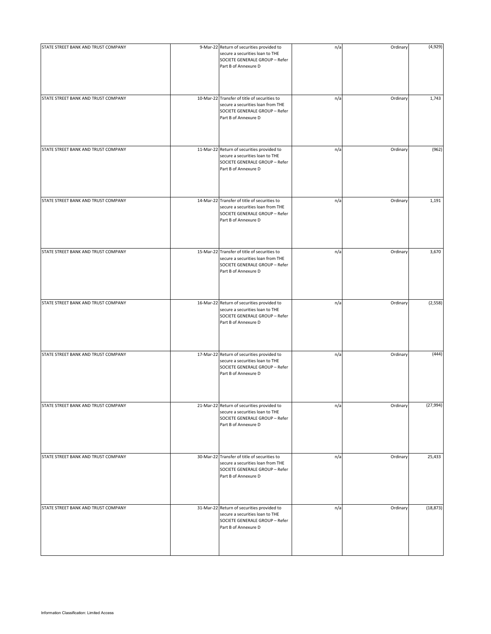| STATE STREET BANK AND TRUST COMPANY | 9-Mar-22 Return of securities provided to<br>secure a securities loan to THE<br>SOCIETE GENERALE GROUP - Refer<br>Part B of Annexure D      | n/a | Ordinary | (4,929)   |
|-------------------------------------|---------------------------------------------------------------------------------------------------------------------------------------------|-----|----------|-----------|
| STATE STREET BANK AND TRUST COMPANY | 10-Mar-22 Transfer of title of securities to<br>secure a securities loan from THE<br>SOCIETE GENERALE GROUP - Refer<br>Part B of Annexure D | n/a | Ordinary | 1,743     |
| STATE STREET BANK AND TRUST COMPANY | 11-Mar-22 Return of securities provided to<br>secure a securities loan to THE<br>SOCIETE GENERALE GROUP - Refer<br>Part B of Annexure D     | n/a | Ordinary | (962)     |
| STATE STREET BANK AND TRUST COMPANY | 14-Mar-22 Transfer of title of securities to<br>secure a securities loan from THE<br>SOCIETE GENERALE GROUP - Refer<br>Part B of Annexure D | n/a | Ordinary | 1,191     |
| STATE STREET BANK AND TRUST COMPANY | 15-Mar-22 Transfer of title of securities to<br>secure a securities loan from THE<br>SOCIETE GENERALE GROUP - Refer<br>Part B of Annexure D | n/a | Ordinary | 3,670     |
| STATE STREET BANK AND TRUST COMPANY | 16-Mar-22 Return of securities provided to<br>secure a securities loan to THE<br>SOCIETE GENERALE GROUP - Refer<br>Part B of Annexure D     | n/a | Ordinary | (2,558)   |
| STATE STREET BANK AND TRUST COMPANY | 17-Mar-22 Return of securities provided to<br>secure a securities loan to THE<br>SOCIETE GENERALE GROUP - Refer<br>Part B of Annexure D     | n/a | Ordinary | (444)     |
| STATE STREET BANK AND TRUST COMPANY | 21-Mar-22 Return of securities provided to<br>secure a securities loan to THE<br>SOCIETE GENERALE GROUP - Refer<br>Part B of Annexure D     | n/a | Ordinary | (27, 994) |
| STATE STREET BANK AND TRUST COMPANY | 30-Mar-22 Transfer of title of securities to<br>secure a securities loan from THE<br>SOCIETE GENERALE GROUP - Refer<br>Part B of Annexure D | n/a | Ordinary | 25,433    |
| STATE STREET BANK AND TRUST COMPANY | 31-Mar-22 Return of securities provided to<br>secure a securities loan to THE<br>SOCIETE GENERALE GROUP - Refer<br>Part B of Annexure D     | n/a | Ordinary | (18, 873) |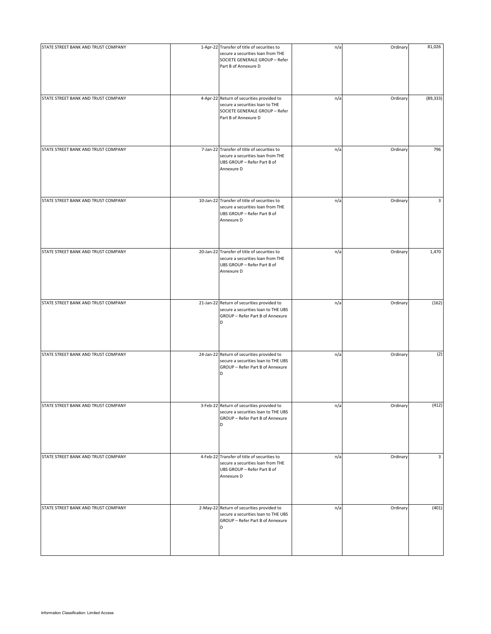| STATE STREET BANK AND TRUST COMPANY | 1-Apr-22 Transfer of title of securities to<br>secure a securities loan from THE<br>SOCIETE GENERALE GROUP - Refer<br>Part B of Annexure D | n/a | Ordinary | 81,026    |
|-------------------------------------|--------------------------------------------------------------------------------------------------------------------------------------------|-----|----------|-----------|
| STATE STREET BANK AND TRUST COMPANY | 4-Apr-22 Return of securities provided to<br>secure a securities loan to THE<br>SOCIETE GENERALE GROUP - Refer<br>Part B of Annexure D     | n/a | Ordinary | (89, 333) |
| STATE STREET BANK AND TRUST COMPANY | 7-Jan-22 Transfer of title of securities to<br>secure a securities loan from THE<br>UBS GROUP - Refer Part B of<br>Annexure D              | n/a | Ordinary | 796       |
| STATE STREET BANK AND TRUST COMPANY | 10-Jan-22 Transfer of title of securities to<br>secure a securities loan from THE<br>UBS GROUP - Refer Part B of<br>Annexure D             | n/a | Ordinary | 3         |
| STATE STREET BANK AND TRUST COMPANY | 20-Jan-22 Transfer of title of securities to<br>secure a securities loan from THE<br>UBS GROUP - Refer Part B of<br>Annexure D             | n/a | Ordinary | 1,470     |
| STATE STREET BANK AND TRUST COMPANY | 21-Jan-22 Return of securities provided to<br>secure a securities loan to THE UBS<br>GROUP - Refer Part B of Annexure<br>D                 | n/a | Ordinary | (162)     |
| STATE STREET BANK AND TRUST COMPANY | 24-Jan-22 Return of securities provided to<br>secure a securities loan to THE UBS<br>GROUP - Refer Part B of Annexure<br>D                 | n/a | Ordinary | (2)       |
| STATE STREET BANK AND TRUST COMPANY | 3-Feb-22 Return of securities provided to<br>secure a securities loan to THE UBS<br>GROUP - Refer Part B of Annexure<br>D                  | n/a | Ordinary | (412)     |
| STATE STREET BANK AND TRUST COMPANY | 4-Feb-22 Transfer of title of securities to<br>secure a securities loan from THE<br>UBS GROUP - Refer Part B of<br>Annexure D              | n/a | Ordinary | 3         |
| STATE STREET BANK AND TRUST COMPANY | 2-May-22 Return of securities provided to<br>secure a securities loan to THE UBS<br>GROUP - Refer Part B of Annexure<br>D                  | n/a | Ordinary | (401)     |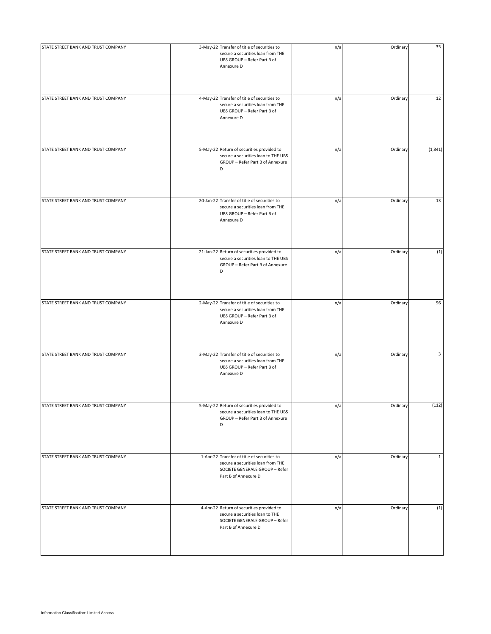| STATE STREET BANK AND TRUST COMPANY | 3-May-22 Transfer of title of securities to<br>secure a securities loan from THE<br>UBS GROUP - Refer Part B of<br>Annexure D              | n/a | Ordinary | 35           |
|-------------------------------------|--------------------------------------------------------------------------------------------------------------------------------------------|-----|----------|--------------|
| STATE STREET BANK AND TRUST COMPANY | 4-May-22 Transfer of title of securities to<br>secure a securities loan from THE<br>UBS GROUP - Refer Part B of<br>Annexure D              | n/a | Ordinary | 12           |
| STATE STREET BANK AND TRUST COMPANY | 5-May-22 Return of securities provided to<br>secure a securities loan to THE UBS<br>GROUP - Refer Part B of Annexure<br>D                  | n/a | Ordinary | (1, 341)     |
| STATE STREET BANK AND TRUST COMPANY | 20-Jan-22 Transfer of title of securities to<br>secure a securities loan from THE<br>UBS GROUP - Refer Part B of<br>Annexure D             | n/a | Ordinary | 13           |
| STATE STREET BANK AND TRUST COMPANY | 21-Jan-22 Return of securities provided to<br>secure a securities loan to THE UBS<br>GROUP - Refer Part B of Annexure<br>D                 | n/a | Ordinary | (1)          |
| STATE STREET BANK AND TRUST COMPANY | 2-May-22 Transfer of title of securities to<br>secure a securities loan from THE<br>UBS GROUP - Refer Part B of<br>Annexure D              | n/a | Ordinary | 96           |
| STATE STREET BANK AND TRUST COMPANY | 3-May-22 Transfer of title of securities to<br>secure a securities loan from THE<br>UBS GROUP - Refer Part B of<br>Annexure D              | n/a | Ordinary | 3            |
| STATE STREET BANK AND TRUST COMPANY | 5-May-22 Return of securities provided to<br>secure a securities loan to THE UBS<br>GROUP - Refer Part B of Annexure<br>D                  | n/a | Ordinary | (112)        |
| STATE STREET BANK AND TRUST COMPANY | 1-Apr-22 Transfer of title of securities to<br>secure a securities loan from THE<br>SOCIETE GENERALE GROUP - Refer<br>Part B of Annexure D | n/a | Ordinary | $\mathbf{1}$ |
| STATE STREET BANK AND TRUST COMPANY | 4-Apr-22 Return of securities provided to<br>secure a securities loan to THE<br>SOCIETE GENERALE GROUP - Refer<br>Part B of Annexure D     | n/a | Ordinary | (1)          |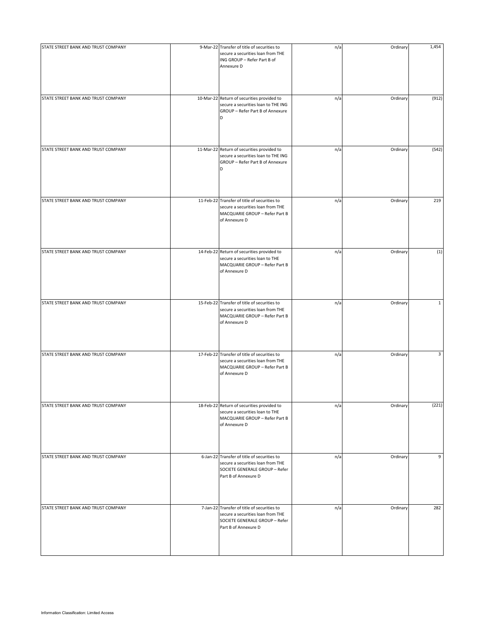| STATE STREET BANK AND TRUST COMPANY | 9-Mar-22 Transfer of title of securities to<br>secure a securities loan from THE<br>ING GROUP - Refer Part B of<br>Annexure D              | n/a | Ordinary | 1,454        |
|-------------------------------------|--------------------------------------------------------------------------------------------------------------------------------------------|-----|----------|--------------|
| STATE STREET BANK AND TRUST COMPANY | 10-Mar-22 Return of securities provided to<br>secure a securities loan to THE ING<br>GROUP - Refer Part B of Annexure<br>D                 | n/a | Ordinary | (912)        |
| STATE STREET BANK AND TRUST COMPANY | 11-Mar-22 Return of securities provided to<br>secure a securities loan to THE ING<br>GROUP - Refer Part B of Annexure<br>D                 | n/a | Ordinary | (542)        |
| STATE STREET BANK AND TRUST COMPANY | 11-Feb-22 Transfer of title of securities to<br>secure a securities loan from THE<br>MACQUARIE GROUP - Refer Part B<br>of Annexure D       | n/a | Ordinary | 219          |
| STATE STREET BANK AND TRUST COMPANY | 14-Feb-22 Return of securities provided to<br>secure a securities loan to THE<br>MACQUARIE GROUP - Refer Part B<br>of Annexure D           | n/a | Ordinary | (1)          |
| STATE STREET BANK AND TRUST COMPANY | 15-Feb-22 Transfer of title of securities to<br>secure a securities loan from THE<br>MACQUARIE GROUP - Refer Part B<br>of Annexure D       | n/a | Ordinary | $\mathbf{1}$ |
| STATE STREET BANK AND TRUST COMPANY | 17-Feb-22 Transfer of title of securities to<br>secure a securities loan from THE<br>MACQUARIE GROUP - Refer Part B<br>of Annexure D       | n/a | Ordinary | 3            |
| STATE STREET BANK AND TRUST COMPANY | 18-Feb-22 Return of securities provided to<br>secure a securities loan to THE<br>MACQUARIE GROUP - Refer Part B<br>of Annexure D           | n/a | Ordinary | (221)        |
| STATE STREET BANK AND TRUST COMPANY | 6-Jan-22 Transfer of title of securities to<br>secure a securities loan from THE<br>SOCIETE GENERALE GROUP - Refer<br>Part B of Annexure D | n/a | Ordinary | 9            |
| STATE STREET BANK AND TRUST COMPANY | 7-Jan-22 Transfer of title of securities to<br>secure a securities loan from THE<br>SOCIETE GENERALE GROUP - Refer<br>Part B of Annexure D | n/a | Ordinary | 282          |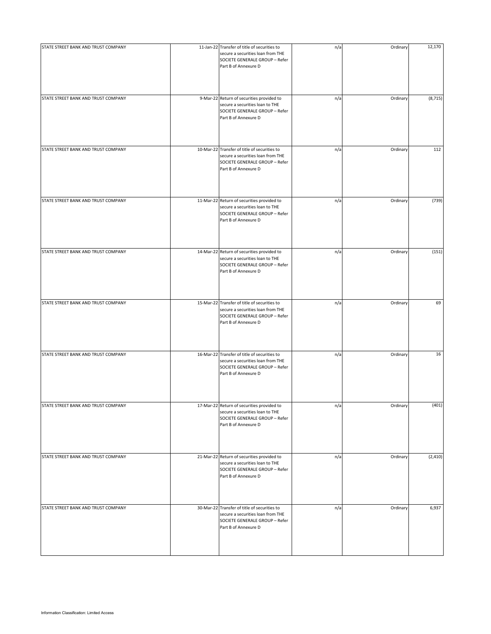| STATE STREET BANK AND TRUST COMPANY | 11-Jan-22 Transfer of title of securities to<br>secure a securities loan from THE<br>SOCIETE GENERALE GROUP - Refer<br>Part B of Annexure D | n/a | Ordinary | 12,170   |
|-------------------------------------|---------------------------------------------------------------------------------------------------------------------------------------------|-----|----------|----------|
| STATE STREET BANK AND TRUST COMPANY | 9-Mar-22 Return of securities provided to<br>secure a securities loan to THE<br>SOCIETE GENERALE GROUP - Refer<br>Part B of Annexure D      | n/a | Ordinary | (8, 715) |
| STATE STREET BANK AND TRUST COMPANY | 10-Mar-22 Transfer of title of securities to<br>secure a securities loan from THE<br>SOCIETE GENERALE GROUP - Refer<br>Part B of Annexure D | n/a | Ordinary | 112      |
| STATE STREET BANK AND TRUST COMPANY | 11-Mar-22 Return of securities provided to<br>secure a securities loan to THE<br>SOCIETE GENERALE GROUP - Refer<br>Part B of Annexure D     | n/a | Ordinary | (739)    |
| STATE STREET BANK AND TRUST COMPANY | 14-Mar-22 Return of securities provided to<br>secure a securities loan to THE<br>SOCIETE GENERALE GROUP - Refer<br>Part B of Annexure D     | n/a | Ordinary | (151)    |
| STATE STREET BANK AND TRUST COMPANY | 15-Mar-22 Transfer of title of securities to<br>secure a securities loan from THE<br>SOCIETE GENERALE GROUP - Refer<br>Part B of Annexure D | n/a | Ordinary | 69       |
| STATE STREET BANK AND TRUST COMPANY | 16-Mar-22 Transfer of title of securities to<br>secure a securities loan from THE<br>SOCIETE GENERALE GROUP - Refer<br>Part B of Annexure D | n/a | Ordinary | 16       |
| STATE STREET BANK AND TRUST COMPANY | 17-Mar-22 Return of securities provided to<br>secure a securities loan to THE<br>SOCIETE GENERALE GROUP - Refer<br>Part B of Annexure D     | n/a | Ordinary | (401)    |
| STATE STREET BANK AND TRUST COMPANY | 21-Mar-22 Return of securities provided to<br>secure a securities loan to THE<br>SOCIETE GENERALE GROUP - Refer<br>Part B of Annexure D     | n/a | Ordinary | (2, 410) |
| STATE STREET BANK AND TRUST COMPANY | 30-Mar-22 Transfer of title of securities to<br>secure a securities loan from THE<br>SOCIETE GENERALE GROUP - Refer<br>Part B of Annexure D | n/a | Ordinary | 6,937    |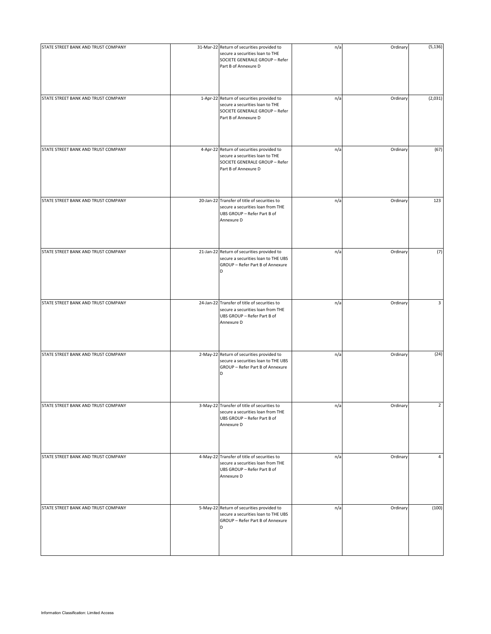| STATE STREET BANK AND TRUST COMPANY | 31-Mar-22 Return of securities provided to<br>secure a securities loan to THE<br>SOCIETE GENERALE GROUP - Refer<br>Part B of Annexure D | n/a | Ordinary | (5, 136)       |
|-------------------------------------|-----------------------------------------------------------------------------------------------------------------------------------------|-----|----------|----------------|
| STATE STREET BANK AND TRUST COMPANY | 1-Apr-22 Return of securities provided to<br>secure a securities loan to THE<br>SOCIETE GENERALE GROUP - Refer<br>Part B of Annexure D  | n/a | Ordinary | (2,031)        |
| STATE STREET BANK AND TRUST COMPANY | 4-Apr-22 Return of securities provided to<br>secure a securities loan to THE<br>SOCIETE GENERALE GROUP - Refer<br>Part B of Annexure D  | n/a | Ordinary | (67)           |
| STATE STREET BANK AND TRUST COMPANY | 20-Jan-22 Transfer of title of securities to<br>secure a securities loan from THE<br>UBS GROUP - Refer Part B of<br>Annexure D          | n/a | Ordinary | 123            |
| STATE STREET BANK AND TRUST COMPANY | 21-Jan-22 Return of securities provided to<br>secure a securities loan to THE UBS<br>GROUP - Refer Part B of Annexure<br>D              | n/a | Ordinary | (7)            |
| STATE STREET BANK AND TRUST COMPANY | 24-Jan-22 Transfer of title of securities to<br>secure a securities loan from THE<br>UBS GROUP - Refer Part B of<br>Annexure D          | n/a | Ordinary | 3              |
| STATE STREET BANK AND TRUST COMPANY | 2-May-22 Return of securities provided to<br>secure a securities loan to THE UBS<br>GROUP - Refer Part B of Annexure<br>D               | n/a | Ordinary | (24)           |
| STATE STREET BANK AND TRUST COMPANY | 3-May-22 Transfer of title of securities to<br>secure a securities loan from THE<br>UBS GROUP - Refer Part B of<br>Annexure D           | n/a | Ordinary | $\overline{2}$ |
| STATE STREET BANK AND TRUST COMPANY | 4-May-22 Transfer of title of securities to<br>secure a securities loan from THE<br>UBS GROUP - Refer Part B of<br>Annexure D           | n/a | Ordinary | 4              |
| STATE STREET BANK AND TRUST COMPANY | 5-May-22 Return of securities provided to<br>secure a securities loan to THE UBS<br>GROUP - Refer Part B of Annexure<br>D               | n/a | Ordinary | (100)          |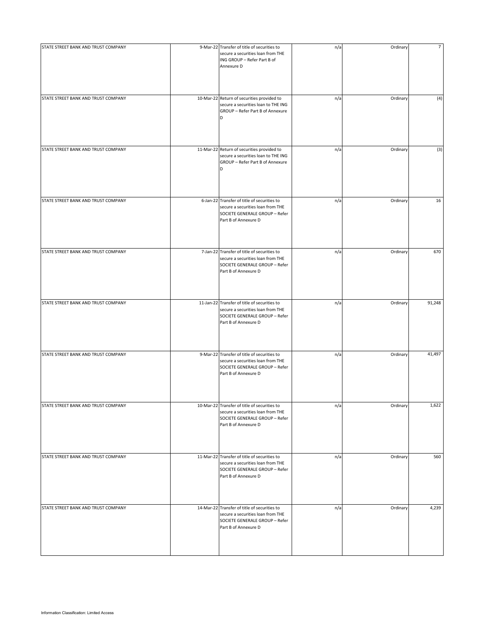| STATE STREET BANK AND TRUST COMPANY | 9-Mar-22 Transfer of title of securities to<br>secure a securities loan from THE<br>ING GROUP - Refer Part B of<br>Annexure D               | n/a | Ordinary | $\overline{7}$ |
|-------------------------------------|---------------------------------------------------------------------------------------------------------------------------------------------|-----|----------|----------------|
| STATE STREET BANK AND TRUST COMPANY | 10-Mar-22 Return of securities provided to<br>secure a securities loan to THE ING<br>GROUP - Refer Part B of Annexure<br>D                  | n/a | Ordinary | (4)            |
| STATE STREET BANK AND TRUST COMPANY | 11-Mar-22 Return of securities provided to<br>secure a securities loan to THE ING<br>GROUP - Refer Part B of Annexure<br>D                  | n/a | Ordinary | (3)            |
| STATE STREET BANK AND TRUST COMPANY | 6-Jan-22 Transfer of title of securities to<br>secure a securities loan from THE<br>SOCIETE GENERALE GROUP - Refer<br>Part B of Annexure D  | n/a | Ordinary | 16             |
| STATE STREET BANK AND TRUST COMPANY | 7-Jan-22 Transfer of title of securities to<br>secure a securities loan from THE<br>SOCIETE GENERALE GROUP - Refer<br>Part B of Annexure D  | n/a | Ordinary | 670            |
| STATE STREET BANK AND TRUST COMPANY | 11-Jan-22 Transfer of title of securities to<br>secure a securities loan from THE<br>SOCIETE GENERALE GROUP - Refer<br>Part B of Annexure D | n/a | Ordinary | 91,248         |
| STATE STREET BANK AND TRUST COMPANY | 9-Mar-22 Transfer of title of securities to<br>secure a securities loan from THE<br>SOCIETE GENERALE GROUP - Refer<br>Part B of Annexure D  | n/a | Ordinary | 41,497         |
| STATE STREET BANK AND TRUST COMPANY | 10-Mar-22 Transfer of title of securities to<br>secure a securities loan from THE<br>SOCIETE GENERALE GROUP - Refer<br>Part B of Annexure D | n/a | Ordinary | 1,622          |
| STATE STREET BANK AND TRUST COMPANY | 11-Mar-22 Transfer of title of securities to<br>secure a securities loan from THE<br>SOCIETE GENERALE GROUP - Refer<br>Part B of Annexure D | n/a | Ordinary | 560            |
| STATE STREET BANK AND TRUST COMPANY | 14-Mar-22 Transfer of title of securities to<br>secure a securities loan from THE<br>SOCIETE GENERALE GROUP - Refer<br>Part B of Annexure D | n/a | Ordinary | 4,239          |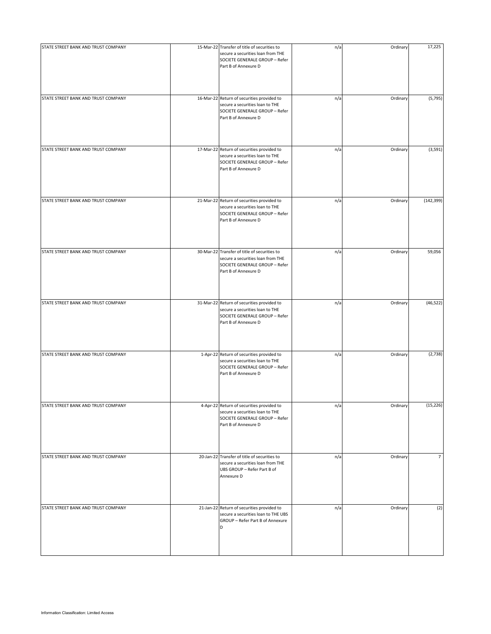| STATE STREET BANK AND TRUST COMPANY | 15-Mar-22 Transfer of title of securities to<br>secure a securities loan from THE<br>SOCIETE GENERALE GROUP - Refer<br>Part B of Annexure D | n/a | Ordinary | 17,225         |
|-------------------------------------|---------------------------------------------------------------------------------------------------------------------------------------------|-----|----------|----------------|
| STATE STREET BANK AND TRUST COMPANY | 16-Mar-22 Return of securities provided to<br>secure a securities loan to THE<br>SOCIETE GENERALE GROUP - Refer<br>Part B of Annexure D     | n/a | Ordinary | (5,795)        |
| STATE STREET BANK AND TRUST COMPANY | 17-Mar-22 Return of securities provided to<br>secure a securities loan to THE<br>SOCIETE GENERALE GROUP - Refer<br>Part B of Annexure D     | n/a | Ordinary | (3, 591)       |
| STATE STREET BANK AND TRUST COMPANY | 21-Mar-22 Return of securities provided to<br>secure a securities loan to THE<br>SOCIETE GENERALE GROUP - Refer<br>Part B of Annexure D     | n/a | Ordinary | (142, 399)     |
| STATE STREET BANK AND TRUST COMPANY | 30-Mar-22 Transfer of title of securities to<br>secure a securities loan from THE<br>SOCIETE GENERALE GROUP - Refer<br>Part B of Annexure D | n/a | Ordinary | 59,056         |
| STATE STREET BANK AND TRUST COMPANY | 31-Mar-22 Return of securities provided to<br>secure a securities loan to THE<br>SOCIETE GENERALE GROUP - Refer<br>Part B of Annexure D     | n/a | Ordinary | (46, 522)      |
| STATE STREET BANK AND TRUST COMPANY | 1-Apr-22 Return of securities provided to<br>secure a securities loan to THE<br>SOCIETE GENERALE GROUP - Refer<br>Part B of Annexure D      | n/a | Ordinary | (2,738)        |
| STATE STREET BANK AND TRUST COMPANY | 4-Apr-22 Return of securities provided to<br>secure a securities loan to THE<br>SOCIETE GENERALE GROUP - Refer<br>Part B of Annexure D      | n/a | Ordinary | (15, 226)      |
| STATE STREET BANK AND TRUST COMPANY | 20-Jan-22 Transfer of title of securities to<br>secure a securities loan from THE<br>UBS GROUP - Refer Part B of<br>Annexure D              | n/a | Ordinary | $\overline{7}$ |
| STATE STREET BANK AND TRUST COMPANY | 21-Jan-22 Return of securities provided to<br>secure a securities loan to THE UBS<br>GROUP - Refer Part B of Annexure<br>D                  | n/a | Ordinary | (2)            |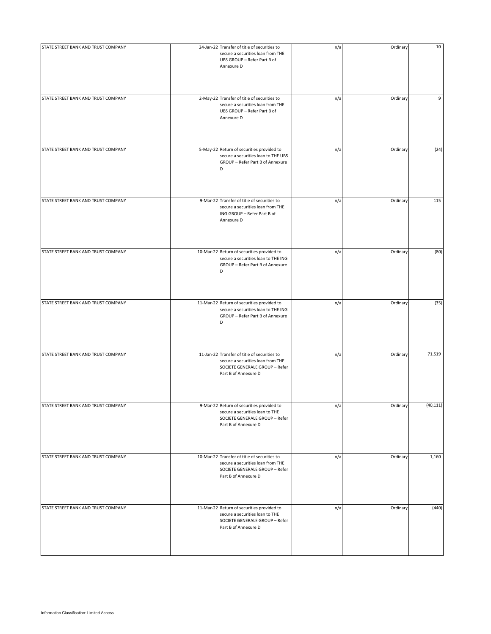| STATE STREET BANK AND TRUST COMPANY | 24-Jan-22 Transfer of title of securities to<br>secure a securities loan from THE<br>UBS GROUP - Refer Part B of<br>Annexure D              | n/a | Ordinary | 10        |
|-------------------------------------|---------------------------------------------------------------------------------------------------------------------------------------------|-----|----------|-----------|
| STATE STREET BANK AND TRUST COMPANY | 2-May-22 Transfer of title of securities to<br>secure a securities loan from THE<br>UBS GROUP - Refer Part B of<br>Annexure D               | n/a | Ordinary | 9         |
| STATE STREET BANK AND TRUST COMPANY | 5-May-22 Return of securities provided to<br>secure a securities loan to THE UBS<br>GROUP - Refer Part B of Annexure<br>D                   | n/a | Ordinary | (24)      |
| STATE STREET BANK AND TRUST COMPANY | 9-Mar-22 Transfer of title of securities to<br>secure a securities loan from THE<br>ING GROUP - Refer Part B of<br>Annexure D               | n/a | Ordinary | 115       |
| STATE STREET BANK AND TRUST COMPANY | 10-Mar-22 Return of securities provided to<br>secure a securities loan to THE ING<br>GROUP - Refer Part B of Annexure<br>D                  | n/a | Ordinary | (80)      |
| STATE STREET BANK AND TRUST COMPANY | 11-Mar-22 Return of securities provided to<br>secure a securities loan to THE ING<br>GROUP - Refer Part B of Annexure<br>D                  | n/a | Ordinary | (35)      |
| STATE STREET BANK AND TRUST COMPANY | 11-Jan-22 Transfer of title of securities to<br>secure a securities loan from THE<br>SOCIETE GENERALE GROUP - Refer<br>Part B of Annexure D | n/a | Ordinary | 71,519    |
| STATE STREET BANK AND TRUST COMPANY | 9-Mar-22 Return of securities provided to<br>secure a securities loan to THE<br>SOCIETE GENERALE GROUP - Refer<br>Part B of Annexure D      | n/a | Ordinary | (40, 111) |
| STATE STREET BANK AND TRUST COMPANY | 10-Mar-22 Transfer of title of securities to<br>secure a securities loan from THE<br>SOCIETE GENERALE GROUP - Refer<br>Part B of Annexure D | n/a | Ordinary | 1,160     |
| STATE STREET BANK AND TRUST COMPANY | 11-Mar-22 Return of securities provided to<br>secure a securities loan to THE<br>SOCIETE GENERALE GROUP - Refer<br>Part B of Annexure D     | n/a | Ordinary | (440)     |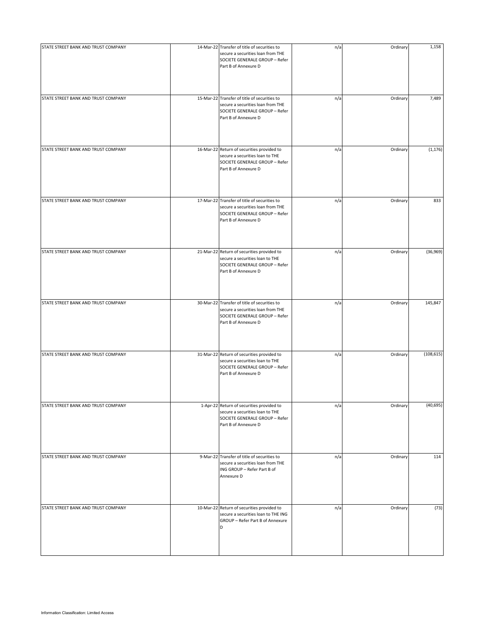| STATE STREET BANK AND TRUST COMPANY | 14-Mar-22 Transfer of title of securities to<br>secure a securities loan from THE<br>SOCIETE GENERALE GROUP - Refer<br>Part B of Annexure D | n/a | Ordinary | 1,158      |
|-------------------------------------|---------------------------------------------------------------------------------------------------------------------------------------------|-----|----------|------------|
| STATE STREET BANK AND TRUST COMPANY | 15-Mar-22 Transfer of title of securities to<br>secure a securities loan from THE<br>SOCIETE GENERALE GROUP - Refer<br>Part B of Annexure D | n/a | Ordinary | 7,489      |
| STATE STREET BANK AND TRUST COMPANY | 16-Mar-22 Return of securities provided to<br>secure a securities loan to THE<br>SOCIETE GENERALE GROUP - Refer<br>Part B of Annexure D     | n/a | Ordinary | (1, 176)   |
| STATE STREET BANK AND TRUST COMPANY | 17-Mar-22 Transfer of title of securities to<br>secure a securities loan from THE<br>SOCIETE GENERALE GROUP - Refer<br>Part B of Annexure D | n/a | Ordinary | 833        |
| STATE STREET BANK AND TRUST COMPANY | 21-Mar-22 Return of securities provided to<br>secure a securities loan to THE<br>SOCIETE GENERALE GROUP - Refer<br>Part B of Annexure D     | n/a | Ordinary | (36,969)   |
| STATE STREET BANK AND TRUST COMPANY | 30-Mar-22 Transfer of title of securities to<br>secure a securities loan from THE<br>SOCIETE GENERALE GROUP - Refer<br>Part B of Annexure D | n/a | Ordinary | 145,847    |
| STATE STREET BANK AND TRUST COMPANY | 31-Mar-22 Return of securities provided to<br>secure a securities loan to THE<br>SOCIETE GENERALE GROUP - Refer<br>Part B of Annexure D     | n/a | Ordinary | (108, 615) |
| STATE STREET BANK AND TRUST COMPANY | 1-Apr-22 Return of securities provided to<br>secure a securities loan to THE<br>SOCIETE GENERALE GROUP - Refer<br>Part B of Annexure D      | n/a | Ordinary | (40, 695)  |
| STATE STREET BANK AND TRUST COMPANY | 9-Mar-22 Transfer of title of securities to<br>secure a securities loan from THE<br>ING GROUP - Refer Part B of<br>Annexure D               | n/a | Ordinary | 114        |
| STATE STREET BANK AND TRUST COMPANY | 10-Mar-22 Return of securities provided to<br>secure a securities loan to THE ING<br>GROUP - Refer Part B of Annexure<br>D                  | n/a | Ordinary | (73)       |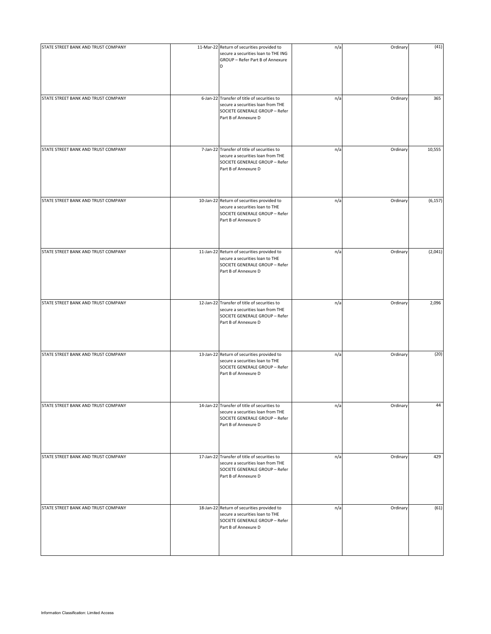| STATE STREET BANK AND TRUST COMPANY | 11-Mar-22 Return of securities provided to<br>secure a securities loan to THE ING<br>GROUP - Refer Part B of Annexure<br>D                  | n/a | Ordinary | (41)     |
|-------------------------------------|---------------------------------------------------------------------------------------------------------------------------------------------|-----|----------|----------|
| STATE STREET BANK AND TRUST COMPANY | 6-Jan-22 Transfer of title of securities to<br>secure a securities loan from THE<br>SOCIETE GENERALE GROUP - Refer<br>Part B of Annexure D  | n/a | Ordinary | 365      |
| STATE STREET BANK AND TRUST COMPANY | 7-Jan-22 Transfer of title of securities to<br>secure a securities loan from THE<br>SOCIETE GENERALE GROUP - Refer<br>Part B of Annexure D  | n/a | Ordinary | 10,555   |
| STATE STREET BANK AND TRUST COMPANY | 10-Jan-22 Return of securities provided to<br>secure a securities loan to THE<br>SOCIETE GENERALE GROUP - Refer<br>Part B of Annexure D     | n/a | Ordinary | (6, 157) |
| STATE STREET BANK AND TRUST COMPANY | 11-Jan-22 Return of securities provided to<br>secure a securities loan to THE<br>SOCIETE GENERALE GROUP - Refer<br>Part B of Annexure D     | n/a | Ordinary | (2,041)  |
| STATE STREET BANK AND TRUST COMPANY | 12-Jan-22 Transfer of title of securities to<br>secure a securities loan from THE<br>SOCIETE GENERALE GROUP - Refer<br>Part B of Annexure D | n/a | Ordinary | 2,096    |
| STATE STREET BANK AND TRUST COMPANY | 13-Jan-22 Return of securities provided to<br>secure a securities loan to THE<br>SOCIETE GENERALE GROUP - Refer<br>Part B of Annexure D     | n/a | Ordinary | (20)     |
| STATE STREET BANK AND TRUST COMPANY | 14-Jan-22 Transfer of title of securities to<br>secure a securities loan from THE<br>SOCIETE GENERALE GROUP - Refer<br>Part B of Annexure D | n/a | Ordinary | 44       |
| STATE STREET BANK AND TRUST COMPANY | 17-Jan-22 Transfer of title of securities to<br>secure a securities loan from THE<br>SOCIETE GENERALE GROUP - Refer<br>Part B of Annexure D | n/a | Ordinary | 429      |
| STATE STREET BANK AND TRUST COMPANY | 18-Jan-22 Return of securities provided to<br>secure a securities loan to THE<br>SOCIETE GENERALE GROUP - Refer<br>Part B of Annexure D     | n/a | Ordinary | (61)     |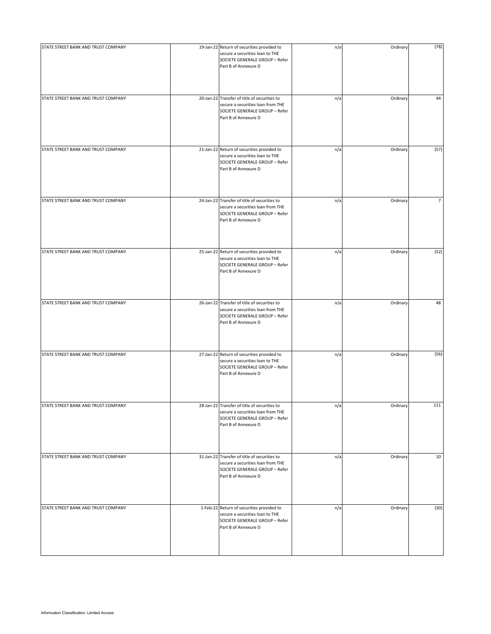| STATE STREET BANK AND TRUST COMPANY | 19-Jan-22 Return of securities provided to<br>secure a securities loan to THE<br>SOCIETE GENERALE GROUP - Refer<br>Part B of Annexure D     | n/a | Ordinary | (78)           |
|-------------------------------------|---------------------------------------------------------------------------------------------------------------------------------------------|-----|----------|----------------|
| STATE STREET BANK AND TRUST COMPANY | 20-Jan-22 Transfer of title of securities to<br>secure a securities loan from THE<br>SOCIETE GENERALE GROUP - Refer<br>Part B of Annexure D | n/a | Ordinary | 44             |
| STATE STREET BANK AND TRUST COMPANY | 21-Jan-22 Return of securities provided to<br>secure a securities loan to THE<br>SOCIETE GENERALE GROUP - Refer<br>Part B of Annexure D     | n/a | Ordinary | (57)           |
| STATE STREET BANK AND TRUST COMPANY | 24-Jan-22 Transfer of title of securities to<br>secure a securities loan from THE<br>SOCIETE GENERALE GROUP - Refer<br>Part B of Annexure D | n/a | Ordinary | $\overline{7}$ |
| STATE STREET BANK AND TRUST COMPANY | 25-Jan-22 Return of securities provided to<br>secure a securities loan to THE<br>SOCIETE GENERALE GROUP - Refer<br>Part B of Annexure D     | n/a | Ordinary | (52)           |
| STATE STREET BANK AND TRUST COMPANY | 26-Jan-22 Transfer of title of securities to<br>secure a securities loan from THE<br>SOCIETE GENERALE GROUP - Refer<br>Part B of Annexure D | n/a | Ordinary | 48             |
| STATE STREET BANK AND TRUST COMPANY | 27-Jan-22 Return of securities provided to<br>secure a securities loan to THE<br>SOCIETE GENERALE GROUP - Refer<br>Part B of Annexure D     | n/a | Ordinary | (56)           |
| STATE STREET BANK AND TRUST COMPANY | 28-Jan-22 Transfer of title of securities to<br>secure a securities loan from THE<br>SOCIETE GENERALE GROUP - Refer<br>Part B of Annexure D | n/a | Ordinary | 111            |
| STATE STREET BANK AND TRUST COMPANY | 31-Jan-22 Transfer of title of securities to<br>secure a securities loan from THE<br>SOCIETE GENERALE GROUP - Refer<br>Part B of Annexure D | n/a | Ordinary | 10             |
| STATE STREET BANK AND TRUST COMPANY | 1-Feb-22 Return of securities provided to<br>secure a securities loan to THE<br>SOCIETE GENERALE GROUP - Refer<br>Part B of Annexure D      | n/a | Ordinary | (30)           |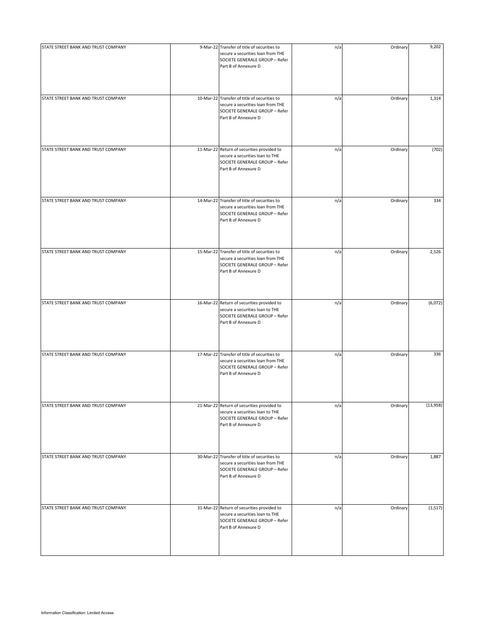| STATE STREET BANK AND TRUST COMPANY | 9-Mar-22 Transfer of title of securities to<br>secure a securities loan from THE<br>SOCIETE GENERALE GROUP - Refer<br>Part B of Annexure D  | n/a | Ordinary | 9,202    |
|-------------------------------------|---------------------------------------------------------------------------------------------------------------------------------------------|-----|----------|----------|
| STATE STREET BANK AND TRUST COMPANY | 10-Mar-22 Transfer of title of securities to<br>secure a securities loan from THE<br>SOCIETE GENERALE GROUP - Refer<br>Part B of Annexure D | n/a | Ordinary | 1,314    |
| STATE STREET BANK AND TRUST COMPANY | 11-Mar-22 Return of securities provided to<br>secure a securities loan to THE<br>SOCIETE GENERALE GROUP - Refer<br>Part B of Annexure D     | n/a | Ordinary | (702)    |
| STATE STREET BANK AND TRUST COMPANY | 14-Mar-22 Transfer of title of securities to<br>secure a securities loan from THE<br>SOCIETE GENERALE GROUP - Refer<br>Part B of Annexure D | n/a | Ordinary | 334      |
| STATE STREET BANK AND TRUST COMPANY | 15-Mar-22 Transfer of title of securities to<br>secure a securities loan from THE<br>SOCIETE GENERALE GROUP - Refer<br>Part B of Annexure D | n/a | Ordinary | 2,526    |
| STATE STREET BANK AND TRUST COMPANY | 16-Mar-22 Return of securities provided to<br>secure a securities loan to THE<br>SOCIETE GENERALE GROUP - Refer<br>Part B of Annexure D     | n/a | Ordinary | (6,072)  |
| STATE STREET BANK AND TRUST COMPANY | 17-Mar-22 Transfer of title of securities to<br>secure a securities loan from THE<br>SOCIETE GENERALE GROUP - Refer<br>Part B of Annexure D | n/a | Ordinary | 336      |
| STATE STREET BANK AND TRUST COMPANY | 21-Mar-22 Return of securities provided to<br>secure a securities loan to THE<br>SOCIETE GENERALE GROUP - Refer<br>Part B of Annexure D     | n/a | Ordinary | (13,958) |
| STATE STREET BANK AND TRUST COMPANY | 30-Mar-22 Transfer of title of securities to<br>secure a securities loan from THE<br>SOCIETE GENERALE GROUP - Refer<br>Part B of Annexure D | n/a | Ordinary | 1,887    |
| STATE STREET BANK AND TRUST COMPANY | 31-Mar-22 Return of securities provided to<br>secure a securities loan to THE<br>SOCIETE GENERALE GROUP - Refer<br>Part B of Annexure D     | n/a | Ordinary | (1, 517) |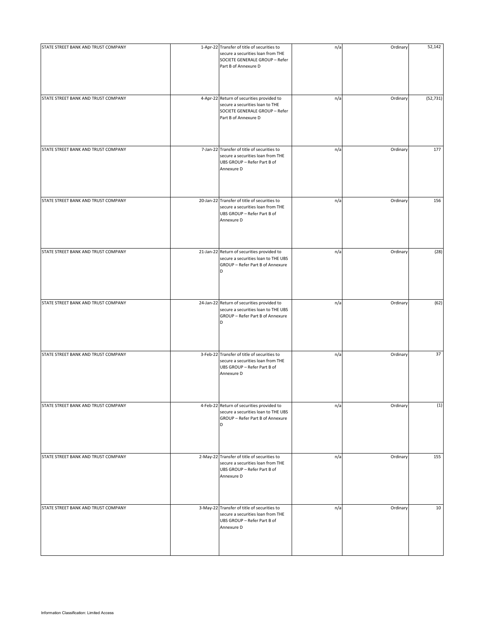| STATE STREET BANK AND TRUST COMPANY | 1-Apr-22 Transfer of title of securities to<br>secure a securities loan from THE<br>SOCIETE GENERALE GROUP - Refer<br>Part B of Annexure D | n/a | Ordinary | 52,142    |
|-------------------------------------|--------------------------------------------------------------------------------------------------------------------------------------------|-----|----------|-----------|
| STATE STREET BANK AND TRUST COMPANY | 4-Apr-22 Return of securities provided to<br>secure a securities loan to THE<br>SOCIETE GENERALE GROUP - Refer<br>Part B of Annexure D     | n/a | Ordinary | (52, 731) |
| STATE STREET BANK AND TRUST COMPANY | 7-Jan-22 Transfer of title of securities to<br>secure a securities loan from THE<br>UBS GROUP - Refer Part B of<br>Annexure D              | n/a | Ordinary | 177       |
| STATE STREET BANK AND TRUST COMPANY | 20-Jan-22 Transfer of title of securities to<br>secure a securities loan from THE<br>UBS GROUP - Refer Part B of<br>Annexure D             | n/a | Ordinary | 156       |
| STATE STREET BANK AND TRUST COMPANY | 21-Jan-22 Return of securities provided to<br>secure a securities loan to THE UBS<br>GROUP - Refer Part B of Annexure<br>D                 | n/a | Ordinary | (28)      |
| STATE STREET BANK AND TRUST COMPANY | 24-Jan-22 Return of securities provided to<br>secure a securities loan to THE UBS<br>GROUP - Refer Part B of Annexure<br>D                 | n/a | Ordinary | (62)      |
| STATE STREET BANK AND TRUST COMPANY | 3-Feb-22 Transfer of title of securities to<br>secure a securities loan from THE<br>UBS GROUP - Refer Part B of<br>Annexure D              | n/a | Ordinary | 37        |
| STATE STREET BANK AND TRUST COMPANY | 4-Feb-22 Return of securities provided to<br>secure a securities loan to THE UBS<br>GROUP - Refer Part B of Annexure<br>D                  | n/a | Ordinary | (1)       |
| STATE STREET BANK AND TRUST COMPANY | 2-May-22 Transfer of title of securities to<br>secure a securities loan from THE<br>UBS GROUP - Refer Part B of<br>Annexure D              | n/a | Ordinary | 155       |
| STATE STREET BANK AND TRUST COMPANY | 3-May-22 Transfer of title of securities to<br>secure a securities loan from THE<br>UBS GROUP - Refer Part B of<br>Annexure D              | n/a | Ordinary | 10        |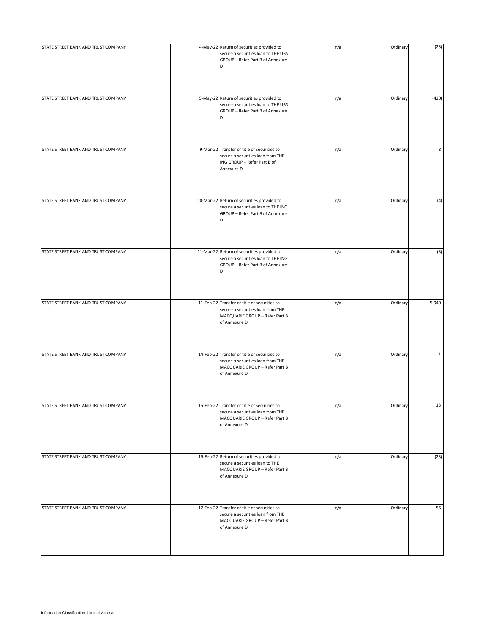| STATE STREET BANK AND TRUST COMPANY | 4-May-22 Return of securities provided to<br>secure a securities loan to THE UBS<br>GROUP - Refer Part B of Annexure<br>D            | n/a | Ordinary | (23)         |
|-------------------------------------|--------------------------------------------------------------------------------------------------------------------------------------|-----|----------|--------------|
| STATE STREET BANK AND TRUST COMPANY | 5-May-22 Return of securities provided to<br>secure a securities loan to THE UBS<br>GROUP - Refer Part B of Annexure<br>D            | n/a | Ordinary | (420)        |
| STATE STREET BANK AND TRUST COMPANY | 9-Mar-22 Transfer of title of securities to<br>secure a securities loan from THE<br>ING GROUP - Refer Part B of<br>Annexure D        | n/a | Ordinary | 8            |
| STATE STREET BANK AND TRUST COMPANY | 10-Mar-22 Return of securities provided to<br>secure a securities loan to THE ING<br>GROUP - Refer Part B of Annexure<br>D           | n/a | Ordinary | (4)          |
| STATE STREET BANK AND TRUST COMPANY | 11-Mar-22 Return of securities provided to<br>secure a securities loan to THE ING<br>GROUP - Refer Part B of Annexure<br>D           | n/a | Ordinary | (3)          |
| STATE STREET BANK AND TRUST COMPANY | 11-Feb-22 Transfer of title of securities to<br>secure a securities loan from THE<br>MACQUARIE GROUP - Refer Part B<br>of Annexure D | n/a | Ordinary | 5,940        |
| STATE STREET BANK AND TRUST COMPANY | 14-Feb-22 Transfer of title of securities to<br>secure a securities loan from THE<br>MACQUARIE GROUP - Refer Part B<br>of Annexure D | n/a | Ordinary | $\mathbf{1}$ |
| STATE STREET BANK AND TRUST COMPANY | 15-Feb-22 Transfer of title of securities to<br>secure a securities loan from THE<br>MACQUARIE GROUP - Refer Part B<br>of Annexure D | n/a | Ordinary | 13           |
| STATE STREET BANK AND TRUST COMPANY | 16-Feb-22 Return of securities provided to<br>secure a securities loan to THE<br>MACQUARIE GROUP - Refer Part B<br>of Annexure D     | n/a | Ordinary | (23)         |
| STATE STREET BANK AND TRUST COMPANY | 17-Feb-22 Transfer of title of securities to<br>secure a securities loan from THE<br>MACQUARIE GROUP - Refer Part B<br>of Annexure D | n/a | Ordinary | 56           |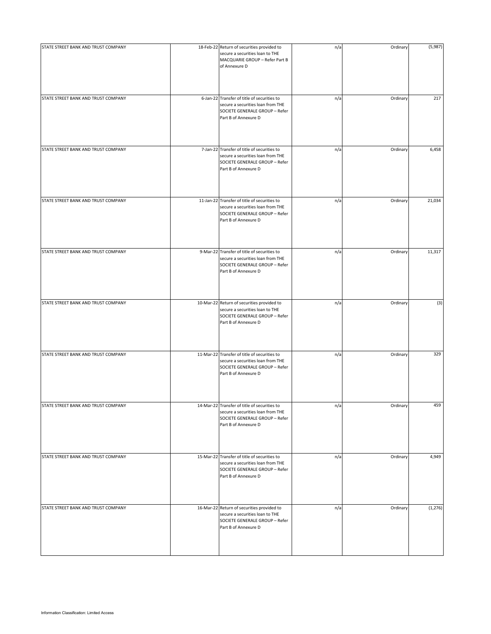| STATE STREET BANK AND TRUST COMPANY | 18-Feb-22 Return of securities provided to<br>secure a securities loan to THE<br>MACQUARIE GROUP - Refer Part B<br>of Annexure D            | n/a | Ordinary | (5,987) |
|-------------------------------------|---------------------------------------------------------------------------------------------------------------------------------------------|-----|----------|---------|
| STATE STREET BANK AND TRUST COMPANY | 6-Jan-22 Transfer of title of securities to<br>secure a securities loan from THE<br>SOCIETE GENERALE GROUP - Refer<br>Part B of Annexure D  | n/a | Ordinary | 217     |
| STATE STREET BANK AND TRUST COMPANY | 7-Jan-22 Transfer of title of securities to<br>secure a securities loan from THE<br>SOCIETE GENERALE GROUP - Refer<br>Part B of Annexure D  | n/a | Ordinary | 6,458   |
| STATE STREET BANK AND TRUST COMPANY | 11-Jan-22 Transfer of title of securities to<br>secure a securities loan from THE<br>SOCIETE GENERALE GROUP - Refer<br>Part B of Annexure D | n/a | Ordinary | 21,034  |
| STATE STREET BANK AND TRUST COMPANY | 9-Mar-22 Transfer of title of securities to<br>secure a securities loan from THE<br>SOCIETE GENERALE GROUP - Refer<br>Part B of Annexure D  | n/a | Ordinary | 11,317  |
| STATE STREET BANK AND TRUST COMPANY | 10-Mar-22 Return of securities provided to<br>secure a securities loan to THE<br>SOCIETE GENERALE GROUP - Refer<br>Part B of Annexure D     | n/a | Ordinary | (3)     |
| STATE STREET BANK AND TRUST COMPANY | 11-Mar-22 Transfer of title of securities to<br>secure a securities loan from THE<br>SOCIETE GENERALE GROUP - Refer<br>Part B of Annexure D | n/a | Ordinary | 329     |
| STATE STREET BANK AND TRUST COMPANY | 14-Mar-22 Transfer of title of securities to<br>secure a securities loan from THE<br>SOCIETE GENERALE GROUP - Refer<br>Part B of Annexure D | n/a | Ordinary | 459     |
| STATE STREET BANK AND TRUST COMPANY | 15-Mar-22 Transfer of title of securities to<br>secure a securities loan from THE<br>SOCIETE GENERALE GROUP - Refer<br>Part B of Annexure D | n/a | Ordinary | 4,949   |
| STATE STREET BANK AND TRUST COMPANY | 16-Mar-22 Return of securities provided to<br>secure a securities loan to THE<br>SOCIETE GENERALE GROUP - Refer<br>Part B of Annexure D     | n/a | Ordinary | (1,276) |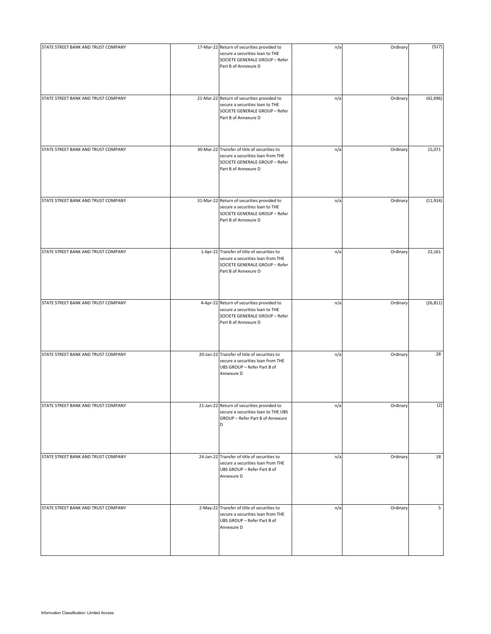| STATE STREET BANK AND TRUST COMPANY | 17-Mar-22 Return of securities provided to<br>secure a securities loan to THE<br>SOCIETE GENERALE GROUP - Refer<br>Part B of Annexure D     | n/a | Ordinary | (517)     |
|-------------------------------------|---------------------------------------------------------------------------------------------------------------------------------------------|-----|----------|-----------|
| STATE STREET BANK AND TRUST COMPANY | 21-Mar-22 Return of securities provided to<br>secure a securities loan to THE<br>SOCIETE GENERALE GROUP - Refer<br>Part B of Annexure D     | n/a | Ordinary | (42, 696) |
| STATE STREET BANK AND TRUST COMPANY | 30-Mar-22 Transfer of title of securities to<br>secure a securities loan from THE<br>SOCIETE GENERALE GROUP - Refer<br>Part B of Annexure D | n/a | Ordinary | 15,071    |
| STATE STREET BANK AND TRUST COMPANY | 31-Mar-22 Return of securities provided to<br>secure a securities loan to THE<br>SOCIETE GENERALE GROUP - Refer<br>Part B of Annexure D     | n/a | Ordinary | (11, 914) |
| STATE STREET BANK AND TRUST COMPANY | 1-Apr-22 Transfer of title of securities to<br>secure a securities loan from THE<br>SOCIETE GENERALE GROUP - Refer<br>Part B of Annexure D  | n/a | Ordinary | 22,161    |
| STATE STREET BANK AND TRUST COMPANY | 4-Apr-22 Return of securities provided to<br>secure a securities loan to THE<br>SOCIETE GENERALE GROUP - Refer<br>Part B of Annexure D      | n/a | Ordinary | (26, 811) |
| STATE STREET BANK AND TRUST COMPANY | 20-Jan-22 Transfer of title of securities to<br>secure a securities loan from THE<br>UBS GROUP - Refer Part B of<br>Annexure D              | n/a | Ordinary | 28        |
| STATE STREET BANK AND TRUST COMPANY | 21-Jan-22 Return of securities provided to<br>secure a securities loan to THE UBS<br>GROUP - Refer Part B of Annexure<br>D                  | n/a | Ordinary | (2)       |
| STATE STREET BANK AND TRUST COMPANY | 24-Jan-22 Transfer of title of securities to<br>secure a securities loan from THE<br>UBS GROUP - Refer Part B of<br>Annexure D              | n/a | Ordinary | 18        |
| STATE STREET BANK AND TRUST COMPANY | 2-May-22 Transfer of title of securities to<br>secure a securities loan from THE<br>UBS GROUP - Refer Part B of<br>Annexure D               | n/a | Ordinary | 5         |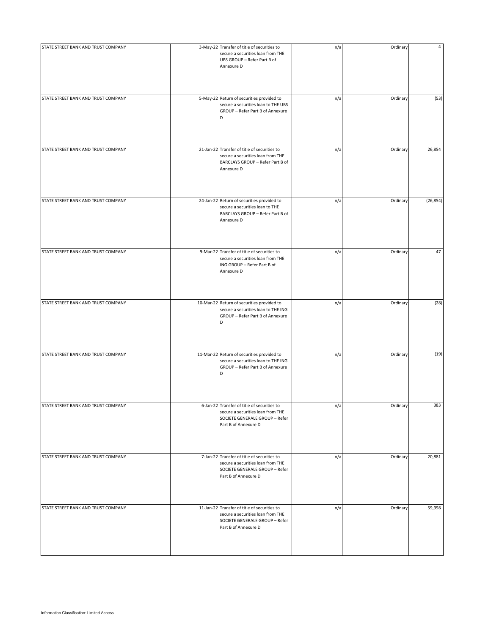| STATE STREET BANK AND TRUST COMPANY | 3-May-22 Transfer of title of securities to<br>secure a securities loan from THE<br>UBS GROUP - Refer Part B of<br>Annexure D               | n/a | Ordinary | 4         |
|-------------------------------------|---------------------------------------------------------------------------------------------------------------------------------------------|-----|----------|-----------|
| STATE STREET BANK AND TRUST COMPANY | 5-May-22 Return of securities provided to<br>secure a securities loan to THE UBS<br>GROUP - Refer Part B of Annexure<br>D                   | n/a | Ordinary | (53)      |
| STATE STREET BANK AND TRUST COMPANY | 21-Jan-22 Transfer of title of securities to<br>secure a securities loan from THE<br>BARCLAYS GROUP - Refer Part B of<br>Annexure D         | n/a | Ordinary | 26,854    |
| STATE STREET BANK AND TRUST COMPANY | 24-Jan-22 Return of securities provided to<br>secure a securities loan to THE<br>BARCLAYS GROUP - Refer Part B of<br>Annexure D             | n/a | Ordinary | (26, 854) |
| STATE STREET BANK AND TRUST COMPANY | 9-Mar-22 Transfer of title of securities to<br>secure a securities loan from THE<br>ING GROUP - Refer Part B of<br>Annexure D               | n/a | Ordinary | 47        |
| STATE STREET BANK AND TRUST COMPANY | 10-Mar-22 Return of securities provided to<br>secure a securities loan to THE ING<br>GROUP - Refer Part B of Annexure<br>D                  | n/a | Ordinary | (28)      |
| STATE STREET BANK AND TRUST COMPANY | 11-Mar-22 Return of securities provided to<br>secure a securities loan to THE ING<br>GROUP - Refer Part B of Annexure<br>D                  | n/a | Ordinary | (19)      |
| STATE STREET BANK AND TRUST COMPANY | 6-Jan-22 Transfer of title of securities to<br>secure a securities loan from THE<br>SOCIETE GENERALE GROUP - Refer<br>Part B of Annexure D  | n/a | Ordinary | 383       |
| STATE STREET BANK AND TRUST COMPANY | 7-Jan-22 Transfer of title of securities to<br>secure a securities loan from THE<br>SOCIETE GENERALE GROUP - Refer<br>Part B of Annexure D  | n/a | Ordinary | 20,881    |
| STATE STREET BANK AND TRUST COMPANY | 11-Jan-22 Transfer of title of securities to<br>secure a securities loan from THE<br>SOCIETE GENERALE GROUP - Refer<br>Part B of Annexure D | n/a | Ordinary | 59,998    |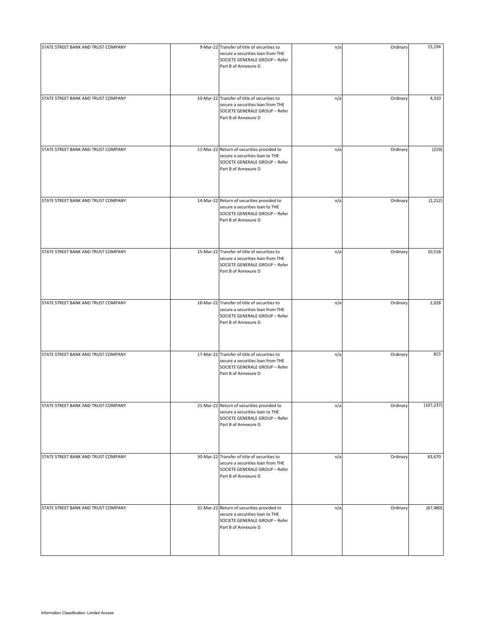| STATE STREET BANK AND TRUST COMPANY | 9-Mar-22 Transfer of title of securities to<br>secure a securities loan from THE<br>SOCIETE GENERALE GROUP - Refer<br>Part B of Annexure D  | n/a | Ordinary | 15,194     |
|-------------------------------------|---------------------------------------------------------------------------------------------------------------------------------------------|-----|----------|------------|
| STATE STREET BANK AND TRUST COMPANY | 10-Mar-22 Transfer of title of securities to<br>secure a securities loan from THE<br>SOCIETE GENERALE GROUP - Refer<br>Part B of Annexure D | n/a | Ordinary | 4,310      |
| STATE STREET BANK AND TRUST COMPANY | 11-Mar-22 Return of securities provided to<br>secure a securities loan to THE<br>SOCIETE GENERALE GROUP - Refer<br>Part B of Annexure D     | n/a | Ordinary | (219)      |
| STATE STREET BANK AND TRUST COMPANY | 14-Mar-22 Return of securities provided to<br>secure a securities loan to THE<br>SOCIETE GENERALE GROUP - Refer<br>Part B of Annexure D     | n/a | Ordinary | (2, 212)   |
| STATE STREET BANK AND TRUST COMPANY | 15-Mar-22 Transfer of title of securities to<br>secure a securities loan from THE<br>SOCIETE GENERALE GROUP - Refer<br>Part B of Annexure D | n/a | Ordinary | 10,518     |
| STATE STREET BANK AND TRUST COMPANY | 16-Mar-22 Transfer of title of securities to<br>secure a securities loan from THE<br>SOCIETE GENERALE GROUP - Refer<br>Part B of Annexure D | n/a | Ordinary | 2,028      |
| STATE STREET BANK AND TRUST COMPANY | 17-Mar-22 Transfer of title of securities to<br>secure a securities loan from THE<br>SOCIETE GENERALE GROUP - Refer<br>Part B of Annexure D | n/a | Ordinary | 815        |
| STATE STREET BANK AND TRUST COMPANY | 21-Mar-22 Return of securities provided to<br>secure a securities loan to THE<br>SOCIETE GENERALE GROUP - Refer<br>Part B of Annexure D     | n/a | Ordinary | (107, 237) |
| STATE STREET BANK AND TRUST COMPANY | 30-Mar-22 Transfer of title of securities to<br>secure a securities loan from THE<br>SOCIETE GENERALE GROUP - Refer<br>Part B of Annexure D | n/a | Ordinary | 83,670     |
| STATE STREET BANK AND TRUST COMPANY | 31-Mar-22 Return of securities provided to<br>secure a securities loan to THE<br>SOCIETE GENERALE GROUP - Refer<br>Part B of Annexure D     | n/a | Ordinary | (67, 480)  |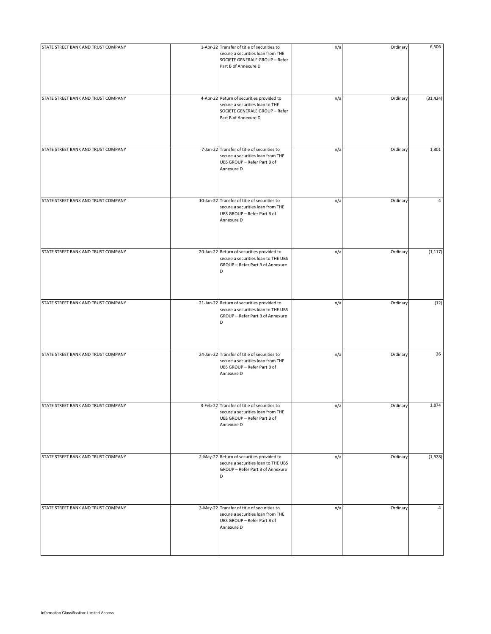| STATE STREET BANK AND TRUST COMPANY | 1-Apr-22 Transfer of title of securities to                                                                                            | n/a | Ordinary | 6,506     |
|-------------------------------------|----------------------------------------------------------------------------------------------------------------------------------------|-----|----------|-----------|
|                                     | secure a securities loan from THE<br>SOCIETE GENERALE GROUP - Refer<br>Part B of Annexure D                                            |     |          |           |
|                                     |                                                                                                                                        |     |          |           |
| STATE STREET BANK AND TRUST COMPANY | 4-Apr-22 Return of securities provided to<br>secure a securities loan to THE<br>SOCIETE GENERALE GROUP - Refer<br>Part B of Annexure D | n/a | Ordinary | (31, 424) |
| STATE STREET BANK AND TRUST COMPANY | 7-Jan-22 Transfer of title of securities to<br>secure a securities loan from THE<br>UBS GROUP - Refer Part B of<br>Annexure D          | n/a | Ordinary | 1,301     |
| STATE STREET BANK AND TRUST COMPANY | 10-Jan-22 Transfer of title of securities to<br>secure a securities loan from THE<br>UBS GROUP - Refer Part B of<br>Annexure D         | n/a | Ordinary | 4         |
| STATE STREET BANK AND TRUST COMPANY | 20-Jan-22 Return of securities provided to<br>secure a securities loan to THE UBS<br>GROUP - Refer Part B of Annexure<br>D             | n/a | Ordinary | (1, 117)  |
| STATE STREET BANK AND TRUST COMPANY | 21-Jan-22 Return of securities provided to<br>secure a securities loan to THE UBS<br>GROUP - Refer Part B of Annexure<br>D             | n/a | Ordinary | (12)      |
| STATE STREET BANK AND TRUST COMPANY | 24-Jan-22 Transfer of title of securities to<br>secure a securities loan from THE<br>UBS GROUP - Refer Part B of<br>Annexure D         | n/a | Ordinary | 26        |
| STATE STREET BANK AND TRUST COMPANY | 3-Feb-22 Transfer of title of securities to<br>secure a securities loan from THE<br>UBS GROUP - Refer Part B of<br>Annexure D          | n/a | Ordinary | 1,874     |
| STATE STREET BANK AND TRUST COMPANY | 2-May-22 Return of securities provided to<br>secure a securities loan to THE UBS<br>GROUP - Refer Part B of Annexure<br>D              | n/a | Ordinary | (1,928)   |
| STATE STREET BANK AND TRUST COMPANY | 3-May-22 Transfer of title of securities to<br>secure a securities loan from THE<br>UBS GROUP - Refer Part B of<br>Annexure D          | n/a | Ordinary | 4         |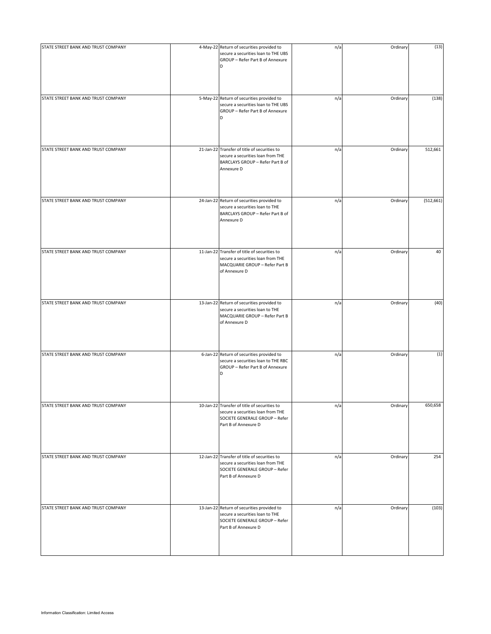| STATE STREET BANK AND TRUST COMPANY | 4-May-22 Return of securities provided to                                                                                                   | n/a | Ordinary | (13)       |
|-------------------------------------|---------------------------------------------------------------------------------------------------------------------------------------------|-----|----------|------------|
|                                     | secure a securities loan to THE UBS<br>GROUP - Refer Part B of Annexure<br>D                                                                |     |          |            |
| STATE STREET BANK AND TRUST COMPANY | 5-May-22 Return of securities provided to<br>secure a securities loan to THE UBS<br>GROUP - Refer Part B of Annexure<br>D                   | n/a | Ordinary | (138)      |
| STATE STREET BANK AND TRUST COMPANY | 21-Jan-22 Transfer of title of securities to<br>secure a securities loan from THE<br>BARCLAYS GROUP - Refer Part B of<br>Annexure D         | n/a | Ordinary | 512,661    |
| STATE STREET BANK AND TRUST COMPANY | 24-Jan-22 Return of securities provided to<br>secure a securities loan to THE<br>BARCLAYS GROUP - Refer Part B of<br>Annexure D             | n/a | Ordinary | (512, 661) |
| STATE STREET BANK AND TRUST COMPANY | 11-Jan-22 Transfer of title of securities to<br>secure a securities loan from THE<br>MACQUARIE GROUP - Refer Part B<br>of Annexure D        | n/a | Ordinary | 40         |
| STATE STREET BANK AND TRUST COMPANY | 13-Jan-22 Return of securities provided to<br>secure a securities loan to THE<br>MACQUARIE GROUP - Refer Part B<br>of Annexure D            | n/a | Ordinary | (40)       |
| STATE STREET BANK AND TRUST COMPANY | 6-Jan-22 Return of securities provided to<br>secure a securities loan to THE RBC<br>GROUP - Refer Part B of Annexure<br>D                   | n/a | Ordinary | (1)        |
| STATE STREET BANK AND TRUST COMPANY | 10-Jan-22 Transfer of title of securities to<br>secure a securities loan from THE<br>SOCIETE GENERALE GROUP - Refer<br>Part B of Annexure D | n/a | Ordinary | 650,658    |
| STATE STREET BANK AND TRUST COMPANY | 12-Jan-22 Transfer of title of securities to<br>secure a securities loan from THE<br>SOCIETE GENERALE GROUP - Refer<br>Part B of Annexure D | n/a | Ordinary | 254        |
| STATE STREET BANK AND TRUST COMPANY | 13-Jan-22 Return of securities provided to<br>secure a securities loan to THE<br>SOCIETE GENERALE GROUP - Refer<br>Part B of Annexure D     | n/a | Ordinary | (103)      |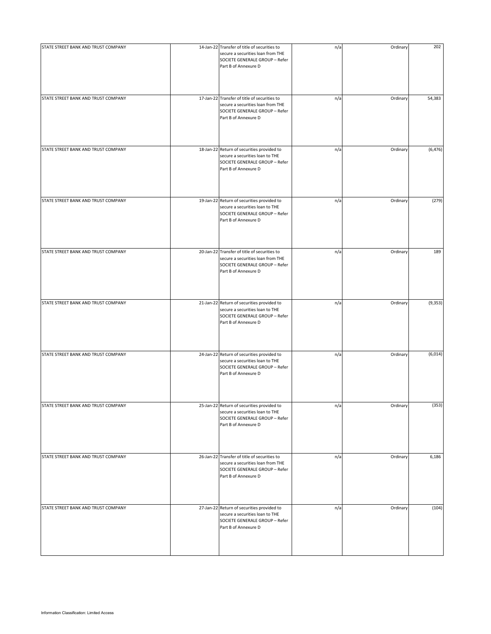| STATE STREET BANK AND TRUST COMPANY | 14-Jan-22 Transfer of title of securities to<br>secure a securities loan from THE<br>SOCIETE GENERALE GROUP - Refer<br>Part B of Annexure D | n/a | Ordinary | 202      |
|-------------------------------------|---------------------------------------------------------------------------------------------------------------------------------------------|-----|----------|----------|
| STATE STREET BANK AND TRUST COMPANY | 17-Jan-22 Transfer of title of securities to<br>secure a securities loan from THE<br>SOCIETE GENERALE GROUP - Refer<br>Part B of Annexure D | n/a | Ordinary | 54,383   |
| STATE STREET BANK AND TRUST COMPANY | 18-Jan-22 Return of securities provided to<br>secure a securities loan to THE<br>SOCIETE GENERALE GROUP - Refer<br>Part B of Annexure D     | n/a | Ordinary | (6, 476) |
| STATE STREET BANK AND TRUST COMPANY | 19-Jan-22 Return of securities provided to<br>secure a securities loan to THE<br>SOCIETE GENERALE GROUP - Refer<br>Part B of Annexure D     | n/a | Ordinary | (279)    |
| STATE STREET BANK AND TRUST COMPANY | 20-Jan-22 Transfer of title of securities to<br>secure a securities loan from THE<br>SOCIETE GENERALE GROUP - Refer<br>Part B of Annexure D | n/a | Ordinary | 189      |
| STATE STREET BANK AND TRUST COMPANY | 21-Jan-22 Return of securities provided to<br>secure a securities loan to THE<br>SOCIETE GENERALE GROUP - Refer<br>Part B of Annexure D     | n/a | Ordinary | (9, 353) |
| STATE STREET BANK AND TRUST COMPANY | 24-Jan-22 Return of securities provided to<br>secure a securities loan to THE<br>SOCIETE GENERALE GROUP - Refer<br>Part B of Annexure D     | n/a | Ordinary | (6,014)  |
| STATE STREET BANK AND TRUST COMPANY | 25-Jan-22 Return of securities provided to<br>secure a securities loan to THE<br>SOCIETE GENERALE GROUP - Refer<br>Part B of Annexure D     | n/a | Ordinary | (353)    |
| STATE STREET BANK AND TRUST COMPANY | 26-Jan-22 Transfer of title of securities to<br>secure a securities loan from THE<br>SOCIETE GENERALE GROUP - Refer<br>Part B of Annexure D | n/a | Ordinary | 6,186    |
| STATE STREET BANK AND TRUST COMPANY | 27-Jan-22 Return of securities provided to<br>secure a securities loan to THE<br>SOCIETE GENERALE GROUP - Refer<br>Part B of Annexure D     | n/a | Ordinary | (104)    |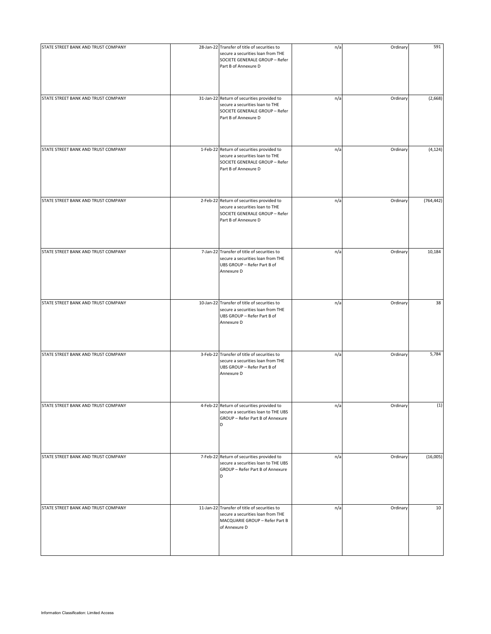| STATE STREET BANK AND TRUST COMPANY | 28-Jan-22 Transfer of title of securities to<br>secure a securities loan from THE<br>SOCIETE GENERALE GROUP - Refer<br>Part B of Annexure D | n/a | Ordinary | 591        |
|-------------------------------------|---------------------------------------------------------------------------------------------------------------------------------------------|-----|----------|------------|
| STATE STREET BANK AND TRUST COMPANY | 31-Jan-22 Return of securities provided to<br>secure a securities loan to THE<br>SOCIETE GENERALE GROUP - Refer<br>Part B of Annexure D     | n/a | Ordinary | (2,668)    |
| STATE STREET BANK AND TRUST COMPANY | 1-Feb-22 Return of securities provided to<br>secure a securities loan to THE<br>SOCIETE GENERALE GROUP - Refer<br>Part B of Annexure D      | n/a | Ordinary | (4, 124)   |
| STATE STREET BANK AND TRUST COMPANY | 2-Feb-22 Return of securities provided to<br>secure a securities loan to THE<br>SOCIETE GENERALE GROUP - Refer<br>Part B of Annexure D      | n/a | Ordinary | (764, 442) |
| STATE STREET BANK AND TRUST COMPANY | 7-Jan-22 Transfer of title of securities to<br>secure a securities loan from THE<br>UBS GROUP - Refer Part B of<br>Annexure D               | n/a | Ordinary | 10,184     |
| STATE STREET BANK AND TRUST COMPANY | 10-Jan-22 Transfer of title of securities to<br>secure a securities loan from THE<br>UBS GROUP - Refer Part B of<br>Annexure D              | n/a | Ordinary | 38         |
| STATE STREET BANK AND TRUST COMPANY | 3-Feb-22 Transfer of title of securities to<br>secure a securities loan from THE<br>UBS GROUP - Refer Part B of<br>Annexure D               | n/a | Ordinary | 5,784      |
| STATE STREET BANK AND TRUST COMPANY | 4-Feb-22 Return of securities provided to<br>secure a securities loan to THE UBS<br>GROUP - Refer Part B of Annexure<br>D                   | n/a | Ordinary | (1)        |
| STATE STREET BANK AND TRUST COMPANY | 7-Feb-22 Return of securities provided to<br>secure a securities loan to THE UBS<br>GROUP - Refer Part B of Annexure<br>D                   | n/a | Ordinary | (16,005)   |
| STATE STREET BANK AND TRUST COMPANY | 11-Jan-22 Transfer of title of securities to<br>secure a securities loan from THE<br>MACQUARIE GROUP - Refer Part B<br>of Annexure D        | n/a | Ordinary | 10         |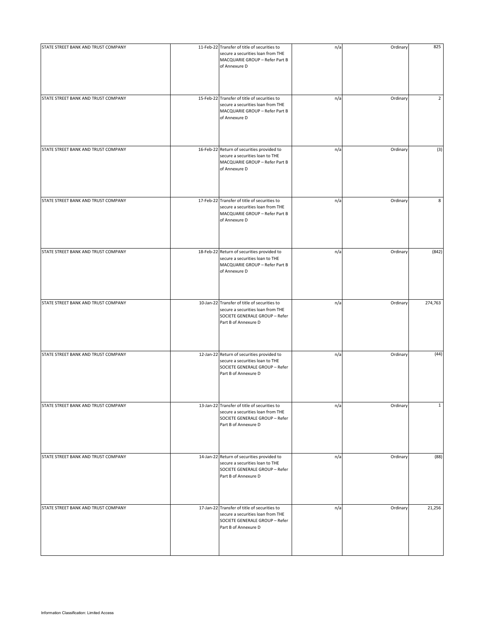| STATE STREET BANK AND TRUST COMPANY | 11-Feb-22 Transfer of title of securities to<br>secure a securities loan from THE<br>MACQUARIE GROUP - Refer Part B<br>of Annexure D        | n/a | Ordinary | 825            |
|-------------------------------------|---------------------------------------------------------------------------------------------------------------------------------------------|-----|----------|----------------|
| STATE STREET BANK AND TRUST COMPANY | 15-Feb-22 Transfer of title of securities to<br>secure a securities loan from THE<br>MACQUARIE GROUP - Refer Part B<br>of Annexure D        | n/a | Ordinary | $\overline{2}$ |
| STATE STREET BANK AND TRUST COMPANY | 16-Feb-22 Return of securities provided to<br>secure a securities loan to THE<br>MACQUARIE GROUP - Refer Part B<br>of Annexure D            | n/a | Ordinary | (3)            |
| STATE STREET BANK AND TRUST COMPANY | 17-Feb-22 Transfer of title of securities to<br>secure a securities loan from THE<br>MACQUARIE GROUP - Refer Part B<br>of Annexure D        | n/a | Ordinary | 8              |
| STATE STREET BANK AND TRUST COMPANY | 18-Feb-22 Return of securities provided to<br>secure a securities loan to THE<br>MACQUARIE GROUP - Refer Part B<br>of Annexure D            | n/a | Ordinary | (842)          |
| STATE STREET BANK AND TRUST COMPANY | 10-Jan-22 Transfer of title of securities to<br>secure a securities loan from THE<br>SOCIETE GENERALE GROUP - Refer<br>Part B of Annexure D | n/a | Ordinary | 274,763        |
| STATE STREET BANK AND TRUST COMPANY | 12-Jan-22 Return of securities provided to<br>secure a securities loan to THE<br>SOCIETE GENERALE GROUP - Refer<br>Part B of Annexure D     | n/a | Ordinary | (44)           |
| STATE STREET BANK AND TRUST COMPANY | 13-Jan-22 Transfer of title of securities to<br>secure a securities loan from THE<br>SOCIETE GENERALE GROUP - Refer<br>Part B of Annexure D | n/a | Ordinary | $\mathbf{1}$   |
| STATE STREET BANK AND TRUST COMPANY | 14-Jan-22 Return of securities provided to<br>secure a securities loan to THE<br>SOCIETE GENERALE GROUP - Refer<br>Part B of Annexure D     | n/a | Ordinary | (88)           |
| STATE STREET BANK AND TRUST COMPANY | 17-Jan-22 Transfer of title of securities to<br>secure a securities loan from THE<br>SOCIETE GENERALE GROUP - Refer<br>Part B of Annexure D | n/a | Ordinary | 21,256         |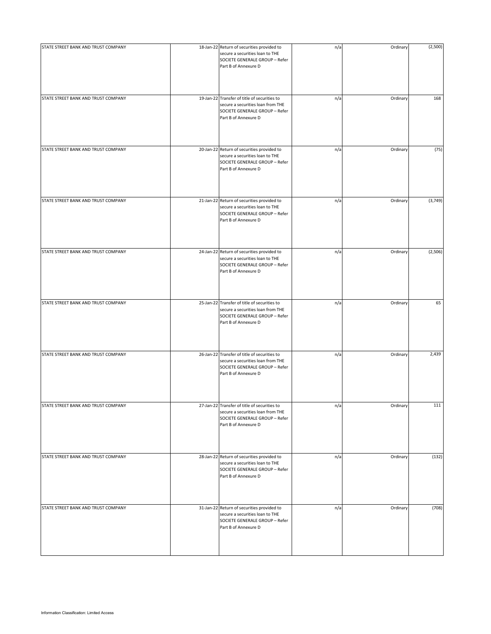| STATE STREET BANK AND TRUST COMPANY | 18-Jan-22 Return of securities provided to<br>secure a securities loan to THE<br>SOCIETE GENERALE GROUP - Refer<br>Part B of Annexure D     | n/a | Ordinary | (2,500) |
|-------------------------------------|---------------------------------------------------------------------------------------------------------------------------------------------|-----|----------|---------|
| STATE STREET BANK AND TRUST COMPANY | 19-Jan-22 Transfer of title of securities to<br>secure a securities loan from THE<br>SOCIETE GENERALE GROUP - Refer<br>Part B of Annexure D | n/a | Ordinary | 168     |
| STATE STREET BANK AND TRUST COMPANY | 20-Jan-22 Return of securities provided to<br>secure a securities loan to THE<br>SOCIETE GENERALE GROUP - Refer<br>Part B of Annexure D     | n/a | Ordinary | (75)    |
| STATE STREET BANK AND TRUST COMPANY | 21-Jan-22 Return of securities provided to<br>secure a securities loan to THE<br>SOCIETE GENERALE GROUP - Refer<br>Part B of Annexure D     | n/a | Ordinary | (3,749) |
| STATE STREET BANK AND TRUST COMPANY | 24-Jan-22 Return of securities provided to<br>secure a securities loan to THE<br>SOCIETE GENERALE GROUP - Refer<br>Part B of Annexure D     | n/a | Ordinary | (2,506) |
| STATE STREET BANK AND TRUST COMPANY | 25-Jan-22 Transfer of title of securities to<br>secure a securities loan from THE<br>SOCIETE GENERALE GROUP - Refer<br>Part B of Annexure D | n/a | Ordinary | 65      |
| STATE STREET BANK AND TRUST COMPANY | 26-Jan-22 Transfer of title of securities to<br>secure a securities loan from THE<br>SOCIETE GENERALE GROUP - Refer<br>Part B of Annexure D | n/a | Ordinary | 2,439   |
| STATE STREET BANK AND TRUST COMPANY | 27-Jan-22 Transfer of title of securities to<br>secure a securities loan from THE<br>SOCIETE GENERALE GROUP - Refer<br>Part B of Annexure D | n/a | Ordinary | 111     |
| STATE STREET BANK AND TRUST COMPANY | 28-Jan-22 Return of securities provided to<br>secure a securities loan to THE<br>SOCIETE GENERALE GROUP - Refer<br>Part B of Annexure D     | n/a | Ordinary | (132)   |
| STATE STREET BANK AND TRUST COMPANY | 31-Jan-22 Return of securities provided to<br>secure a securities loan to THE<br>SOCIETE GENERALE GROUP - Refer<br>Part B of Annexure D     | n/a | Ordinary | (708)   |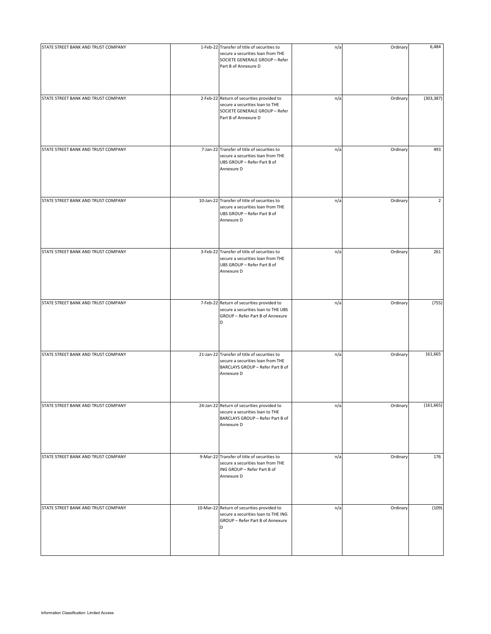| STATE STREET BANK AND TRUST COMPANY | 1-Feb-22 Transfer of title of securities to<br>secure a securities loan from THE<br>SOCIETE GENERALE GROUP - Refer<br>Part B of Annexure D | n/a | Ordinary | 6,484          |
|-------------------------------------|--------------------------------------------------------------------------------------------------------------------------------------------|-----|----------|----------------|
| STATE STREET BANK AND TRUST COMPANY | 2-Feb-22 Return of securities provided to<br>secure a securities loan to THE<br>SOCIETE GENERALE GROUP - Refer<br>Part B of Annexure D     | n/a | Ordinary | (303, 387)     |
| STATE STREET BANK AND TRUST COMPANY | 7-Jan-22 Transfer of title of securities to<br>secure a securities loan from THE<br>UBS GROUP - Refer Part B of<br>Annexure D              | n/a | Ordinary | 493            |
| STATE STREET BANK AND TRUST COMPANY | 10-Jan-22 Transfer of title of securities to<br>secure a securities loan from THE<br>UBS GROUP - Refer Part B of<br>Annexure D             | n/a | Ordinary | $\overline{2}$ |
| STATE STREET BANK AND TRUST COMPANY | 3-Feb-22 Transfer of title of securities to<br>secure a securities loan from THE<br>UBS GROUP - Refer Part B of<br>Annexure D              | n/a | Ordinary | 261            |
| STATE STREET BANK AND TRUST COMPANY | 7-Feb-22 Return of securities provided to<br>secure a securities loan to THE UBS<br>GROUP - Refer Part B of Annexure<br>D                  | n/a | Ordinary | (755)          |
| STATE STREET BANK AND TRUST COMPANY | 21-Jan-22 Transfer of title of securities to<br>secure a securities loan from THE<br>BARCLAYS GROUP - Refer Part B of<br>Annexure D        | n/a | Ordinary | 161,665        |
| STATE STREET BANK AND TRUST COMPANY | 24-Jan-22 Return of securities provided to<br>secure a securities loan to THE<br>BARCLAYS GROUP - Refer Part B of<br>Annexure D            | n/a | Ordinary | (161, 665)     |
| STATE STREET BANK AND TRUST COMPANY | 9-Mar-22 Transfer of title of securities to<br>secure a securities loan from THE<br>ING GROUP - Refer Part B of<br>Annexure D              | n/a | Ordinary | 176            |
| STATE STREET BANK AND TRUST COMPANY | 10-Mar-22 Return of securities provided to<br>secure a securities loan to THE ING<br>GROUP - Refer Part B of Annexure<br>D                 | n/a | Ordinary | (109)          |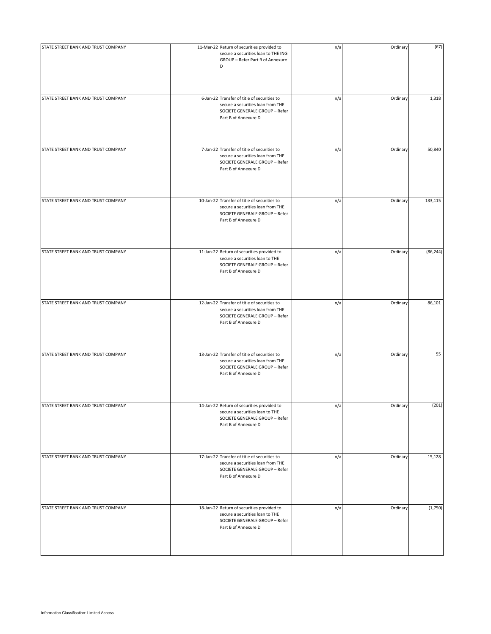| STATE STREET BANK AND TRUST COMPANY | 11-Mar-22 Return of securities provided to<br>secure a securities loan to THE ING<br>GROUP - Refer Part B of Annexure<br>D                  | n/a | Ordinary | (67)      |
|-------------------------------------|---------------------------------------------------------------------------------------------------------------------------------------------|-----|----------|-----------|
| STATE STREET BANK AND TRUST COMPANY | 6-Jan-22 Transfer of title of securities to<br>secure a securities loan from THE<br>SOCIETE GENERALE GROUP - Refer<br>Part B of Annexure D  | n/a | Ordinary | 1,318     |
| STATE STREET BANK AND TRUST COMPANY | 7-Jan-22 Transfer of title of securities to<br>secure a securities loan from THE<br>SOCIETE GENERALE GROUP - Refer<br>Part B of Annexure D  | n/a | Ordinary | 50,840    |
| STATE STREET BANK AND TRUST COMPANY | 10-Jan-22 Transfer of title of securities to<br>secure a securities loan from THE<br>SOCIETE GENERALE GROUP - Refer<br>Part B of Annexure D | n/a | Ordinary | 133,115   |
| STATE STREET BANK AND TRUST COMPANY | 11-Jan-22 Return of securities provided to<br>secure a securities loan to THE<br>SOCIETE GENERALE GROUP - Refer<br>Part B of Annexure D     | n/a | Ordinary | (86, 244) |
| STATE STREET BANK AND TRUST COMPANY | 12-Jan-22 Transfer of title of securities to<br>secure a securities loan from THE<br>SOCIETE GENERALE GROUP - Refer<br>Part B of Annexure D | n/a | Ordinary | 86,101    |
| STATE STREET BANK AND TRUST COMPANY | 13-Jan-22 Transfer of title of securities to<br>secure a securities loan from THE<br>SOCIETE GENERALE GROUP - Refer<br>Part B of Annexure D | n/a | Ordinary | 55        |
| STATE STREET BANK AND TRUST COMPANY | 14-Jan-22 Return of securities provided to<br>secure a securities loan to THE<br>SOCIETE GENERALE GROUP - Refer<br>Part B of Annexure D     | n/a | Ordinary | (201)     |
| STATE STREET BANK AND TRUST COMPANY | 17-Jan-22 Transfer of title of securities to<br>secure a securities loan from THE<br>SOCIETE GENERALE GROUP - Refer<br>Part B of Annexure D | n/a | Ordinary | 15,128    |
| STATE STREET BANK AND TRUST COMPANY | 18-Jan-22 Return of securities provided to<br>secure a securities loan to THE<br>SOCIETE GENERALE GROUP - Refer<br>Part B of Annexure D     | n/a | Ordinary | (1,750)   |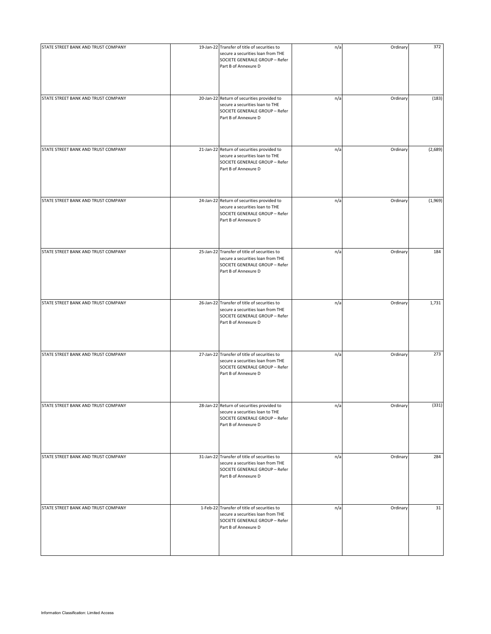| STATE STREET BANK AND TRUST COMPANY | 19-Jan-22 Transfer of title of securities to<br>secure a securities loan from THE<br>SOCIETE GENERALE GROUP - Refer<br>Part B of Annexure D | n/a | Ordinary | 372     |
|-------------------------------------|---------------------------------------------------------------------------------------------------------------------------------------------|-----|----------|---------|
| STATE STREET BANK AND TRUST COMPANY | 20-Jan-22 Return of securities provided to<br>secure a securities loan to THE<br>SOCIETE GENERALE GROUP - Refer<br>Part B of Annexure D     | n/a | Ordinary | (183)   |
| STATE STREET BANK AND TRUST COMPANY | 21-Jan-22 Return of securities provided to<br>secure a securities loan to THE<br>SOCIETE GENERALE GROUP - Refer<br>Part B of Annexure D     | n/a | Ordinary | (2,689) |
| STATE STREET BANK AND TRUST COMPANY | 24-Jan-22 Return of securities provided to<br>secure a securities loan to THE<br>SOCIETE GENERALE GROUP - Refer<br>Part B of Annexure D     | n/a | Ordinary | (1,969) |
| STATE STREET BANK AND TRUST COMPANY | 25-Jan-22 Transfer of title of securities to<br>secure a securities loan from THE<br>SOCIETE GENERALE GROUP - Refer<br>Part B of Annexure D | n/a | Ordinary | 184     |
| STATE STREET BANK AND TRUST COMPANY | 26-Jan-22 Transfer of title of securities to<br>secure a securities loan from THE<br>SOCIETE GENERALE GROUP - Refer<br>Part B of Annexure D | n/a | Ordinary | 1,731   |
| STATE STREET BANK AND TRUST COMPANY | 27-Jan-22 Transfer of title of securities to<br>secure a securities loan from THE<br>SOCIETE GENERALE GROUP - Refer<br>Part B of Annexure D | n/a | Ordinary | 273     |
| STATE STREET BANK AND TRUST COMPANY | 28-Jan-22 Return of securities provided to<br>secure a securities loan to THE<br>SOCIETE GENERALE GROUP - Refer<br>Part B of Annexure D     | n/a | Ordinary | (331)   |
| STATE STREET BANK AND TRUST COMPANY | 31-Jan-22 Transfer of title of securities to<br>secure a securities loan from THE<br>SOCIETE GENERALE GROUP - Refer<br>Part B of Annexure D | n/a | Ordinary | 284     |
| STATE STREET BANK AND TRUST COMPANY | 1-Feb-22 Transfer of title of securities to<br>secure a securities loan from THE<br>SOCIETE GENERALE GROUP - Refer<br>Part B of Annexure D  | n/a | Ordinary | 31      |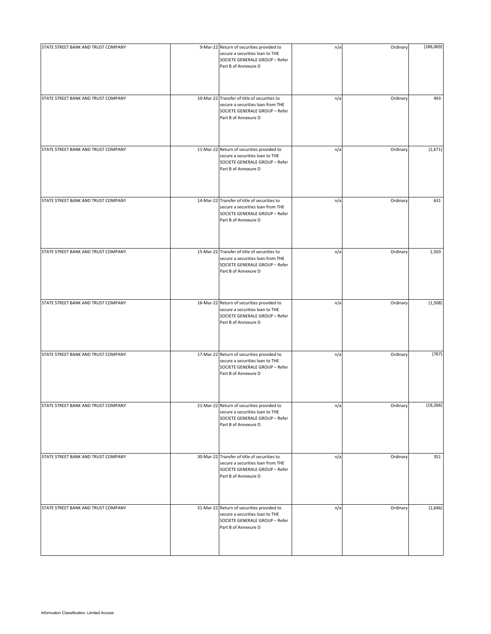| STATE STREET BANK AND TRUST COMPANY | 9-Mar-22 Return of securities provided to<br>secure a securities loan to THE<br>SOCIETE GENERALE GROUP - Refer<br>Part B of Annexure D      | n/a | Ordinary | (186,069) |
|-------------------------------------|---------------------------------------------------------------------------------------------------------------------------------------------|-----|----------|-----------|
| STATE STREET BANK AND TRUST COMPANY | 10-Mar-22 Transfer of title of securities to<br>secure a securities loan from THE<br>SOCIETE GENERALE GROUP - Refer<br>Part B of Annexure D | n/a | Ordinary | 493       |
| STATE STREET BANK AND TRUST COMPANY | 11-Mar-22 Return of securities provided to<br>secure a securities loan to THE<br>SOCIETE GENERALE GROUP - Refer<br>Part B of Annexure D     | n/a | Ordinary | (2,671)   |
| STATE STREET BANK AND TRUST COMPANY | 14-Mar-22 Transfer of title of securities to<br>secure a securities loan from THE<br>SOCIETE GENERALE GROUP - Refer<br>Part B of Annexure D | n/a | Ordinary | 631       |
| STATE STREET BANK AND TRUST COMPANY | 15-Mar-22 Transfer of title of securities to<br>secure a securities loan from THE<br>SOCIETE GENERALE GROUP - Refer<br>Part B of Annexure D | n/a | Ordinary | 1,503     |
| STATE STREET BANK AND TRUST COMPANY | 16-Mar-22 Return of securities provided to<br>secure a securities loan to THE<br>SOCIETE GENERALE GROUP - Refer<br>Part B of Annexure D     | n/a | Ordinary | (1,508)   |
| STATE STREET BANK AND TRUST COMPANY | 17-Mar-22 Return of securities provided to<br>secure a securities loan to THE<br>SOCIETE GENERALE GROUP - Refer<br>Part B of Annexure D     | n/a | Ordinary | (767)     |
| STATE STREET BANK AND TRUST COMPANY | 21-Mar-22 Return of securities provided to<br>secure a securities loan to THE<br>SOCIETE GENERALE GROUP - Refer<br>Part B of Annexure D     | n/a | Ordinary | (18, 266) |
| STATE STREET BANK AND TRUST COMPANY | 30-Mar-22 Transfer of title of securities to<br>secure a securities loan from THE<br>SOCIETE GENERALE GROUP - Refer<br>Part B of Annexure D | n/a | Ordinary | 351       |
| STATE STREET BANK AND TRUST COMPANY | 31-Mar-22 Return of securities provided to<br>secure a securities loan to THE<br>SOCIETE GENERALE GROUP - Refer<br>Part B of Annexure D     | n/a | Ordinary | (1,646)   |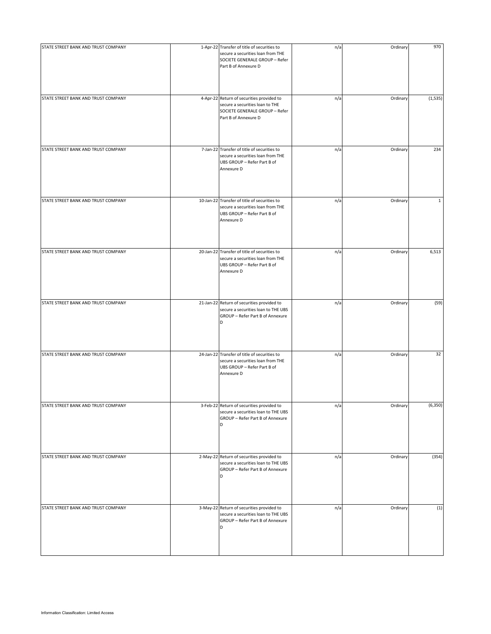| STATE STREET BANK AND TRUST COMPANY | 1-Apr-22 Transfer of title of securities to<br>secure a securities loan from THE<br>SOCIETE GENERALE GROUP - Refer<br>Part B of Annexure D | n/a | Ordinary | 970          |
|-------------------------------------|--------------------------------------------------------------------------------------------------------------------------------------------|-----|----------|--------------|
| STATE STREET BANK AND TRUST COMPANY | 4-Apr-22 Return of securities provided to<br>secure a securities loan to THE<br>SOCIETE GENERALE GROUP - Refer<br>Part B of Annexure D     | n/a | Ordinary | (1,535)      |
| STATE STREET BANK AND TRUST COMPANY | 7-Jan-22 Transfer of title of securities to<br>secure a securities loan from THE<br>UBS GROUP - Refer Part B of<br>Annexure D              | n/a | Ordinary | 234          |
| STATE STREET BANK AND TRUST COMPANY | 10-Jan-22 Transfer of title of securities to<br>secure a securities loan from THE<br>UBS GROUP - Refer Part B of<br>Annexure D             | n/a | Ordinary | $\mathbf{1}$ |
| STATE STREET BANK AND TRUST COMPANY | 20-Jan-22 Transfer of title of securities to<br>secure a securities loan from THE<br>UBS GROUP - Refer Part B of<br>Annexure D             | n/a | Ordinary | 6,513        |
| STATE STREET BANK AND TRUST COMPANY | 21-Jan-22 Return of securities provided to<br>secure a securities loan to THE UBS<br>GROUP - Refer Part B of Annexure<br>D                 | n/a | Ordinary | (59)         |
| STATE STREET BANK AND TRUST COMPANY | 24-Jan-22 Transfer of title of securities to<br>secure a securities loan from THE<br>UBS GROUP - Refer Part B of<br>Annexure D             | n/a | Ordinary | 32           |
| STATE STREET BANK AND TRUST COMPANY | 3-Feb-22 Return of securities provided to<br>secure a securities loan to THE UBS<br>GROUP - Refer Part B of Annexure<br>D                  | n/a | Ordinary | (6, 350)     |
| STATE STREET BANK AND TRUST COMPANY | 2-May-22 Return of securities provided to<br>secure a securities loan to THE UBS<br>GROUP - Refer Part B of Annexure<br>D                  | n/a | Ordinary | (354)        |
| STATE STREET BANK AND TRUST COMPANY | 3-May-22 Return of securities provided to<br>secure a securities loan to THE UBS<br>GROUP - Refer Part B of Annexure<br>D                  | n/a | Ordinary | (1)          |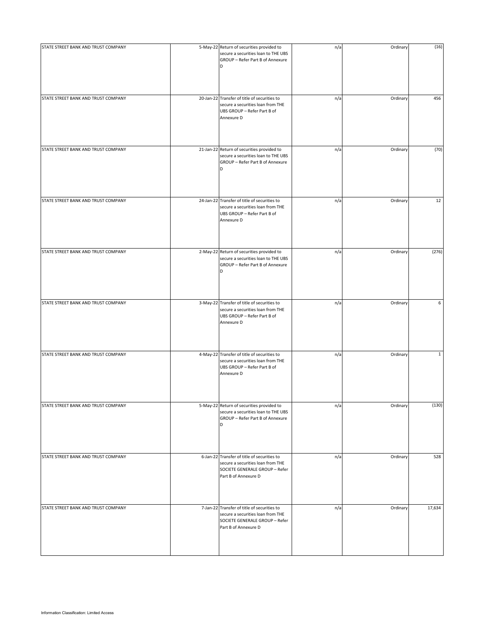| STATE STREET BANK AND TRUST COMPANY | 5-May-22 Return of securities provided to                                                                                                  | n/a | Ordinary | (16)         |
|-------------------------------------|--------------------------------------------------------------------------------------------------------------------------------------------|-----|----------|--------------|
|                                     | secure a securities loan to THE UBS<br>GROUP - Refer Part B of Annexure<br>D                                                               |     |          |              |
| STATE STREET BANK AND TRUST COMPANY | 20-Jan-22 Transfer of title of securities to<br>secure a securities loan from THE<br>UBS GROUP - Refer Part B of<br>Annexure D             | n/a | Ordinary | 456          |
| STATE STREET BANK AND TRUST COMPANY | 21-Jan-22 Return of securities provided to<br>secure a securities loan to THE UBS<br>GROUP - Refer Part B of Annexure<br>D                 | n/a | Ordinary | (70)         |
| STATE STREET BANK AND TRUST COMPANY | 24-Jan-22 Transfer of title of securities to<br>secure a securities loan from THE<br>UBS GROUP - Refer Part B of<br>Annexure D             | n/a | Ordinary | 12           |
| STATE STREET BANK AND TRUST COMPANY | 2-May-22 Return of securities provided to<br>secure a securities loan to THE UBS<br>GROUP - Refer Part B of Annexure<br>D                  | n/a | Ordinary | (276)        |
| STATE STREET BANK AND TRUST COMPANY | 3-May-22 Transfer of title of securities to<br>secure a securities loan from THE<br>UBS GROUP - Refer Part B of<br>Annexure D              | n/a | Ordinary | 6            |
| STATE STREET BANK AND TRUST COMPANY | 4-May-22 Transfer of title of securities to<br>secure a securities loan from THE<br>UBS GROUP - Refer Part B of<br>Annexure D              | n/a | Ordinary | $\mathbf{1}$ |
| STATE STREET BANK AND TRUST COMPANY | 5-May-22 Return of securities provided to<br>secure a securities loan to THE UBS<br>GROUP - Refer Part B of Annexure<br>D                  | n/a | Ordinary | (130)        |
| STATE STREET BANK AND TRUST COMPANY | 6-Jan-22 Transfer of title of securities to<br>secure a securities loan from THE<br>SOCIETE GENERALE GROUP - Refer<br>Part B of Annexure D | n/a | Ordinary | 528          |
| STATE STREET BANK AND TRUST COMPANY | 7-Jan-22 Transfer of title of securities to<br>secure a securities loan from THE<br>SOCIETE GENERALE GROUP - Refer<br>Part B of Annexure D | n/a | Ordinary | 17,634       |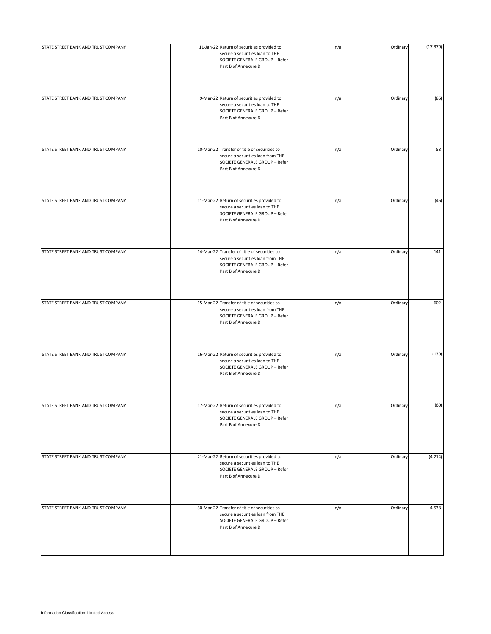| STATE STREET BANK AND TRUST COMPANY | 11-Jan-22 Return of securities provided to<br>secure a securities loan to THE<br>SOCIETE GENERALE GROUP - Refer<br>Part B of Annexure D     | n/a | Ordinary | (17, 370) |
|-------------------------------------|---------------------------------------------------------------------------------------------------------------------------------------------|-----|----------|-----------|
| STATE STREET BANK AND TRUST COMPANY | 9-Mar-22 Return of securities provided to<br>secure a securities loan to THE<br>SOCIETE GENERALE GROUP - Refer<br>Part B of Annexure D      | n/a | Ordinary | (86)      |
| STATE STREET BANK AND TRUST COMPANY | 10-Mar-22 Transfer of title of securities to<br>secure a securities loan from THE<br>SOCIETE GENERALE GROUP - Refer<br>Part B of Annexure D | n/a | Ordinary | 58        |
| STATE STREET BANK AND TRUST COMPANY | 11-Mar-22 Return of securities provided to<br>secure a securities loan to THE<br>SOCIETE GENERALE GROUP - Refer<br>Part B of Annexure D     | n/a | Ordinary | (46)      |
| STATE STREET BANK AND TRUST COMPANY | 14-Mar-22 Transfer of title of securities to<br>secure a securities loan from THE<br>SOCIETE GENERALE GROUP - Refer<br>Part B of Annexure D | n/a | Ordinary | 141       |
| STATE STREET BANK AND TRUST COMPANY | 15-Mar-22 Transfer of title of securities to<br>secure a securities loan from THE<br>SOCIETE GENERALE GROUP - Refer<br>Part B of Annexure D | n/a | Ordinary | 602       |
| STATE STREET BANK AND TRUST COMPANY | 16-Mar-22 Return of securities provided to<br>secure a securities loan to THE<br>SOCIETE GENERALE GROUP - Refer<br>Part B of Annexure D     | n/a | Ordinary | (130)     |
| STATE STREET BANK AND TRUST COMPANY | 17-Mar-22 Return of securities provided to<br>secure a securities loan to THE<br>SOCIETE GENERALE GROUP - Refer<br>Part B of Annexure D     | n/a | Ordinary | (60)      |
| STATE STREET BANK AND TRUST COMPANY | 21-Mar-22 Return of securities provided to<br>secure a securities loan to THE<br>SOCIETE GENERALE GROUP - Refer<br>Part B of Annexure D     | n/a | Ordinary | (4, 214)  |
| STATE STREET BANK AND TRUST COMPANY | 30-Mar-22 Transfer of title of securities to<br>secure a securities loan from THE<br>SOCIETE GENERALE GROUP - Refer<br>Part B of Annexure D | n/a | Ordinary | 4,538     |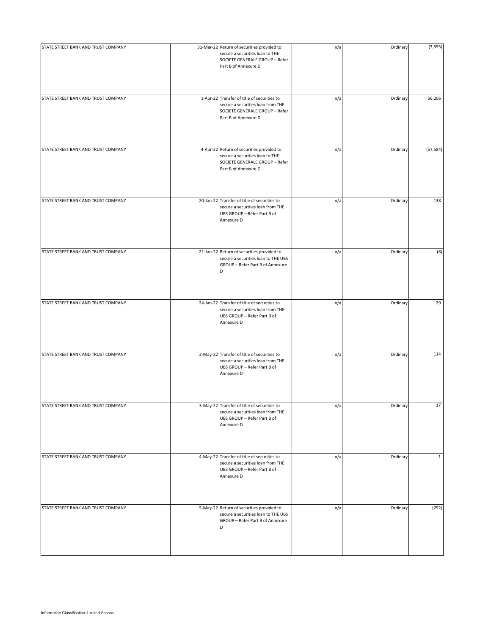| STATE STREET BANK AND TRUST COMPANY | 31-Mar-22 Return of securities provided to<br>secure a securities loan to THE<br>SOCIETE GENERALE GROUP - Refer<br>Part B of Annexure D    | n/a | Ordinary | (3,595)      |
|-------------------------------------|--------------------------------------------------------------------------------------------------------------------------------------------|-----|----------|--------------|
| STATE STREET BANK AND TRUST COMPANY | 1-Apr-22 Transfer of title of securities to<br>secure a securities loan from THE<br>SOCIETE GENERALE GROUP - Refer<br>Part B of Annexure D | n/a | Ordinary | 56,206       |
| STATE STREET BANK AND TRUST COMPANY | 4-Apr-22 Return of securities provided to<br>secure a securities loan to THE<br>SOCIETE GENERALE GROUP - Refer<br>Part B of Annexure D     | n/a | Ordinary | (57, 584)    |
| STATE STREET BANK AND TRUST COMPANY | 20-Jan-22 Transfer of title of securities to<br>secure a securities loan from THE<br>UBS GROUP - Refer Part B of<br>Annexure D             | n/a | Ordinary | 138          |
| STATE STREET BANK AND TRUST COMPANY | 21-Jan-22 Return of securities provided to<br>secure a securities loan to THE UBS<br>GROUP - Refer Part B of Annexure<br>D                 | n/a | Ordinary | (8)          |
| STATE STREET BANK AND TRUST COMPANY | 24-Jan-22 Transfer of title of securities to<br>secure a securities loan from THE<br>UBS GROUP - Refer Part B of<br>Annexure D             | n/a | Ordinary | 29           |
| STATE STREET BANK AND TRUST COMPANY | 2-May-22 Transfer of title of securities to<br>secure a securities loan from THE<br>UBS GROUP - Refer Part B of<br>Annexure D              | n/a | Ordinary | 114          |
| STATE STREET BANK AND TRUST COMPANY | 3-May-22 Transfer of title of securities to<br>secure a securities loan from THE<br>UBS GROUP - Refer Part B of<br>Annexure D              | n/a | Ordinary | 17           |
| STATE STREET BANK AND TRUST COMPANY | 4-May-22 Transfer of title of securities to<br>secure a securities loan from THE<br>UBS GROUP - Refer Part B of<br>Annexure D              | n/a | Ordinary | $\mathbf{1}$ |
| STATE STREET BANK AND TRUST COMPANY | 5-May-22 Return of securities provided to<br>secure a securities loan to THE UBS<br>GROUP - Refer Part B of Annexure<br>D                  | n/a | Ordinary | (292)        |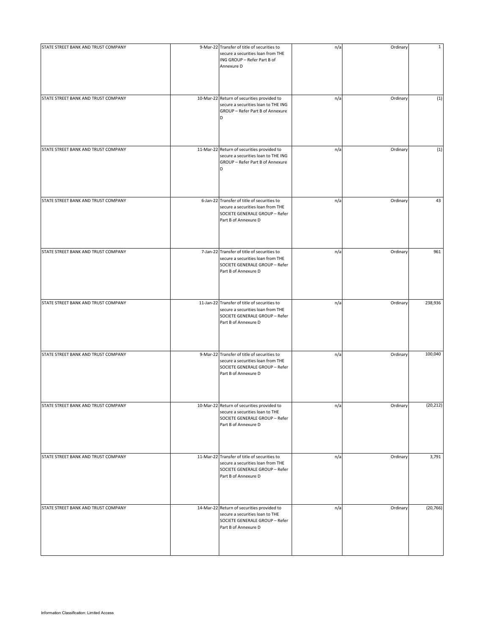| STATE STREET BANK AND TRUST COMPANY | 9-Mar-22 Transfer of title of securities to<br>secure a securities loan from THE<br>ING GROUP - Refer Part B of<br>Annexure D               | n/a | Ordinary | $\mathbf{1}$ |
|-------------------------------------|---------------------------------------------------------------------------------------------------------------------------------------------|-----|----------|--------------|
| STATE STREET BANK AND TRUST COMPANY | 10-Mar-22 Return of securities provided to<br>secure a securities loan to THE ING<br>GROUP - Refer Part B of Annexure<br>D                  | n/a | Ordinary | (1)          |
| STATE STREET BANK AND TRUST COMPANY | 11-Mar-22 Return of securities provided to<br>secure a securities loan to THE ING<br>GROUP - Refer Part B of Annexure<br>D                  | n/a | Ordinary | (1)          |
| STATE STREET BANK AND TRUST COMPANY | 6-Jan-22 Transfer of title of securities to<br>secure a securities loan from THE<br>SOCIETE GENERALE GROUP - Refer<br>Part B of Annexure D  | n/a | Ordinary | 43           |
| STATE STREET BANK AND TRUST COMPANY | 7-Jan-22 Transfer of title of securities to<br>secure a securities loan from THE<br>SOCIETE GENERALE GROUP - Refer<br>Part B of Annexure D  | n/a | Ordinary | 961          |
| STATE STREET BANK AND TRUST COMPANY | 11-Jan-22 Transfer of title of securities to<br>secure a securities loan from THE<br>SOCIETE GENERALE GROUP - Refer<br>Part B of Annexure D | n/a | Ordinary | 238,936      |
| STATE STREET BANK AND TRUST COMPANY | 9-Mar-22 Transfer of title of securities to<br>secure a securities loan from THE<br>SOCIETE GENERALE GROUP - Refer<br>Part B of Annexure D  | n/a | Ordinary | 100,040      |
| STATE STREET BANK AND TRUST COMPANY | 10-Mar-22 Return of securities provided to<br>secure a securities loan to THE<br>SOCIETE GENERALE GROUP - Refer<br>Part B of Annexure D     | n/a | Ordinary | (20, 212)    |
| STATE STREET BANK AND TRUST COMPANY | 11-Mar-22 Transfer of title of securities to<br>secure a securities loan from THE<br>SOCIETE GENERALE GROUP - Refer<br>Part B of Annexure D | n/a | Ordinary | 3,791        |
| STATE STREET BANK AND TRUST COMPANY | 14-Mar-22 Return of securities provided to<br>secure a securities loan to THE<br>SOCIETE GENERALE GROUP - Refer<br>Part B of Annexure D     | n/a | Ordinary | (20, 766)    |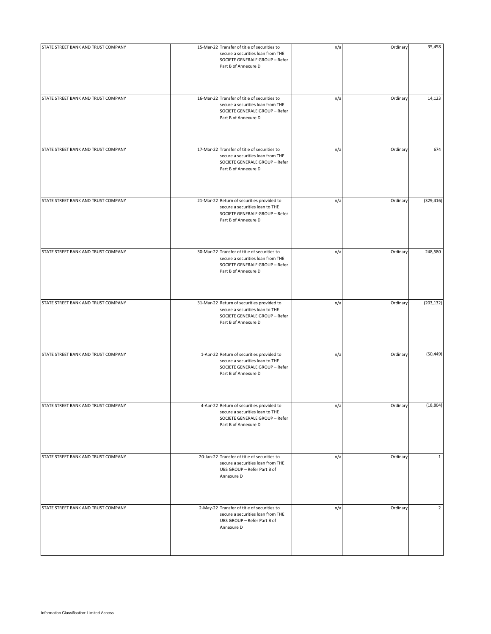| STATE STREET BANK AND TRUST COMPANY | 15-Mar-22 Transfer of title of securities to<br>secure a securities loan from THE<br>SOCIETE GENERALE GROUP - Refer<br>Part B of Annexure D | n/a | Ordinary | 35,458         |
|-------------------------------------|---------------------------------------------------------------------------------------------------------------------------------------------|-----|----------|----------------|
| STATE STREET BANK AND TRUST COMPANY | 16-Mar-22 Transfer of title of securities to<br>secure a securities loan from THE<br>SOCIETE GENERALE GROUP - Refer<br>Part B of Annexure D | n/a | Ordinary | 14,123         |
| STATE STREET BANK AND TRUST COMPANY | 17-Mar-22 Transfer of title of securities to<br>secure a securities loan from THE<br>SOCIETE GENERALE GROUP - Refer<br>Part B of Annexure D | n/a | Ordinary | 674            |
| STATE STREET BANK AND TRUST COMPANY | 21-Mar-22 Return of securities provided to<br>secure a securities loan to THE<br>SOCIETE GENERALE GROUP - Refer<br>Part B of Annexure D     | n/a | Ordinary | (329, 416)     |
| STATE STREET BANK AND TRUST COMPANY | 30-Mar-22 Transfer of title of securities to<br>secure a securities loan from THE<br>SOCIETE GENERALE GROUP - Refer<br>Part B of Annexure D | n/a | Ordinary | 248,580        |
| STATE STREET BANK AND TRUST COMPANY | 31-Mar-22 Return of securities provided to<br>secure a securities loan to THE<br>SOCIETE GENERALE GROUP - Refer<br>Part B of Annexure D     | n/a | Ordinary | (203, 132)     |
| STATE STREET BANK AND TRUST COMPANY | 1-Apr-22 Return of securities provided to<br>secure a securities loan to THE<br>SOCIETE GENERALE GROUP - Refer<br>Part B of Annexure D      | n/a | Ordinary | (50, 449)      |
| STATE STREET BANK AND TRUST COMPANY | 4-Apr-22 Return of securities provided to<br>secure a securities loan to THE<br>SOCIETE GENERALE GROUP - Refer<br>Part B of Annexure D      | n/a | Ordinary | (18, 804)      |
| STATE STREET BANK AND TRUST COMPANY | 20-Jan-22 Transfer of title of securities to<br>secure a securities loan from THE<br>UBS GROUP - Refer Part B of<br>Annexure D              | n/a | Ordinary | $\mathbf{1}$   |
| STATE STREET BANK AND TRUST COMPANY | 2-May-22 Transfer of title of securities to<br>secure a securities loan from THE<br>UBS GROUP - Refer Part B of<br>Annexure D               | n/a | Ordinary | $\overline{2}$ |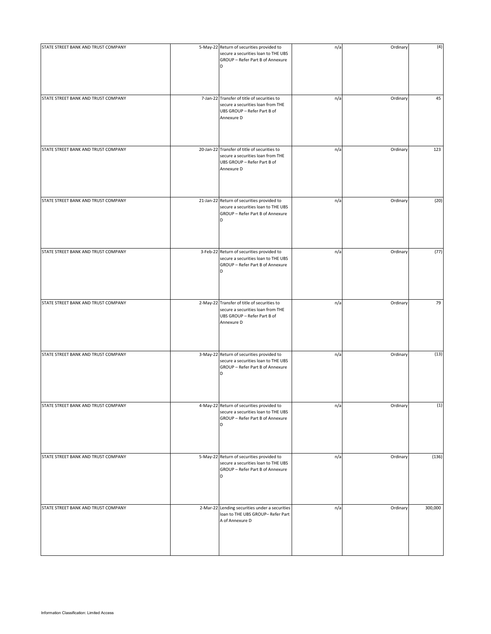| STATE STREET BANK AND TRUST COMPANY | 5-May-22 Return of securities provided to<br>secure a securities loan to THE UBS<br>GROUP - Refer Part B of Annexure<br>D      | n/a | Ordinary | (4)     |
|-------------------------------------|--------------------------------------------------------------------------------------------------------------------------------|-----|----------|---------|
| STATE STREET BANK AND TRUST COMPANY | 7-Jan-22 Transfer of title of securities to<br>secure a securities loan from THE<br>UBS GROUP - Refer Part B of<br>Annexure D  | n/a | Ordinary | 45      |
| STATE STREET BANK AND TRUST COMPANY | 20-Jan-22 Transfer of title of securities to<br>secure a securities loan from THE<br>UBS GROUP - Refer Part B of<br>Annexure D | n/a | Ordinary | 123     |
| STATE STREET BANK AND TRUST COMPANY | 21-Jan-22 Return of securities provided to<br>secure a securities loan to THE UBS<br>GROUP - Refer Part B of Annexure<br>D     | n/a | Ordinary | (20)    |
| STATE STREET BANK AND TRUST COMPANY | 3-Feb-22 Return of securities provided to<br>secure a securities loan to THE UBS<br>GROUP - Refer Part B of Annexure<br>D      | n/a | Ordinary | (77)    |
| STATE STREET BANK AND TRUST COMPANY | 2-May-22 Transfer of title of securities to<br>secure a securities loan from THE<br>UBS GROUP - Refer Part B of<br>Annexure D  | n/a | Ordinary | 79      |
| STATE STREET BANK AND TRUST COMPANY | 3-May-22 Return of securities provided to<br>secure a securities loan to THE UBS<br>GROUP - Refer Part B of Annexure<br>D      | n/a | Ordinary | (13)    |
| STATE STREET BANK AND TRUST COMPANY | 4-May-22 Return of securities provided to<br>secure a securities loan to THE UBS<br>GROUP - Refer Part B of Annexure<br>D      | n/a | Ordinary | (1)     |
| STATE STREET BANK AND TRUST COMPANY | 5-May-22 Return of securities provided to<br>secure a securities loan to THE UBS<br>GROUP - Refer Part B of Annexure<br>D      | n/a | Ordinary | (136)   |
| STATE STREET BANK AND TRUST COMPANY | 2-Mar-22 Lending securities under a securities<br>loan to THE UBS GROUP- Refer Part<br>A of Annexure D                         | n/a | Ordinary | 300,000 |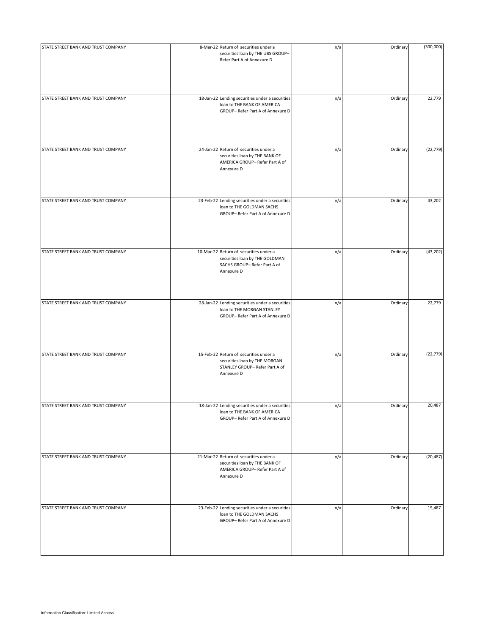| STATE STREET BANK AND TRUST COMPANY | 8-Mar-22 Return of securities under a<br>securities loan by THE UBS GROUP-<br>Refer Part A of Annexure D                 | n/a | Ordinary | (300,000) |
|-------------------------------------|--------------------------------------------------------------------------------------------------------------------------|-----|----------|-----------|
| STATE STREET BANK AND TRUST COMPANY | 18-Jan-22 Lending securities under a securities<br>loan to THE BANK OF AMERICA<br>GROUP- Refer Part A of Annexure D      | n/a | Ordinary | 22,779    |
| STATE STREET BANK AND TRUST COMPANY | 24-Jan-22 Return of securities under a<br>securities loan by THE BANK OF<br>AMERICA GROUP- Refer Part A of<br>Annexure D | n/a | Ordinary | (22, 779) |
| STATE STREET BANK AND TRUST COMPANY | 23-Feb-22 Lending securities under a securities<br>loan to THE GOLDMAN SACHS<br>GROUP- Refer Part A of Annexure D        | n/a | Ordinary | 43,202    |
| STATE STREET BANK AND TRUST COMPANY | 10-Mar-22 Return of securities under a<br>securities loan by THE GOLDMAN<br>SACHS GROUP- Refer Part A of<br>Annexure D   | n/a | Ordinary | (43, 202) |
| STATE STREET BANK AND TRUST COMPANY | 28-Jan-22 Lending securities under a securities<br>loan to THE MORGAN STANLEY<br>GROUP- Refer Part A of Annexure D       | n/a | Ordinary | 22,779    |
| STATE STREET BANK AND TRUST COMPANY | 15-Feb-22 Return of securities under a<br>securities loan by THE MORGAN<br>STANLEY GROUP- Refer Part A of<br>Annexure D  | n/a | Ordinary | (22, 779) |
| STATE STREET BANK AND TRUST COMPANY | 18-Jan-22 Lending securities under a securities<br>loan to THE BANK OF AMERICA<br>GROUP- Refer Part A of Annexure D      | n/a | Ordinary | 20,487    |
| STATE STREET BANK AND TRUST COMPANY | 21-Mar-22 Return of securities under a<br>securities loan by THE BANK OF<br>AMERICA GROUP- Refer Part A of<br>Annexure D | n/a | Ordinary | (20, 487) |
| STATE STREET BANK AND TRUST COMPANY | 23-Feb-22 Lending securities under a securities<br>loan to THE GOLDMAN SACHS<br>GROUP- Refer Part A of Annexure D        | n/a | Ordinary | 15,487    |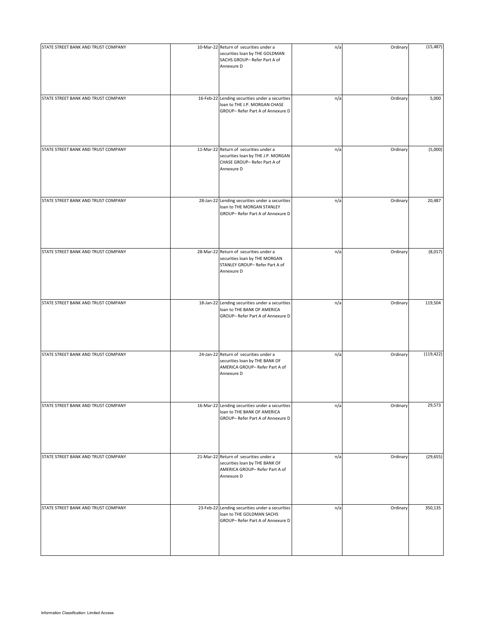| STATE STREET BANK AND TRUST COMPANY | 10-Mar-22 Return of securities under a                                                                                     | n/a | Ordinary | (15, 487)  |
|-------------------------------------|----------------------------------------------------------------------------------------------------------------------------|-----|----------|------------|
|                                     | securities loan by THE GOLDMAN<br>SACHS GROUP- Refer Part A of<br>Annexure D                                               |     |          |            |
|                                     |                                                                                                                            |     |          |            |
| STATE STREET BANK AND TRUST COMPANY | 16-Feb-22 Lending securities under a securities<br>loan to THE J.P. MORGAN CHASE<br>GROUP- Refer Part A of Annexure D      | n/a | Ordinary | 5,000      |
| STATE STREET BANK AND TRUST COMPANY | 11-Mar-22 Return of securities under a<br>securities loan by THE J.P. MORGAN<br>CHASE GROUP- Refer Part A of<br>Annexure D | n/a | Ordinary | (5,000)    |
| STATE STREET BANK AND TRUST COMPANY | 28-Jan-22 Lending securities under a securities<br>loan to THE MORGAN STANLEY<br>GROUP- Refer Part A of Annexure D         | n/a | Ordinary | 20,487     |
| STATE STREET BANK AND TRUST COMPANY | 28-Mar-22 Return of securities under a<br>securities loan by THE MORGAN<br>STANLEY GROUP- Refer Part A of<br>Annexure D    | n/a | Ordinary | (8,017)    |
| STATE STREET BANK AND TRUST COMPANY | 18-Jan-22 Lending securities under a securities<br>loan to THE BANK OF AMERICA<br>GROUP- Refer Part A of Annexure D        | n/a | Ordinary | 119,504    |
| STATE STREET BANK AND TRUST COMPANY | 24-Jan-22 Return of securities under a<br>securities loan by THE BANK OF<br>AMERICA GROUP-Refer Part A of<br>Annexure D    | n/a | Ordinary | (119, 422) |
| STATE STREET BANK AND TRUST COMPANY | 16-Mar-22 Lending securities under a securities<br>loan to THE BANK OF AMERICA<br>GROUP- Refer Part A of Annexure D        | n/a | Ordinary | 29,573     |
| STATE STREET BANK AND TRUST COMPANY | 21-Mar-22 Return of securities under a<br>securities loan by THE BANK OF<br>AMERICA GROUP-Refer Part A of<br>Annexure D    | n/a | Ordinary | (29, 655)  |
| STATE STREET BANK AND TRUST COMPANY | 23-Feb-22 Lending securities under a securities<br>loan to THE GOLDMAN SACHS<br>GROUP- Refer Part A of Annexure D          | n/a | Ordinary | 350,135    |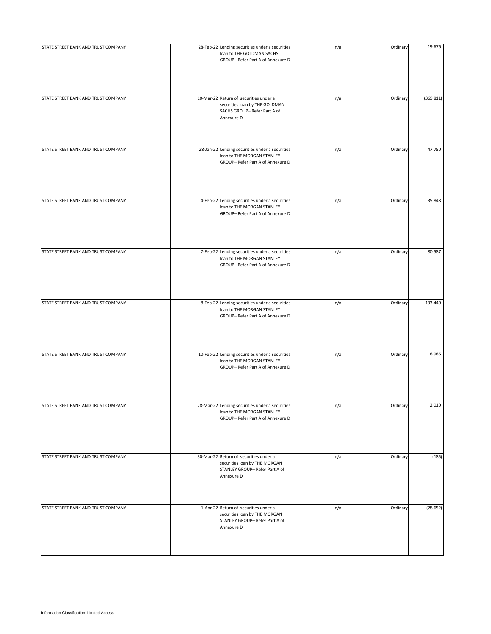| STATE STREET BANK AND TRUST COMPANY | 28-Feb-22 Lending securities under a securities<br>loan to THE GOLDMAN SACHS<br>GROUP- Refer Part A of Annexure D       | n/a | Ordinary | 19,676     |
|-------------------------------------|-------------------------------------------------------------------------------------------------------------------------|-----|----------|------------|
| STATE STREET BANK AND TRUST COMPANY | 10-Mar-22 Return of securities under a<br>securities loan by THE GOLDMAN<br>SACHS GROUP- Refer Part A of<br>Annexure D  | n/a | Ordinary | (369, 811) |
| STATE STREET BANK AND TRUST COMPANY | 28-Jan-22 Lending securities under a securities<br>loan to THE MORGAN STANLEY<br>GROUP- Refer Part A of Annexure D      | n/a | Ordinary | 47,750     |
| STATE STREET BANK AND TRUST COMPANY | 4-Feb-22 Lending securities under a securities<br>loan to THE MORGAN STANLEY<br>GROUP- Refer Part A of Annexure D       | n/a | Ordinary | 35,848     |
| STATE STREET BANK AND TRUST COMPANY | 7-Feb-22 Lending securities under a securities<br>loan to THE MORGAN STANLEY<br>GROUP- Refer Part A of Annexure D       | n/a | Ordinary | 80,587     |
| STATE STREET BANK AND TRUST COMPANY | 8-Feb-22 Lending securities under a securities<br>loan to THE MORGAN STANLEY<br>GROUP- Refer Part A of Annexure D       | n/a | Ordinary | 133,440    |
| STATE STREET BANK AND TRUST COMPANY | 10-Feb-22 Lending securities under a securities<br>loan to THE MORGAN STANLEY<br>GROUP- Refer Part A of Annexure D      | n/a | Ordinary | 8,986      |
| STATE STREET BANK AND TRUST COMPANY | 28-Mar-22 Lending securities under a securities<br>loan to THE MORGAN STANLEY<br>GROUP- Refer Part A of Annexure D      | n/a | Ordinary | 2,010      |
| STATE STREET BANK AND TRUST COMPANY | 30-Mar-22 Return of securities under a<br>securities loan by THE MORGAN<br>STANLEY GROUP- Refer Part A of<br>Annexure D | n/a | Ordinary | (185)      |
| STATE STREET BANK AND TRUST COMPANY | 1-Apr-22 Return of securities under a<br>securities loan by THE MORGAN<br>STANLEY GROUP- Refer Part A of<br>Annexure D  | n/a | Ordinary | (28, 652)  |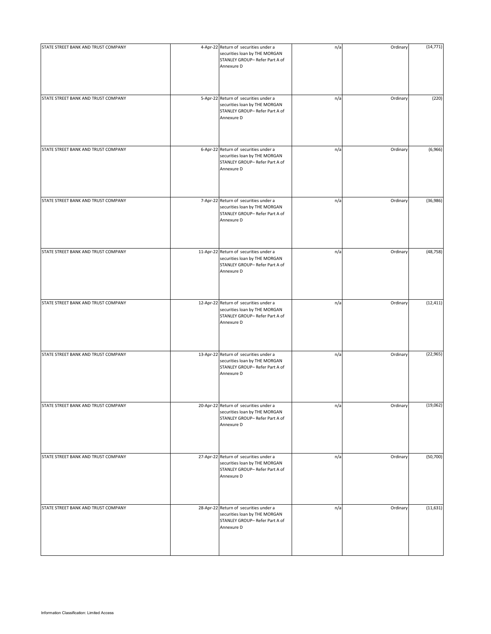| STATE STREET BANK AND TRUST COMPANY | 4-Apr-22 Return of securities under a<br>securities loan by THE MORGAN<br>STANLEY GROUP- Refer Part A of<br>Annexure D  | n/a | Ordinary | (14, 771) |
|-------------------------------------|-------------------------------------------------------------------------------------------------------------------------|-----|----------|-----------|
| STATE STREET BANK AND TRUST COMPANY | 5-Apr-22 Return of securities under a<br>securities loan by THE MORGAN<br>STANLEY GROUP- Refer Part A of<br>Annexure D  | n/a | Ordinary | (220)     |
| STATE STREET BANK AND TRUST COMPANY | 6-Apr-22 Return of securities under a<br>securities loan by THE MORGAN<br>STANLEY GROUP- Refer Part A of<br>Annexure D  | n/a | Ordinary | (6,966)   |
| STATE STREET BANK AND TRUST COMPANY | 7-Apr-22 Return of securities under a<br>securities loan by THE MORGAN<br>STANLEY GROUP- Refer Part A of<br>Annexure D  | n/a | Ordinary | (36,986)  |
| STATE STREET BANK AND TRUST COMPANY | 11-Apr-22 Return of securities under a<br>securities loan by THE MORGAN<br>STANLEY GROUP- Refer Part A of<br>Annexure D | n/a | Ordinary | (48, 758) |
| STATE STREET BANK AND TRUST COMPANY | 12-Apr-22 Return of securities under a<br>securities loan by THE MORGAN<br>STANLEY GROUP- Refer Part A of<br>Annexure D | n/a | Ordinary | (12, 411) |
| STATE STREET BANK AND TRUST COMPANY | 13-Apr-22 Return of securities under a<br>securities loan by THE MORGAN<br>STANLEY GROUP- Refer Part A of<br>Annexure D | n/a | Ordinary | (22, 965) |
| STATE STREET BANK AND TRUST COMPANY | 20-Apr-22 Return of securities under a<br>securities loan by THE MORGAN<br>STANLEY GROUP- Refer Part A of<br>Annexure D | n/a | Ordinary | (19,062)  |
| STATE STREET BANK AND TRUST COMPANY | 27-Apr-22 Return of securities under a<br>securities loan by THE MORGAN<br>STANLEY GROUP- Refer Part A of<br>Annexure D | n/a | Ordinary | (50, 700) |
| STATE STREET BANK AND TRUST COMPANY | 28-Apr-22 Return of securities under a<br>securities loan by THE MORGAN<br>STANLEY GROUP- Refer Part A of<br>Annexure D | n/a | Ordinary | (11, 631) |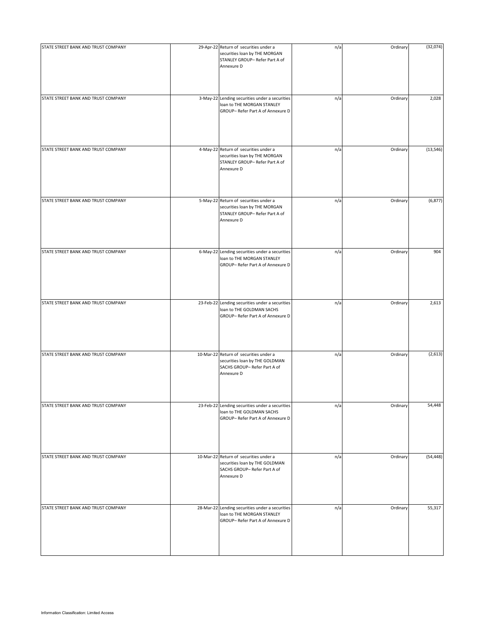| STATE STREET BANK AND TRUST COMPANY | 29-Apr-22 Return of securities under a<br>securities loan by THE MORGAN<br>STANLEY GROUP- Refer Part A of<br>Annexure D | n/a | Ordinary | (32,074)  |
|-------------------------------------|-------------------------------------------------------------------------------------------------------------------------|-----|----------|-----------|
| STATE STREET BANK AND TRUST COMPANY | 3-May-22 Lending securities under a securities<br>loan to THE MORGAN STANLEY<br>GROUP- Refer Part A of Annexure D       | n/a | Ordinary | 2,028     |
| STATE STREET BANK AND TRUST COMPANY | 4-May-22 Return of securities under a<br>securities loan by THE MORGAN<br>STANLEY GROUP- Refer Part A of<br>Annexure D  | n/a | Ordinary | (13, 546) |
| STATE STREET BANK AND TRUST COMPANY | 5-May-22 Return of securities under a<br>securities loan by THE MORGAN<br>STANLEY GROUP- Refer Part A of<br>Annexure D  | n/a | Ordinary | (6, 877)  |
| STATE STREET BANK AND TRUST COMPANY | 6-May-22 Lending securities under a securities<br>loan to THE MORGAN STANLEY<br>GROUP- Refer Part A of Annexure D       | n/a | Ordinary | 904       |
| STATE STREET BANK AND TRUST COMPANY | 23-Feb-22 Lending securities under a securities<br>loan to THE GOLDMAN SACHS<br>GROUP- Refer Part A of Annexure D       | n/a | Ordinary | 2,613     |
| STATE STREET BANK AND TRUST COMPANY | 10-Mar-22 Return of securities under a<br>securities loan by THE GOLDMAN<br>SACHS GROUP- Refer Part A of<br>Annexure D  | n/a | Ordinary | (2,613)   |
| STATE STREET BANK AND TRUST COMPANY | 23-Feb-22 Lending securities under a securities<br>loan to THE GOLDMAN SACHS<br>GROUP- Refer Part A of Annexure D       | n/a | Ordinary | 54,448    |
| STATE STREET BANK AND TRUST COMPANY | 10-Mar-22 Return of securities under a<br>securities loan by THE GOLDMAN<br>SACHS GROUP- Refer Part A of<br>Annexure D  | n/a | Ordinary | (54, 448) |
| STATE STREET BANK AND TRUST COMPANY | 28-Mar-22 Lending securities under a securities<br>loan to THE MORGAN STANLEY<br>GROUP- Refer Part A of Annexure D      | n/a | Ordinary | 55,317    |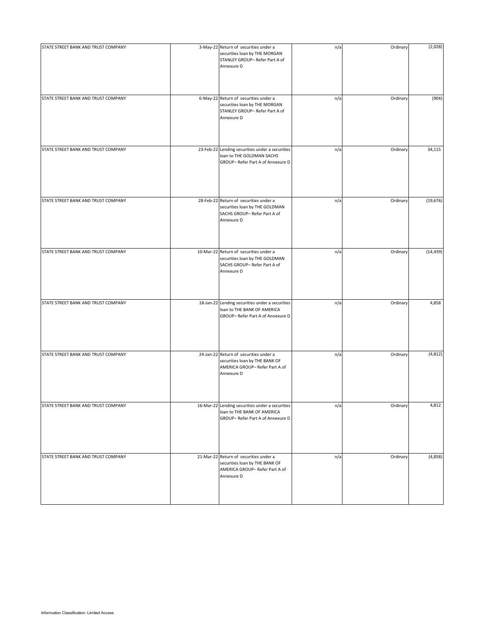| STATE STREET BANK AND TRUST COMPANY | 3-May-22 Return of securities under a<br>securities loan by THE MORGAN<br>STANLEY GROUP- Refer Part A of<br>Annexure D  | n/a | Ordinary | (2,028)   |
|-------------------------------------|-------------------------------------------------------------------------------------------------------------------------|-----|----------|-----------|
| STATE STREET BANK AND TRUST COMPANY | 6-May-22 Return of securities under a<br>securities loan by THE MORGAN<br>STANLEY GROUP-Refer Part A of<br>Annexure D   | n/a | Ordinary | (904)     |
| STATE STREET BANK AND TRUST COMPANY | 23-Feb-22 Lending securities under a securities<br>loan to THE GOLDMAN SACHS<br>GROUP- Refer Part A of Annexure D       | n/a | Ordinary | 34,115    |
| STATE STREET BANK AND TRUST COMPANY | 28-Feb-22 Return of securities under a<br>securities loan by THE GOLDMAN<br>SACHS GROUP- Refer Part A of<br>Annexure D  | n/a | Ordinary | (19, 676) |
| STATE STREET BANK AND TRUST COMPANY | 10-Mar-22 Return of securities under a<br>securities loan by THE GOLDMAN<br>SACHS GROUP- Refer Part A of<br>Annexure D  | n/a | Ordinary | (14, 439) |
| STATE STREET BANK AND TRUST COMPANY | 18-Jan-22 Lending securities under a securities<br>loan to THE BANK OF AMERICA<br>GROUP- Refer Part A of Annexure D     | n/a | Ordinary | 4,858     |
| STATE STREET BANK AND TRUST COMPANY | 24-Jan-22 Return of securities under a<br>securities loan by THE BANK OF<br>AMERICA GROUP-Refer Part A of<br>Annexure D | n/a | Ordinary | (4, 812)  |
| STATE STREET BANK AND TRUST COMPANY | 16-Mar-22 Lending securities under a securities<br>loan to THE BANK OF AMERICA<br>GROUP- Refer Part A of Annexure D     | n/a | Ordinary | 4,812     |
| STATE STREET BANK AND TRUST COMPANY | 21-Mar-22 Return of securities under a<br>securities loan by THE BANK OF<br>AMERICA GROUP-Refer Part A of<br>Annexure D | n/a | Ordinary | (4,858)   |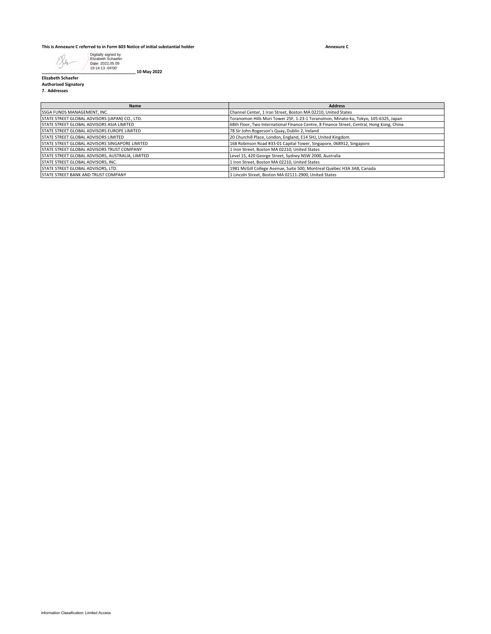## **This is Annexure C referred to in Form 603 Notice of initial substantial holder**

**Annexure C**



**\_\_\_\_\_\_\_\_\_\_\_\_\_\_\_\_\_\_\_\_\_\_\_\_\_\_\_\_\_\_\_\_\_\_\_\_\_\_\_ 10 May 2022**

**Elizabeth Schaefer Authorised Signatory**

**7. Addresses**

| <b>Name</b>                                           | <b>Address</b>                                                                            |
|-------------------------------------------------------|-------------------------------------------------------------------------------------------|
| SSGA FUNDS MANAGEMENT. INC.                           | Channel Center, 1 Iron Street, Boston MA 02210, United States                             |
| STATE STREET GLOBAL ADVISORS (JAPAN) CO., LTD.        | Toranomon Hills Mori Tower 25F, 1-23-1 Toranomon, Minato-ku, Tokyo, 105-6325, Japan       |
| <b>STATE STREET GLOBAL ADVISORS ASIA LIMITED</b>      | 68th Floor, Two International Finance Centre, 8 Finance Street, Central, Hong Kong, China |
| <b>STATE STREET GLOBAL ADVISORS EUROPE LIMITED</b>    | 78 Sir John Rogerson's Quay, Dublin 2, Ireland                                            |
| <b>STATE STREET GLOBAL ADVISORS LIMITED</b>           | 20 Churchill Place, London, England, E14 5HJ, United Kingdom                              |
| <b>STATE STREET GLOBAL ADVISORS SINGAPORE LIMITED</b> | 168 Robinson Road #33-01 Capital Tower, Singapore, 068912, Singapore                      |
| <b>STATE STREET GLOBAL ADVISORS TRUST COMPANY</b>     | 1 Iron Street, Boston MA 02210, United States                                             |
| STATE STREET GLOBAL ADVISORS, AUSTRALIA, LIMITED      | Level 15, 420 George Street, Sydney NSW 2000, Australia                                   |
| STATE STREET GLOBAL ADVISORS, INC.                    | 1 Iron Street, Boston MA 02210, United States                                             |
| STATE STREET GLOBAL ADVISORS, LTD.                    | 1981 McGill College Avenue, Suite 500, Montreal Québec H3A 3A8, Canada                    |
| <b>ISTATE STREET BANK AND TRUST COMPANY</b>           | 1 Lincoln Street, Boston MA 02111-2900, United States                                     |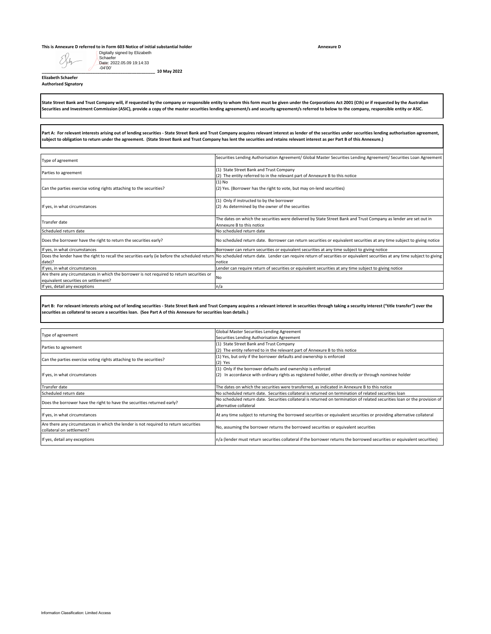## **This is Annexure D referred to in Form 603 Notice of initial substantial holder**<br> **CO D** Digitally signed by Elizabeth

| Digitally signed by Elizabeth<br>Schaefer<br>Date: 2022.05.09 19:14:33                                                                                                           |                                                                                                                                                                                                                                                                                                                                                                                                        |
|----------------------------------------------------------------------------------------------------------------------------------------------------------------------------------|--------------------------------------------------------------------------------------------------------------------------------------------------------------------------------------------------------------------------------------------------------------------------------------------------------------------------------------------------------------------------------------------------------|
| $-04'00'$<br>10 May 2022<br><b>Elizabeth Schaefer</b><br><b>Authorised Signatory</b>                                                                                             |                                                                                                                                                                                                                                                                                                                                                                                                        |
|                                                                                                                                                                                  | State Street Bank and Trust Company will, if requested by the company or responsible entity to whom this form must be given under the Corporations Act 2001 (Cth) or if requested by the Australian<br>Securities and Investment Commission (ASIC), provide a copy of the master securities lending agreement/s and security agreement/s referred to below to the company, responsible entity or ASIC. |
| subject to obligation to return under the agreement. (State Street Bank and Trust Company has lent the securities and retains relevant interest as per Part B of this Annexure.) | Part A: For relevant interests arising out of lending securities - State Street Bank and Trust Company acquires relevant interest as lender of the securities under securities lending authorisation agreement,                                                                                                                                                                                        |
| Type of agreement                                                                                                                                                                | Securities Lending Authorisation Agreement/ Global Master Securities Lending Agreement/ Securities Loan Agreement                                                                                                                                                                                                                                                                                      |
| Parties to agreement                                                                                                                                                             | (1) State Street Bank and Trust Company<br>(2) The entity referred to in the relevant part of Annexure B to this notice                                                                                                                                                                                                                                                                                |
| Can the parties exercise voting rights attaching to the securities?                                                                                                              | (1) No<br>(2) Yes. (Borrower has the right to vote, but may on-lend securities)                                                                                                                                                                                                                                                                                                                        |
| If yes, in what circumstances                                                                                                                                                    | (1) Only if instructed to by the borrower<br>(2) As determined by the owner of the securities                                                                                                                                                                                                                                                                                                          |
| Transfer date                                                                                                                                                                    | The dates on which the securities were delivered by State Street Bank and Trust Company as lender are set out in<br>Annexure B to this notice                                                                                                                                                                                                                                                          |
| Scheduled return date<br>Does the borrower have the right to return the securities early?                                                                                        | No scheduled return date<br>No scheduled return date. Borrower can return securities or equivalent securities at any time subject to giving notice                                                                                                                                                                                                                                                     |
| If yes, in what circumstances                                                                                                                                                    | Borrower can return securities or equivalent securities at any time subject to giving notice                                                                                                                                                                                                                                                                                                           |
| Does the lender have the right to recall the securities early (ie before the scheduled return<br>date)?                                                                          | No scheduled return date. Lender can require return of securities or equivalent securities at any time subject to giving<br>notice                                                                                                                                                                                                                                                                     |
| If yes, in what circumstances<br>Are there any circumstances in which the borrower is not required to return securities or                                                       | Lender can require return of securities or equivalent securities at any time subject to giving notice                                                                                                                                                                                                                                                                                                  |
| equivalent securities on settlement?                                                                                                                                             | No                                                                                                                                                                                                                                                                                                                                                                                                     |
| If yes, detail any exceptions                                                                                                                                                    | n/a                                                                                                                                                                                                                                                                                                                                                                                                    |
| securities as collateral to secure a securities loan. (See Part A of this Annexure for securities loan details.)                                                                 | Part B: For relevant interests arising out of lending securities - State Street Bank and Trust Company acquires a relevant interest in securities through taking a security interest ("title transfer") over the                                                                                                                                                                                       |
| Type of agreement                                                                                                                                                                | Global Master Securities Lending Agreement<br>Securities Lending Authorisation Agreement                                                                                                                                                                                                                                                                                                               |
| Parties to agreement                                                                                                                                                             | (1) State Street Bank and Trust Company<br>(2) The entity referred to in the relevant part of Annexure B to this notice                                                                                                                                                                                                                                                                                |
| Can the parties exercise voting rights attaching to the securities?                                                                                                              | (1) Yes, but only if the borrower defaults and ownership is enforced<br>(2) Yes                                                                                                                                                                                                                                                                                                                        |
| If yes, in what circumstances                                                                                                                                                    | (1) Only if the borrower defaults and ownership is enforced<br>(2) In accordance with ordinary rights as registered holder, either directly or through nominee holder                                                                                                                                                                                                                                  |
| <b>Transfer date</b>                                                                                                                                                             | The dates on which the securities were transferred, as indicated in Annexure B to this notice                                                                                                                                                                                                                                                                                                          |
| Scheduled return date<br>Does the borrower have the right to have the securities returned early?                                                                                 | No scheduled return date. Securities collateral is returned on termination of related securities loan<br>No scheduled return date. Securities collateral is returned on termination of related securities loan or the provision of<br>alternative collateral                                                                                                                                           |
| If yes, in what circumstances                                                                                                                                                    | At any time subject to returning the borrowed securities or equivalent securities or providing alternative collateral                                                                                                                                                                                                                                                                                  |
| Are there any circumstances in which the lender is not required to return securities<br>collateral on settlement?                                                                | No, assuming the borrower returns the borrowed securities or equivalent securities                                                                                                                                                                                                                                                                                                                     |
| If yes, detail any exceptions                                                                                                                                                    | n/a (lender must return securities collateral if the borrower returns the borrowed securities or equivalent securities)                                                                                                                                                                                                                                                                                |
|                                                                                                                                                                                  |                                                                                                                                                                                                                                                                                                                                                                                                        |
| Information Classification: Limited Access                                                                                                                                       |                                                                                                                                                                                                                                                                                                                                                                                                        |

| Type of agreement                                                                                                 | Global Master Securities Lending Agreement                                                                                                          |
|-------------------------------------------------------------------------------------------------------------------|-----------------------------------------------------------------------------------------------------------------------------------------------------|
|                                                                                                                   | Securities Lending Authorisation Agreement                                                                                                          |
| Parties to agreement                                                                                              | (1) State Street Bank and Trust Company                                                                                                             |
|                                                                                                                   | (2) The entity referred to in the relevant part of Annexure B to this notice                                                                        |
|                                                                                                                   | (1) Yes, but only if the borrower defaults and ownership is enforced                                                                                |
| Can the parties exercise voting rights attaching to the securities?                                               | $(2)$ Yes                                                                                                                                           |
|                                                                                                                   | (1) Only if the borrower defaults and ownership is enforced                                                                                         |
| If yes, in what circumstances                                                                                     | In accordance with ordinary rights as registered holder, either directly or through nominee holder<br>(2)                                           |
| Transfer date                                                                                                     | The dates on which the securities were transferred, as indicated in Annexure B to this notice                                                       |
| Scheduled return date                                                                                             | No scheduled return date. Securities collateral is returned on termination of related securities loan                                               |
| Does the borrower have the right to have the securities returned early?                                           | No scheduled return date. Securities collateral is returned on termination of related securities loan or the provision of<br>alternative collateral |
| If yes, in what circumstances                                                                                     | At any time subject to returning the borrowed securities or equivalent securities or providing alternative collateral                               |
| Are there any circumstances in which the lender is not required to return securities<br>collateral on settlement? | No, assuming the borrower returns the borrowed securities or equivalent securities                                                                  |
| If yes, detail any exceptions                                                                                     | n/a (lender must return securities collateral if the borrower returns the borrowed securities or equivalent securities)                             |

**Annexure D**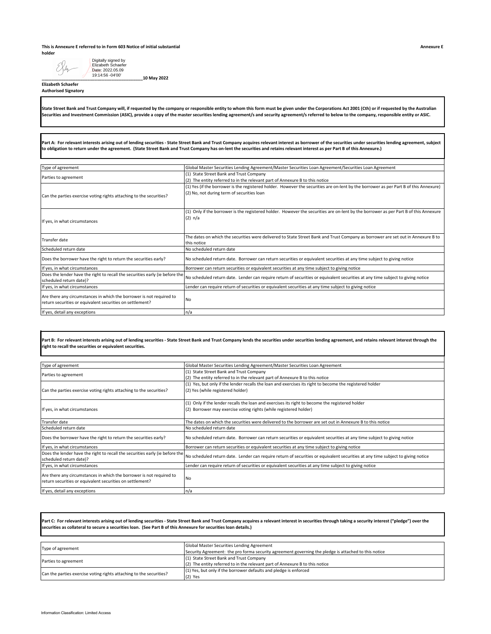## **This is Annexure E referred to in Form 603 Notice of initial substantial holder**

| Date: 2022.05.09<br>19:14:56 -04'00'<br>_10 May 2022<br><b>Elizabeth Schaefer</b><br><b>Authorised Signatory</b>                                                                                                                                                                                                                                                                                                                                                                                                                                                                                                                                                                                           |                                                                                                                                                                                                                                                                                                                                                                                                        |
|------------------------------------------------------------------------------------------------------------------------------------------------------------------------------------------------------------------------------------------------------------------------------------------------------------------------------------------------------------------------------------------------------------------------------------------------------------------------------------------------------------------------------------------------------------------------------------------------------------------------------------------------------------------------------------------------------------|--------------------------------------------------------------------------------------------------------------------------------------------------------------------------------------------------------------------------------------------------------------------------------------------------------------------------------------------------------------------------------------------------------|
|                                                                                                                                                                                                                                                                                                                                                                                                                                                                                                                                                                                                                                                                                                            | State Street Bank and Trust Company will, if requested by the company or responsible entity to whom this form must be given under the Corporations Act 2001 (Cth) or if requested by the Australian<br>Securities and Investment Commission (ASIC), provide a copy of the master securities lending agreement/s and security agreement/s referred to below to the company, responsible entity or ASIC. |
|                                                                                                                                                                                                                                                                                                                                                                                                                                                                                                                                                                                                                                                                                                            | Part A: For relevant interests arising out of lending securities - State Street Bank and Trust Company acquires relevant interest as borrower of the securities under securities lending agreement, subject                                                                                                                                                                                            |
|                                                                                                                                                                                                                                                                                                                                                                                                                                                                                                                                                                                                                                                                                                            | to obligation to return under the agreement. (State Street Bank and Trust Company has on-lent the securities and retains relevant interest as per Part B of this Annexure.)                                                                                                                                                                                                                            |
| Type of agreement                                                                                                                                                                                                                                                                                                                                                                                                                                                                                                                                                                                                                                                                                          | Global Master Securities Lending Agreement/Master Securities Loan Agreement/Securities Loan Agreement                                                                                                                                                                                                                                                                                                  |
|                                                                                                                                                                                                                                                                                                                                                                                                                                                                                                                                                                                                                                                                                                            | (1) State Street Bank and Trust Company                                                                                                                                                                                                                                                                                                                                                                |
| Parties to agreement                                                                                                                                                                                                                                                                                                                                                                                                                                                                                                                                                                                                                                                                                       | (2) The entity referred to in the relevant part of Annexure B to this notice                                                                                                                                                                                                                                                                                                                           |
| Can the parties exercise voting rights attaching to the securities?                                                                                                                                                                                                                                                                                                                                                                                                                                                                                                                                                                                                                                        | (1) Yes (if the borrower is the registered holder. However the securities are on-lent by the borrower as per Part B of this Annexure)<br>(2) No, not during term of securities loan                                                                                                                                                                                                                    |
| If yes, in what circumstances                                                                                                                                                                                                                                                                                                                                                                                                                                                                                                                                                                                                                                                                              | (1) Only if the borrower is the registered holder. However the securities are on-lent by the borrower as per Part B of this Annexure<br>(2) n/a                                                                                                                                                                                                                                                        |
| <b>Transfer date</b>                                                                                                                                                                                                                                                                                                                                                                                                                                                                                                                                                                                                                                                                                       | The dates on which the securities were delivered to State Street Bank and Trust Company as borrower are set out in Annexure B to<br>this notice                                                                                                                                                                                                                                                        |
| Scheduled return date                                                                                                                                                                                                                                                                                                                                                                                                                                                                                                                                                                                                                                                                                      | No scheduled return date                                                                                                                                                                                                                                                                                                                                                                               |
| Does the borrower have the right to return the securities early?                                                                                                                                                                                                                                                                                                                                                                                                                                                                                                                                                                                                                                           | No scheduled return date. Borrower can return securities or equivalent securities at any time subject to giving notice                                                                                                                                                                                                                                                                                 |
| If yes, in what circumstances                                                                                                                                                                                                                                                                                                                                                                                                                                                                                                                                                                                                                                                                              | Borrower can return securities or equivalent securities at any time subject to giving notice                                                                                                                                                                                                                                                                                                           |
| Does the lender have the right to recall the securities early (ie before the<br>scheduled return date)?                                                                                                                                                                                                                                                                                                                                                                                                                                                                                                                                                                                                    | No scheduled return date. Lender can require return of securities or equivalent securities at any time subject to giving notice                                                                                                                                                                                                                                                                        |
| If yes, in what circumstances                                                                                                                                                                                                                                                                                                                                                                                                                                                                                                                                                                                                                                                                              | Lender can require return of securities or equivalent securities at any time subject to giving notice                                                                                                                                                                                                                                                                                                  |
| Are there any circumstances in which the borrower is not required to<br>return securities or equivalent securities on settlement?                                                                                                                                                                                                                                                                                                                                                                                                                                                                                                                                                                          | No                                                                                                                                                                                                                                                                                                                                                                                                     |
| If yes, detail any exceptions                                                                                                                                                                                                                                                                                                                                                                                                                                                                                                                                                                                                                                                                              | n/a                                                                                                                                                                                                                                                                                                                                                                                                    |
|                                                                                                                                                                                                                                                                                                                                                                                                                                                                                                                                                                                                                                                                                                            | Part B: For relevant interests arising out of lending securities - State Street Bank and Trust Company lends the securities under securities lending agreement, and retains relevant interest through the                                                                                                                                                                                              |
|                                                                                                                                                                                                                                                                                                                                                                                                                                                                                                                                                                                                                                                                                                            |                                                                                                                                                                                                                                                                                                                                                                                                        |
|                                                                                                                                                                                                                                                                                                                                                                                                                                                                                                                                                                                                                                                                                                            | Global Master Securities Lending Agreement/Master Securities Loan Agreement<br>(1) State Street Bank and Trust Company                                                                                                                                                                                                                                                                                 |
|                                                                                                                                                                                                                                                                                                                                                                                                                                                                                                                                                                                                                                                                                                            | (2) The entity referred to in the relevant part of Annexure B to this notice                                                                                                                                                                                                                                                                                                                           |
|                                                                                                                                                                                                                                                                                                                                                                                                                                                                                                                                                                                                                                                                                                            | (1) Yes, but only if the lender recalls the loan and exercises its right to become the registered holder<br>(2) Yes (while registered holder)                                                                                                                                                                                                                                                          |
|                                                                                                                                                                                                                                                                                                                                                                                                                                                                                                                                                                                                                                                                                                            | (1) Only if the lender recalls the loan and exercises its right to become the registered holder<br>(2) Borrower may exercise voting rights (while registered holder)                                                                                                                                                                                                                                   |
|                                                                                                                                                                                                                                                                                                                                                                                                                                                                                                                                                                                                                                                                                                            | The dates on which the securities were delivered to the borrower are set out in Annexure B to this notice                                                                                                                                                                                                                                                                                              |
|                                                                                                                                                                                                                                                                                                                                                                                                                                                                                                                                                                                                                                                                                                            | No scheduled return date                                                                                                                                                                                                                                                                                                                                                                               |
|                                                                                                                                                                                                                                                                                                                                                                                                                                                                                                                                                                                                                                                                                                            | No scheduled return date. Borrower can return securities or equivalent securities at any time subject to giving notice                                                                                                                                                                                                                                                                                 |
|                                                                                                                                                                                                                                                                                                                                                                                                                                                                                                                                                                                                                                                                                                            | Borrower can return securities or equivalent securities at any time subject to giving notice                                                                                                                                                                                                                                                                                                           |
| scheduled return date)?                                                                                                                                                                                                                                                                                                                                                                                                                                                                                                                                                                                                                                                                                    | No scheduled return date. Lender can require return of securities or equivalent securities at any time subject to giving notice                                                                                                                                                                                                                                                                        |
|                                                                                                                                                                                                                                                                                                                                                                                                                                                                                                                                                                                                                                                                                                            | Lender can require return of securities or equivalent securities at any time subject to giving notice                                                                                                                                                                                                                                                                                                  |
| return securities or equivalent securities on settlement?                                                                                                                                                                                                                                                                                                                                                                                                                                                                                                                                                                                                                                                  | No                                                                                                                                                                                                                                                                                                                                                                                                     |
|                                                                                                                                                                                                                                                                                                                                                                                                                                                                                                                                                                                                                                                                                                            | n/a                                                                                                                                                                                                                                                                                                                                                                                                    |
|                                                                                                                                                                                                                                                                                                                                                                                                                                                                                                                                                                                                                                                                                                            |                                                                                                                                                                                                                                                                                                                                                                                                        |
| securities as collateral to secure a securities loan. (See Part B of this Annexure for securities loan details.)                                                                                                                                                                                                                                                                                                                                                                                                                                                                                                                                                                                           | Part C: For relevant interests arising out of lending securities - State Street Bank and Trust Company acquires a relevant interest in securities through taking a security interest ("pledge") over the                                                                                                                                                                                               |
|                                                                                                                                                                                                                                                                                                                                                                                                                                                                                                                                                                                                                                                                                                            | Global Master Securities Lending Agreement                                                                                                                                                                                                                                                                                                                                                             |
|                                                                                                                                                                                                                                                                                                                                                                                                                                                                                                                                                                                                                                                                                                            | Security Agreement: the pro forma security agreement governing the pledge is attached to this notice<br>(1) State Street Bank and Trust Company                                                                                                                                                                                                                                                        |
|                                                                                                                                                                                                                                                                                                                                                                                                                                                                                                                                                                                                                                                                                                            | (2) The entity referred to in the relevant part of Annexure B to this notice<br>(1) Yes, but only if the borrower defaults and pledge is enforced                                                                                                                                                                                                                                                      |
| right to recall the securities or equivalent securities.<br>Type of agreement<br>Parties to agreement<br>Can the parties exercise voting rights attaching to the securities?<br>If yes, in what circumstances<br>Transfer date<br>Scheduled return date<br>Does the borrower have the right to return the securities early?<br>If yes, in what circumstances<br>Does the lender have the right to recall the securities early (ie before the<br>If yes, in what circumstances<br>Are there any circumstances in which the borrower is not required to<br>If yes, detail any exceptions<br>Type of agreement<br>Parties to agreement<br>Can the parties exercise voting rights attaching to the securities? | $(2)$ Yes                                                                                                                                                                                                                                                                                                                                                                                              |

| Type of agreement                                                            | Global Master Securities Lending Agreement/Master Securities Loan Agreement                                                     |
|------------------------------------------------------------------------------|---------------------------------------------------------------------------------------------------------------------------------|
| Parties to agreement                                                         | (1) State Street Bank and Trust Company                                                                                         |
|                                                                              | (2) The entity referred to in the relevant part of Annexure B to this notice                                                    |
|                                                                              | (1) Yes, but only if the lender recalls the loan and exercises its right to become the registered holder                        |
| Can the parties exercise voting rights attaching to the securities?          | (2) Yes (while registered holder)                                                                                               |
|                                                                              |                                                                                                                                 |
|                                                                              | (1) Only if the lender recalls the loan and exercises its right to become the registered holder                                 |
| If yes, in what circumstances                                                | (2) Borrower may exercise voting rights (while registered holder)                                                               |
|                                                                              |                                                                                                                                 |
| Transfer date                                                                | The dates on which the securities were delivered to the borrower are set out in Annexure B to this notice                       |
| Scheduled return date                                                        | No scheduled return date                                                                                                        |
| Does the borrower have the right to return the securities early?             | No scheduled return date. Borrower can return securities or equivalent securities at any time subject to giving notice          |
| If yes, in what circumstances                                                | Borrower can return securities or equivalent securities at any time subject to giving notice                                    |
| Does the lender have the right to recall the securities early (ie before the |                                                                                                                                 |
| scheduled return date)?                                                      | No scheduled return date. Lender can require return of securities or equivalent securities at any time subject to giving notice |
| If yes, in what circumstances                                                | Lender can require return of securities or equivalent securities at any time subject to giving notice                           |
| Are there any circumstances in which the borrower is not required to         |                                                                                                                                 |
| return securities or equivalent securities on settlement?                    | <b>No</b>                                                                                                                       |
|                                                                              |                                                                                                                                 |
| If yes, detail any exceptions                                                | n/a                                                                                                                             |

| Type of agreement                                                   | Global Master Securities Lending Agreement<br>Security Agreement: the pro forma security agreement governing the pledge is attached to this notice |
|---------------------------------------------------------------------|----------------------------------------------------------------------------------------------------------------------------------------------------|
| Parties to agreement                                                | (1) State Street Bank and Trust Company<br>(2) The entity referred to in the relevant part of Annexure B to this notice                            |
| Can the parties exercise voting rights attaching to the securities? | (1) Yes, but only if the borrower defaults and pledge is enforced<br>$(2)$ Yes                                                                     |